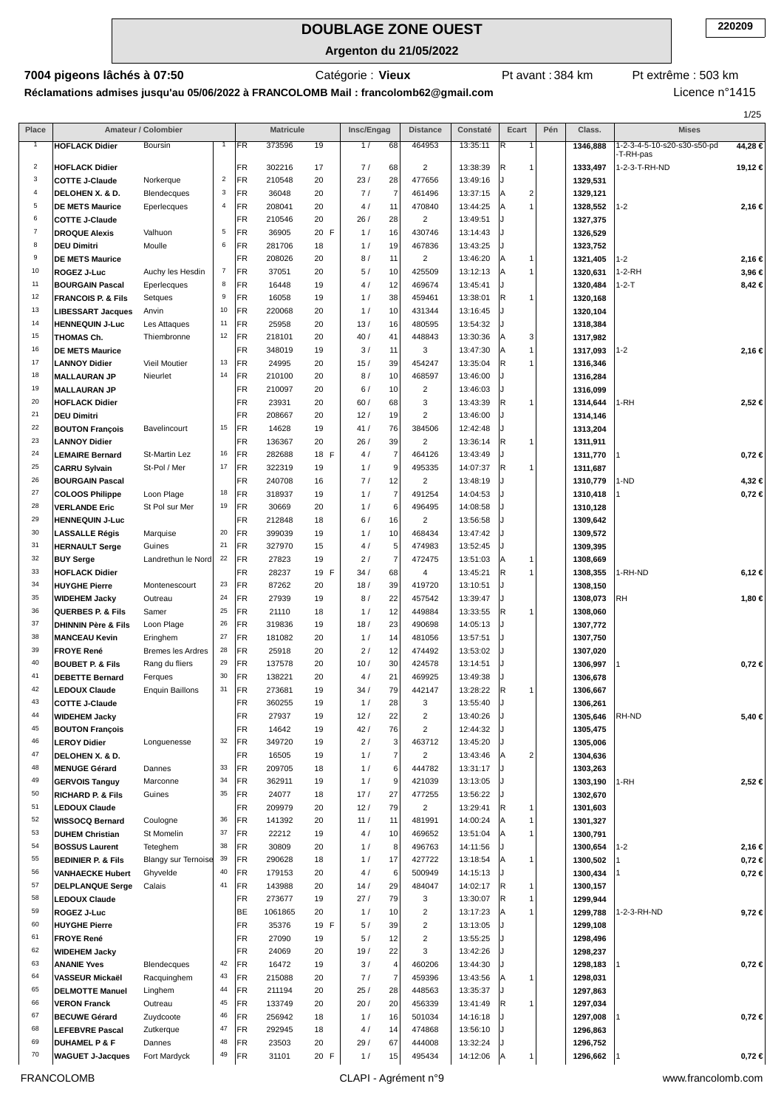**Argenton du 21/05/2022**

Catégorie : **Vieux**

**7004 pigeons lâchés à 07:50 Catégorie : Vieux** Pt avant : 384 km Pt extrême : 503 km

**Réclamations admises jusqu'au 05/06/2022 à FRANCOLOMB Mail : francolomb62@gmail.com**

Licence n°1415

|                |                                                |                            |                         |                 |                   |          |            |                          |                              |                      |                       |     |                      |                                          | 1/25       |
|----------------|------------------------------------------------|----------------------------|-------------------------|-----------------|-------------------|----------|------------|--------------------------|------------------------------|----------------------|-----------------------|-----|----------------------|------------------------------------------|------------|
| Place          |                                                | Amateur / Colombier        |                         |                 | <b>Matricule</b>  |          | Insc/Engag |                          | <b>Distance</b>              | Constaté             | Ecart                 | Pén | Class.               | <b>Mises</b>                             |            |
|                | <b>HOFLACK Didier</b>                          | Boursin                    | 1                       | FR              | 373596            | 19       | 1/         | 68                       | 464953                       | 13:35:11             | IR.<br>$\mathbf{1}$   |     | 1346,888             | 1-2-3-4-5-10-s20-s30-s50-pd<br>-T-RH-pas | 44,28 €    |
| $\overline{2}$ | <b>HOFLACK Didier</b>                          |                            |                         | FR              | 302216            | 17       | 7/         | 68                       | $\overline{c}$               | 13:38:39             | 1<br> R               |     | 1333,497             | 1-2-3-T-RH-ND                            | 19,12 €    |
| 3              | <b>COTTE J-Claude</b>                          | Norkerque                  | $\overline{\mathbf{c}}$ | FR              | 210548            | 20       | 23/        | 28                       | 477656                       | 13:49:16             |                       |     | 1329,531             |                                          |            |
| 4              | DELOHEN X. & D.                                | Blendecques                | 3                       | FR              | 36048             | 20       | 7/         | $\overline{7}$           | 461496                       | 13:37:15             | $\overline{2}$<br>۱A  |     | 1329,121             |                                          |            |
| 5              | <b>DE METS Maurice</b>                         | Eperlecques                | $\overline{\mathbf{4}}$ | FR              | 208041            | 20       | 4/         | 11                       | 470840                       | 13:44:25             | 1<br>ΙA               |     | 1328,552             | $1 - 2$                                  | 2,16€      |
| 6              | <b>COTTE J-Claude</b>                          |                            |                         | FR              | 210546            | 20       | 26/        | 28                       | $\overline{2}$               | 13:49:51             |                       |     | 1327,375             |                                          |            |
| $\overline{7}$ | <b>DROQUE Alexis</b>                           | Valhuon                    | 5                       | FR              | 36905             | 20 F     | 1/         | 16                       | 430746                       | 13:14:43             |                       |     | 1326,529             |                                          |            |
| 8              | <b>DEU Dimitri</b>                             | Moulle                     | 6                       | FR              | 281706            | 18       | 1/         | 19                       | 467836                       | 13:43:25             |                       |     | 1323,752             |                                          |            |
| 9              | <b>DE METS Maurice</b>                         |                            |                         | FR              | 208026            | 20       | 8/         | 11                       | $\overline{2}$               | 13:46:20             | $\overline{1}$<br>۱A  |     | 1321,405             | $1 - 2$                                  | 2,16 €     |
| 10             | ROGEZ J-Luc                                    | Auchy les Hesdin           | $\overline{7}$          | FR              | 37051             | 20       | 5/         | 10                       | 425509                       | 13:12:13             | $\overline{1}$<br>ΙA  |     | 1320,631             | 1-2-RH                                   | 3,96 €     |
| 11             | <b>BOURGAIN Pascal</b>                         | Eperlecques                | 8                       | FR              | 16448             | 19       | 4/         | 12                       | 469674                       | 13:45:41             |                       |     | 1320,484             | $1 - 2 - T$                              | 8,42 €     |
| 12<br>13       | <b>FRANCOIS P. &amp; Fils</b>                  | Setques                    | 9<br>10                 | FR              | 16058             | 19       | 1/         | 38                       | 459461                       | 13:38:01             | R<br>1                |     | 1320,168             |                                          |            |
| 14             | <b>LIBESSART Jacques</b>                       | Anvin<br>Les Attaques      | 11                      | FR<br>FR        | 220068<br>25958   | 20<br>20 | 1/<br>13/  | 10<br>16                 | 431344<br>480595             | 13:16:45<br>13:54:32 |                       |     | 1320,104             |                                          |            |
| 15             | <b>HENNEQUIN J-Luc</b><br><b>THOMAS Ch.</b>    | Thiembronne                | 12                      | FR              | 218101            | 20       | 40/        | 41                       | 448843                       | 13:30:36             | 3<br>ΙA               |     | 1318,384<br>1317,982 |                                          |            |
| 16             | <b>DE METS Maurice</b>                         |                            |                         | FR              | 348019            | 19       | 3/         | 11                       | 3                            | 13:47:30             | $\mathbf 1$<br>ΙA     |     | 1317,093             | $1 - 2$                                  | 2,16€      |
| 17             | <b>LANNOY Didier</b>                           | <b>Vieil Moutier</b>       | 13                      | FR              | 24995             | 20       | 15/        | 39                       | 454247                       | 13:35:04             | R.<br>$\mathbf 1$     |     | 1316,346             |                                          |            |
| 18             | <b>MALLAURAN JP</b>                            | Nieurlet                   | 14                      | <b>FR</b>       | 210100            | 20       | 8/         | 10                       | 468597                       | 13:46:00             |                       |     | 1316,284             |                                          |            |
| 19             | <b>MALLAURAN JP</b>                            |                            |                         | FR              | 210097            | 20       | 6/         | 10                       | $\overline{2}$               | 13:46:03             |                       |     | 1316,099             |                                          |            |
| 20             | <b>HOFLACK Didier</b>                          |                            |                         | FR              | 23931             | 20       | 60/        | 68                       | 3                            | 13:43:39             | R<br>$\mathbf 1$      |     | 1314,644             | 1-RH                                     | 2,52 €     |
| 21             | <b>DEU Dimitri</b>                             |                            |                         | FR              | 208667            | 20       | 12/        | 19                       | $\overline{2}$               | 13:46:00             |                       |     | 1314,146             |                                          |            |
| 22             | <b>BOUTON François</b>                         | Bavelincourt               | 15                      | FR              | 14628             | 19       | 41/        | 76                       | 384506                       | 12:42:48             |                       |     | 1313,204             |                                          |            |
| 23             | <b>LANNOY Didier</b>                           |                            |                         | FR              | 136367            | 20       | 26/        | 39                       | $\sqrt{2}$                   | 13:36:14             | R<br>$\mathbf 1$      |     | 1311,911             |                                          |            |
| 24             | <b>LEMAIRE Bernard</b>                         | St-Martin Lez              | 16                      | <b>FR</b>       | 282688            | 18<br>F  | 4/         | $\overline{7}$           | 464126                       | 13:43:49             |                       |     | 1311,770             |                                          | $0,72 \in$ |
| 25             | <b>CARRU Sylvain</b>                           | St-Pol / Mer               | 17                      | FR              | 322319            | 19       | 1/         | 9                        | 495335                       | 14:07:37             | R<br>$\mathbf 1$      |     | 1311,687             |                                          |            |
| 26             | <b>BOURGAIN Pascal</b>                         |                            |                         | FR              | 240708            | 16       | 7/         | 12                       | $\overline{c}$               | 13:48:19             |                       |     | 1310,779             | 1-ND                                     | 4,32 €     |
| 27<br>28       | <b>COLOOS Philippe</b>                         | Loon Plage                 | 18<br>19                | FR<br>FR        | 318937            | 19       | 1/         | $\overline{7}$           | 491254                       | 14:04:53             |                       |     | 1310,418             |                                          | $0,72 \in$ |
| 29             | <b>VERLANDE Eric</b><br><b>HENNEQUIN J-Luc</b> | St Pol sur Mer             |                         | FR              | 30669<br>212848   | 20<br>18 | 1/<br>6/   | 6<br>16                  | 496495<br>$\overline{2}$     | 14:08:58<br>13:56:58 |                       |     | 1310,128<br>1309,642 |                                          |            |
| 30             | <b>LASSALLE Régis</b>                          | Marquise                   | 20                      | FR              | 399039            | 19       | 1/         | 10                       | 468434                       | 13:47:42             |                       |     | 1309,572             |                                          |            |
| 31             | <b>HERNAULT Serge</b>                          | Guines                     | 21                      | FR              | 327970            | 15       | 4/         | 5                        | 474983                       | 13:52:45             |                       |     | 1309,395             |                                          |            |
| 32             | <b>BUY Serge</b>                               | Landrethun le Nord         | 22                      | FR              | 27823             | 19       | 2/         | $\overline{7}$           | 472475                       | 13:51:03             | ΙA<br>1               |     | 1308,669             |                                          |            |
| 33             | <b>HOFLACK Didier</b>                          |                            |                         | FR              | 28237             | 19 F     | 34/        | 68                       | 4                            | 13:45:21             | R<br>1                |     | 1308,355             | 1-RH-ND                                  | 6,12€      |
| 34             | <b>HUYGHE Pierre</b>                           | Montenescourt              | 23                      | <b>FR</b>       | 87262             | 20       | 18/        | 39                       | 419720                       | 13:10:51             |                       |     | 1308,150             |                                          |            |
| 35             | <b>WIDEHEM Jacky</b>                           | Outreau                    | 24                      | FR              | 27939             | 19       | 8/         | 22                       | 457542                       | 13:39:47             |                       |     | 1308,073             | <b>RH</b>                                | 1,80 €     |
| 36             | <b>QUERBES P. &amp; Fils</b>                   | Samer                      | 25                      | FR              | 21110             | 18       | 1/         | 12                       | 449884                       | 13:33:55             | R<br>$\mathbf 1$      |     | 1308,060             |                                          |            |
| 37             | <b>DHINNIN Père &amp; Fils</b>                 | Loon Plage                 | 26                      | FR              | 319836            | 19       | 18/        | 23                       | 490698                       | 14:05:13             |                       |     | 1307,772             |                                          |            |
| 38             | <b>MANCEAU Kevin</b>                           | Eringhem                   | 27                      | <b>FR</b>       | 181082            | 20       | 1/         | 14                       | 481056                       | 13:57:51             |                       |     | 1307,750             |                                          |            |
| 39             | <b>FROYE René</b>                              | <b>Bremes les Ardres</b>   | 28                      | FR              | 25918             | 20       | 2/         | 12                       | 474492                       | 13:53:02             |                       |     | 1307,020             |                                          |            |
| 40             | <b>BOUBET P. &amp; Fils</b>                    | Rang du fliers             | 29                      | FR              | 137578            | 20       | 10/        | 30                       | 424578                       | 13:14:51             |                       |     | 1306,997             |                                          | $0,72 \in$ |
| 41<br>42       | <b>DEBETTE Bernard</b>                         | Ferques                    | 30<br>31                | FR              | 138221            | 20       | 4/         | 21                       | 469925                       | 13:49:38             |                       |     | 1306,678             |                                          |            |
| 43             | <b>LEDOUX Claude</b>                           | <b>Enquin Baillons</b>     |                         | FR              | 273681            | 19       | 34/        | 79                       | 442147                       | 13:28:22             | IR.<br>$\overline{1}$ |     | 1306,667             |                                          |            |
| 44             | <b>COTTE J-Claude</b><br><b>WIDEHEM Jacky</b>  |                            |                         | FR<br><b>FR</b> | 360255<br>27937   | 19<br>19 | 1/<br>12/  | 28<br>22                 | 3<br>$\overline{\mathbf{c}}$ | 13:55:40<br>13:40:26 |                       |     | 1306,261<br>1305,646 | RH-ND                                    | 5,40 €     |
| 45             | <b>BOUTON François</b>                         |                            |                         | FR              | 14642             | 19       | 42/        | 76                       | $\overline{2}$               | 12:44:32             |                       |     | 1305,475             |                                          |            |
| 46             | <b>LEROY Didier</b>                            | Longuenesse                | 32                      | FR              | 349720            | 19       | 2/         | 3                        | 463712                       | 13:45:20             |                       |     | 1305,006             |                                          |            |
| 47             | DELOHEN X. & D.                                |                            |                         | FR              | 16505             | 19       | 1/         | $\overline{\mathcal{I}}$ | $\overline{c}$               | 13:43:46             | $\overline{2}$        |     | 1304,636             |                                          |            |
| 48             | <b>MENUGE Gérard</b>                           | Dannes                     | 33                      | FR              | 209705            | 18       | 1/         | 6                        | 444782                       | 13:31:17             |                       |     | 1303,263             |                                          |            |
| 49             | <b>GERVOIS Tanguy</b>                          | Marconne                   | 34                      | FR              | 362911            | 19       | 1/         | 9                        | 421039                       | 13:13:05             |                       |     | 1303,190             | 1-RH                                     | 2,52 €     |
| 50             | <b>RICHARD P. &amp; Fils</b>                   | Guines                     | 35                      | FR              | 24077             | 18       | 17/        | 27                       | 477255                       | 13:56:22             |                       |     | 1302,670             |                                          |            |
| 51             | <b>LEDOUX Claude</b>                           |                            |                         | FR              | 209979            | 20       | 12/        | 79                       | $\overline{2}$               | 13:29:41             | R<br>$\overline{1}$   |     | 1301,603             |                                          |            |
| 52             | <b>WISSOCQ Bernard</b>                         | Coulogne                   | 36                      | <b>FR</b>       | 141392            | 20       | 11/        | 11                       | 481991                       | 14:00:24             | $\mathbf 1$<br>ΙA     |     | 1301,327             |                                          |            |
| 53             | <b>DUHEM Christian</b>                         | St Momelin                 | 37                      | <b>FR</b>       | 22212             | 19       | 4/         | 10                       | 469652                       | 13:51:04             | 1                     |     | 1300,791             |                                          |            |
| 54             | <b>BOSSUS Laurent</b>                          | Teteghem                   | 38                      | FR              | 30809             | 20       | 1/         | 8                        | 496763                       | 14:11:56             |                       |     | 1300,654             | $1 - 2$                                  | 2,16 €     |
| 55             | <b>BEDINIER P. &amp; Fils</b>                  | <b>Blangy sur Ternoise</b> | 39                      | FR              | 290628            | 18       | 1/         | 17                       | 427722                       | 13:18:54             | 1<br>ΙA               |     | 1300,502             |                                          | $0,72 \in$ |
| 56             | <b>VANHAECKE Hubert</b>                        | Ghyvelde                   | 40                      | FR              | 179153            | 20       | 4/         | 6                        | 500949                       | 14:15:13             |                       |     | 1300,434             |                                          | $0,72 \in$ |
| 57<br>58       | <b>DELPLANQUE Serge</b>                        | Calais                     | 41                      | FR              | 143988            | 20       | 14/        | 29                       | 484047                       | 14:02:17             | IR.<br>$\mathbf 1$    |     | 1300,157             |                                          |            |
| 59             | <b>LEDOUX Claude</b>                           |                            |                         | FR<br><b>BE</b> | 273677<br>1061865 | 19<br>20 | 27/<br>1/  | 79<br>10                 | 3<br>$\sqrt{2}$              | 13:30:07<br>13:17:23 | IR.<br>1<br>1         |     | 1299,944             |                                          |            |
| 60             | ROGEZ J-Luc<br><b>HUYGHE Pierre</b>            |                            |                         | FR              | 35376             | 19 F     | 5/         | 39                       | $\mathbf 2$                  | 13:13:05             |                       |     | 1299,788<br>1299,108 | 1-2-3-RH-ND                              | 9,72€      |
| 61             | <b>FROYE René</b>                              |                            |                         | FR              | 27090             | 19       | 5/         | 12                       | $\overline{2}$               | 13:55:25             |                       |     | 1298,496             |                                          |            |
| 62             | <b>WIDEHEM Jacky</b>                           |                            |                         | FR              | 24069             | 20       | 19/        | 22                       | 3                            | 13:42:26             |                       |     | 1298,237             |                                          |            |
| 63             | <b>ANANIE Yves</b>                             | Blendecques                | 42                      | <b>FR</b>       | 16472             | 19       | 3/         | $\overline{\mathbf{4}}$  | 460206                       | 13:44:30             |                       |     | 1298,183             |                                          | $0,72 \in$ |
| 64             | VASSEUR Mickaël                                | Racquinghem                | 43                      | FR              | 215088            | 20       | 7/         | $\overline{7}$           | 459396                       | 13:43:56             | $\overline{1}$        |     | 1298,031             |                                          |            |
| 65             | <b>DELMOTTE Manuel</b>                         | Linghem                    | 44                      | FR              | 211194            | 20       | 25/        | 28                       | 448563                       | 13:35:37             |                       |     | 1297,863             |                                          |            |
| 66             | <b>VERON Franck</b>                            | Outreau                    | 45                      | FR              | 133749            | 20       | 20/        | 20                       | 456339                       | 13:41:49             | IR.<br>$\mathbf 1$    |     | 1297,034             |                                          |            |
| 67             | <b>BECUWE Gérard</b>                           | Zuydcoote                  | 46                      | FR              | 256942            | 18       | 1/         | 16                       | 501034                       | 14:16:18             |                       |     | 1297,008             |                                          | $0,72 \in$ |
| 68             | <b>LEFEBVRE Pascal</b>                         | Zutkerque                  | 47                      | FR              | 292945            | 18       | 4/         | 14                       | 474868                       | 13:56:10             |                       |     | 1296,863             |                                          |            |
| 69             | <b>DUHAMEL P &amp; F</b>                       | Dannes                     | 48                      | FR              | 23503             | 20       | 29/        | 67                       | 444008                       | 13:32:24             |                       |     | 1296,752             |                                          |            |
| 70             | <b>WAGUET J-Jacques</b>                        | Fort Mardyck               | 49                      | FR              | 31101             | 20 F     | 1/         | 15                       | 495434                       | 14:12:06             | $\mathbf{1}$<br>ΙA    |     | 1296,662             |                                          | $0,72 \in$ |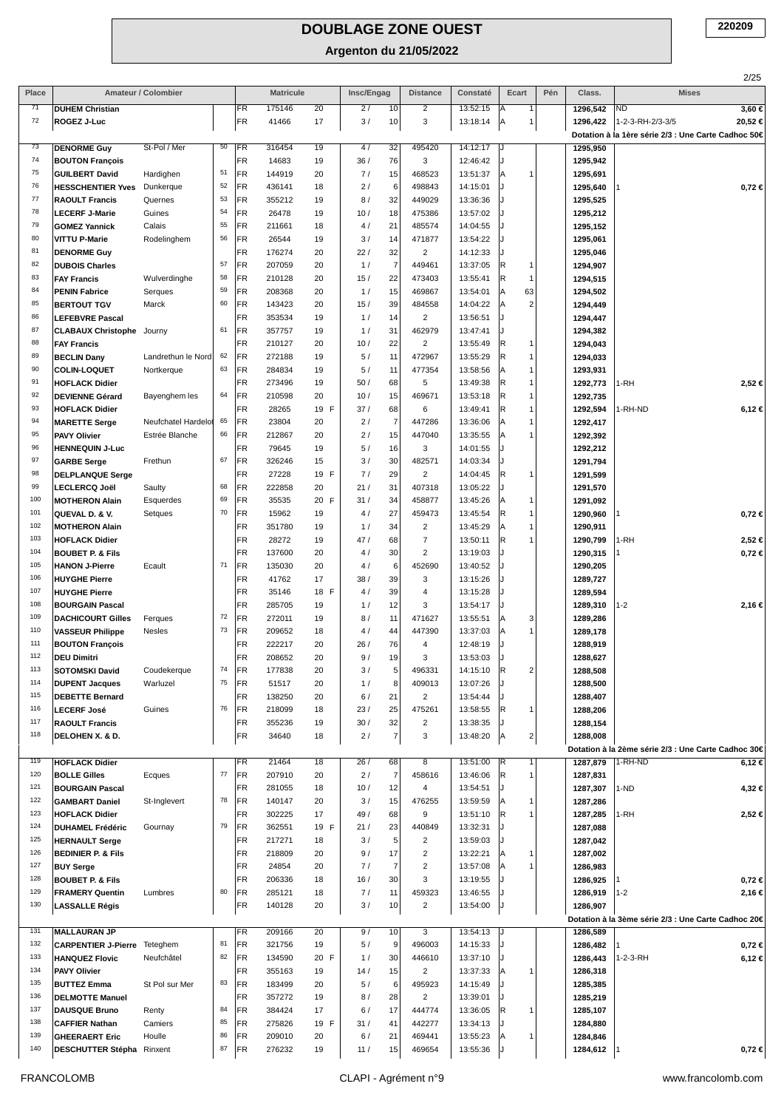| Place |                               | Amateur / Colombier |        |           | <b>Matricule</b> |      | Insc/Engag |                | <b>Distance</b>          | Constaté             | Ecart                | Pén | Class.   | 2/25<br><b>Mises</b>                                                              |
|-------|-------------------------------|---------------------|--------|-----------|------------------|------|------------|----------------|--------------------------|----------------------|----------------------|-----|----------|-----------------------------------------------------------------------------------|
| 71    | <b>DUHEM Christian</b>        |                     |        | FR.       | 175146           | 20   | 2/         | 10             | $\overline{2}$           | 13:52:15             | Α<br>1               |     | 1296,542 | $3,60 \in$<br><b>ND</b>                                                           |
| 72    | ROGEZ J-Luc                   |                     |        | FR        | 41466            | 17   | 3/         | 10             | 3                        | 13:18:14             | Α<br>1               |     | 1296,422 | 20,52€<br>1-2-3-RH-2/3-3/5<br>Dotation à la 1ère série 2/3 : Une Carte Cadhoc 50€ |
| 73    | <b>DENORME Guy</b>            | St-Pol / Mer        | 50     | <b>FR</b> | 316454           | 19   | 4/         | 32             | 495420                   | 14:12:17             | IJ                   |     | 1295,950 |                                                                                   |
| 74    | <b>BOUTON François</b>        |                     |        | <b>FR</b> | 14683            | 19   | 36/        | 76             | 3                        | 12:46:42             |                      |     | 1295,942 |                                                                                   |
| 75    | <b>GUILBERT David</b>         | Hardighen           | 51     | FR        | 144919           | 20   | 7/         | 15             | 468523                   | 13:51:37             | Α<br>1               |     | 1295,691 |                                                                                   |
| 76    | <b>HESSCHENTIER Yves</b>      | Dunkerque           | 52     | <b>FR</b> | 436141           | 18   | 2/         | 6              | 498843                   | 14:15:01             |                      |     | 1295,640 | $0,72 \in$                                                                        |
| 77    | <b>RAOULT Francis</b>         | Quernes             | 53     | <b>FR</b> | 355212           | 19   | 8/         | 32             | 449029                   | 13:36:36             |                      |     | 1295,525 |                                                                                   |
| 78    | <b>LECERF J-Marie</b>         | Guines              | 54     | FR        | 26478            | 19   | 10/        | 18             | 475386                   | 13:57:02             |                      |     | 1295,212 |                                                                                   |
| 79    | <b>GOMEZ Yannick</b>          | Calais              | 55     | <b>FR</b> | 211661           | 18   | 4/         | 21             | 485574                   | 14:04:55             |                      |     | 1295,152 |                                                                                   |
| 80    | <b>VITTU P-Marie</b>          | Rodelinghem         | 56     | FR        | 26544            | 19   | 3/         | 14             | 471877                   | 13:54:22             |                      |     | 1295,061 |                                                                                   |
| 81    | <b>DENORME Guy</b>            |                     |        | FR        | 176274           | 20   | 22/        | 32             | $\overline{2}$           | 14:12:33             |                      |     | 1295,046 |                                                                                   |
| 82    | <b>DUBOIS Charles</b>         |                     | 57     | FR        | 207059           | 20   | 1/         | $\overline{7}$ | 449461                   | 13:37:05             | R.<br>-1             |     | 1294,907 |                                                                                   |
| 83    | <b>FAY Francis</b>            | Wulverdinghe        | 58     | FR        | 210128           | 20   | 15/        | 22             | 473403                   | 13:55:41             | R.<br>$\overline{1}$ |     | 1294,515 |                                                                                   |
| 84    | <b>PENIN Fabrice</b>          | Serques             | 59     | <b>FR</b> | 208368           | 20   | 1/         | 15             | 469867                   | 13:54:01             | 63<br>lA.            |     | 1294,502 |                                                                                   |
| 85    | <b>BERTOUT TGV</b>            | Marck               | 60     | FR        | 143423           | 20   | 15/        | 39             | 484558                   | 14:04:22             | $\overline{2}$<br>Α  |     | 1294,449 |                                                                                   |
| 86    | <b>LEFEBVRE Pascal</b>        |                     |        | <b>FR</b> | 353534           | 19   | 1/         | 14             | $\overline{2}$           | 13:56:51             | J                    |     | 1294,447 |                                                                                   |
| 87    | <b>CLABAUX Christophe</b>     | Journy              | 61     | FR        | 357757           | 19   | 1/         | 31             | 462979                   | 13:47:41             |                      |     | 1294,382 |                                                                                   |
| 88    | <b>FAY Francis</b>            |                     |        | <b>FR</b> | 210127           | 20   | 10/        | 22             | $\overline{2}$           | 13:55:49             | R)<br>$\overline{1}$ |     | 1294,043 |                                                                                   |
| 89    | <b>BECLIN Dany</b>            | Landrethun le Nord  | 62     | FR        | 272188           | 19   | 5/         | 11             | 472967                   | 13:55:29             | R<br>$\overline{1}$  |     | 1294,033 |                                                                                   |
| 90    | <b>COLIN-LOQUET</b>           | Nortkerque          | 63     | FR        | 284834           | 19   | 5/         | 11             | 477354                   | 13:58:56             | Α<br>$\overline{1}$  |     | 1293,931 |                                                                                   |
| 91    | <b>HOFLACK Didier</b>         |                     |        | <b>FR</b> | 273496           | 19   | 50/        | 68             | 5                        | 13:49:38             | R)<br>1              |     | 1292,773 | 1-RH<br>2,52 €                                                                    |
| 92    | <b>DEVIENNE Gérard</b>        | Bayenghem les       | 64     | FR        | 210598           | 20   | 10/        | 15             | 469671                   | 13:53:18             | R.<br>$\mathbf{1}$   |     | 1292,735 |                                                                                   |
| 93    | <b>HOFLACK Didier</b>         |                     |        | FR        | 28265            | 19 F | 37/        | 68             | 6                        | 13:49:41             | R.<br>$\overline{1}$ |     | 1292,594 | 1-RH-ND<br>6,12€                                                                  |
| 94    | <b>MARETTE Serge</b>          | Neufchatel Hardelot | 65     | FR        | 23804            | 20   | 2/         | $\overline{7}$ | 447286                   | 13:36:06             | Α<br>$\mathbf{1}$    |     | 1292,417 |                                                                                   |
| 95    | <b>PAVY Olivier</b>           | Estrée Blanche      | 66     | FR        | 212867           | 20   | 2/         | 15             | 447040                   | 13:35:55             | Α<br>1               |     | 1292,392 |                                                                                   |
| 96    | <b>HENNEQUIN J-Luc</b>        |                     |        | <b>FR</b> | 79645            | 19   | 5/         | 16             | 3                        | 14:01:55             |                      |     | 1292,212 |                                                                                   |
| 97    | <b>GARBE Serge</b>            | Frethun             | 67     | FR        | 326246           | 15   | 3/         | 30             | 482571                   | 14:03:34             |                      |     | 1291,794 |                                                                                   |
| 98    | <b>DELPLANQUE Serge</b>       |                     |        | FR        | 27228            | 19 F | 7/         | 29             | $\overline{2}$           | 14:04:45             | R.<br>1              |     | 1291,599 |                                                                                   |
| 99    | <b>LECLERCQ Joël</b>          | Saulty              | 68     | FR        | 222858           | 20   | 21/        | 31             | 407318                   | 13:05:22             |                      |     | 1291,570 |                                                                                   |
| 100   | <b>MOTHERON Alain</b>         | Esquerdes           | 69     | <b>FR</b> | 35535            | 20 F | 31/        | 34             | 458877                   | 13:45:26             | Α<br>1               |     | 1291,092 |                                                                                   |
| 101   | QUEVAL D. & V.                | Setques             | 70     | FR        | 15962            | 19   | 4/         | 27             | 459473                   | 13:45:54             | R.<br>$\overline{1}$ |     | 1290,960 | $0,72 \in$                                                                        |
| 102   | <b>MOTHERON Alain</b>         |                     |        | FR        | 351780           | 19   | 1/         | 34             | $\overline{2}$           | 13:45:29             | Α<br>1               |     | 1290,911 |                                                                                   |
| 103   | <b>HOFLACK Didier</b>         |                     |        | <b>FR</b> | 28272            | 19   | 47/        | 68             | $\overline{7}$           | 13:50:11             | R.                   |     | 1290,799 | 1-RH<br>2,52 €                                                                    |
| 104   | <b>BOUBET P. &amp; Fils</b>   |                     |        | FR        | 137600           | 20   | 4/         | 30             | $\overline{2}$           | 13:19:03             |                      |     | 1290,315 | $0,72 \in$                                                                        |
| 105   | <b>HANON J-Pierre</b>         | Ecault              | 71     | FR        | 135030           | 20   | 4/         | 6              | 452690                   | 13:40:52             |                      |     | 1290,205 |                                                                                   |
| 106   | <b>HUYGHE Pierre</b>          |                     |        | FR        | 41762            | 17   | 38/        | 39             | 3                        | 13:15:26             |                      |     | 1289,727 |                                                                                   |
| 107   | <b>HUYGHE Pierre</b>          |                     |        | FR        | 35146            | 18 F | 4/         | 39             | 4                        | 13:15:28             |                      |     | 1289,594 |                                                                                   |
| 108   | <b>BOURGAIN Pascal</b>        |                     |        | <b>FR</b> | 285705           | 19   | 1/         | 12             | 3                        | 13:54:17             |                      |     | 1289,310 | 2,16€<br>$1 - 2$                                                                  |
| 109   | <b>DACHICOURT Gilles</b>      | Ferques             | 72     | FR        | 272011           | 19   | 8/         | 11             | 471627                   | 13:55:51             | Α<br>3               |     | 1289,286 |                                                                                   |
| 110   | <b>VASSEUR Philippe</b>       | Nesles              | 73     | FR        | 209652           | 18   | 4/         | 44             | 447390                   | 13:37:03             | A<br>1               |     | 1289,178 |                                                                                   |
| 111   | <b>BOUTON François</b>        |                     |        | <b>FR</b> | 222217           | 20   | 26/        | 76             | 4                        | 12:48:19             |                      |     | 1288,919 |                                                                                   |
| 112   | <b>DEU Dimitri</b>            |                     |        | FR        | 208652           | 20   | 9/         | 19             | 3                        | 13:53:03             |                      |     | 1288,627 |                                                                                   |
| 113   | <b>SOTOMSKI David</b>         | Coudekerque         | 74     | FR        | 177838           | 20   | 3/         | 5              | 496331                   | 14:15:10             | R<br>$\overline{2}$  |     | 1288,508 |                                                                                   |
| 114   | <b>DUPENT Jacques</b>         | Warluzel            | 75     | FR        | 51517            | 20   | 1/         | 8              | 409013                   | 13:07:26             |                      |     | 1288,500 |                                                                                   |
| 115   | <b>DEBETTE Bernard</b>        |                     |        | FR        | 138250           | 20   | 6/         | 21             | $\overline{2}$           | 13:54:44             |                      |     | 1288,407 |                                                                                   |
| 116   | <b>LECERF José</b>            | Guines              | 76     | FR        | 218099           | 18   | 23/        | 25             | 475261                   | 13:58:55             | R.<br>1              |     | 1288,206 |                                                                                   |
| 117   | <b>RAOULT Francis</b>         |                     |        | <b>FR</b> | 355236           | 19   | 30/        | 32             | $\overline{2}$           | 13:38:35             |                      |     | 1288,154 |                                                                                   |
| 118   |                               |                     |        | FR        | 34640            | 18   | 2/         | $\overline{7}$ | 3                        | 13:48:20             | $\mathbf{2}$<br>lA.  |     |          |                                                                                   |
|       | DELOHEN X. & D.               |                     |        |           |                  |      |            |                |                          |                      |                      |     | 1288,008 | Dotation à la 2ème série 2/3 : Une Carte Cadhoc 30€                               |
| 119   | <b>HOFLACK Didier</b>         |                     |        | <b>FR</b> | 21464            | 18   | 26/        | 68             | 8                        | 13:51:00             | R<br>$\mathbf{1}$    |     | 1287,879 | 1-RH-ND<br>6,12 €                                                                 |
| 120   | <b>BOLLE Gilles</b>           | Ecques              | $77\,$ | FR        | 207910           | 20   | 2/         | $\overline{7}$ | 458616                   | 13:46:06             | R.<br>1              |     | 1287,831 |                                                                                   |
| 121   | <b>BOURGAIN Pascal</b>        |                     |        | FR        | 281055           | 18   | 10/        | 12             | $\overline{4}$           | 13:54:51             |                      |     | 1287,307 | 1-ND<br>4,32 €                                                                    |
| 122   | <b>GAMBART Daniel</b>         | St-Inglevert        | 78     | FR        | 140147           | 20   | 3/         | 15             | 476255                   | 13:59:59             | lA.<br>1             |     | 1287,286 |                                                                                   |
| 123   | <b>HOFLACK Didier</b>         |                     |        | FR        | 302225           | 17   | 49 /       | 68             | 9                        | 13:51:10             | IR.<br>1             |     | 1287,285 | 1-RH<br>2,52 €                                                                    |
| 124   | <b>DUHAMEL Frédéric</b>       | Gournay             | 79     | FR        | 362551           | 19 F | 21/        | 23             | 440849                   | 13:32:31             |                      |     | 1287,088 |                                                                                   |
| 125   | <b>HERNAULT Serge</b>         |                     |        | FR        | 217271           | 18   | 3/         | 5              | $\overline{2}$           | 13:59:03             |                      |     | 1287,042 |                                                                                   |
| 126   | <b>BEDINIER P. &amp; Fils</b> |                     |        | FR        | 218809           | 20   | 9/         | 17             | $\overline{2}$           | 13:22:21             | l A<br>1             |     | 1287,002 |                                                                                   |
| 127   | <b>BUY Serge</b>              |                     |        | FR        | 24854            | 20   | 7/         | $\overline{7}$ | $\overline{2}$           | 13:57:08             | 1<br>Α               |     | 1286,983 |                                                                                   |
| 128   |                               |                     |        | <b>FR</b> | 206336           | 18   | 16/        | 30             | 3                        | 13:19:55             |                      |     |          |                                                                                   |
| 129   | <b>BOUBET P. &amp; Fils</b>   |                     | 80     |           |                  |      |            |                |                          |                      |                      |     | 1286,925 | $0,72 \in$                                                                        |
| 130   | <b>FRAMERY Quentin</b>        | Lumbres             |        | FR<br>FR  | 285121<br>140128 | 18   | 7/<br>3/   | 11<br>10       | 459323<br>$\overline{2}$ | 13:46:55<br>13:54:00 |                      |     | 1286,919 | 2,16 €<br>$1 - 2$                                                                 |
|       | <b>LASSALLE Régis</b>         |                     |        |           |                  | 20   |            |                |                          |                      |                      |     | 1286,907 |                                                                                   |
| 131   |                               |                     |        |           |                  |      |            |                |                          |                      |                      |     |          | Dotation à la 3ème série 2/3 : Une Carte Cadhoc 20€                               |
| 132   | <b>MALLAURAN JP</b>           |                     | 81     | FR        | 209166           | 20   | 9/         | 10             | $\overline{3}$           | 13:54:13             | IJ                   |     | 1286,589 |                                                                                   |
|       | <b>CARPENTIER J-Pierre</b>    | Teteghem            |        | FR        | 321756           | 19   | 5/         | 9              | 496003                   | 14:15:33             |                      |     | 1286,482 | $0,72 \in$                                                                        |
| 133   | <b>HANQUEZ Flovic</b>         | Neufchâtel          | 82     | FR        | 134590           | 20 F | 1/         | 30             | 446610                   | 13:37:10             |                      |     | 1286,443 | 1-2-3-RH<br>6,12€                                                                 |
| 134   | <b>PAVY Olivier</b>           |                     |        | FR        | 355163           | 19   | 14/        | 15             | $\overline{c}$           | 13:37:33             | A<br>1               |     | 1286,318 |                                                                                   |
| 135   | <b>BUTTEZ Emma</b>            | St Pol sur Mer      | 83     | FR        | 183499           | 20   | 5/         | 6              | 495923                   | 14:15:49             |                      |     | 1285,385 |                                                                                   |
| 136   | <b>DELMOTTE Manuel</b>        |                     |        | FR        | 357272           | 19   | 8/         | 28             | $\overline{2}$           | 13:39:01             |                      |     | 1285,219 |                                                                                   |
| 137   | <b>DAUSQUE Bruno</b>          | Renty               | 84     | FR        | 384424           | 17   | 6/         | 17             | 444774                   | 13:36:05             | R<br>1               |     | 1285,107 |                                                                                   |
| 138   | <b>CAFFIER Nathan</b>         | Camiers             | 85     | FR        | 275826           | 19 F | 31/        | 41             | 442277                   | 13:34:13             |                      |     | 1284,880 |                                                                                   |
| 139   | <b>GHEERAERT Eric</b>         | Houlle              | 86     | FR        | 209010           | 20   | 6/         | 21             | 469441                   | 13:55:23             | l A                  |     | 1284,846 |                                                                                   |
| 140   | DESCHUTTER Stépha Rinxent     |                     | 87     | <b>FR</b> | 276232           | 19   | 11/        | 15             | 469654                   | 13:55:36             |                      |     | 1284,612 | $0,72 \in$                                                                        |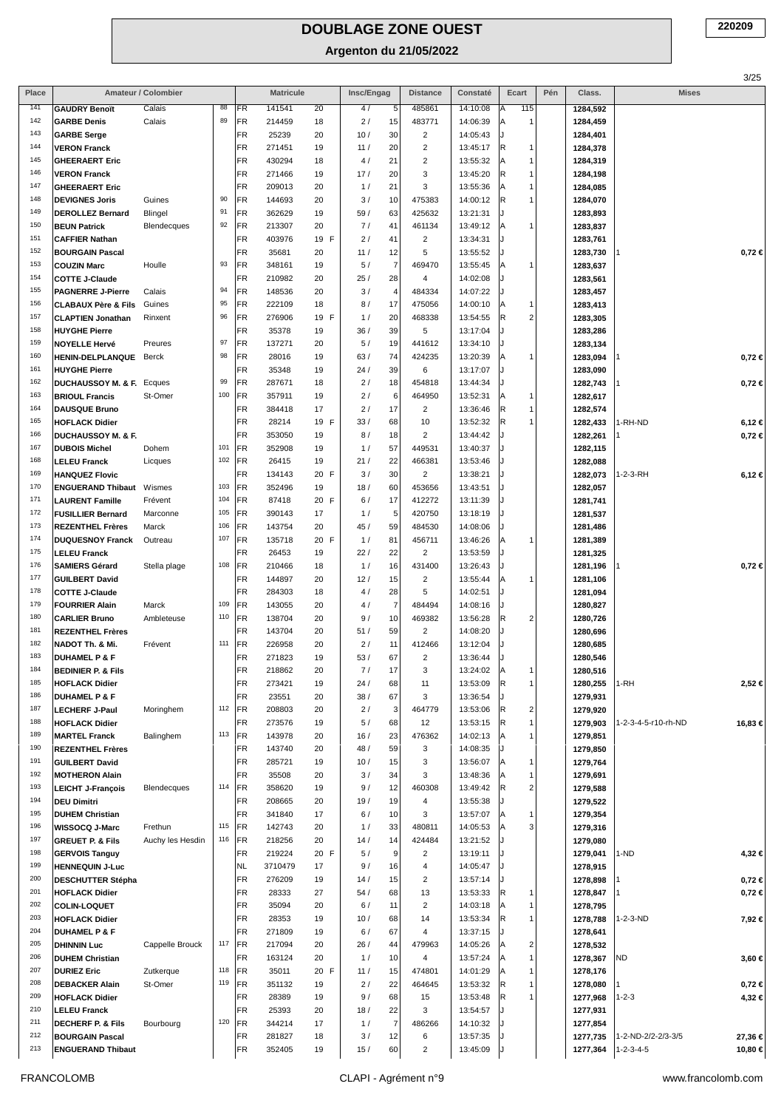| Place      |                                                               | Amateur / Colombier    |            |          | <b>Matricule</b> |            | Insc/Engag |                        | <b>Distance</b>           | Constaté             | Ecart                          | Pén | Class.               | <b>Mises</b>        | 3/25       |
|------------|---------------------------------------------------------------|------------------------|------------|----------|------------------|------------|------------|------------------------|---------------------------|----------------------|--------------------------------|-----|----------------------|---------------------|------------|
| 141        | <b>GAUDRY Benoït</b>                                          | Calais                 | 88         | FR       | 141541           | 20         | 4/         | 5                      | 485861                    | 14:10:08             | 115<br> A                      |     | 1284,592             |                     |            |
| 142        | <b>GARBE Denis</b>                                            | Calais                 | 89         | FR       | 214459           | 18         | 2/         | 15                     | 483771                    | 14:06:39             | $\mathbf{1}$<br>ΙA             |     | 1284,459             |                     |            |
| 143        | <b>GARBE Serge</b>                                            |                        |            | FR       | 25239            | 20         | 10/        | 30                     | $\overline{2}$            | 14:05:43             |                                |     | 1284,401             |                     |            |
| 144        | <b>VERON Franck</b>                                           |                        |            | FR       | 271451           | 19         | 11/        | 20                     | $\overline{2}$            | 13:45:17             | R<br>$\mathbf{1}$              |     | 1284,378             |                     |            |
| 145        | <b>GHEERAERT Eric</b>                                         |                        |            | FR       | 430294           | 18         | 4/         | 21                     | $\overline{2}$            | 13:55:32             | $\overline{1}$<br> A           |     | 1284,319             |                     |            |
| 146        | <b>VERON Franck</b>                                           |                        |            | FR       | 271466           | 19         | 17/        | 20                     | $\ensuremath{\mathsf{3}}$ | 13:45:20             | $\overline{1}$<br> R           |     | 1284,198             |                     |            |
| 147        | <b>GHEERAERT Eric</b>                                         |                        |            | FR       | 209013           | 20         | 1/         | 21                     | 3                         | 13:55:36             | $\overline{1}$<br>ΙA           |     | 1284,085             |                     |            |
| 148<br>149 | <b>DEVIGNES Joris</b>                                         | Guines                 | 90<br>91   | FR       | 144693           | 20         | 3/         | 10                     | 475383                    | 14:00:12             | R.<br>1                        |     | 1284,070             |                     |            |
| 150        | <b>DEROLLEZ Bernard</b><br><b>BEUN Patrick</b>                | Blingel<br>Blendecques | 92         | FR<br>FR | 362629<br>213307 | 19<br>20   | 59 /<br>7/ | 63<br>41               | 425632<br>461134          | 13:21:31<br>13:49:12 | $\mathbf{1}$<br>ΙA             |     | 1283,893<br>1283,837 |                     |            |
| 151        | <b>CAFFIER Nathan</b>                                         |                        |            | FR       | 403976           | 19 F       | 2/         | 41                     | $\overline{2}$            | 13:34:31             |                                |     | 1283,761             |                     |            |
| 152        | <b>BOURGAIN Pascal</b>                                        |                        |            | FR       | 35681            | 20         | 11/        | 12                     | 5                         | 13:55:52             |                                |     | 1283,730             |                     | $0,72 \in$ |
| 153        | <b>COUZIN Marc</b>                                            | Houlle                 | 93         | FR       | 348161           | 19         | 5/         | $\overline{7}$         | 469470                    | 13:55:45             | $\mathbf{1}$<br>ΙA             |     | 1283,637             |                     |            |
| 154        | <b>COTTE J-Claude</b>                                         |                        |            | FR       | 210982           | 20         | 25/        | 28                     | 4                         | 14:02:08             |                                |     | 1283,561             |                     |            |
| 155        | <b>PAGNERRE J-Pierre</b>                                      | Calais                 | 94         | FR       | 148536           | 20         | 3/         | $\overline{4}$         | 484334                    | 14:07:22             |                                |     | 1283,457             |                     |            |
| 156        | <b>CLABAUX Père &amp; Fils</b>                                | Guines                 | 95         | FR       | 222109           | 18         | 8/         | 17                     | 475056                    | 14:00:10             | $\mathbf{1}$<br>l A            |     | 1283,413             |                     |            |
| 157        | <b>CLAPTIEN Jonathan</b>                                      | Rinxent                | 96         | FR       | 276906           | 19 F       | 1/         | 20                     | 468338                    | 13:54:55             | $\overline{c}$<br>R.           |     | 1283,305             |                     |            |
| 158        | <b>HUYGHE Pierre</b>                                          |                        |            | FR       | 35378            | 19         | 36/        | 39                     | 5                         | 13:17:04             |                                |     | 1283,286             |                     |            |
| 159        | <b>NOYELLE Hervé</b>                                          | Preures                | 97         | FR       | 137271           | 20         | 5/         | 19                     | 441612                    | 13:34:10             |                                |     | 1283,134             |                     |            |
| 160        | <b>HENIN-DELPLANQUE</b>                                       | Berck                  | 98         | FR       | 28016            | 19         | 63/        | 74                     | 424235                    | 13:20:39             | $\mathbf{1}$<br>ΙA             |     | 1283,094             |                     | $0,72 \in$ |
| 161<br>162 | <b>HUYGHE Pierre</b>                                          |                        | 99         | FR<br>FR | 35348<br>287671  | 19         | 24/<br>2/  | 39<br>18               | 6<br>454818               | 13:17:07<br>13:44:34 |                                |     | 1283,090             |                     |            |
| 163        | <b>DUCHAUSSOY M. &amp; F. Ecques</b><br><b>BRIOUL Francis</b> | St-Omer                | 100        | FR       | 357911           | 18<br>19   | 2/         | 6                      | 464950                    | 13:52:31             | $\mathbf{1}$<br>ΙA             |     | 1282,743<br>1282,617 |                     | $0,72 \in$ |
| 164        | <b>DAUSQUE Bruno</b>                                          |                        |            | FR       | 384418           | 17         | 2/         | 17                     | $\overline{2}$            | 13:36:46             | 1<br>IR.                       |     | 1282,574             |                     |            |
| 165        | <b>HOFLACK Didier</b>                                         |                        |            | FR       | 28214            | 19 F       | 33/        | 68                     | 10                        | 13:52:32             | R<br>1                         |     | 1282,433             | 1-RH-ND             | 6,12€      |
| 166        | <b>DUCHAUSSOY M. &amp; F.</b>                                 |                        |            | FR       | 353050           | 19         | 8/         | 18                     | $\overline{2}$            | 13:44:42             |                                |     | 1282,261             |                     | $0,72 \in$ |
| 167        | <b>DUBOIS Michel</b>                                          | Dohem                  | 101        | FR       | 352908           | 19         | 1/         | 57                     | 449531                    | 13:40:37             |                                |     | 1282,115             |                     |            |
| 168        | <b>LELEU Franck</b>                                           | Licques                | 102        | FR       | 26415            | 19         | 21/        | 22                     | 466381                    | 13:53:46             |                                |     | 1282,088             |                     |            |
| 169        | <b>HANQUEZ Flovic</b>                                         |                        |            | FR       | 134143           | 20 F       | 3/         | 30                     | $\overline{2}$            | 13:38:21             |                                |     | 1282,073             | 1-2-3-RH            | 6,12€      |
| 170        | <b>ENGUERAND Thibaut</b>                                      | Wismes                 | 103        | FR       | 352496           | 19         | 18/        | 60                     | 453656                    | 13:43:51             |                                |     | 1282,057             |                     |            |
| 171        | <b>LAURENT Famille</b>                                        | Frévent                | 104        | FR       | 87418            | 20 F       | 6/         | 17                     | 412272                    | 13:11:39             |                                |     | 1281,741             |                     |            |
| 172        | <b>FUSILLIER Bernard</b>                                      | Marconne               | 105        | FR       | 390143           | 17         | 1/         | 5                      | 420750                    | 13:18:19             |                                |     | 1281,537             |                     |            |
| 173<br>174 | <b>REZENTHEL Frères</b>                                       | Marck                  | 106        | FR       | 143754           | 20         | 45/        | 59                     | 484530                    | 14:08:06             |                                |     | 1281,486             |                     |            |
| 175        | <b>DUQUESNOY Franck</b>                                       | Outreau                | 107        | FR<br>FR | 135718<br>26453  | 20 F       | 1/         | 81                     | 456711<br>$\overline{2}$  | 13:46:26             | $\mathbf{1}$<br>ΙA             |     | 1281,389             |                     |            |
| 176        | <b>LELEU Franck</b><br><b>SAMIERS Gérard</b>                  | Stella plage           | 108        | FR       | 210466           | 19<br>18   | 22/<br>1/  | 22<br>16               | 431400                    | 13:53:59<br>13:26:43 |                                |     | 1281,325<br>1281,196 |                     | $0,72 \in$ |
| 177        | <b>GUILBERT David</b>                                         |                        |            | FR       | 144897           | 20         | 12/        | 15                     | $\overline{2}$            | 13:55:44             | 1<br>ΙA                        |     | 1281,106             |                     |            |
| 178        | <b>COTTE J-Claude</b>                                         |                        |            | FR       | 284303           | 18         | 4 /        | 28                     | 5                         | 14:02:51             |                                |     | 1281,094             |                     |            |
| 179        | <b>FOURRIER Alain</b>                                         | Marck                  | 109        | FR       | 143055           | 20         | 4/         | $\overline{7}$         | 484494                    | 14:08:16             |                                |     | 1280,827             |                     |            |
| 180        | <b>CARLIER Bruno</b>                                          | Ambleteuse             | 110        | FR       | 138704           | 20         | 9/         | 10                     | 469382                    | 13:56:28             | $\overline{2}$<br>IR.          |     | 1280,726             |                     |            |
| 181        | <b>REZENTHEL Frères</b>                                       |                        |            | FR       | 143704           | 20         | 51/        | 59                     | $\overline{2}$            | 14:08:20             |                                |     | 1280,696             |                     |            |
| 182        | NADOT Th. & Mi.                                               | Frévent                | 111        | FR       | 226958           | 20         | 2/         | 11                     | 412466                    | 13:12:04             |                                |     | 1280,685             |                     |            |
| 183        | <b>DUHAMEL P &amp; F</b>                                      |                        |            | FR       | 271823           | 19         | 53/        | 67                     | $\overline{2}$            | 13:36:44             |                                |     | 1280,546             |                     |            |
| 184        | <b>BEDINIER P. &amp; Fils</b>                                 |                        |            | FR       | 218862           | 20         | 7/         | 17                     | 3                         | 13:24:02             | ΙA<br>1                        |     | 1280,516             |                     |            |
| 185<br>186 | <b>HOFLACK Didier</b>                                         |                        |            | FR       | 273421           | 19         | 24/        | 68                     | 11                        | 13:53:09             | R.<br>1                        |     | 1280,255             | 1-RH                | 2,52 €     |
| 187        | <b>DUHAMEL P &amp; F</b>                                      | Moringhem              | 112        | FR<br>FR | 23551<br>208803  | 20<br>20   | 38/<br>2/  | 67<br>$\mathbf{3}$     | 3<br>464779               | 13:36:54<br>13:53:06 | $\overline{\mathbf{c}}$<br>IR. |     | 1279,931             |                     |            |
| 188        | <b>LECHERF J-Paul</b><br><b>HOFLACK Didier</b>                |                        |            | FR       | 273576           | 19         | 5/         | 68                     | 12                        | 13:53:15             | 1<br> R                        |     | 1279,920<br>1279,903 | 1-2-3-4-5-r10-rh-ND | 16,83 €    |
| 189        | <b>MARTEL Franck</b>                                          | Balinghem              | 113        | FR       | 143978           | 20         | 16/        | 23                     | 476362                    | 14:02:13             | 1<br>ΙA                        |     | 1279,851             |                     |            |
| 190        | <b>REZENTHEL Frères</b>                                       |                        |            | FR       | 143740           | 20         | 48 /       | 59                     | 3                         | 14:08:35             |                                |     | 1279,850             |                     |            |
| 191        | <b>GUILBERT David</b>                                         |                        |            | FR       | 285721           | 19         | 10/        | 15                     | 3                         | 13:56:07             | A<br>$\mathbf{1}$              |     | 1279,764             |                     |            |
| 192        | <b>MOTHERON Alain</b>                                         |                        |            | FR       | 35508            | 20         | 3/         | 34                     | 3                         | 13:48:36             | 1                              |     | 1279,691             |                     |            |
| 193        | <b>LEICHT J-François</b>                                      | Blendecques            | 114        | FR       | 358620           | 19         | 9/         | 12                     | 460308                    | 13:49:42             | $\overline{2}$<br>IR.          |     | 1279,588             |                     |            |
| 194        | <b>DEU Dimitri</b>                                            |                        |            | FR       | 208665           | 20         | 19/        | 19                     | $\overline{4}$            | 13:55:38             |                                |     | 1279,522             |                     |            |
| 195        | <b>DUHEM Christian</b>                                        |                        |            | FR       | 341840           | 17         | 6/         | 10                     | 3                         | 13:57:07             | 1<br>ΙA                        |     | 1279,354             |                     |            |
| 196<br>197 | WISSOCQ J-Marc                                                | Frethun                | 115<br>116 | FR<br>FR | 142743<br>218256 | 20         | 1/         | 33                     | 480811                    | 14:05:53             | 3                              |     | 1279,316             |                     |            |
| 198        | <b>GREUET P. &amp; Fils</b><br><b>GERVOIS Tanguy</b>          | Auchy les Hesdin       |            | FR       | 219224           | 20<br>20 F | 14/<br>5/  | 14<br>$\boldsymbol{9}$ | 424484<br>$\overline{2}$  | 13:21:52<br>13:19:11 |                                |     | 1279,080<br>1279,041 | 1-ND                |            |
| 199        | <b>HENNEQUIN J-Luc</b>                                        |                        |            | NL       | 3710479          | 17         | 9/         | 16                     | $\overline{4}$            | 14:05:47             |                                |     | 1278,915             |                     | 4,32 €     |
| 200        | <b>DESCHUTTER Stépha</b>                                      |                        |            | FR       | 276209           | 19         | 14/        | 15                     | $\overline{2}$            | 13:57:14             |                                |     | 1278,898             |                     | $0,72 \in$ |
| 201        | <b>HOFLACK Didier</b>                                         |                        |            | FR       | 28333            | 27         | 54/        | 68                     | 13                        | 13:53:33             | R<br>1                         |     | 1278,847             |                     | $0,72 \in$ |
| 202        | <b>COLIN-LOQUET</b>                                           |                        |            | FR       | 35094            | 20         | 6/         | 11                     | $\overline{2}$            | 14:03:18             | $\mathbf{1}$<br>ΙA             |     | 1278,795             |                     |            |
| 203        | <b>HOFLACK Didier</b>                                         |                        |            | FR       | 28353            | 19         | 10/        | 68                     | 14                        | 13:53:34             | R.<br>1                        |     | 1278,788             | 1-2-3-ND            | 7,92 €     |
| 204        | <b>DUHAMEL P &amp; F</b>                                      |                        |            | FR       | 271809           | 19         | 6/         | 67                     | $\overline{4}$            | 13:37:15             |                                |     | 1278,641             |                     |            |
| 205        | <b>DHINNIN Luc</b>                                            | Cappelle Brouck        | 117        | FR       | 217094           | 20         | 26/        | 44                     | 479963                    | 14:05:26             | $\overline{c}$<br>ΙA           |     | 1278,532             |                     |            |
| 206        | <b>DUHEM Christian</b>                                        |                        |            | FR       | 163124           | 20         | 1/         | 10                     | 4                         | 13:57:24             | $\overline{1}$<br> A           |     | 1278,367             | ND                  | 3,60 €     |
| 207        | <b>DURIEZ Eric</b>                                            | Zutkerque              | 118        | FR       | 35011            | 20 F       | 11/        | 15                     | 474801                    | 14:01:29             |                                |     | 1278,176             |                     |            |
| 208<br>209 | <b>DEBACKER Alain</b>                                         | St-Omer                | 119        | FR       | 351132           | 19         | $2/$       | 22                     | 464645                    | 13:53:32             | IR.<br>1                       |     | 1278,080             |                     | 0,72€      |
| 210        | <b>HOFLACK Didier</b><br><b>LELEU Franck</b>                  |                        |            | FR<br>FR | 28389<br>25393   | 19<br>20   | 9/<br>18/  | 68<br>22               | 15<br>3                   | 13:53:48<br>13:54:57 | IR.                            |     | 1277,968<br>1277,931 | $1 - 2 - 3$         | 4,32 €     |
| 211        | <b>DECHERF P. &amp; Fils</b>                                  | Bourbourg              | 120        | FR       | 344214           | 17         | 1/         | $\overline{7}$         | 486266                    | 14:10:32             |                                |     | 1277,854             |                     |            |
| 212        | <b>BOURGAIN Pascal</b>                                        |                        |            | FR       | 281827           | 18         | 3/         | 12                     | 6                         | 13:57:35             |                                |     | 1277,735             | 1-2-ND-2/2-2/3-3/5  | 27,36 €    |
| 213        | <b>ENGUERAND Thibaut</b>                                      |                        |            | FR       | 352405           | 19         | 15/        | 60                     | $\overline{2}$            | 13:45:09             |                                |     | 1277,364             | $1 - 2 - 3 - 4 - 5$ | 10,80 €    |
|            |                                                               |                        |            |          |                  |            |            |                        |                           |                      |                                |     |                      |                     |            |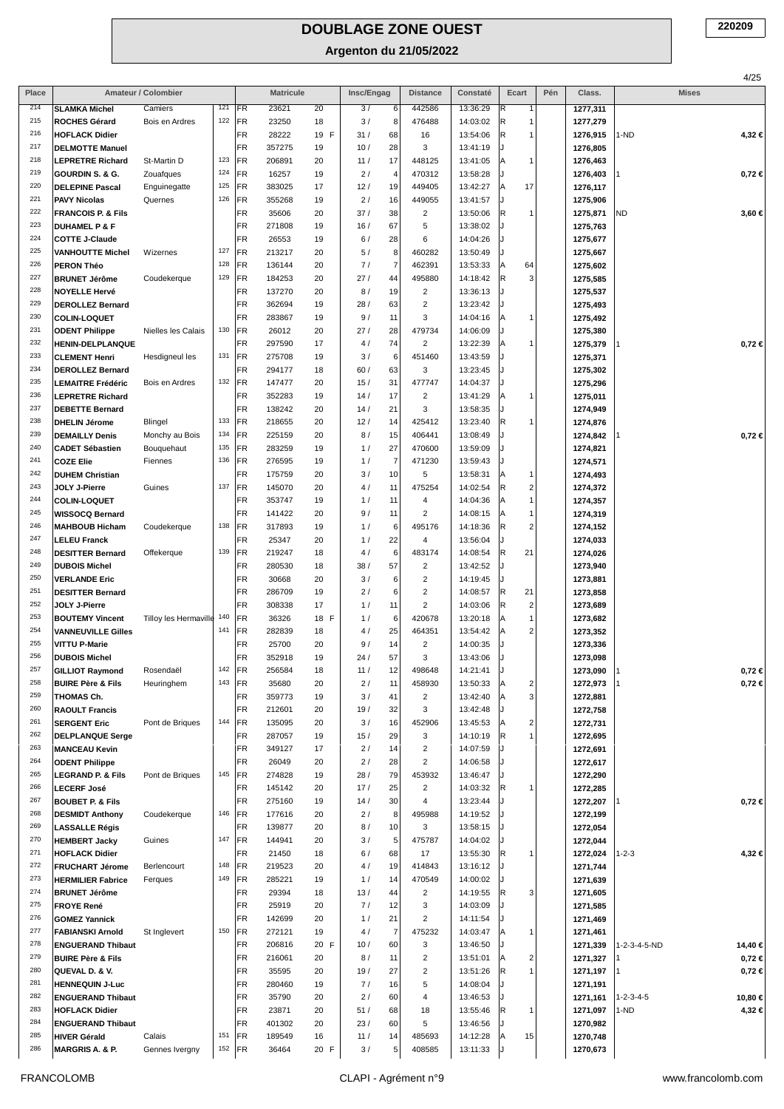|            |                                                     |                           |            |                 |                  |            |            |                            |                          |                      |                                          |     |                      |                     | 4/25       |
|------------|-----------------------------------------------------|---------------------------|------------|-----------------|------------------|------------|------------|----------------------------|--------------------------|----------------------|------------------------------------------|-----|----------------------|---------------------|------------|
| Place      |                                                     | Amateur / Colombier       |            |                 | <b>Matricule</b> |            | Insc/Engag |                            | <b>Distance</b>          | Constaté             | Ecart                                    | Pén | Class.               | <b>Mises</b>        |            |
| 214        | <b>SLAMKA Michel</b>                                | Camiers                   | 121        | FR              | 23621            | 20         | 3/         | 6                          | 442586                   | 13:36:29             | R<br>$\mathbf{1}$                        |     | 1277,311             |                     |            |
| 215<br>216 | ROCHES Gérard                                       | Bois en Ardres            | 122        | FR              | 23250            | 18         | 3/         | 8                          | 476488                   | 14:03:02             | R                                        |     | 1277,279             |                     |            |
| 217        | <b>HOFLACK Didier</b><br><b>DELMOTTE Manuel</b>     |                           |            | FR<br>FR        | 28222<br>357275  | 19 F<br>19 | 31/<br>10/ | 68<br>28                   | 16<br>3                  | 13:54:06<br>13:41:19 | R                                        |     | 1276,915<br>1276,805 | 1-ND                | 4,32 €     |
| 218        | <b>LEPRETRE Richard</b>                             | St-Martin D               | 123        | FR              | 206891           | 20         | 11/        | 17                         | 448125                   | 13:41:05             | A<br>1                                   |     | 1276,463             |                     |            |
| 219        | GOURDIN S. & G.                                     | Zouafques                 | 124        | FR              | 16257            | 19         | 2/         | $\overline{4}$             | 470312                   | 13:58:28             |                                          |     | 1276,403             |                     | $0,72 \in$ |
| 220        | <b>DELEPINE Pascal</b>                              | Enguinegatte              | 125        | FR              | 383025           | 17         | 12/        | 19                         | 449405                   | 13:42:27             | 17<br>ΙA                                 |     | 1276,117             |                     |            |
| 221        | <b>PAVY Nicolas</b>                                 | Quernes                   | 126        | FR              | 355268           | 19         | 2/         | 16                         | 449055                   | 13:41:57             | IJ                                       |     | 1275,906             |                     |            |
| 222        | <b>FRANCOIS P. &amp; Fils</b>                       |                           |            | FR              | 35606            | 20         | 37/        | 38                         | $\overline{c}$           | 13:50:06             | R<br>1                                   |     | 1275,871             | <b>ND</b>           | 3,60 €     |
| 223        | <b>DUHAMEL P &amp; F</b>                            |                           |            | FR              | 271808           | 19         | 16/        | 67                         | 5                        | 13:38:02             |                                          |     | 1275,763             |                     |            |
| 224        | <b>COTTE J-Claude</b>                               |                           |            | FR              | 26553            | 19         | 6/         | 28                         | 6                        | 14:04:26             |                                          |     | 1275,677             |                     |            |
| 225<br>226 | <b>VANHOUTTE Michel</b>                             | Wizernes                  | 127<br>128 | FR<br>FR        | 213217<br>136144 | 20         | 5/<br>7/   | $\bf{8}$<br>$\overline{7}$ | 460282<br>462391         | 13:50:49<br>13:53:33 | 64                                       |     | 1275,667             |                     |            |
| 227        | <b>PERON Théo</b><br><b>BRUNET Jérôme</b>           | Coudekerque               | 129        | FR              | 184253           | 20<br>20   | 27/        | 44                         | 495880                   | 14:18:42             | ΙA<br> R<br>3                            |     | 1275,602<br>1275,585 |                     |            |
| 228        | <b>NOYELLE Hervé</b>                                |                           |            | FR              | 137270           | 20         | 8/         | 19                         | $\overline{\mathbf{c}}$  | 13:36:13             |                                          |     | 1275,537             |                     |            |
| 229        | <b>DEROLLEZ Bernard</b>                             |                           |            | FR              | 362694           | 19         | 28/        | 63                         | $\overline{2}$           | 13:23:42             |                                          |     | 1275,493             |                     |            |
| 230        | <b>COLIN-LOQUET</b>                                 |                           |            | FR              | 283867           | 19         | 9/         | 11                         | 3                        | 14:04:16             | A<br>1                                   |     | 1275,492             |                     |            |
| 231        | <b>ODENT Philippe</b>                               | Nielles les Calais        | 130        | FR              | 26012            | 20         | 27/        | 28                         | 479734                   | 14:06:09             |                                          |     | 1275,380             |                     |            |
| 232        | <b>HENIN-DELPLANQUE</b>                             |                           |            | FR              | 297590           | 17         | 4/         | 74                         | $\overline{2}$           | 13:22:39             | A<br>-1                                  |     | 1275,379             |                     | $0,72 \in$ |
| 233        | <b>CLEMENT Henri</b>                                | Hesdigneul les            | 131        | FR              | 275708           | 19         | 3/         | 6                          | 451460                   | 13:43:59             |                                          |     | 1275,371             |                     |            |
| 234<br>235 | <b>DEROLLEZ Bernard</b><br><b>LEMAITRE Frédéric</b> |                           | 132        | <b>FR</b><br>FR | 294177<br>147477 | 18         | 60/        | 63                         | 3                        | 13:23:45             |                                          |     | 1275,302             |                     |            |
| 236        |                                                     | Bois en Ardres            |            | FR              | 352283           | 20<br>19   | 15/<br>14/ | 31<br>17                   | 477747<br>$\overline{2}$ | 14:04:37<br>13:41:29 | ΙA<br>1                                  |     | 1275,296             |                     |            |
| 237        | <b>LEPRETRE Richard</b><br><b>DEBETTE Bernard</b>   |                           |            | FR              | 138242           | 20         | 14/        | 21                         | 3                        | 13:58:35             |                                          |     | 1275,011<br>1274,949 |                     |            |
| 238        | <b>DHELIN Jérome</b>                                | Blingel                   | 133        | FR              | 218655           | 20         | 12/        | 14                         | 425412                   | 13:23:40             | R                                        |     | 1274,876             |                     |            |
| 239        | <b>DEMAILLY Denis</b>                               | Monchy au Bois            | 134        | FR              | 225159           | 20         | 8/         | 15                         | 406441                   | 13:08:49             |                                          |     | 1274,842             |                     | $0,72 \in$ |
| 240        | <b>CADET Sébastien</b>                              | Bouquehaut                | 135        | FR              | 283259           | 19         | 1/         | 27                         | 470600                   | 13:59:09             |                                          |     | 1274,821             |                     |            |
| 241        | <b>COZE Elie</b>                                    | Fiennes                   | 136        | FR              | 276595           | 19         | 1/         | $\overline{7}$             | 471230                   | 13:59:43             |                                          |     | 1274,571             |                     |            |
| 242        | <b>DUHEM Christian</b>                              |                           |            | FR              | 175759           | 20         | 3/         | 10                         | 5                        | 13:58:31             | ΙA<br>1                                  |     | 1274,493             |                     |            |
| 243        | JOLY J-Pierre                                       | Guines                    | 137        | FR)             | 145070           | 20         | 4/         | 11                         | 475254                   | 14:02:54             | R<br>$\overline{\mathbf{c}}$             |     | 1274,372             |                     |            |
| 244<br>245 | <b>COLIN-LOQUET</b>                                 |                           |            | FR              | 353747           | 19         | 1/         | 11                         | 4                        | 14:04:36             | A<br>$\mathbf{1}$                        |     | 1274,357             |                     |            |
| 246        | <b>WISSOCQ Bernard</b><br><b>MAHBOUB Hicham</b>     | Coudekerque               | 138        | FR<br>FR        | 141422<br>317893 | 20<br>19   | 9/<br>1/   | 11<br>6                    | $\overline{2}$<br>495176 | 14:08:15<br>14:18:36 | ΙA<br>1<br> R<br>$\overline{\mathbf{c}}$ |     | 1274,319<br>1274,152 |                     |            |
| 247        | <b>LELEU Franck</b>                                 |                           |            | <b>FR</b>       | 25347            | 20         | 1/         | 22                         | 4                        | 13:56:04             |                                          |     | 1274,033             |                     |            |
| 248        | <b>DESITTER Bernard</b>                             | Offekerque                | 139        | FR              | 219247           | 18         | 4/         | 6 <sup>1</sup>             | 483174                   | 14:08:54             | R<br>21                                  |     | 1274,026             |                     |            |
| 249        | <b>DUBOIS Michel</b>                                |                           |            | FR              | 280530           | 18         | 38/        | 57                         | $\overline{c}$           | 13:42:52             |                                          |     | 1273,940             |                     |            |
| 250        | <b>VERLANDE Eric</b>                                |                           |            | FR              | 30668            | 20         | 3/         | 6                          | $\overline{c}$           | 14:19:45             |                                          |     | 1273,881             |                     |            |
| 251        | <b>DESITTER Bernard</b>                             |                           |            | FR              | 286709           | 19         | 2/         | 6                          | $\overline{c}$           | 14:08:57             | R<br>21                                  |     | 1273,858             |                     |            |
| 252        | JOLY J-Pierre                                       |                           |            | FR              | 308338           | 17         | 1/         | 11                         | $\overline{c}$           | 14:03:06             | R<br>$\overline{\mathbf{c}}$             |     | 1273,689             |                     |            |
| 253        | <b>BOUTEMY Vincent</b>                              | Tilloy les Hermaville 140 |            | FR              | 36326            | 18 F       | 1/         | 6                          | 420678                   | 13:20:18             | A<br>$\mathbf{1}$                        |     | 1273,682             |                     |            |
| 254<br>255 | <b>VANNEUVILLE Gilles</b>                           |                           | 141        | FR              | 282839           | 18         | 4/         | 25                         | 464351                   | 13:54:42             | 2<br>ΙA                                  |     | 1273,352             |                     |            |
| 256        | <b>VITTU P-Marie</b><br><b>DUBOIS Michel</b>        |                           |            | <b>FR</b><br>FR | 25700<br>352918  | 20<br>19   | 9/<br>24/  | 14<br>57                   | $\overline{c}$<br>3      | 14:00:35<br>13:43:06 |                                          |     | 1273,336             |                     |            |
| 257        | <b>GILLIOT Raymond</b>                              | Rosendaël                 | 142        | FR              | 256584           | 18         | 11/        | 12                         | 498648                   | 14:21:41             |                                          |     | 1273,098<br>1273,090 |                     | 0,72 €     |
| 258        | <b>BUIRE Père &amp; Fils</b>                        | Heuringhem                | 143        | FR              | 35680            | 20         | 2/         | 11                         | 458930                   | 13:50:33             | $\overline{\mathbf{c}}$<br>ΙA            |     | 1272,973             |                     | 0,72 ∈     |
| 259        | <b>THOMAS Ch.</b>                                   |                           |            | FR              | 359773           | 19         | 3/         | 41                         | $\overline{c}$           | 13:42:40             | 3<br>ΙA                                  |     | 1272,881             |                     |            |
| 260        | <b>RAOULT Francis</b>                               |                           |            | FR              | 212601           | 20         | 19/        | 32                         | 3                        | 13:42:48             |                                          |     | 1272,758             |                     |            |
| 261        | <b>SERGENT Eric</b>                                 | Pont de Briques           | 144        | FR              | 135095           | 20         | 3/         | 16                         | 452906                   | 13:45:53             | $\overline{\mathbf{c}}$<br>ΙA            |     | 1272,731             |                     |            |
| 262        | <b>DELPLANQUE Serge</b>                             |                           |            | FR              | 287057           | 19         | 15/        | 29                         | 3                        | 14:10:19             | R                                        |     | 1272,695             |                     |            |
| 263        | <b>MANCEAU Kevin</b>                                |                           |            | FR              | 349127           | 17         | 2/         | 14                         | $\overline{c}$           | 14:07:59             |                                          |     | 1272,691             |                     |            |
| 264<br>265 | <b>ODENT Philippe</b>                               | Pont de Briques           | 145        | FR<br>FR        | 26049<br>274828  | 20<br>19   | 2/<br>28/  | 28<br>79                   | $\overline{2}$<br>453932 | 14:06:58<br>13:46:47 |                                          |     | 1272,617             |                     |            |
| 266        | <b>LEGRAND P. &amp; Fils</b><br><b>LECERF José</b>  |                           |            | FR              | 145142           | 20         | 17/        | 25                         | $\overline{c}$           | 14:03:32             | R                                        |     | 1272,290<br>1272,285 |                     |            |
| 267        | <b>BOUBET P. &amp; Fils</b>                         |                           |            | FR              | 275160           | 19         | 14/        | 30                         | 4                        | 13:23:44             |                                          |     | 1272,207             |                     | $0,72 \in$ |
| 268        | <b>DESMIDT Anthony</b>                              | Coudekerque               | 146        | FR              | 177616           | 20         | 2/         | 8                          | 495988                   | 14:19:52             |                                          |     | 1272,199             |                     |            |
| 269        | <b>LASSALLE Régis</b>                               |                           |            | FR              | 139877           | 20         | 8/         | 10                         | 3                        | 13:58:15             |                                          |     | 1272,054             |                     |            |
| 270        | <b>HEMBERT Jacky</b>                                | Guines                    | 147        | FR              | 144941           | 20         | 3/         | 5                          | 475787                   | 14:04:02             |                                          |     | 1272,044             |                     |            |
| 271        | <b>HOFLACK Didier</b>                               |                           |            | FR              | 21450            | 18         | 6/         | 68                         | 17                       | 13:55:30             | R                                        |     | 1272,024             | $1 - 2 - 3$         | 4,32 €     |
| 272        | <b>FRUCHART Jérome</b>                              | Berlencourt               | 148        | FR              | 219523           | 20         | 4/         | 19                         | 414843                   | 13:16:12             |                                          |     | 1271,744             |                     |            |
| 273<br>274 | <b>HERMILIER Fabrice</b>                            | Ferques                   | 149        | FR              | 285221           | 19         | 1/         | 14                         | 470549                   | 14:00:02             |                                          |     | 1271,639             |                     |            |
| 275        | <b>BRUNET Jérôme</b>                                |                           |            | FR<br>FR        | 29394<br>25919   | 18         | 13/<br>7/  | 44<br>12                   | $\overline{2}$<br>3      | 14:19:55<br>14:03:09 | R<br>3                                   |     | 1271,605             |                     |            |
| 276        | <b>FROYE René</b><br><b>GOMEZ Yannick</b>           |                           |            | FR              | 142699           | 20<br>20   | 1/         | 21                         | 2                        | 14:11:54             |                                          |     | 1271,585<br>1271,469 |                     |            |
| 277        | <b>FABIANSKI Arnold</b>                             | St Inglevert              | 150        | FR              | 272121           | 19         | 4/         | $\overline{7}$             | 475232                   | 14:03:47             | A<br>1                                   |     | 1271,461             |                     |            |
| 278        | <b>ENGUERAND Thibaut</b>                            |                           |            | FR              | 206816           | 20 F       | 10/        | 60                         | 3                        | 13:46:50             |                                          |     | 1271,339             | 1-2-3-4-5-ND        | 14,40 €    |
| 279        | <b>BUIRE Père &amp; Fils</b>                        |                           |            | FR              | 216061           | 20         | 8/         | 11                         | $\overline{c}$           | 13:51:01             | $\overline{2}$<br> A                     |     | 1271,327             |                     | $0,72 \in$ |
| 280        | QUEVAL D. & V.                                      |                           |            | FR              | 35595            | 20         | 19/        | 27                         | $\overline{c}$           | 13:51:26             | R                                        |     | 1271,197             |                     | $0,72 \in$ |
| 281        | <b>HENNEQUIN J-Luc</b>                              |                           |            | FR              | 280460           | 19         | 7/         | 16                         | 5                        | 14:08:04             |                                          |     | 1271,191             |                     |            |
| 282        | <b>ENGUERAND Thibaut</b>                            |                           |            | FR              | 35790            | 20         | 2/         | 60                         | $\overline{4}$           | 13:46:53             |                                          |     | 1271,161             | $1 - 2 - 3 - 4 - 5$ | 10,80 €    |
| 283        | <b>HOFLACK Didier</b>                               |                           |            | FR              | 23871            | 20         | 51/        | 68                         | 18                       | 13:55:46             | R<br>1                                   |     | 1271,097             | 1-ND                | 4,32 €     |
| 284<br>285 | <b>ENGUERAND Thibaut</b>                            |                           |            | FR              | 401302           | 20         | 23/        | 60                         | 5                        | 13:46:56             |                                          |     | 1270,982             |                     |            |
| 286        | <b>HIVER Gérald</b><br><b>MARGRIS A. &amp; P.</b>   | Calais<br>Gennes Ivergny  | 151<br>152 | FR<br>FR        | 189549<br>36464  | 16<br>20 F | 11/<br>3/  | 14<br>5                    | 485693<br>408585         | 14:12:28<br>13:11:33 | 15<br> A                                 |     | 1270,748             |                     |            |
|            |                                                     |                           |            |                 |                  |            |            |                            |                          |                      |                                          |     | 1270,673             |                     |            |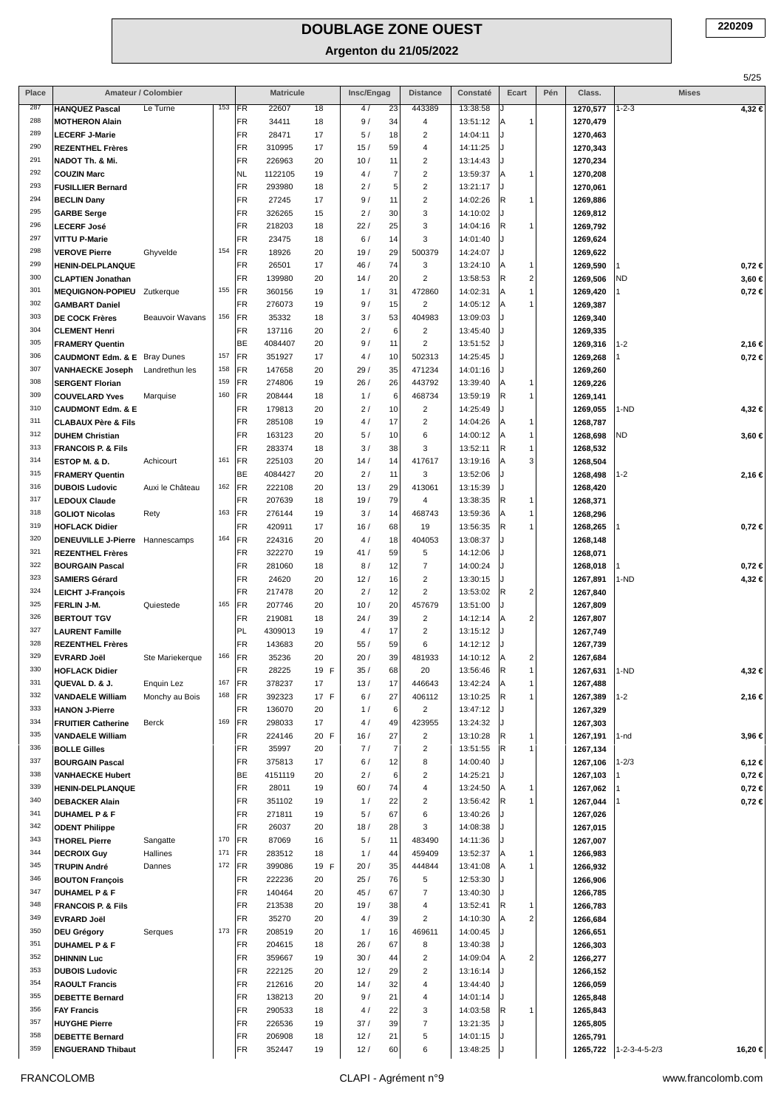|            |                                                          |                      |            |                 |                  |            |             |                        |                                           |                      |                           |     |                      |                           | 5/25                 |
|------------|----------------------------------------------------------|----------------------|------------|-----------------|------------------|------------|-------------|------------------------|-------------------------------------------|----------------------|---------------------------|-----|----------------------|---------------------------|----------------------|
| Place      |                                                          | Amateur / Colombier  |            |                 | <b>Matricule</b> |            | Insc/Engag  |                        | <b>Distance</b>                           | Constaté             | Ecart                     | Pén | Class.               | <b>Mises</b>              |                      |
| 287        | <b>HANQUEZ Pascal</b>                                    | Le Turne             | $153$ FR   |                 | 22607            | 18         | 4/          | 23                     | 443389                                    | 13:38:58             |                           |     | 1270,577             | $1 - 2 - 3$               | 4,32€                |
| 288<br>289 | <b>MOTHERON Alain</b>                                    |                      |            | FR              | 34411            | 18         | 9/          | 34                     | 4                                         | 13:51:12             | Α                         |     | 1270,479             |                           |                      |
| 290        | <b>LECERF J-Marie</b><br><b>REZENTHEL Frères</b>         |                      |            | FR<br>FR        | 28471<br>310995  | 17<br>17   | 5/<br>15/   | 18<br>59               | $\overline{c}$<br>4                       | 14:04:11<br>14:11:25 |                           |     | 1270,463<br>1270,343 |                           |                      |
| 291        | NADOT Th. & Mi.                                          |                      |            | FR              | 226963           | 20         | 10/         | 11                     | $\overline{\mathbf{c}}$                   | 13:14:43             |                           |     | 1270,234             |                           |                      |
| 292        | <b>COUZIN Marc</b>                                       |                      |            | NL              | 1122105          | 19         | 4/          | $\overline{7}$         | $\overline{2}$                            | 13:59:37             | A<br>1                    |     | 1270,208             |                           |                      |
| 293        | <b>FUSILLIER Bernard</b>                                 |                      |            | FR              | 293980           | 18         | 2/          | 5                      | $\overline{\mathbf{c}}$                   | 13:21:17             |                           |     | 1270,061             |                           |                      |
| 294        | <b>BECLIN Dany</b>                                       |                      |            | FR              | 27245            | 17         | 9/          | 11                     | $\overline{c}$                            | 14:02:26             | R                         |     | 1269,886             |                           |                      |
| 295        | <b>GARBE Serge</b>                                       |                      |            | FR              | 326265           | 15         | 2/          | 30                     | 3                                         | 14:10:02             |                           |     | 1269,812             |                           |                      |
| 296        | <b>LECERF José</b>                                       |                      |            | FR              | 218203           | 18         | 22/         | 25                     | 3                                         | 14:04:16             | R<br>1                    |     | 1269,792             |                           |                      |
| 297        | VITTU P-Marie                                            |                      |            | FR              | 23475            | 18         | 6/          | 14                     | 3                                         | 14:01:40             |                           |     | 1269,624             |                           |                      |
| 298<br>299 | <b>VEROVE Pierre</b>                                     | Ghyvelde             | 154        | FR<br>FR        | 18926<br>26501   | 20<br>17   | 19/<br>46 / | 29<br>74               | 500379<br>3                               | 14:24:07<br>13:24:10 | 1                         |     | 1269,622             |                           |                      |
| 300        | <b>HENIN-DELPLANQUE</b><br><b>CLAPTIEN Jonathan</b>      |                      |            | FR              | 139980           | 20         | 14/         | 20                     | $\overline{2}$                            | 13:58:53             | A<br>$\overline{2}$<br> R |     | 1269,590<br>1269,506 | ND                        | 0,72€<br>3,60 €      |
| 301        | <b>MEQUIGNON-POPIEU</b>                                  | Zutkerque            | 155        | FR              | 360156           | 19         | 1/          | 31                     | 472860                                    | 14:02:31             | lA                        |     | 1269,420             |                           | $0,72 \in$           |
| 302        | <b>GAMBART Daniel</b>                                    |                      |            | <b>FR</b>       | 276073           | 19         | 9/          | 15                     | $\overline{2}$                            | 14:05:12             | A                         |     | 1269,387             |                           |                      |
| 303        | <b>DE COCK Frères</b>                                    | Beauvoir Wavans      | 156        | FR              | 35332            | 18         | 3/          | 53                     | 404983                                    | 13:09:03             |                           |     | 1269,340             |                           |                      |
| 304        | <b>CLEMENT Henri</b>                                     |                      |            | FR              | 137116           | 20         | 2/          | 6 <sup>1</sup>         | $\overline{\mathbf{c}}$                   | 13:45:40             |                           |     | 1269,335             |                           |                      |
| 305        | <b>FRAMERY Quentin</b>                                   |                      |            | BE              | 4084407          | 20         | 9/          | 11                     | $\overline{2}$                            | 13:51:52             |                           |     | 1269,316             | 1-2                       | 2,16 €               |
| 306        | <b>CAUDMONT Edm. &amp; E</b> Bray Dunes                  |                      | 157        | FR              | 351927           | 17         | 4/          | 10                     | 502313                                    | 14:25:45             |                           |     | 1269,268             |                           | $0,72 \in$           |
| 307        | <b>VANHAECKE Joseph</b>                                  | Landrethun les       | 158        | FR              | 147658           | 20         | 29/         | 35                     | 471234                                    | 14:01:16             |                           |     | 1269,260             |                           |                      |
| 308        | <b>SERGENT Florian</b>                                   |                      | 159        | FR              | 274806           | 19         | 26/         | 26                     | 443792                                    | 13:39:40             | A<br>1                    |     | 1269,226             |                           |                      |
| 309<br>310 | <b>COUVELARD Yves</b>                                    | Marquise             | 160        | FR              | 208444           | 18         | 1/          | 6                      | 468734                                    | 13:59:19             | R<br>1                    |     | 1269,141             |                           |                      |
| 311        | <b>CAUDMONT Edm. &amp; E</b>                             |                      |            | FR<br>FR        | 179813<br>285108 | 20         | 2/<br>4/    | 10<br>17               | $\overline{2}$<br>$\overline{\mathbf{c}}$ | 14:25:49<br>14:04:26 | A<br>1                    |     | 1269,055             | 1-ND                      | 4,32€                |
| 312        | <b>CLABAUX Père &amp; Fils</b><br><b>DUHEM Christian</b> |                      |            | FR              | 163123           | 19<br>20   | 5/          | 10                     | 6                                         | 14:00:12             | ΙA<br>1                   |     | 1268,787<br>1268,698 | <b>ND</b>                 | 3,60 €               |
| 313        | <b>FRANCOIS P. &amp; Fils</b>                            |                      |            | FR              | 283374           | 18         | 3/          | 38                     | 3                                         | 13:52:11             | R                         |     | 1268,532             |                           |                      |
| 314        | ESTOP M. & D.                                            | Achicourt            | 161        | FR              | 225103           | 20         | 14/         | 14                     | 417617                                    | 13:19:16             | A<br>3                    |     | 1268,504             |                           |                      |
| 315        | <b>FRAMERY Quentin</b>                                   |                      |            | BE              | 4084427          | 20         | 2/          | 11                     | 3                                         | 13:52:06             |                           |     | 1268,498             | $1 - 2$                   | 2,16 €               |
| 316        | <b>DUBOIS Ludovic</b>                                    | Auxi le Château      | 162        | FR              | 222108           | 20         | 13/         | 29                     | 413061                                    | 13:15:39             |                           |     | 1268,420             |                           |                      |
| 317        | <b>LEDOUX Claude</b>                                     |                      |            | FR              | 207639           | 18         | 19/         | 79                     | 4                                         | 13:38:35             | R<br>1                    |     | 1268,371             |                           |                      |
| 318        | <b>GOLIOT Nicolas</b>                                    | Rety                 | 163        | FR              | 276144           | 19         | 3/          | 14                     | 468743                                    | 13:59:36             | ΙA<br>1                   |     | 1268,296             |                           |                      |
| 319        | <b>HOFLACK Didier</b>                                    |                      |            | FR              | 420911           | 17         | 16/         | 68                     | 19                                        | 13:56:35             | R<br>1                    |     | 1268,265             |                           | $0,72 \in$           |
| 320        | <b>DENEUVILLE J-Pierre</b>                               | Hannescamps          | 164        | FR              | 224316           | 20         | 4/          | 18                     | 404053                                    | 13:08:37             |                           |     | 1268,148             |                           |                      |
| 321<br>322 | <b>REZENTHEL Frères</b>                                  |                      |            | FR              | 322270           | 19         | 41/         | 59                     | 5                                         | 14:12:06             |                           |     | 1268,071             |                           |                      |
| 323        | <b>BOURGAIN Pascal</b><br><b>SAMIERS Gérard</b>          |                      |            | FR<br>FR        | 281060<br>24620  | 18<br>20   | 8/<br>12/   | 12<br>16               | $\overline{7}$<br>$\overline{c}$          | 14:00:24<br>13:30:15 |                           |     | 1268,018<br>1267,891 | 1-ND                      | $0,72 \in$<br>4,32 € |
| 324        | <b>LEICHT J-François</b>                                 |                      |            | FR              | 217478           | 20         | 2/          | 12                     | $\overline{2}$                            | 13:53:02             | R<br>2                    |     | 1267,840             |                           |                      |
| 325        | FERLIN J-M.                                              | Quiestede            | 165        | FR              | 207746           | 20         | 10/         | 20                     | 457679                                    | 13:51:00             |                           |     | 1267,809             |                           |                      |
| 326        | <b>BERTOUT TGV</b>                                       |                      |            | FR              | 219081           | 18         | 24/         | 39                     | $\overline{2}$                            | 14:12:14             | $\overline{2}$<br> A      |     | 1267,807             |                           |                      |
| 327        | <b>LAURENT Famille</b>                                   |                      |            | PL              | 4309013          | 19         | 4/          | 17                     | $\overline{c}$                            | 13:15:12             |                           |     | 1267,749             |                           |                      |
| 328        | <b>REZENTHEL Frères</b>                                  |                      |            | FR              | 143683           | 20         | 55/         | 59                     | 6                                         | 14:12:12             |                           |     | 1267,739             |                           |                      |
| 329        | <b>EVRARD Joël</b>                                       | Ste Mariekerque      | 166        | FR              | 35236            | 20         | 20/         | 39                     | 481933                                    | 14:10:12             | A<br>2                    |     | 1267,684             |                           |                      |
| 330        | <b>HOFLACK Didier</b>                                    |                      |            | FR              | 28225            | 19 F       | 35/         | 68                     | 20                                        | 13:56:46             | R<br>1                    |     | 1267,631             | $1-ND$                    | 4,32 €               |
| 331<br>332 | QUEVAL D. & J.                                           | Enquin Lez           | 167<br>168 | FR              | 378237           | 17         | 13/         | 17                     | 446643                                    | 13:42:24             | A                         |     | 1267,488             |                           |                      |
| 333        | <b>VANDAELE William</b><br><b>HANON J-Pierre</b>         | Monchy au Bois       |            | FR<br><b>FR</b> | 392323<br>136070 | 17 F<br>20 | 6/<br>1/    | 27<br>$6 \overline{6}$ | 406112<br>$\overline{2}$                  | 13:10:25<br>13:47:12 | R                         |     | 1267,389<br>1267,329 | $1 - 2$                   | 2,16 €               |
| 334        | <b>FRUITIER Catherine</b>                                | Berck                | 169        | FR              | 298033           | 17         | 4/          | 49                     | 423955                                    | 13:24:32             |                           |     | 1267,303             |                           |                      |
| 335        | <b>VANDAELE William</b>                                  |                      |            | FR              | 224146           | 20 F       | 16/         | 27                     | $\overline{c}$                            | 13:10:28             | R                         |     | 1267,191             | $1-nd$                    | 3,96 €               |
| 336        | <b>BOLLE Gilles</b>                                      |                      |            | FR              | 35997            | 20         | 7/          | $\overline{7}$         | $\sqrt{2}$                                | 13:51:55             | R                         |     | 1267,134             |                           |                      |
| 337        | <b>BOURGAIN Pascal</b>                                   |                      |            | FR              | 375813           | 17         | 6/          | 12                     | 8                                         | 14:00:40             |                           |     | 1267,106             | $1 - 2/3$                 | 6,12 €               |
| 338        | <b>VANHAECKE Hubert</b>                                  |                      |            | BE              | 4151119          | 20         | 2/          | 6                      | 2                                         | 14:25:21             |                           |     | 1267,103             |                           | 0,72 €               |
| 339        | HENIN-DELPLANQUE                                         |                      |            | FR              | 28011            | 19         | 60/         | 74                     | 4                                         | 13:24:50             | ΙA                        |     | 1267,062             |                           | $0,72 \in$           |
| 340        | <b>DEBACKER Alain</b>                                    |                      |            | FR              | 351102           | 19         | 1/          | 22                     | $\overline{\mathbf{c}}$                   | 13:56:42             | R                         |     | 1267,044             |                           | $0,72 \in$           |
| 341<br>342 | <b>DUHAMEL P &amp; F</b>                                 |                      |            | FR              | 271811           | 19         | 5/          | 67                     | 6<br>3                                    | 13:40:26             |                           |     | 1267,026             |                           |                      |
| 343        | <b>ODENT Philippe</b>                                    |                      | 170        | FR<br>FR        | 26037<br>87069   | 20<br>16   | 18/<br>5/   | 28<br>11               | 483490                                    | 14:08:38<br>14:11:36 |                           |     | 1267,015             |                           |                      |
| 344        | <b>THOREL Pierre</b><br><b>DECROIX Guy</b>               | Sangatte<br>Hallines | 171        | FR              | 283512           | 18         | 1/          | 44                     | 459409                                    | 13:52:37             | ΙA                        |     | 1267,007<br>1266,983 |                           |                      |
| 345        | <b>TRUPIN André</b>                                      | Dannes               | 172        | FR              | 399086           | 19 F       | 20/         | 35                     | 444844                                    | 13:41:08             | ΙA<br>1                   |     | 1266,932             |                           |                      |
| 346        | <b>BOUTON François</b>                                   |                      |            | FR              | 222236           | 20         | 25/         | 76                     | 5                                         | 12:53:30             |                           |     | 1266,906             |                           |                      |
| 347        | <b>DUHAMEL P &amp; F</b>                                 |                      |            | FR              | 140464           | 20         | 45/         | 67                     | $\overline{7}$                            | 13:40:30             |                           |     | 1266,785             |                           |                      |
| 348        | <b>FRANCOIS P. &amp; Fils</b>                            |                      |            | FR              | 213538           | 20         | 19/         | 38                     | 4                                         | 13:52:41             | R<br>1                    |     | 1266,783             |                           |                      |
| 349        | <b>EVRARD Joël</b>                                       |                      |            | FR              | 35270            | 20         | 4/          | 39                     | 2                                         | 14:10:30             | $\overline{2}$<br>ΙA      |     | 1266,684             |                           |                      |
| 350        | <b>DEU Grégory</b>                                       | Serques              | 173        | FR              | 208519           | 20         | 1/          | 16                     | 469611                                    | 14:00:45             |                           |     | 1266,651             |                           |                      |
| 351        | <b>DUHAMEL P &amp; F</b>                                 |                      |            | FR              | 204615           | 18         | 26/         | 67                     | 8                                         | 13:40:38             |                           |     | 1266,303             |                           |                      |
| 352        | <b>DHINNIN Luc</b>                                       |                      |            | FR              | 359667           | 19         | 30/         | 44                     | $\overline{\mathbf{c}}$                   | 14:09:04             | $\overline{2}$<br> A      |     | 1266,277             |                           |                      |
| 353<br>354 | <b>DUBOIS Ludovic</b>                                    |                      |            | FR<br>FR        | 222125           | 20         | 12/         | 29                     | $\overline{\mathbf{c}}$                   | 13:16:14             |                           |     | 1266,152             |                           |                      |
| 355        | <b>RAOULT Francis</b><br><b>DEBETTE Bernard</b>          |                      |            | FR              | 212616<br>138213 | 20<br>20   | 14/<br>9/   | 32<br>21               | 4<br>$\overline{4}$                       | 13:44:40<br>14:01:14 |                           |     | 1266,059<br>1265,848 |                           |                      |
| 356        | <b>FAY Francis</b>                                       |                      |            | FR              | 290533           | 18         | 4/          | 22                     | 3                                         | 14:03:58             | R<br>-1                   |     | 1265,843             |                           |                      |
| 357        | <b>HUYGHE Pierre</b>                                     |                      |            | FR              | 226536           | 19         | 37/         | 39                     | $\overline{7}$                            | 13:21:35             |                           |     | 1265,805             |                           |                      |
| 358        | <b>DEBETTE Bernard</b>                                   |                      |            | FR              | 206908           | 18         | 12/         | 21                     | 5                                         | 14:01:15             |                           |     | 1265,791             |                           |                      |
| 359        | <b>ENGUERAND Thibaut</b>                                 |                      |            | FR              | 352447           | 19         | 12/         | 60                     | 6                                         | 13:48:25             |                           |     | 1265,722             | $1 - 2 - 3 - 4 - 5 - 2/3$ | 16,20 €              |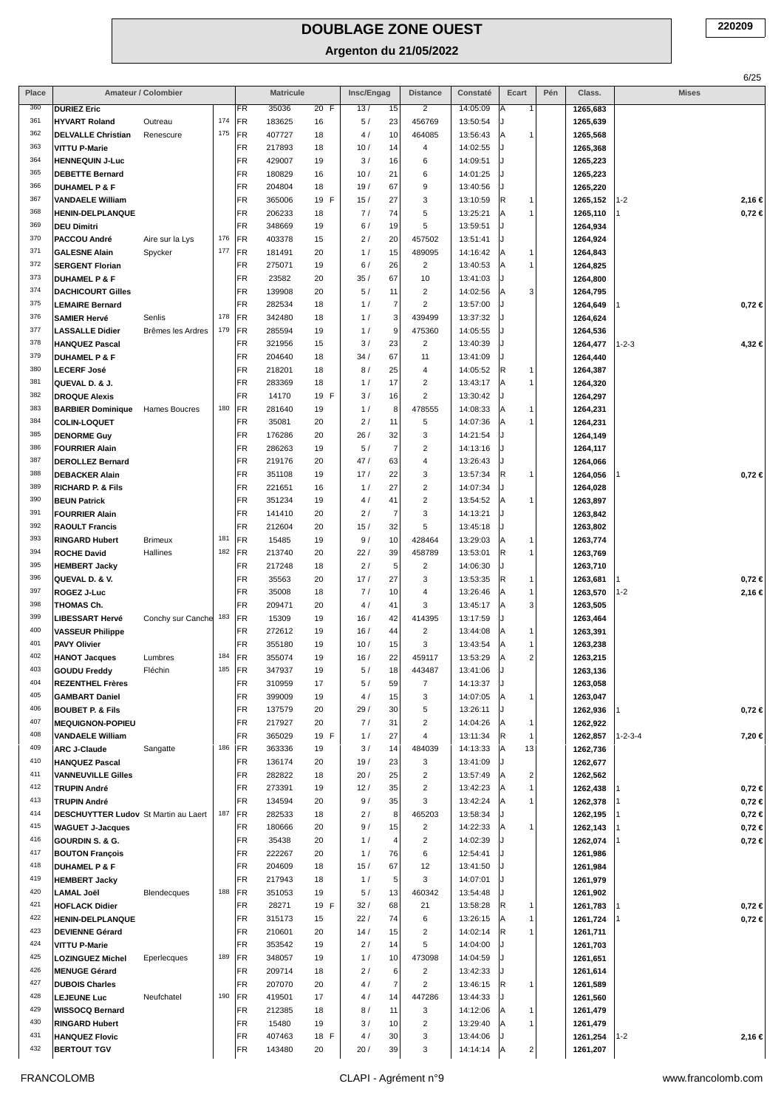| Place      |                                                    | Amateur / Colombier |     |                        | <b>Matricule</b> |               | Insc/Engag |                      | <b>Distance</b>              | Constaté             | Ecart       | Pén | Class.               | <b>Mises</b>              |
|------------|----------------------------------------------------|---------------------|-----|------------------------|------------------|---------------|------------|----------------------|------------------------------|----------------------|-------------|-----|----------------------|---------------------------|
| 360        | <b>DURIEZ Eric</b>                                 |                     |     | <b>FR</b>              | 35036            | 20 F          | 13/        | 15                   | $\overline{2}$               | 14:05:09             | А           |     | 1265,683             |                           |
| 361        | <b>HYVART Roland</b>                               | Outreau             | 174 | <b>FR</b>              | 183625           | 16            | 5/         | 23                   | 456769                       | 13:50:54             |             |     | 1265,639             |                           |
| 362        | <b>DELVALLE Christian</b>                          | Renescure           | 175 | <b>FR</b>              | 407727           | 18            | 4 /        | 10                   | 464085                       | 13:56:43             | A           |     | 1265,568             |                           |
| 363        | <b>VITTU P-Marie</b>                               |                     |     | FR                     | 217893           | 18            | 10/        | 14                   | 4                            | 14:02:55             |             |     | 1265,368             |                           |
| 364<br>365 | <b>HENNEQUIN J-Luc</b>                             |                     |     | <b>FR</b><br><b>FR</b> | 429007           | 19            | 3/         | 16                   | 6                            | 14:09:51             |             |     | 1265,223             |                           |
| 366        | <b>DEBETTE Bernard</b><br><b>DUHAMEL P &amp; F</b> |                     |     | FR.                    | 180829<br>204804 | 16<br>18      | 10/<br>19/ | 21<br>67             | 6<br>9                       | 14:01:25<br>13:40:56 |             |     | 1265,223<br>1265,220 |                           |
| 367        | <b>VANDAELE William</b>                            |                     |     | FR                     | 365006           | F<br>19       | 15/        | 27                   | 3                            | 13:10:59             | R<br>1      |     | 1265,152             | 1-2<br>2,16 €             |
| 368        | HENIN-DELPLANQUE                                   |                     |     | FR                     | 206233           | 18            | 7/         | 74                   | 5                            | 13:25:21             | Α           |     | 1265,110             | 0,72 ∈                    |
| 369        | <b>DEU Dimitri</b>                                 |                     |     | <b>FR</b>              | 348669           | 19            | 6/         | 19                   | 5                            | 13:59:51             |             |     | 1264,934             |                           |
| 370        | PACCOU André                                       | Aire sur la Lys     | 176 | FR                     | 403378           | 15            | 2/         | 20                   | 457502                       | 13:51:41             |             |     | 1264,924             |                           |
| 371        | <b>GALESNE Alain</b>                               | Spycker             | 177 | FR.                    | 181491           | 20            | 1/         | 15                   | 489095                       | 14:16:42             | Α<br>1      |     | 1264,843             |                           |
| 372        | <b>SERGENT Florian</b>                             |                     |     | <b>FR</b>              | 275071           | 19            | 6/         | 26                   | $\overline{c}$               | 13:40:53             | A           |     | 1264,825             |                           |
| 373        | <b>DUHAMEL P &amp; F</b>                           |                     |     | <b>FR</b>              | 23582            | 20            | 35/        | 67                   | 10                           | 13:41:03             |             |     | 1264,800             |                           |
| 374<br>375 | <b>DACHICOURT Gilles</b>                           |                     |     | <b>FR</b>              | 139908           | 20            | 5 /        | 11                   | $\overline{\mathbf{c}}$      | 14:02:56             | 3<br>A      |     | 1264,795             |                           |
| 376        | <b>LEMAIRE Bernard</b><br><b>SAMIER Hervé</b>      | Senlis              | 178 | <b>FR</b><br>FR        | 282534<br>342480 | 18<br>18      | 1/<br>1/   | $\overline{7}$<br>3  | $\overline{2}$<br>439499     | 13:57:00<br>13:37:32 |             |     | 1264,649<br>1264,624 | 0,72 ∈                    |
| 377        | <b>LASSALLE Didier</b>                             | Brêmes les Ardres   | 179 | FR                     | 285594           | 19            | 1/         | 9                    | 475360                       | 14:05:55             |             |     | 1264,536             |                           |
| 378        | <b>HANQUEZ Pascal</b>                              |                     |     | <b>FR</b>              | 321956           | 15            | 3/         | 23                   | $\overline{c}$               | 13:40:39             |             |     | 1264,477             | 1-2-3<br>4,32 €           |
| 379        | <b>DUHAMEL P &amp; F</b>                           |                     |     | <b>FR</b>              | 204640           | 18            | 34/        | 67                   | 11                           | 13:41:09             |             |     | 1264,440             |                           |
| 380        | <b>LECERF José</b>                                 |                     |     | FR                     | 218201           | 18            | 8/         | 25                   | 4                            | 14:05:52             | R<br>1      |     | 1264,387             |                           |
| 381        | QUEVAL D. & J.                                     |                     |     | FR                     | 283369           | 18            | 1/         | 17                   | $\overline{\mathbf{c}}$      | 13:43:17             | Α<br>1      |     | 1264,320             |                           |
| 382        | <b>DROQUE Alexis</b>                               |                     |     | <b>FR</b>              | 14170            | F<br>19       | 3/         | 16                   | $\overline{\mathbf{c}}$      | 13:30:42             |             |     | 1264,297             |                           |
| 383        | <b>BARBIER Dominique</b>                           | Hames Boucres       | 180 | FR                     | 281640           | 19            | 1/         | 8                    | 478555                       | 14:08:33             | Α<br>1      |     | 1264,231             |                           |
| 384        | COLIN-LOQUET                                       |                     |     | FR                     | 35081            | 20            | 2/         | 11                   | 5                            | 14:07:36             | Α           |     | 1264,231             |                           |
| 385<br>386 | <b>DENORME Guy</b>                                 |                     |     | <b>FR</b>              | 176286           | 20            | 26/        | 32<br>$\overline{7}$ | 3                            | 14:21:54             |             |     | 1264,149             |                           |
| 387        | <b>FOURRIER Alain</b><br><b>DEROLLEZ Bernard</b>   |                     |     | FR.<br><b>FR</b>       | 286263<br>219176 | 19<br>20      | 5 /<br>47/ | 63                   | $\overline{\mathbf{c}}$<br>4 | 14:13:16<br>13:26:43 |             |     | 1264,117<br>1264,066 |                           |
| 388        | <b>DEBACKER Alain</b>                              |                     |     | <b>FR</b>              | 351108           | 19            | 17/        | 22                   | 3                            | 13:57:34             | R<br>1      |     | 1264,056             | $0,72 \in$                |
| 389        | <b>RICHARD P. &amp; Fils</b>                       |                     |     | FR                     | 221651           | 16            | 1/         | 27                   | 2                            | 14:07:34             |             |     | 1264,028             |                           |
| 390        | <b>BEUN Patrick</b>                                |                     |     | <b>FR</b>              | 351234           | 19            | 4 /        | 41                   | $\overline{c}$               | 13:54:52             | A<br>-1     |     | 1263,897             |                           |
| 391        | <b>FOURRIER Alain</b>                              |                     |     | <b>FR</b>              | 141410           | 20            | 2/         | $\overline{7}$       | 3                            | 14:13:21             |             |     | 1263,842             |                           |
| 392        | <b>RAOULT Francis</b>                              |                     |     | <b>FR</b>              | 212604           | 20            | 15/        | 32                   | 5                            | 13:45:18             |             |     | 1263,802             |                           |
| 393        | <b>RINGARD Hubert</b>                              | <b>Brimeux</b>      | 181 | <b>FR</b>              | 15485            | 19            | 9/         | 10                   | 428464                       | 13:29:03             | A<br>1      |     | 1263,774             |                           |
| 394        | <b>ROCHE David</b>                                 | Hallines            | 182 | <b>FR</b>              | 213740           | 20            | 22/        | 39                   | 458789                       | 13:53:01             | R<br>1      |     | 1263,769             |                           |
| 395        | <b>HEMBERT Jacky</b>                               |                     |     | <b>FR</b>              | 217248           | 18            | 2/         | 5                    | $\overline{\mathbf{c}}$      | 14:06:30             |             |     | 1263,710             |                           |
| 396        | QUEVAL D. & V.                                     |                     |     | <b>FR</b>              | 35563            | 20            | 17/        | 27                   | 3                            | 13:53:35             | R<br>1      |     | 1263,681             | 0,72 ∈                    |
| 397<br>398 | <b>ROGEZ J-Luc</b><br>THOMAS Ch.                   |                     |     | <b>FR</b><br><b>FR</b> | 35008<br>209471  | 18<br>20      | 7/<br>4 /  | 10<br>41             | 4<br>3                       | 13:26:46<br>13:45:17 | Α<br>3<br>A |     | 1263,570<br>1263,505 | 1-2<br>2,16 €             |
| 399        | <b>LIBESSART Hervé</b>                             | Conchy sur Canche   | 183 | FR                     | 15309            | 19            | 16/        | 42                   | 414395                       | 13:17:59             |             |     | 1263,464             |                           |
| 400        | <b>VASSEUR Philippe</b>                            |                     |     | <b>FR</b>              | 272612           | 19            | 16/        | 44                   | $\overline{\mathbf{c}}$      | 13:44:08             | A<br>1      |     | 1263,391             |                           |
| 401        | <b>PAVY Olivier</b>                                |                     |     | <b>FR</b>              | 355180           | 19            | 10/        | 15                   | 3                            | 13:43:54             | A           |     | 1263,238             |                           |
| 402        | <b>HANOT Jacques</b>                               | Lumbres             | 184 | <b>FR</b>              | 355074           | 19            | 16/        | 22                   | 459117                       | 13:53:29             | 2<br>Α      |     | 1263,215             |                           |
| 403        | <b>GOUDU Freddy</b>                                | Fléchin             | 185 | <b>IFR</b>             | 347937           | 19            | 5/         | 18                   | 443487                       | 13:41:06             |             |     | 1263,136             |                           |
| 404        | <b>REZENTHEL Frères</b>                            |                     |     | FR                     | 310959           | 17            | 5/         | 59                   | $\overline{7}$               | 14:13:37             |             |     | 1263,058             |                           |
| 405        | <b>GAMBART Daniel</b>                              |                     |     | FR                     | 399009           | 19            | 4/         | 15                   | 3                            | 14:07:05             | A<br>-1     |     | 1263,047             |                           |
| 406        | BOUBET P. & Fils                                   |                     |     | <b>FR</b>              | 137579           | 20            | 29/        | 30                   | 5                            | 13:26:11             |             |     | 1262,936             | $0,72 \in$                |
| 407        | <b>MEQUIGNON-POPIEU</b>                            |                     |     | FR                     | 217927           | 20            | 7/         | 31                   | $\overline{\mathbf{c}}$      | 14:04:26             | Α<br>1      |     | 1262,922             |                           |
| 408<br>409 | <b>VANDAELE William</b><br><b>ARC J-Claude</b>     |                     | 186 | <b>FR</b><br>FR        | 365029           | 19 F          | 1/         | 27<br>14             | 4<br>484039                  | 13:11:34             | R<br>1      |     | 1262,857<br>1262,736 | $1 - 2 - 3 - 4$<br>7,20 € |
| 410        | <b>HANQUEZ Pascal</b>                              | Sangatte            |     | FR                     | 363336<br>136174 | 19<br>20      | 3/<br>19/  | 23                   | 3                            | 14:13:33<br>13:41:09 | 13<br>A     |     | 1262,677             |                           |
| 411        | <b>VANNEUVILLE Gilles</b>                          |                     |     | <b>FR</b>              | 282822           | 18            | 20/        | 25                   | $\overline{\mathbf{c}}$      | 13:57:49             | 2<br>A      |     | 1262,562             |                           |
| 412        | <b>TRUPIN André</b>                                |                     |     | FR.                    | 273391           | 19            | 12/        | 35                   | $\overline{\mathbf{c}}$      | 13:42:23             | Α           |     | 1262,438             | 0,72 €                    |
| 413        | <b>TRUPIN André</b>                                |                     |     | FR                     | 134594           | 20            | 9/         | 35                   | 3                            | 13:42:24             | Α           |     | 1262,378             | 0,72 ∈                    |
| 414        | <b>DESCHUYTTER Ludov St Martin au Laert</b>        |                     | 187 | FR                     | 282533           | 18            | 2/         | 8                    | 465203                       | 13:58:34             |             |     | 1262,195             | 0,72 €                    |
| 415        | <b>WAGUET J-Jacques</b>                            |                     |     | FR                     | 180666           | 20            | 9/         | 15                   | $\overline{2}$               | 14:22:33             | Α           |     | 1262,143             | 0,72 ∈                    |
| 416        | GOURDIN S. & G.                                    |                     |     | <b>FR</b>              | 35438            | 20            | 1/         | 4                    | $\overline{\mathbf{c}}$      | 14:02:39             |             |     | 1262,074             | 0,72 ∈                    |
| 417        | <b>BOUTON François</b>                             |                     |     | <b>FR</b>              | 222267           | 20            | 1/         | 76                   | 6                            | 12:54:41             |             |     | 1261,986             |                           |
| 418        | <b>DUHAMEL P &amp; F</b>                           |                     |     | FR                     | 204609           | 18            | 15/        | 67                   | 12                           | 13:41:50             |             |     | 1261,984             |                           |
| 419<br>420 | <b>HEMBERT Jacky</b>                               |                     | 188 | <b>FR</b>              | 217943           | 18            | 1/         | 5                    | 3                            | 14:07:01             |             |     | 1261,979             |                           |
| 421        | <b>LAMAL Joël</b><br><b>HOFLACK Didier</b>         | Blendecques         |     | FR<br><b>FR</b>        | 351053<br>28271  | 19<br>19<br>F | 5/<br>32/  | 13<br>68             | 460342<br>21                 | 13:54:48<br>13:58:28 | R           |     | 1261,902<br>1261,783 | 0,72 ∈                    |
| 422        | <b>HENIN-DELPLANQUE</b>                            |                     |     | <b>FR</b>              | 315173           | 15            | 22/        | 74                   | 6                            | 13:26:15             | A           |     | 1261,724             | 0,72 €                    |
| 423        | <b>DEVIENNE Gérard</b>                             |                     |     | FR                     | 210601           | 20            | 14/        | 15                   | $\overline{\mathbf{c}}$      | 14:02:14             | R           |     | 1261,711             |                           |
| 424        | VITTU P-Marie                                      |                     |     | <b>FR</b>              | 353542           | 19            | 2/         | 14                   | 5                            | 14:04:00             |             |     | 1261,703             |                           |
| 425        | <b>LOZINGUEZ Michel</b>                            | Eperlecques         | 189 | FR                     | 348057           | 19            | 1/         | 10                   | 473098                       | 14:04:59             |             |     | 1261,651             |                           |
| 426        | <b>MENUGE Gérard</b>                               |                     |     | <b>FR</b>              | 209714           | 18            | 2/         | 6                    | $\overline{\mathbf{c}}$      | 13:42:33             |             |     | 1261,614             |                           |
| 427        | <b>DUBOIS Charles</b>                              |                     |     | <b>FR</b>              | 207070           | 20            | 4 /        | $\overline{7}$       | $\overline{2}$               | 13:46:15             | R<br>-1     |     | 1261,589             |                           |
| 428        | <b>LEJEUNE Luc</b>                                 | Neufchatel          | 190 | <b>FR</b>              | 419501           | 17            | 4/         | 14                   | 447286                       | 13:44:33             |             |     | 1261,560             |                           |
| 429        | <b>WISSOCQ Bernard</b>                             |                     |     | FR                     | 212385           | 18            | 8/         | 11                   | 3                            | 14:12:06             | A           |     | 1261,479             |                           |
| 430        | <b>RINGARD Hubert</b>                              |                     |     | <b>FR</b>              | 15480            | 19            | 3/         | 10                   | $\overline{c}$               | 13:29:40             | Α           |     | 1261,479             |                           |
| 431<br>432 | <b>HANQUEZ Flovic</b>                              |                     |     | <b>FR</b>              | 407463           | 18 F          | 4/         | 30                   | 3                            | 13:44:06             |             |     | 1261,254             | 2,16 €<br>$1 - 2$         |
|            | <b>BERTOUT TGV</b>                                 |                     |     | <b>FR</b>              | 143480           | 20            | 20/        | 39                   | 3                            | 14:14:14             | 2<br>ΙA     |     | 1261,207             |                           |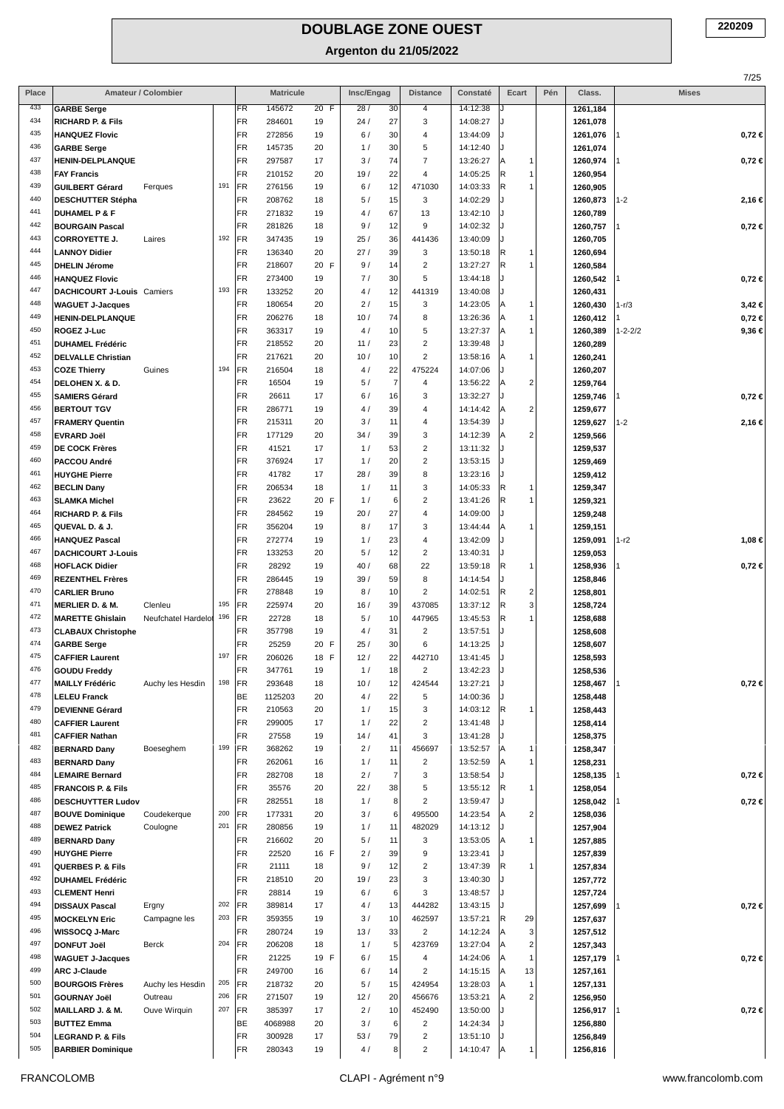**Argenton du 21/05/2022**

|              |                                                      |                     |     |                  |                  |                   |            |                      |                                  |                      |                                |     |                      | 7/25              |
|--------------|------------------------------------------------------|---------------------|-----|------------------|------------------|-------------------|------------|----------------------|----------------------------------|----------------------|--------------------------------|-----|----------------------|-------------------|
| Place<br>433 |                                                      | Amateur / Colombier |     |                  | <b>Matricule</b> |                   | Insc/Engag |                      | <b>Distance</b>                  | Constaté             | Ecart                          | Pén | Class.               | <b>Mises</b>      |
| 434          | <b>GARBE Serge</b><br><b>RICHARD P. &amp; Fils</b>   |                     |     | FR.<br><b>FR</b> | 145672<br>284601 | 20 F<br>19        | 28/<br>24/ | 30<br>27             | 4<br>3                           | 14:12:38<br>14:08:27 |                                |     | 1261,184<br>1261,078 |                   |
| 435          | <b>HANQUEZ Flovic</b>                                |                     |     | FR               | 272856           | 19                | 6/         | 30                   | $\overline{a}$                   | 13:44:09             |                                |     | 1261,076             | $0,72 \in$        |
| 436          | <b>GARBE Serge</b>                                   |                     |     | <b>FR</b>        | 145735           | 20                | 1/         | 30                   | 5                                | 14:12:40             |                                |     | 1261,074             |                   |
| 437          | <b>HENIN-DELPLANQUE</b>                              |                     |     | FR               | 297587           | 17                | 3/         | 74                   | $\overline{7}$                   | 13:26:27             | A<br>$\mathbf{1}$              |     | 1260,974             | $0,72 \in$        |
| 438          | <b>FAY Francis</b>                                   |                     |     | FR               | 210152           | 20                | 19/        | 22                   | $\overline{4}$                   | 14:05:25             | R<br>$\mathbf{1}$              |     | 1260,954             |                   |
| 439          | <b>GUILBERT Gérard</b>                               | Ferques             | 191 | FR               | 276156           | 19                | 6/         | 12                   | 471030                           | 14:03:33             | R<br>1                         |     | 1260,905             |                   |
| 440          | <b>DESCHUTTER Stépha</b>                             |                     |     | FR               | 208762           | 18                | 5/         | 15                   | 3                                | 14:02:29             |                                |     | 1260,873             | 1-2<br>2,16 €     |
| 441          | <b>DUHAMEL P &amp; F</b>                             |                     |     | FR               | 271832           | 19                | 4 /        | 67                   | 13                               | 13:42:10             | J                              |     | 1260,789             |                   |
| 442          | <b>BOURGAIN Pascal</b>                               |                     |     | FR               | 281826           | 18                | 9/         | 12                   | 9                                | 14:02:32             |                                |     | 1260,757             | $0,72 \in$        |
| 443<br>444   | <b>CORROYETTE J.</b><br><b>LANNOY Didier</b>         | Laires              | 192 | FR<br>FR         | 347435           | 19                | 25/        | 36<br>39             | 441436                           | 13:40:09             | IJ<br>R                        |     | 1260,705             |                   |
| 445          | <b>DHELIN Jérome</b>                                 |                     |     | FR               | 136340<br>218607 | 20<br>20 F        | 27/<br>9/  | 14                   | 3<br>$\overline{2}$              | 13:50:18<br>13:27:27 | 1<br>R<br>1                    |     | 1260,694<br>1260,584 |                   |
| 446          | <b>HANQUEZ Flovic</b>                                |                     |     | <b>FR</b>        | 273400           | 19                | 7/         | 30                   | 5                                | 13:44:18             | J                              |     | 1260,542             | $0,72 \in$        |
| 447          | DACHICOURT J-Louis Camiers                           |                     | 193 | FR               | 133252           | 20                | 4/         | 12                   | 441319                           | 13:40:08             | J                              |     | 1260,431             |                   |
| 448          | <b>WAGUET J-Jacques</b>                              |                     |     | FR               | 180654           | 20                | 2/         | 15                   | 3                                | 14:23:05             | A<br>$\mathbf{1}$              |     | 1260,430             | 3,42 €<br>1-r/3   |
| 449          | <b>HENIN-DELPLANQUE</b>                              |                     |     | <b>FR</b>        | 206276           | 18                | 10/        | 74                   | 8                                | 13:26:36             | $\mathbf{1}$<br>A              |     | 1260,412             | $0,72 \in$        |
| 450          | <b>ROGEZ J-Luc</b>                                   |                     |     | FR               | 363317           | 19                | 4/         | 10                   | 5                                | 13:27:37             | $\mathbf{1}$<br>ΙA             |     | 1260,389             | 9,36 €<br>1-2-2/2 |
| 451          | <b>DUHAMEL Frédéric</b>                              |                     |     | FR               | 218552           | 20                | 11/        | 23                   | $\overline{2}$                   | 13:39:48             | J                              |     | 1260,289             |                   |
| 452          | <b>DELVALLE Christian</b>                            |                     |     | FR               | 217621           | 20                | 10/        | 10                   | $\overline{2}$                   | 13:58:16             | A<br>1                         |     | 1260,241             |                   |
| 453<br>454   | <b>COZE Thierry</b>                                  | Guines              | 194 | FR<br>FR         | 216504<br>16504  | 18                | 4/         | 22<br>$\overline{7}$ | 475224                           | 14:07:06             | $\overline{2}$                 |     | 1260,207             |                   |
| 455          | DELOHEN X. & D.<br><b>SAMIERS Gérard</b>             |                     |     | FR               | 26611            | 19<br>17          | 5/<br>6/   | 16                   | $\overline{4}$<br>3              | 13:56:22<br>13:32:27 | ΙA<br>J                        |     | 1259,764<br>1259,746 | $0,72 \in$        |
| 456          | <b>BERTOUT TGV</b>                                   |                     |     | FR.              | 286771           | 19                | 4/         | 39                   | $\overline{4}$                   | 14:14:42             | $\overline{c}$<br>ΙA           |     | 1259,677             |                   |
| 457          | <b>FRAMERY Quentin</b>                               |                     |     | FR               | 215311           | 20                | 3/         | 11                   | $\overline{4}$                   | 13:54:39             | J                              |     | 1259,627             | 1-2<br>2,16€      |
| 458          | <b>EVRARD Joël</b>                                   |                     |     | FR               | 177129           | 20                | 34/        | 39                   | 3                                | 14:12:39             | $\overline{2}$<br>ΙA           |     | 1259,566             |                   |
| 459          | <b>DE COCK Frères</b>                                |                     |     | FR               | 41521            | 17                | 1/         | 53                   | $\overline{2}$                   | 13:11:32             | J                              |     | 1259,537             |                   |
| 460          | PACCOU André                                         |                     |     | FR               | 376924           | 17                | 1/         | 20                   | $\overline{2}$                   | 13:53:15             | IJ                             |     | 1259,469             |                   |
| 461          | <b>HUYGHE Pierre</b>                                 |                     |     | FR               | 41782            | 17                | 28/        | 39                   | 8                                | 13:23:16             | J                              |     | 1259,412             |                   |
| 462<br>463   | <b>BECLIN Dany</b>                                   |                     |     | FR               | 206534           | 18                | 1/         | 11                   | 3                                | 14:05:33             | R.<br>1                        |     | 1259,347             |                   |
| 464          | <b>SLAMKA Michel</b><br><b>RICHARD P. &amp; Fils</b> |                     |     | FR<br>FR         | 23622<br>284562  | 20 F<br>19        | 1/<br>20/  | 6<br>27              | $\overline{2}$<br>$\overline{4}$ | 13:41:26<br>14:09:00 | R<br>$\mathbf{1}$<br>J         |     | 1259,321<br>1259,248 |                   |
| 465          | QUEVAL D. & J.                                       |                     |     | <b>FR</b>        | 356204           | 19                | 8/         | 17                   | 3                                | 13:44:44             | A<br>1                         |     | 1259,151             |                   |
| 466          | <b>HANQUEZ Pascal</b>                                |                     |     | FR               | 272774           | 19                | 1/         | 23                   | $\overline{4}$                   | 13:42:09             | J                              |     | 1259,091             | 1-r2<br>1,08 €    |
| 467          | <b>DACHICOURT J-Louis</b>                            |                     |     | FR               | 133253           | 20                | 5/         | 12                   | $\overline{2}$                   | 13:40:31             | IJ                             |     | 1259,053             |                   |
| 468          | <b>HOFLACK Didier</b>                                |                     |     | FR               | 28292            | 19                | 40/        | 68                   | 22                               | 13:59:18             | R<br>1                         |     | 1258,936             | $0,72 \in$        |
| 469          | <b>REZENTHEL Frères</b>                              |                     |     | <b>FR</b>        | 286445           | 19                | 39/        | 59                   | 8                                | 14:14:54             | J.                             |     | 1258,846             |                   |
| 470          | <b>CARLIER Bruno</b>                                 |                     |     | FR               | 278848           | 19                | 8/         | 10                   | $\overline{2}$                   | 14:02:51             | R<br>$\overline{\mathbf{c}}$   |     | 1258,801             |                   |
| 471          | <b>MERLIER D. &amp; M.</b>                           | Clenleu             | 195 | FR               | 225974           | 20                | 16/        | 39                   | 437085                           | 13:37:12             | 3<br>R                         |     | 1258,724             |                   |
| 472<br>473   | <b>MARETTE Ghislain</b><br><b>CLABAUX Christophe</b> | Neufchatel Hardelot | 196 | FR.<br>FR.       | 22728<br>357798  | 18<br>19          | 5/<br>4/   | 10<br>31             | 447965<br>$\overline{2}$         | 13:45:53<br>13:57:51 | R<br>1                         |     | 1258,688<br>1258,608 |                   |
| 474          | <b>GARBE Serge</b>                                   |                     |     | <b>FR</b>        | 25259            | 20 F              | 25/        | 30                   | 6                                | 14:13:25             |                                |     | 1258,607             |                   |
| 475          | <b>CAFFIER Laurent</b>                               |                     | 197 | <b>FR</b>        | 206026           | $\mathsf F$<br>18 | 12/        | 22                   | 442710                           | 13:41:45             |                                |     | 1258,593             |                   |
| 476          | <b>GOUDU Freddy</b>                                  |                     |     | FR               | 347761           | 19                | 1/         | 18                   | $\overline{2}$                   | 13:42:23             |                                |     | 1258,536             |                   |
| 477          | <b>MAILLY Frédéric</b>                               | Auchy les Hesdin    | 198 | FR               | 293648           | 18                | 10/        | 12                   | 424544                           | 13:27:21             |                                |     | 1258,467             | $0,72 \in$        |
| 478          | <b>LELEU Franck</b>                                  |                     |     | BE               | 1125203          | 20                | 4/         | 22                   | 5                                | 14:00:36             |                                |     | 1258,448             |                   |
| 479          | <b>DEVIENNE Gérard</b>                               |                     |     | FR               | 210563           | 20                | 1/         | 15                   | 3                                | 14:03:12             | R.<br>1                        |     | 1258,443             |                   |
| 480<br>481   | <b>CAFFIER Laurent</b><br><b>CAFFIER Nathan</b>      |                     |     | FR<br>FR         | 299005<br>27558  | 17<br>19          | 1/<br>14/  | 22<br>41             | $\overline{c}$<br>3              | 13:41:48<br>13:41:28 | IJ<br>IJ                       |     | 1258,414             |                   |
| 482          | <b>BERNARD Dany</b>                                  | Boeseghem           | 199 | FR               | 368262           | 19                | 2/         | 11                   | 456697                           | 13:52:57             | A<br>1                         |     | 1258,375<br>1258,347 |                   |
| 483          | <b>BERNARD Dany</b>                                  |                     |     | <b>FR</b>        | 262061           | 16                | 1/         | 11                   | $\overline{2}$                   | 13:52:59             | 1<br>ΙA                        |     | 1258,231             |                   |
| 484          | <b>LEMAIRE Bernard</b>                               |                     |     | FR               | 282708           | 18                | 2/         | $\overline{7}$       | 3                                | 13:58:54             |                                |     | 1258,135             | $0,72 \in$        |
| 485          | <b>FRANCOIS P. &amp; Fils</b>                        |                     |     | FR               | 35576            | 20                | 22/        | 38                   | 5                                | 13:55:12             | R.<br>1                        |     | 1258,054             |                   |
| 486          | <b>DESCHUYTTER Ludov</b>                             |                     |     | FR               | 282551           | 18                | 1/         | 8                    | $\overline{2}$                   | 13:59:47             |                                |     | 1258,042             | $0,72 \in$        |
| 487          | <b>BOUVE Dominique</b>                               | Coudekerque         | 200 | FR               | 177331           | 20                | 3/         | 6                    | 495500                           | 14:23:54             | $\overline{2}$<br>ΙA           |     | 1258,036             |                   |
| 488<br>489   | <b>DEWEZ Patrick</b>                                 | Coulogne            | 201 | FR               | 280856           | 19                | 1/         | 11                   | 482029                           | 14:13:12             |                                |     | 1257,904             |                   |
| 490          | <b>BERNARD Dany</b><br><b>HUYGHE Pierre</b>          |                     |     | <b>FR</b><br>FR  | 216602<br>22520  | 20<br>16 F        | 5/<br>2/   | 11<br>39             | 3<br>$\boldsymbol{9}$            | 13:53:05<br>13:23:41 | A<br>1<br>IJ                   |     | 1257,885<br>1257,839 |                   |
| 491          | <b>QUERBES P. &amp; Fils</b>                         |                     |     | <b>FR</b>        | 21111            | 18                | 9/         | 12                   | $\overline{2}$                   | 13:47:39             | R.<br>1                        |     | 1257,834             |                   |
| 492          | <b>DUHAMEL Frédéric</b>                              |                     |     | FR               | 218510           | 20                | 19/        | 23                   | 3                                | 13:40:30             | J.                             |     | 1257,772             |                   |
| 493          | <b>CLEMENT Henri</b>                                 |                     |     | FR               | 28814            | 19                | 6/         | 6                    | 3                                | 13:48:57             | IJ                             |     | 1257,724             |                   |
| 494          | <b>DISSAUX Pascal</b>                                | Ergny               | 202 | FR               | 389814           | 17                | 4/         | 13                   | 444282                           | 13:43:15             |                                |     | 1257,699             | $0,72 \in$        |
| 495          | <b>MOCKELYN Eric</b>                                 | Campagne les        | 203 | FR               | 359355           | 19                | 3/         | 10                   | 462597                           | 13:57:21             | R<br>29                        |     | 1257,637             |                   |
| 496          | WISSOCQ J-Marc                                       |                     |     | FR               | 280724           | 19                | 13/        | 33                   | $\overline{2}$                   | 14:12:24             | 3<br>ΙA                        |     | 1257,512             |                   |
| 497<br>498   | <b>DONFUT Joël</b>                                   | Berck               | 204 | FR               | 206208           | 18                | 1/         | $\sqrt{5}$           | 423769                           | 13:27:04             | $\overline{\mathbf{c}}$<br> A  |     | 1257,343             |                   |
| 499          | <b>WAGUET J-Jacques</b><br><b>ARC J-Claude</b>       |                     |     | <b>FR</b><br>FR  | 21225<br>249700  | 19 F<br>16        | 6/<br>6/   | 15<br>14             | $\overline{4}$<br>$\overline{2}$ | 14:24:06<br>14:15:15 | İΑ<br>$\mathbf{1}$<br>13<br>ΙA |     | 1257,179<br>1257,161 | $0,72 \in$        |
| 500          | <b>BOURGOIS Frères</b>                               | Auchy les Hesdin    | 205 | FR               | 218732           | 20                | 5/         | 15                   | 424954                           | 13:28:03             | $\mathbf{1}$<br>ΙA             |     | 1257,131             |                   |
| 501          | <b>GOURNAY Joël</b>                                  | Outreau             | 206 | FR               | 271507           | 19                | 12/        | 20                   | 456676                           | 13:53:21             | $\overline{2}$<br>lA           |     | 1256,950             |                   |
| 502          | MAILLARD J. & M.                                     | Ouve Wirquin        | 207 | FR               | 385397           | 17                | 2/         | 10                   | 452490                           | 13:50:00             |                                |     | 1256,917             | $0,72 \in$        |
| 503          | <b>BUTTEZ Emma</b>                                   |                     |     | BE               | 4068988          | 20                | 3/         | 6                    | $\overline{2}$                   | 14:24:34             |                                |     | 1256,880             |                   |
| 504          | <b>LEGRAND P. &amp; Fils</b>                         |                     |     | FR               | 300928           | 17                | 53/        | 79                   | $\overline{2}$                   | 13:51:10             |                                |     | 1256,849             |                   |
| 505          | <b>BARBIER Dominique</b>                             |                     |     | FR               | 280343           | 19                | 4/         | 8                    | $\overline{2}$                   | 14:10:47             | A<br>1                         |     | 1256,816             |                   |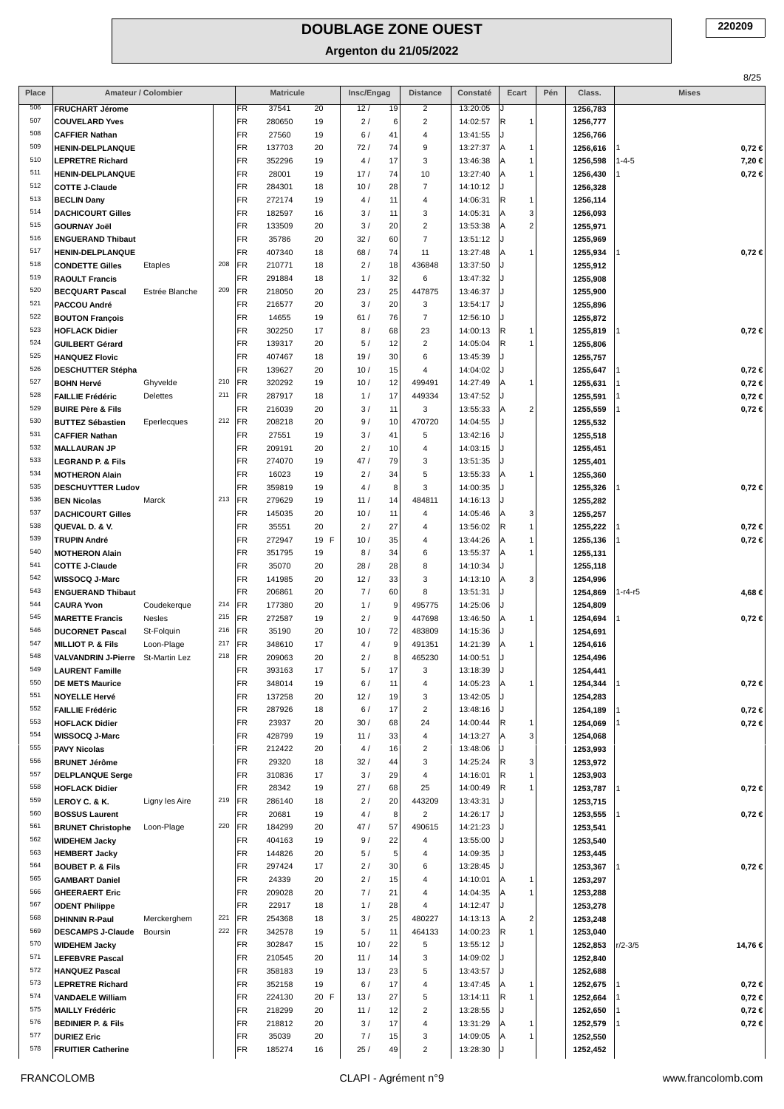|            |                                                                   |                     |            |                  |                  |          |            |          |                                    |                      |                      |     |                      |              | 8/25                     |
|------------|-------------------------------------------------------------------|---------------------|------------|------------------|------------------|----------|------------|----------|------------------------------------|----------------------|----------------------|-----|----------------------|--------------|--------------------------|
| Place      |                                                                   | Amateur / Colombier |            |                  | <b>Matricule</b> |          | Insc/Engag |          | <b>Distance</b>                    | Constaté             | Ecart                | Pén | Class.               | <b>Mises</b> |                          |
| 506        | <b>FRUCHART Jérome</b>                                            |                     |            | FR               | 37541            | 20       | 12/        | 19       | $\overline{2}$                     | 13:20:05             |                      |     | 1256,783             |              |                          |
| 507        | <b>COUVELARD Yves</b>                                             |                     |            | FR               | 280650           | 19       | 2/         | 6        | $\boldsymbol{2}$                   | 14:02:57             | R<br>1               |     | 1256,777             |              |                          |
| 508<br>509 | <b>CAFFIER Nathan</b><br><b>HENIN-DELPLANQUE</b>                  |                     |            | FR<br>FR         | 27560<br>137703  | 19<br>20 | 6/<br>72/  | 41<br>74 | 4<br>9                             | 13:41:55<br>13:27:37 | ΙA<br>1              |     | 1256,766             |              |                          |
| 510        | <b>LEPRETRE Richard</b>                                           |                     |            | FR               | 352296           | 19       | 4/         | 17       | 3                                  | 13:46:38             | ΙA<br>1              |     | 1256,616<br>1256,598 | 1-4-5        | $0,72 \in$<br>7,20 €     |
| 511        | <b>HENIN-DELPLANQUE</b>                                           |                     |            | FR               | 28001            | 19       | 17/        | 74       | 10                                 | 13:27:40             | A                    |     | 1256,430             |              | $0,72 \in$               |
| 512        | <b>COTTE J-Claude</b>                                             |                     |            | FR               | 284301           | 18       | 10/        | 28       | $\overline{7}$                     | 14:10:12             |                      |     | 1256,328             |              |                          |
| 513        | <b>BECLIN Dany</b>                                                |                     |            | FR               | 272174           | 19       | 4/         | 11       | $\overline{4}$                     | 14:06:31             | R<br>1               |     | 1256,114             |              |                          |
| 514        | <b>DACHICOURT Gilles</b>                                          |                     |            | FR               | 182597           | 16       | 3/         | 11       | 3                                  | 14:05:31             | 3<br> A              |     | 1256,093             |              |                          |
| 515        | <b>GOURNAY Joël</b>                                               |                     |            | FR               | 133509           | 20       | 3/         | 20       | $\boldsymbol{2}$                   | 13:53:38             | $\overline{2}$<br>ΙA |     | 1255,971             |              |                          |
| 516        | <b>ENGUERAND Thibaut</b>                                          |                     |            | FR               | 35786            | 20       | 32/        | 60       | $\overline{7}$                     | 13:51:12             |                      |     | 1255,969             |              |                          |
| 517<br>518 | <b>HENIN-DELPLANQUE</b>                                           |                     | 208        | FR<br>FR         | 407340           | 18       | 68/<br>2/  | 74       | 11                                 | 13:27:48             | ΙA                   |     | 1255,934             |              | $0,72 \in$               |
| 519        | <b>CONDETTE Gilles</b><br><b>RAOULT Francis</b>                   | Etaples             |            | FR               | 210771<br>291884 | 18<br>18 | 1/         | 18<br>32 | 436848<br>6                        | 13:37:50<br>13:47:32 |                      |     | 1255,912<br>1255,908 |              |                          |
| 520        | <b>BECQUART Pascal</b>                                            | Estrée Blanche      | 209        | FR               | 218050           | 20       | 23/        | 25       | 447875                             | 13:46:37             |                      |     | 1255,900             |              |                          |
| 521        | PACCOU André                                                      |                     |            | FR               | 216577           | 20       | 3/         | 20       | 3                                  | 13:54:17             |                      |     | 1255,896             |              |                          |
| 522        | <b>BOUTON François</b>                                            |                     |            | FR               | 14655            | 19       | 61/        | 76       | $\overline{7}$                     | 12:56:10             |                      |     | 1255,872             |              |                          |
| 523        | <b>HOFLACK Didier</b>                                             |                     |            | FR               | 302250           | 17       | 8/         | 68       | 23                                 | 14:00:13             | R<br>1               |     | 1255,819             |              | $0,72 \in$               |
| 524        | <b>GUILBERT Gérard</b>                                            |                     |            | FR               | 139317           | 20       | 5/         | 12       | $\overline{2}$                     | 14:05:04             | R                    |     | 1255,806             |              |                          |
| 525        | <b>HANQUEZ Flovic</b>                                             |                     |            | FR               | 407467           | 18       | 19/        | 30       | 6                                  | 13:45:39             |                      |     | 1255,757             |              |                          |
| 526<br>527 | <b>DESCHUTTER Stépha</b>                                          |                     | 210        | FR               | 139627           | 20       | 10/        | 15       | 4                                  | 14:04:02             |                      |     | 1255,647             |              | $0,72 \in$               |
| 528        | <b>BOHN Hervé</b>                                                 | Ghyvelde            | 211        | FR<br>FR         | 320292           | 19       | 10/        | 12<br>17 | 499491                             | 14:27:49             | ΙA<br>1              |     | 1255,631             |              | $0,72 \in$               |
| 529        | <b>FAILLIE Frédéric</b><br><b>BUIRE Père &amp; Fils</b>           | <b>Delettes</b>     |            | FR               | 287917<br>216039 | 18<br>20 | 1/<br>3/   | 11       | 449334<br>3                        | 13:47:52<br>13:55:33 | $\overline{2}$<br>ΙA |     | 1255,591<br>1255,559 |              | $0,72 \in$<br>$0,72 \in$ |
| 530        | <b>BUTTEZ Sébastien</b>                                           | Eperlecques         | 212        | FR               | 208218           | 20       | 9/         | 10       | 470720                             | 14:04:55             |                      |     | 1255,532             |              |                          |
| 531        | <b>CAFFIER Nathan</b>                                             |                     |            | FR               | 27551            | 19       | 3/         | 41       | 5                                  | 13:42:16             |                      |     | 1255,518             |              |                          |
| 532        | <b>MALLAURAN JP</b>                                               |                     |            | FR               | 209191           | 20       | 2/         | 10       | $\overline{4}$                     | 14:03:15             |                      |     | 1255,451             |              |                          |
| 533        | <b>LEGRAND P. &amp; Fils</b>                                      |                     |            | FR               | 274070           | 19       | 47/        | 79       | 3                                  | 13:51:35             |                      |     | 1255,401             |              |                          |
| 534        | <b>MOTHERON Alain</b>                                             |                     |            | FR               | 16023            | 19       | 2/         | 34       | 5                                  | 13:55:33             | ΙA                   |     | 1255,360             |              |                          |
| 535        | <b>DESCHUYTTER Ludov</b>                                          |                     |            | FR               | 359819           | 19       | 4/         | 8        | 3                                  | 14:00:35             |                      |     | 1255,326             |              | $0,72 \in$               |
| 536<br>537 | <b>BEN Nicolas</b>                                                | Marck               | 213        | FR               | 279629           | 19       | 11/        | 14       | 484811                             | 14:16:13             |                      |     | 1255,282             |              |                          |
| 538        | <b>DACHICOURT Gilles</b><br>QUEVAL D. & V.                        |                     |            | FR<br>FR         | 145035<br>35551  | 20<br>20 | 10/<br>2/  | 11<br>27 | $\overline{4}$<br>$\overline{4}$   | 14:05:46<br>13:56:02 | 3<br> A<br> R<br>1   |     | 1255,257<br>1255,222 |              | $0,72 \in$               |
| 539        | <b>TRUPIN André</b>                                               |                     |            | FR               | 272947           | 19 F     | 10/        | 35       | 4                                  | 13:44:26             | ΙA                   |     | 1255,136             |              | $0,72 \in$               |
| 540        | <b>MOTHERON Alain</b>                                             |                     |            | FR               | 351795           | 19       | 8/         | 34       | 6                                  | 13:55:37             | A                    |     | 1255,131             |              |                          |
| 541        | <b>COTTE J-Claude</b>                                             |                     |            | FR               | 35070            | 20       | 28/        | 28       | 8                                  | 14:10:34             |                      |     | 1255,118             |              |                          |
| 542        | WISSOCQ J-Marc                                                    |                     |            | FR               | 141985           | 20       | 12/        | 33       | 3                                  | 14:13:10             | 3<br>ΙA              |     | 1254,996             |              |                          |
| 543        | <b>ENGUERAND Thibaut</b>                                          |                     |            | FR               | 206861           | 20       | 7/         | 60       | 8                                  | 13:51:31             |                      |     | 1254,869             | 1-r4-r5      | 4,68 €                   |
| 544        | <b>CAURA Yvon</b>                                                 | Coudekerque         | 214        | FR               | 177380           | 20       | 1/         | 9        | 495775                             | 14:25:06             |                      |     | 1254,809             |              |                          |
| 545        | <b>MARETTE Francis</b>                                            | Nesles              | 215        | FR               | 272587           | 19       | 2/         | 9        | 447698                             | 13:46:50             | A<br>1               |     | 1254,694             |              | $0,72 \in$               |
| 546        | <b>DUCORNET Pascal</b>                                            | St-Folquin          | 216        | FR               | 35190            | 20       | 10/        | 72       | 483809                             | 14:15:36             |                      |     | 1254,691             |              |                          |
| 547<br>548 | <b>MILLIOT P. &amp; Fils</b><br>VALVANDRIN J-Pierre St-Martin Lez | Loon-Plage          | 217<br>218 | FR<br><b>IFR</b> | 348610<br>209063 | 17<br>20 | 4/<br>2/   | 9<br>8   | 491351<br>465230                   | 14:21:39<br>14:00:51 | A<br>1               |     | 1254,616<br>1254.496 |              |                          |
| 549        | <b>LAURENT Famille</b>                                            |                     |            | FR               | 393163           | 17       | 5/         | 17       | 3                                  | 13:18:39             |                      |     | 1254,441             |              |                          |
| 550        | <b>DE METS Maurice</b>                                            |                     |            | FR               | 348014           | 19       | 6/         | 11       | $\overline{4}$                     | 14:05:23             |                      |     | 1254,344             |              | $0,72 \in$               |
| 551        | <b>NOYELLE Hervé</b>                                              |                     |            | FR               | 137258           | 20       | 12/        | 19       | 3                                  | 13:42:05             |                      |     | 1254,283             |              |                          |
| 552        | <b>FAILLIE Frédéric</b>                                           |                     |            | FR               | 287926           | 18       | 6/         | 17       | $\overline{c}$                     | 13:48:16             |                      |     | 1254,189             |              | $0,72 \in$               |
| 553        | <b>HOFLACK Didier</b>                                             |                     |            | FR               | 23937            | 20       | 30/        | 68       | 24                                 | 14:00:44             | R                    |     | 1254,069             |              | $0,72 \in$               |
| 554        | WISSOCQ J-Marc                                                    |                     |            | FR               | 428799           | 19       | 11/        | 33       | $\overline{4}$                     | 14:13:27             | 3<br> A              |     | 1254,068             |              |                          |
| 555<br>556 | <b>PAVY Nicolas</b>                                               |                     |            | FR               | 212422           | 20       | 4/         | 16       | $\overline{\mathbf{c}}$            | 13:48:06             |                      |     | 1253,993             |              |                          |
| 557        | <b>BRUNET Jérôme</b><br><b>DELPLANQUE Serge</b>                   |                     |            | FR<br>FR         | 29320<br>310836  | 18<br>17 | 32/<br>3/  | 44<br>29 | 3<br>4                             | 14:25:24<br>14:16:01 | R<br>3<br> R         |     | 1253,972<br>1253,903 |              |                          |
| 558        | <b>HOFLACK Didier</b>                                             |                     |            | FR               | 28342            | 19       | 27/        | 68       | 25                                 | 14:00:49             | R                    |     | 1253,787             |              | 0,72€                    |
| 559        | LEROY C. & K.                                                     | Ligny les Aire      | 219        | FR               | 286140           | 18       | 2/         | 20       | 443209                             | 13:43:31             |                      |     | 1253,715             |              |                          |
| 560        | <b>BOSSUS Laurent</b>                                             |                     |            | FR               | 20681            | 19       | 4/         | 8        | $\overline{2}$                     | 14:26:17             |                      |     | 1253,555             |              | 0,72 ∈                   |
| 561        | <b>BRUNET Christophe</b>                                          | Loon-Plage          | 220        | FR               | 184299           | 20       | 47/        | 57       | 490615                             | 14:21:23             |                      |     | 1253,541             |              |                          |
| 562        | <b>WIDEHEM Jacky</b>                                              |                     |            | FR               | 404163           | 19       | 9/         | 22       | 4                                  | 13:55:00             |                      |     | 1253,540             |              |                          |
| 563        | <b>HEMBERT Jacky</b>                                              |                     |            | FR               | 144826           | 20       | 5/         | 5        | $\overline{4}$                     | 14:09:35             |                      |     | 1253,445             |              |                          |
| 564        | <b>BOUBET P. &amp; Fils</b>                                       |                     |            | FR               | 297424           | 17       | 2/         | 30       | 6                                  | 13:28:45             |                      |     | 1253,367             |              | $0,72 \in$               |
| 565<br>566 | <b>GAMBART Daniel</b>                                             |                     |            | FR<br>FR         | 24339            | 20       | 2/         | 15       | 4                                  | 14:10:01             | A                    |     | 1253,297             |              |                          |
| 567        | <b>GHEERAERT Eric</b><br><b>ODENT Philippe</b>                    |                     |            | FR               | 209028<br>22917  | 20<br>18 | 7/<br>1/   | 21<br>28 | 4<br>4                             | 14:04:35<br>14:12:47 | A                    |     | 1253,288<br>1253,278 |              |                          |
| 568        | <b>DHINNIN R-Paul</b>                                             | Merckerghem         | 221        | FR               | 254368           | 18       | 3/         | 25       | 480227                             | 14:13:13             | 2<br> A              |     | 1253,248             |              |                          |
| 569        | <b>DESCAMPS J-Claude</b>                                          | Boursin             | 222        | FR               | 342578           | 19       | 5/         | 11       | 464133                             | 14:00:23             | R                    |     | 1253,040             |              |                          |
| 570        | <b>WIDEHEM Jacky</b>                                              |                     |            | FR               | 302847           | 15       | 10/        | 22       | 5                                  | 13:55:12             |                      |     | 1252,853             | $r/2 - 3/5$  | 14,76 €                  |
| 571        | <b>LEFEBVRE Pascal</b>                                            |                     |            | FR               | 210545           | 20       | 11/        | 14       | 3                                  | 14:09:02             |                      |     | 1252,840             |              |                          |
| 572        | <b>HANQUEZ Pascal</b>                                             |                     |            | FR               | 358183           | 19       | 13/        | 23       | 5                                  | 13:43:57             |                      |     | 1252,688             |              |                          |
| 573        | <b>LEPRETRE Richard</b>                                           |                     |            | FR               | 352158           | 19       | 6/         | 17       | 4                                  | 13:47:45             | A                    |     | 1252,675             |              | $0,72 \in$               |
| 574        | <b>VANDAELE William</b>                                           |                     |            | FR               | 224130           | 20 F     | 13/        | 27       | 5                                  | 13:14:11             | R<br>1               |     | 1252,664             |              | $0,72 \in$               |
| 575<br>576 | <b>MAILLY Frédéric</b>                                            |                     |            | FR<br>FR         | 218299<br>218812 | 20<br>20 | 11/<br>3/  | 12<br>17 | $\boldsymbol{2}$<br>$\overline{4}$ | 13:28:55<br>13:31:29 |                      |     | 1252,650<br>1252,579 |              | 0,72 €<br>$0,72 \in$     |
| 577        | <b>BEDINIER P. &amp; Fils</b><br><b>DURIEZ Eric</b>               |                     |            | FR               | 35039            | 20       | 7/         | 15       | 3                                  | 14:09:05             | ΙA<br> A             |     | 1252,550             |              |                          |
| 578        | <b>FRUITIER Catherine</b>                                         |                     |            | FR               | 185274           | 16       | 25/        | 49       | $\overline{\mathbf{c}}$            | 13:28:30             |                      |     | 1252,452             |              |                          |
|            |                                                                   |                     |            |                  |                  |          |            |          |                                    |                      |                      |     |                      |              |                          |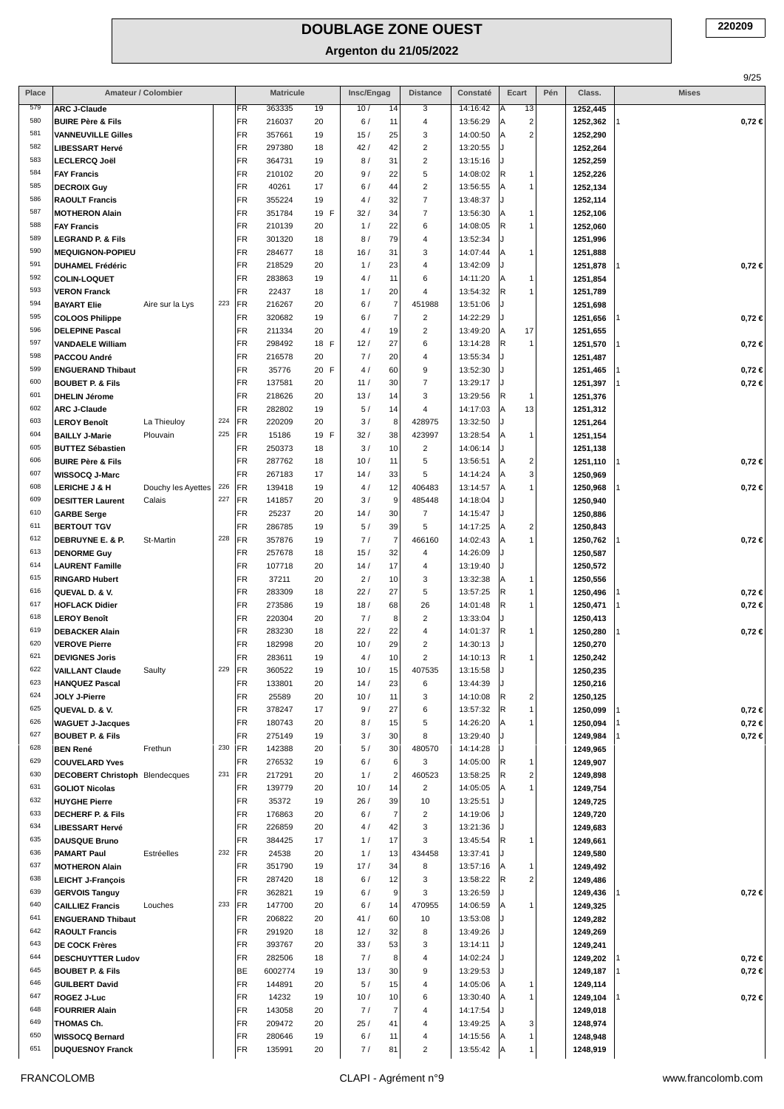|            |                                                           |                     |            |                  |                  |            |            |                        |                              |                      |                                                       |     |                      |              | 9/25       |
|------------|-----------------------------------------------------------|---------------------|------------|------------------|------------------|------------|------------|------------------------|------------------------------|----------------------|-------------------------------------------------------|-----|----------------------|--------------|------------|
| Place      |                                                           | Amateur / Colombier |            |                  | <b>Matricule</b> |            | Insc/Engag |                        | <b>Distance</b>              | Constaté             | Ecart                                                 | Pén | Class.               | <b>Mises</b> |            |
| 579<br>580 | <b>ARC J-Claude</b>                                       |                     |            | FR<br>FR         | 363335<br>216037 | 19         | 10/        | 14                     | 3                            | 14:16:42             | 13<br> A                                              |     | 1252,445             |              |            |
| 581        | <b>BUIRE Père &amp; Fils</b><br><b>VANNEUVILLE Gilles</b> |                     |            | FR               | 357661           | 20<br>19   | 6/<br>15/  | 11<br>25               | 4<br>3                       | 13:56:29<br>14:00:50 | $\overline{\mathbf{c}}$<br> A<br>$\overline{2}$<br> A |     | 1252,362<br>1252,290 |              | $0,72 \in$ |
| 582        | <b>LIBESSART Hervé</b>                                    |                     |            | FR               | 297380           | 18         | 42/        | 42                     | $\overline{c}$               | 13:20:55             |                                                       |     | 1252,264             |              |            |
| 583        | <b>LECLERCQ Joël</b>                                      |                     |            | FR               | 364731           | 19         | 8/         | 31                     | $\boldsymbol{2}$             | 13:15:16             |                                                       |     | 1252,259             |              |            |
| 584        | <b>FAY Francis</b>                                        |                     |            | FR               | 210102           | 20         | 9/         | 22                     | 5                            | 14:08:02             | R<br>1                                                |     | 1252,226             |              |            |
| 585        | <b>DECROIX Guy</b>                                        |                     |            | FR               | 40261            | 17         | 6/         | 44                     | $\overline{c}$               | 13:56:55             | A<br>1                                                |     | 1252,134             |              |            |
| 586        | <b>RAOULT Francis</b>                                     |                     |            | FR               | 355224           | 19         | 4/         | 32                     | $\overline{7}$               | 13:48:37             |                                                       |     | 1252,114             |              |            |
| 587<br>588 | <b>MOTHERON Alain</b>                                     |                     |            | FR               | 351784           | 19 F       | 32/        | 34                     | $\overline{7}$               | 13:56:30             | A<br>1                                                |     | 1252,106             |              |            |
| 589        | <b>FAY Francis</b><br><b>LEGRAND P. &amp; Fils</b>        |                     |            | FR<br>FR         | 210139<br>301320 | 20<br>18   | 1/<br>8/   | 22<br>79               | 6<br>$\overline{4}$          | 14:08:05<br>13:52:34 | R<br>1                                                |     | 1252,060<br>1251,996 |              |            |
| 590        | <b>MEQUIGNON-POPIEU</b>                                   |                     |            | FR               | 284677           | 18         | 16/        | 31                     | 3                            | 14:07:44             | A<br>1                                                |     | 1251,888             |              |            |
| 591        | <b>DUHAMEL Frédéric</b>                                   |                     |            | FR               | 218529           | 20         | 1/         | 23                     | 4                            | 13:42:09             |                                                       |     | 1251,878             |              | $0,72 \in$ |
| 592        | <b>COLIN-LOQUET</b>                                       |                     |            | FR               | 283863           | 19         | 4/         | 11                     | 6                            | 14:11:20             | A<br>1                                                |     | 1251,854             |              |            |
| 593        | <b>VERON Franck</b>                                       |                     |            | FR               | 22437            | 18         | 1/         | 20                     | 4                            | 13:54:32             | R                                                     |     | 1251,789             |              |            |
| 594        | <b>BAYART Elie</b>                                        | Aire sur la Lys     | 223        | FR               | 216267           | 20         | 6/         | $\overline{7}$         | 451988                       | 13:51:06             |                                                       |     | 1251,698             |              |            |
| 595<br>596 | <b>COLOOS Philippe</b>                                    |                     |            | FR               | 320682           | 19         | 6/         | $\overline{7}$         | $\overline{2}$               | 14:22:29             |                                                       |     | 1251,656             |              | $0,72 \in$ |
| 597        | <b>DELEPINE Pascal</b><br><b>VANDAELE William</b>         |                     |            | FR<br>FR         | 211334<br>298492 | 20<br>18 F | 4/<br>12/  | 19<br>27               | $\overline{c}$<br>6          | 13:49:20<br>13:14:28 | 17<br> A<br> R<br>$\mathbf{1}$                        |     | 1251,655<br>1251,570 |              | $0,72 \in$ |
| 598        | PACCOU André                                              |                     |            | FR               | 216578           | 20         | 7/         | 20                     | $\overline{4}$               | 13:55:34             | IJ                                                    |     | 1251,487             |              |            |
| 599        | <b>ENGUERAND Thibaut</b>                                  |                     |            | FR               | 35776            | 20 F       | 4/         | 60                     | 9                            | 13:52:30             |                                                       |     | 1251,465             |              | $0,72 \in$ |
| 600        | <b>BOUBET P. &amp; Fils</b>                               |                     |            | FR               | 137581           | 20         | 11/        | 30                     | $\overline{7}$               | 13:29:17             |                                                       |     | 1251,397             |              | $0,72 \in$ |
| 601        | <b>DHELIN Jérome</b>                                      |                     |            | FR               | 218626           | 20         | 13/        | 14                     | 3                            | 13:29:56             | R<br>1                                                |     | 1251,376             |              |            |
| 602        | <b>ARC J-Claude</b>                                       |                     |            | FR               | 282802           | 19         | 5/         | 14                     | 4                            | 14:17:03             | 13<br>ΙA                                              |     | 1251,312             |              |            |
| 603<br>604 | <b>LEROY Benoît</b>                                       | La Thieuloy         | 224<br>225 | FR               | 220209           | 20         | 3/         | 8                      | 428975                       | 13:32:50             |                                                       |     | 1251,264             |              |            |
| 605        | <b>BAILLY J-Marie</b><br><b>BUTTEZ Sébastien</b>          | Plouvain            |            | FR<br>FR         | 15186<br>250373  | 19 F<br>18 | 32/<br>3/  | 38<br>10               | 423997<br>$\overline{2}$     | 13:28:54<br>14:06:14 | A<br>1                                                |     | 1251,154<br>1251,138 |              |            |
| 606        | <b>BUIRE Père &amp; Fils</b>                              |                     |            | FR               | 287762           | 18         | 10/        | 11                     | $\,$ 5 $\,$                  | 13:56:51             | A<br>2                                                |     | 1251,110             |              | $0,72 \in$ |
| 607        | WISSOCQ J-Marc                                            |                     |            | FR               | 267183           | 17         | 14/        | 33                     | 5                            | 14:14:24             | 3<br> A                                               |     | 1250,969             |              |            |
| 608        | <b>LERICHE J &amp; H</b>                                  | Douchy les Ayettes  | 226        | FR               | 139418           | 19         | 4/         | 12                     | 406483                       | 13:14:57             | A<br>1                                                |     | 1250,968             |              | $0,72 \in$ |
| 609        | <b>DESITTER Laurent</b>                                   | Calais              | 227        | FR               | 141857           | 20         | 3/         | 9                      | 485448                       | 14:18:04             |                                                       |     | 1250,940             |              |            |
| 610        | <b>GARBE Serge</b>                                        |                     |            | FR               | 25237            | 20         | 14/        | 30                     | $\overline{7}$               | 14:15:47             |                                                       |     | 1250,886             |              |            |
| 611<br>612 | <b>BERTOUT TGV</b>                                        |                     | 228        | FR               | 286785           | 19         | 5/         | 39                     | 5                            | 14:17:25             | 2<br> A                                               |     | 1250,843             |              |            |
| 613        | DEBRUYNE E. & P.<br><b>DENORME Guy</b>                    | St-Martin           |            | FR<br>FR         | 357876<br>257678 | 19<br>18   | 7/<br>15/  | $\overline{7}$<br>32   | 466160<br>$\overline{4}$     | 14:02:43<br>14:26:09 | A<br>$\mathbf{1}$                                     |     | 1250,762<br>1250,587 |              | $0,72 \in$ |
| 614        | <b>LAURENT Famille</b>                                    |                     |            | FR               | 107718           | 20         | 14/        | 17                     | 4                            | 13:19:40             |                                                       |     | 1250,572             |              |            |
| 615        | <b>RINGARD Hubert</b>                                     |                     |            | FR               | 37211            | 20         | 2/         | 10                     | 3                            | 13:32:38             | A<br>1                                                |     | 1250,556             |              |            |
| 616        | QUEVAL D. & V.                                            |                     |            | FR               | 283309           | 18         | 22/        | 27                     | 5                            | 13:57:25             | R<br>$\mathbf{1}$                                     |     | 1250,496             |              | $0,72 \in$ |
| 617        | <b>HOFLACK Didier</b>                                     |                     |            | FR               | 273586           | 19         | 18/        | 68                     | 26                           | 14:01:48             | R<br>1                                                |     | 1250,471             |              | $0,72 \in$ |
| 618        | <b>LEROY Benoît</b>                                       |                     |            | FR               | 220304           | 20         | 7/         | 8                      | $\overline{2}$               | 13:33:04             | IJ                                                    |     | 1250,413             |              |            |
| 619<br>620 | <b>DEBACKER Alain</b>                                     |                     |            | FR               | 283230           | 18         | 22/        | 22                     | 4                            | 14:01:37             | R<br>1                                                |     | 1250,280             |              | $0,72 \in$ |
| 621        | <b>VEROVE Pierre</b><br><b>DEVIGNES Joris</b>             |                     |            | FR<br><b>IFR</b> | 182998<br>283611 | 20<br>19   | 10/<br>4/  | 29<br>10               | $\overline{c}$<br>2          | 14:30:13<br>14:10:13 | R<br>$\mathbf{1}$                                     |     | 1250,270<br>1250.242 |              |            |
| 622        | <b>VAILLANT Claude</b>                                    | Saulty              | 229        | FR               | 360522           | 19         | 10/        | 15                     | 407535                       | 13:15:58             |                                                       |     | 1250,235             |              |            |
| 623        | <b>HANQUEZ Pascal</b>                                     |                     |            | FR               | 133801           | 20         | 14/        | 23                     | 6                            | 13:44:39             |                                                       |     | 1250,216             |              |            |
| 624        | JOLY J-Pierre                                             |                     |            | FR               | 25589            | 20         | 10/        | 11                     | 3                            | 14:10:08             | R<br>2                                                |     | 1250,125             |              |            |
| 625        | QUEVAL D. & V.                                            |                     |            | FR               | 378247           | 17         | 9/         | 27                     | 6                            | 13:57:32             | R                                                     |     | 1250,099             |              | $0,72 \in$ |
| 626        | <b>WAGUET J-Jacques</b>                                   |                     |            | FR               | 180743           | 20         | 8/         | 15                     | 5                            | 14:26:20             |                                                       |     | 1250,094             |              | $0,72 \in$ |
| 627<br>628 | <b>BOUBET P. &amp; Fils</b><br><b>BEN René</b>            |                     | 230        | FR<br>FR         | 275149           | 19         | 3/         | 30                     | 8                            | 13:29:40<br>14:14:28 |                                                       |     | 1249,984             |              | $0,72 \in$ |
| 629        | <b>COUVELARD Yves</b>                                     | Frethun             |            | FR               | 142388<br>276532 | 20<br>19   | 5/<br>6/   | 30<br>$6 \overline{6}$ | 480570<br>3                  | 14:05:00             | R<br>1                                                |     | 1249,965<br>1249,907 |              |            |
| 630        | <b>DECOBERT Christoph</b>                                 | Blendecques         | 231        | FR               | 217291           | 20         | 1/         | $\sqrt{2}$             | 460523                       | 13:58:25             | R<br>$\overline{\mathbf{c}}$                          |     | 1249,898             |              |            |
| 631        | <b>GOLIOT Nicolas</b>                                     |                     |            | FR               | 139779           | 20         | 10/        | 14                     | $\overline{2}$               | 14:05:05             | ΙA                                                    |     | 1249,754             |              |            |
| 632        | <b>HUYGHE Pierre</b>                                      |                     |            | FR               | 35372            | 19         | 26/        | 39                     | 10                           | 13:25:51             |                                                       |     | 1249,725             |              |            |
| 633        | <b>DECHERF P. &amp; Fils</b>                              |                     |            | FR               | 176863           | 20         | 6/         | $\overline{7}$         | $\overline{\mathbf{c}}$      | 14:19:06             |                                                       |     | 1249,720             |              |            |
| 634<br>635 | <b>LIBESSART Hervé</b>                                    |                     |            | FR               | 226859           | 20         | 4/         | 42                     | 3                            | 13:21:36             |                                                       |     | 1249,683             |              |            |
| 636        | <b>DAUSQUE Bruno</b><br><b>PAMART Paul</b>                | Estréelles          | 232        | FR<br>FR         | 384425<br>24538  | 17<br>20   | 1/<br>1/   | 17<br>13               | 3<br>434458                  | 13:45:54<br>13:37:41 | R<br>1                                                |     | 1249,661<br>1249,580 |              |            |
| 637        | <b>MOTHERON Alain</b>                                     |                     |            | FR               | 351790           | 19         | 17/        | 34                     | 8                            | 13:57:16             | ΙA                                                    |     | 1249,492             |              |            |
| 638        | <b>LEICHT J-François</b>                                  |                     |            | FR               | 287420           | 18         | 6/         | 12                     | 3                            | 13:58:22             | <sup>R</sup><br>$\overline{\mathbf{c}}$               |     | 1249,486             |              |            |
| 639        | <b>GERVOIS Tanguy</b>                                     |                     |            | FR               | 362821           | 19         | 6/         | 9                      | 3                            | 13:26:59             |                                                       |     | 1249,436             |              | $0,72 \in$ |
| 640        | <b>CAILLIEZ Francis</b>                                   | Louches             | 233        | FR               | 147700           | 20         | 6/         | 14                     | 470955                       | 14:06:59             | ΙA                                                    |     | 1249,325             |              |            |
| 641        | <b>ENGUERAND Thibaut</b>                                  |                     |            | FR               | 206822           | 20         | 41/        | 60                     | 10                           | 13:53:08             |                                                       |     | 1249,282             |              |            |
| 642<br>643 | <b>RAOULT Francis</b>                                     |                     |            | FR               | 291920<br>393767 | 18         | 12/        | 32<br>53               | 8<br>3                       | 13:49:26             |                                                       |     | 1249,269             |              |            |
| 644        | <b>DE COCK Frères</b><br><b>DESCHUYTTER Ludov</b>         |                     |            | FR<br>FR         | 282506           | 20<br>18   | 33/<br>7/  | 8                      | $\overline{4}$               | 13:14:11<br>14:02:24 |                                                       |     | 1249,241<br>1249,202 |              | $0,72 \in$ |
| 645        | <b>BOUBET P. &amp; Fils</b>                               |                     |            | BE               | 6002774          | 19         | 13/        | 30                     | 9                            | 13:29:53             |                                                       |     | 1249,187             |              | $0,72 \in$ |
| 646        | <b>GUILBERT David</b>                                     |                     |            | FR               | 144891           | 20         | 5/         | 15                     | 4                            | 14:05:06             | ΙA                                                    |     | 1249,114             |              |            |
| 647        | ROGEZ J-Luc                                               |                     |            | FR               | 14232            | 19         | 10/        | 10                     | 6                            | 13:30:40             | ΙA<br>1                                               |     | 1249,104             |              | $0,72 \in$ |
| 648        | <b>FOURRIER Alain</b>                                     |                     |            | FR               | 143058           | 20         | 7/         | $\overline{7}$         | 4                            | 14:17:54             |                                                       |     | 1249,018             |              |            |
| 649        | THOMAS Ch.                                                |                     |            | FR               | 209472           | 20         | 25/        | 41                     | 4                            | 13:49:25             | 3                                                     |     | 1248,974             |              |            |
| 650<br>651 | <b>WISSOCQ Bernard</b><br><b>DUQUESNOY Franck</b>         |                     |            | FR<br>FR         | 280646<br>135991 | 19<br>20   | 6/<br>7/   | 11<br>81               | 4<br>$\overline{\mathbf{c}}$ | 14:15:56<br>13:55:42 | ΙA<br>1<br> A                                         |     | 1248,948<br>1248,919 |              |            |
|            |                                                           |                     |            |                  |                  |            |            |                        |                              |                      |                                                       |     |                      |              |            |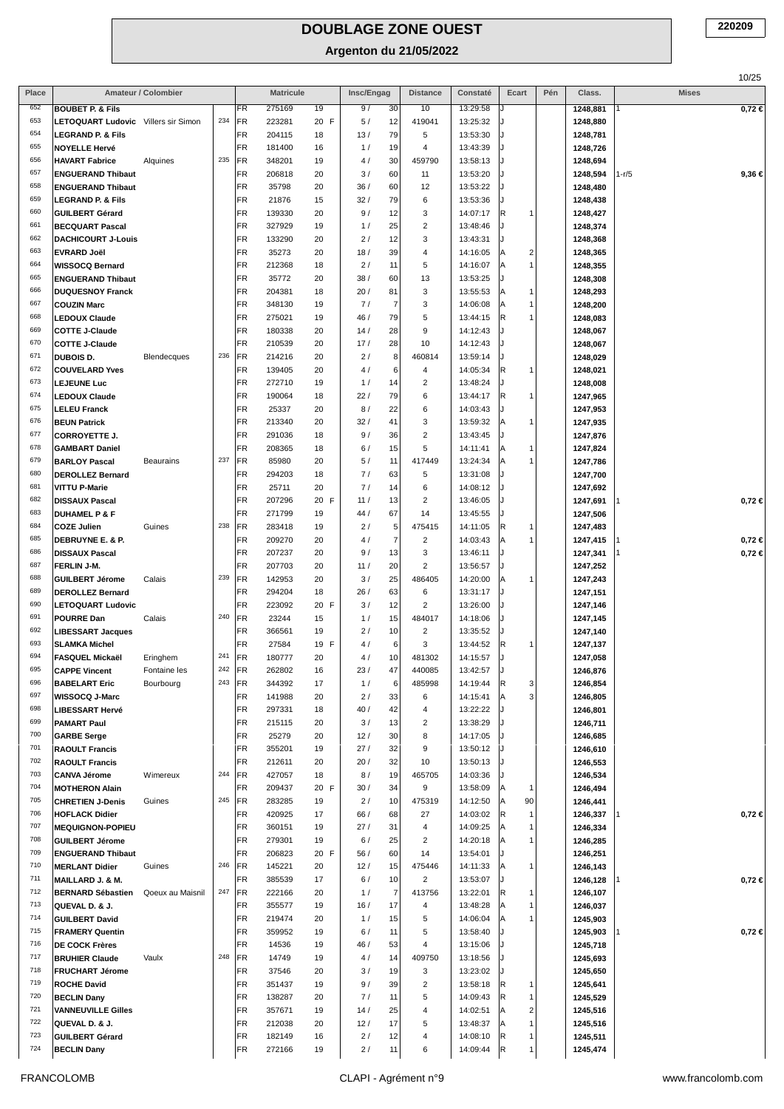**Argenton du 21/05/2022**

|            |                                                      |                     |     |           |                  |          |            |                     |                          |                      |                               |     |                      |              | 10/25      |
|------------|------------------------------------------------------|---------------------|-----|-----------|------------------|----------|------------|---------------------|--------------------------|----------------------|-------------------------------|-----|----------------------|--------------|------------|
| Place      |                                                      | Amateur / Colombier |     |           | <b>Matricule</b> |          | Insc/Engag |                     | <b>Distance</b>          | Constaté             | Ecart                         | Pén | Class.               | <b>Mises</b> |            |
| 652        | <b>BOUBET P. &amp; Fils</b>                          |                     |     | FR.       | 275169           | 19       | 9/         | 30                  | 10                       | 13:29:58             |                               |     | 1248,881             |              | $0,72 \in$ |
| 653<br>654 | LETOQUART Ludovic Villers sir Simon                  |                     | 234 | FR        | 223281           | 20 F     | 5/         | 12                  | 419041                   | 13:25:32             |                               |     | 1248,880             |              |            |
| 655        | <b>LEGRAND P. &amp; Fils</b><br><b>NOYELLE Hervé</b> |                     |     | FR<br>FR  | 204115<br>181400 | 18<br>16 | 13/<br>1/  | 79<br>19            | 5<br>4                   | 13:53:30<br>13:43:39 | J                             |     | 1248,781             |              |            |
| 656        | <b>HAVART Fabrice</b>                                | Alquines            | 235 | FR        | 348201           | 19       | 4/         | 30                  | 459790                   | 13:58:13             | J                             |     | 1248,726<br>1248,694 |              |            |
| 657        | <b>ENGUERAND Thibaut</b>                             |                     |     | FR        | 206818           | 20       | 3/         | 60                  | 11                       | 13:53:20             | J                             |     | 1248,594             | 1-r/5        | 9,36 €     |
| 658        | <b>ENGUERAND Thibaut</b>                             |                     |     | FR        | 35798            | 20       | 36/        | 60                  | 12                       | 13:53:22             |                               |     | 1248,480             |              |            |
| 659        | <b>LEGRAND P. &amp; Fils</b>                         |                     |     | FR        | 21876            | 15       | 32/        | 79                  | 6                        | 13:53:36             | IJ                            |     | 1248,438             |              |            |
| 660        | <b>GUILBERT Gérard</b>                               |                     |     | FR        | 139330           | 20       | 9/         | 12                  | 3                        | 14:07:17             | R.<br>1                       |     | 1248,427             |              |            |
| 661        | <b>BECQUART Pascal</b>                               |                     |     | FR        | 327929           | 19       | 1/         | 25                  | $\overline{c}$           | 13:48:46             |                               |     | 1248,374             |              |            |
| 662        | <b>DACHICOURT J-Louis</b>                            |                     |     | FR        | 133290           | 20       | 2/         | 12                  | 3                        | 13:43:31             | J                             |     | 1248,368             |              |            |
| 663        | <b>EVRARD Joël</b>                                   |                     |     | FR        | 35273            | 20       | 18/        | 39                  | $\overline{4}$           | 14:16:05             | $\overline{\mathbf{c}}$<br>ΙA |     | 1248,365             |              |            |
| 664        | <b>WISSOCQ Bernard</b>                               |                     |     | <b>FR</b> | 212368           | 18       | 2/         | 11                  | 5                        | 14:16:07             | $\mathbf{1}$<br>ΙA            |     | 1248,355             |              |            |
| 665        | <b>ENGUERAND Thibaut</b>                             |                     |     | FR        | 35772            | 20       | 38/        | 60                  | 13                       | 13:53:25             | J                             |     | 1248,308             |              |            |
| 666        | <b>DUQUESNOY Franck</b>                              |                     |     | FR        | 204381           | 18       | 20/        | 81                  | $_{\rm 3}$               | 13:55:53             | $\mathbf{1}$<br>ΙA            |     | 1248,293             |              |            |
| 667        | <b>COUZIN Marc</b>                                   |                     |     | <b>FR</b> | 348130           | 19       | 7/         | $\overline{7}$      | $_{\rm 3}$               | 14:06:08             | 1<br>ΙA                       |     | 1248,200             |              |            |
| 668<br>669 | <b>LEDOUX Claude</b>                                 |                     |     | FR        | 275021           | 19       | 46 /       | 79                  | 5                        | 13:44:15             | R<br>1                        |     | 1248,083             |              |            |
| 670        | <b>COTTE J-Claude</b>                                |                     |     | FR        | 180338           | 20       | 14/        | 28                  | 9                        | 14:12:43             | J                             |     | 1248,067             |              |            |
| 671        | <b>COTTE J-Claude</b><br><b>DUBOIS D.</b>            | Blendecques         | 236 | FR<br>FR  | 210539<br>214216 | 20<br>20 | 17/<br>2/  | 28<br>8             | 10<br>460814             | 14:12:43<br>13:59:14 | J                             |     | 1248,067             |              |            |
| 672        | <b>COUVELARD Yves</b>                                |                     |     | FR        | 139405           | 20       | 4 /        | 6                   | $\overline{4}$           | 14:05:34             | R<br>1                        |     | 1248,029<br>1248,021 |              |            |
| 673        | <b>LEJEUNE Luc</b>                                   |                     |     | FR        | 272710           | 19       | 1/         | 14                  | $\overline{2}$           | 13:48:24             | J                             |     | 1248,008             |              |            |
| 674        | <b>LEDOUX Claude</b>                                 |                     |     | FR        | 190064           | 18       | 22/        | 79                  | 6                        | 13:44:17             | R.<br>1                       |     | 1247,965             |              |            |
| 675        | <b>LELEU Franck</b>                                  |                     |     | FR        | 25337            | 20       | 8/         | 22                  | 6                        | 14:03:43             |                               |     | 1247,953             |              |            |
| 676        | <b>BEUN Patrick</b>                                  |                     |     | FR        | 213340           | 20       | 32/        | 41                  | 3                        | 13:59:32             | 1<br>ΙA                       |     | 1247,935             |              |            |
| 677        | <b>CORROYETTE J.</b>                                 |                     |     | FR        | 291036           | 18       | 9/         | 36                  | $\overline{2}$           | 13:43:45             | J                             |     | 1247,876             |              |            |
| 678        | <b>GAMBART Daniel</b>                                |                     |     | FR        | 208365           | 18       | 6/         | 15                  | 5                        | 14:11:41             | $\mathbf{1}$<br>ΙA            |     | 1247,824             |              |            |
| 679        | <b>BARLOY Pascal</b>                                 | <b>Beaurains</b>    | 237 | FR        | 85980            | 20       | 5/         | 11                  | 417449                   | 13:24:34             | ΙA<br>1                       |     | 1247,786             |              |            |
| 680        | <b>DEROLLEZ Bernard</b>                              |                     |     | FR        | 294203           | 18       | 7/         | 63                  | 5                        | 13:31:08             | J                             |     | 1247,700             |              |            |
| 681        | <b>VITTU P-Marie</b>                                 |                     |     | FR        | 25711            | 20       | 7/         | 14                  | 6                        | 14:08:12             |                               |     | 1247,692             |              |            |
| 682<br>683 | <b>DISSAUX Pascal</b>                                |                     |     | FR        | 207296           | 20 F     | 11/        | 13                  | $\overline{2}$           | 13:46:05             | J                             |     | 1247,691             |              | $0,72 \in$ |
| 684        | <b>DUHAMEL P &amp; F</b>                             |                     | 238 | FR        | 271799           | 19       | 44/        | 67                  | 14                       | 13:45:55             | J                             |     | 1247,506             |              |            |
| 685        | <b>COZE Julien</b><br>DEBRUYNE E. & P.               | Guines              |     | FR<br>FR  | 283418<br>209270 | 19<br>20 | 2/<br>4/   | 5<br>$\overline{7}$ | 475415<br>$\overline{2}$ | 14:11:05<br>14:03:43 | R<br>1<br>1<br>ΙA             |     | 1247,483<br>1247,415 |              | $0,72 \in$ |
| 686        | <b>DISSAUX Pascal</b>                                |                     |     | FR        | 207237           | 20       | 9/         | 13                  | 3                        | 13:46:11             | J                             |     | 1247,341             |              | $0,72 \in$ |
| 687        | FERLIN J-M.                                          |                     |     | FR        | 207703           | 20       | 11/        | 20                  | $\overline{2}$           | 13:56:57             |                               |     | 1247,252             |              |            |
| 688        | <b>GUILBERT Jérome</b>                               | Calais              | 239 | FR        | 142953           | 20       | 3/         | 25                  | 486405                   | 14:20:00             | A<br>1                        |     | 1247,243             |              |            |
| 689        | <b>DEROLLEZ Bernard</b>                              |                     |     | FR        | 294204           | 18       | 26/        | 63                  | 6                        | 13:31:17             | J                             |     | 1247,151             |              |            |
| 690        | <b>LETOQUART Ludovic</b>                             |                     |     | <b>FR</b> | 223092           | 20 F     | 3/         | 12                  | $\overline{2}$           | 13:26:00             |                               |     | 1247,146             |              |            |
| 691        | <b>POURRE Dan</b>                                    | Calais              | 240 | FR        | 23244            | 15       | 1/         | 15                  | 484017                   | 14:18:06             | J                             |     | 1247,145             |              |            |
| 692        | <b>LIBESSART Jacques</b>                             |                     |     | FR        | 366561           | 19       | 2/         | 10                  | $\overline{2}$           | 13:35:52             |                               |     | 1247,140             |              |            |
| 693        | <b>SLAMKA Michel</b>                                 |                     |     | <b>FR</b> | 27584            | 19 F     | 4/         | 6                   | 3                        | 13:44:52             | R.<br>1                       |     | 1247,137             |              |            |
| 694        | <b>FASQUEL Mickaël</b>                               | Eringhem            | 241 | <b>FR</b> | 180777           | 20       | 4 /        | 10                  | 481302                   | 14:15:57             |                               |     | 1247,058             |              |            |
| 695        | <b>CAPPE Vincent</b>                                 | Fontaine les        | 242 | FR        | 262802           | 16       | 23/        | 47                  | 440085                   | 13:42:57             |                               |     | 1246,876             |              |            |
| 696<br>697 | <b>BABELART Eric</b>                                 | Bourbourg           | 243 | FR        | 344392           | 17       | 1/         | 6                   | 485998                   | 14:19:44             | 3<br>R                        |     | 1246,854             |              |            |
| 698        | <b>WISSOCQ J-Marc</b>                                |                     |     | FR<br>FR  | 141988<br>297331 | 20<br>18 | 2/<br>40/  | 33<br>42            | 6<br>4                   | 14:15:41             | 3 <sup>1</sup><br> A          |     | 1246,805             |              |            |
| 699        | <b>LIBESSART Hervé</b><br><b>PAMART Paul</b>         |                     |     | FR        | 215115           | 20       | 3/         | 13                  | $\overline{2}$           | 13:22:22<br>13:38:29 |                               |     | 1246,801<br>1246,711 |              |            |
| 700        | <b>GARBE Serge</b>                                   |                     |     | <b>FR</b> | 25279            | 20       | 12/        | 30                  | 8                        | 14:17:05             | IJ                            |     | 1246,685             |              |            |
| 701        | <b>RAOULT Francis</b>                                |                     |     | FR        | 355201           | 19       | 27/        | 32                  | 9                        | 13:50:12             |                               |     | 1246,610             |              |            |
| 702        | <b>RAOULT Francis</b>                                |                     |     | FR        | 212611           | 20       | 20/        | 32                  | 10                       | 13:50:13             |                               |     | 1246,553             |              |            |
| 703        | <b>CANVA Jérome</b>                                  | Wimereux            | 244 | FR        | 427057           | 18       | 8/         | 19                  | 465705                   | 14:03:36             | IJ                            |     | 1246,534             |              |            |
| 704        | <b>MOTHERON Alain</b>                                |                     |     | FR        | 209437           | 20 F     | 30/        | 34                  | 9                        | 13:58:09             | 1<br>ΙA                       |     | 1246,494             |              |            |
| 705        | <b>CHRETIEN J-Denis</b>                              | Guines              | 245 | FR        | 283285           | 19       | 2/         | 10                  | 475319                   | 14:12:50             | 90<br> A                      |     | 1246,441             |              |            |
| 706        | <b>HOFLACK Didier</b>                                |                     |     | FR        | 420925           | 17       | 66 /       | 68                  | 27                       | 14:03:02             | R.<br>$\mathbf{1}$            |     | 1246,337             |              | $0,72 \in$ |
| 707        | <b>MEQUIGNON-POPIEU</b>                              |                     |     | FR        | 360151           | 19       | 27/        | 31                  | $\overline{4}$           | 14:09:25             | 1                             |     | 1246,334             |              |            |
| 708<br>709 | <b>GUILBERT Jérome</b>                               |                     |     | FR        | 279301           | 19       | 6/         | 25                  | $\overline{2}$           | 14:20:18             | ΙA<br>1                       |     | 1246,285             |              |            |
| 710        | <b>ENGUERAND Thibaut</b>                             |                     | 246 | FR<br>FR  | 206823           | 20 F     | 56/<br>12/ | 60<br>15            | 14<br>475446             | 13:54:01             | J<br>1                        |     | 1246,251             |              |            |
| 711        | <b>MERLANT Didier</b><br>MAILLARD J. & M.            | Guines              |     | FR        | 145221<br>385539 | 20<br>17 | 6/         | 10                  | $\overline{2}$           | 14:11:33<br>13:53:07 | ΙA                            |     | 1246,143<br>1246,128 |              | 0,72 ∈     |
| 712        | <b>BERNARD Sébastien</b>                             | Qoeux au Maisnil    | 247 | FR        | 222166           | 20       | 1/         | $\overline{7}$      | 413756                   | 13:22:01             | IR.<br>1                      |     | 1246,107             |              |            |
| 713        | QUEVAL D. & J.                                       |                     |     | FR        | 355577           | 19       | 16/        | 17                  | 4                        | 13:48:28             | 1                             |     | 1246,037             |              |            |
| 714        | <b>GUILBERT David</b>                                |                     |     | FR        | 219474           | 20       | 1/         | 15                  | 5                        | 14:06:04             | ΙA<br>1                       |     | 1245,903             |              |            |
| 715        | <b>FRAMERY Quentin</b>                               |                     |     | FR        | 359952           | 19       | 6/         | 11                  | 5                        | 13:58:40             |                               |     | 1245,903             |              | $0,72 \in$ |
| 716        | <b>DE COCK Frères</b>                                |                     |     | FR        | 14536            | 19       | 46/        | 53                  | $\overline{4}$           | 13:15:06             |                               |     | 1245,718             |              |            |
| 717        | <b>BRUHIER Claude</b>                                | Vaulx               | 248 | FR        | 14749            | 19       | 4/         | 14                  | 409750                   | 13:18:56             |                               |     | 1245,693             |              |            |
| 718        | <b>FRUCHART Jérome</b>                               |                     |     | FR        | 37546            | 20       | 3/         | 19                  | 3                        | 13:23:02             |                               |     | 1245,650             |              |            |
| 719        | <b>ROCHE David</b>                                   |                     |     | FR        | 351437           | 19       | 9/         | 39                  | $\overline{2}$           | 13:58:18             | R<br>1                        |     | 1245,641             |              |            |
| 720        | <b>BECLIN Dany</b>                                   |                     |     | FR.       | 138287           | 20       | 7/         | 11                  | 5                        | 14:09:43             | IR.<br>$\mathbf{1}$           |     | 1245,529             |              |            |
| 721        | <b>VANNEUVILLE Gilles</b>                            |                     |     | FR        | 357671           | 19       | 14/        | 25                  | $\overline{a}$           | 14:02:51             | $\overline{\mathbf{c}}$<br>ΙA |     | 1245,516             |              |            |
| 722<br>723 | QUEVAL D. & J.                                       |                     |     | FR<br>FR  | 212038<br>182149 | 20       | 12/        | 17                  | 5<br>4                   | 13:48:37             | 1<br>1                        |     | 1245,516             |              |            |
| 724        | <b>GUILBERT Gérard</b><br><b>BECLIN Dany</b>         |                     |     | FR        | 272166           | 16<br>19 | 2/<br>2/   | 12<br>11            | 6                        | 14:08:10<br>14:09:44 | R<br>R.<br>1                  |     | 1245,511<br>1245,474 |              |            |
|            |                                                      |                     |     |           |                  |          |            |                     |                          |                      |                               |     |                      |              |            |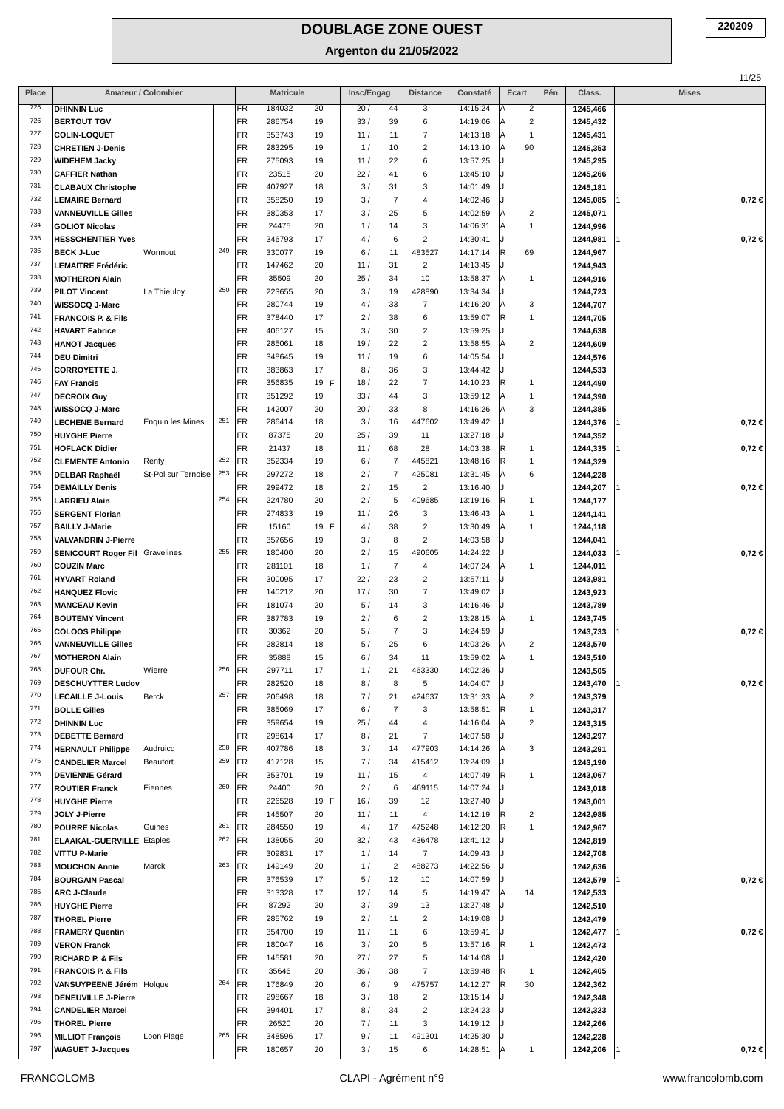|            |                                                                             |                                |                 |                  |            |                                     |                          |                      |                              |     |                      | 11/25        |
|------------|-----------------------------------------------------------------------------|--------------------------------|-----------------|------------------|------------|-------------------------------------|--------------------------|----------------------|------------------------------|-----|----------------------|--------------|
| Place      | Amateur / Colombier                                                         |                                |                 | <b>Matricule</b> |            | Insc/Engag                          | <b>Distance</b>          | Constaté             | Ecart                        | Pén | Class.               | <b>Mises</b> |
| 725<br>726 | <b>DHINNIN Luc</b>                                                          |                                | <b>FR</b><br>FR | 184032<br>286754 | 20         | 20/<br>44<br>33/                    | 3<br>6                   | 14:15:24<br>14:19:06 | Α<br>2<br>$\sqrt{2}$<br>A    |     | 1245,466             |              |
| 727        | <b>BERTOUT TGV</b><br><b>COLIN-LOQUET</b>                                   |                                | FR              | 353743           | 19<br>19   | 39<br>11/<br>11                     | $\overline{7}$           | 14:13:18             | 1<br>Α                       |     | 1245,432<br>1245,431 |              |
| 728        | <b>CHRETIEN J-Denis</b>                                                     |                                | FR              | 283295           | 19         | 10<br>1/                            | $\overline{c}$           | 14:13:10             | A<br>90                      |     | 1245,353             |              |
| 729        | <b>WIDEHEM Jacky</b>                                                        |                                | FR              | 275093           | 19         | 11/<br>22                           | 6                        | 13:57:25             | ۱.                           |     | 1245,295             |              |
| 730        | <b>CAFFIER Nathan</b>                                                       |                                | FR              | 23515            | 20         | 22/<br>41                           | 6                        | 13:45:10             | $\cdot$                      |     | 1245,266             |              |
| 731        | <b>CLABAUX Christophe</b>                                                   |                                | FR              | 407927           | 18         | 31<br>3/                            | 3                        | 14:01:49             |                              |     | 1245,181             |              |
| 732        | <b>LEMAIRE Bernard</b>                                                      |                                | FR              | 358250           | 19         | 3/<br>7                             | 4                        | 14:02:46             |                              |     | 1245,085             | $0,72 \in$   |
| 733        | <b>VANNEUVILLE Gilles</b>                                                   |                                | FR              | 380353           | 17         | 25<br>3/                            | 5                        | 14:02:59             | Α<br>2                       |     | 1245,071             |              |
| 734        | <b>GOLIOT Nicolas</b>                                                       |                                | FR              | 24475            | 20         | 14<br>1/                            | 3                        | 14:06:31             | 1<br>Α                       |     | 1244,996             |              |
| 735        | <b>HESSCHENTIER Yves</b>                                                    |                                | FR              | 346793           | 17         | 4/<br>6                             | $\overline{c}$           | 14:30:41             | J.                           |     | 1244,981             | $0,72 \in$   |
| 736<br>737 | <b>BECK J-Luc</b><br>Wormout<br><b>LEMAITRE Frédéric</b>                    | 249                            | FR<br>FR        | 330077<br>147462 | 19<br>20   | 11<br>6/<br>31<br>11/               | 483527<br>$\overline{2}$ | 14:17:14<br>14:13:45 | R<br>69<br>J.                |     | 1244,967             |              |
| 738        | <b>MOTHERON Alain</b>                                                       |                                | FR              | 35509            | 20         | 25/<br>34                           | 10                       | 13:58:37             | Α<br>1                       |     | 1244,943<br>1244,916 |              |
| 739        | La Thieuloy<br><b>PILOT Vincent</b>                                         | 250                            | FR              | 223655           | 20         | 19<br>3/                            | 428890                   | 13:34:34             | J.                           |     | 1244,723             |              |
| 740        | WISSOCQ J-Marc                                                              |                                | FR              | 280744           | 19         | 33<br>4/                            | $\overline{7}$           | 14:16:20             | 3<br>Α                       |     | 1244,707             |              |
| 741        | <b>FRANCOIS P. &amp; Fils</b>                                               |                                | FR              | 378440           | 17         | 2/<br>38                            | 6                        | 13:59:07             | R<br>1                       |     | 1244,705             |              |
| 742        | <b>HAVART Fabrice</b>                                                       |                                | FR              | 406127           | 15         | 3/<br>30                            | $\overline{\mathbf{c}}$  | 13:59:25             | J.                           |     | 1244,638             |              |
| 743        | <b>HANOT Jacques</b>                                                        |                                | FR              | 285061           | 18         | 22<br>19/                           | $\overline{c}$           | 13:58:55             | $\overline{\mathbf{c}}$<br>Α |     | 1244,609             |              |
| 744        | <b>DEU Dimitri</b>                                                          |                                | FR              | 348645           | 19         | 19<br>11/                           | 6                        | 14:05:54             |                              |     | 1244,576             |              |
| 745<br>746 | <b>CORROYETTE J.</b>                                                        |                                | FR<br>FR        | 383863           | 17         | 8/<br>36<br>18/<br>22               | 3<br>$\overline{7}$      | 13:44:42<br>14:10:23 | R<br>1                       |     | 1244,533             |              |
| 747        | <b>FAY Francis</b><br><b>DECROIX Guy</b>                                    |                                | FR              | 356835<br>351292 | 19 F<br>19 | 44<br>33/                           | 3                        | 13:59:12             | Α<br>1                       |     | 1244,490<br>1244,390 |              |
| 748        | WISSOCQ J-Marc                                                              |                                | FR              | 142007           | 20         | 20/<br>33                           | 8                        | 14:16:26             | Α<br>3                       |     | 1244,385             |              |
| 749        | <b>LECHENE Bernard</b>                                                      | 251<br><b>Enquin les Mines</b> | FR              | 286414           | 18         | 3/<br>16                            | 447602                   | 13:49:42             |                              |     | 1244,376             | $0,72 \in$   |
| 750        | <b>HUYGHE Pierre</b>                                                        |                                | FR              | 87375            | 20         | 39<br>25/                           | 11                       | 13:27:18             |                              |     | 1244,352             |              |
| 751        | <b>HOFLACK Didier</b>                                                       |                                | FR              | 21437            | 18         | 68<br>11/                           | 28                       | 14:03:38             | R<br>1                       |     | 1244,335             | $0,72 \in$   |
| 752        | Renty<br><b>CLEMENTE Antonio</b>                                            | 252                            | FR              | 352334           | 19         | $\boldsymbol{7}$<br>6/              | 445821                   | 13:48:16             | $\mathsf R$<br>1             |     | 1244,329             |              |
| 753        | <b>DELBAR Raphaël</b>                                                       | 253<br>St-Pol sur Ternoise     | FR              | 297272           | 18         | $\overline{7}$<br>2/                | 425081                   | 13:31:45             | 6<br>Α                       |     | 1244,228             |              |
| 754        | <b>DEMAILLY Denis</b>                                                       |                                | FR              | 299472           | 18         | 15<br>2/                            | $\overline{2}$           | 13:16:40             |                              |     | 1244,207             | $0,72 \in$   |
| 755<br>756 | <b>LARRIEU Alain</b>                                                        | 254                            | FR              | 224780           | 20         | 2/<br>5                             | 409685                   | 13:19:16             | R<br>1                       |     | 1244,177             |              |
| 757        | <b>SERGENT Florian</b><br><b>BAILLY J-Marie</b>                             |                                | FR<br>FR        | 274833<br>15160  | 19<br>19 F | 26<br>11/<br>38<br>4/               | 3<br>$\overline{c}$      | 13:46:43<br>13:30:49 | 1<br>Α<br>Α<br>1             |     | 1244,141<br>1244,118 |              |
| 758        | <b>VALVANDRIN J-Pierre</b>                                                  |                                | FR              | 357656           | 19         | 3/<br>8                             | $\overline{c}$           | 14:03:58             |                              |     | 1244,041             |              |
| 759        | <b>SENICOURT Roger Fil Gravelines</b>                                       | 255                            | FR              | 180400           | 20         | 2/<br>15                            | 490605                   | 14:24:22             | ۱.                           |     | 1244,033             | $0,72 \in$   |
| 760        | <b>COUZIN Marc</b>                                                          |                                | FR              | 281101           | 18         | $\overline{\mathcal{I}}$<br>1/      | 4                        | 14:07:24             | Α<br>1                       |     | 1244,011             |              |
| 761        | <b>HYVART Roland</b>                                                        |                                | FR              | 300095           | 17         | 22/<br>23                           | $\overline{2}$           | 13:57:11             | ۱.                           |     | 1243,981             |              |
| 762        | <b>HANQUEZ Flovic</b>                                                       |                                | FR              | 140212           | 20         | 17/<br>30                           | $\overline{7}$           | 13:49:02             |                              |     | 1243,923             |              |
| 763        | <b>MANCEAU Kevin</b>                                                        |                                | FR              | 181074           | 20         | 5/<br>14                            | 3                        | 14:16:46             |                              |     | 1243,789             |              |
| 764        | <b>BOUTEMY Vincent</b>                                                      |                                | FR              | 387783           | 19         | 2/<br>6                             | $\overline{c}$           | 13:28:15             | Α<br>1                       |     | 1243,745             |              |
| 765<br>766 | <b>COLOOS Philippe</b>                                                      |                                | FR<br>FR        | 30362<br>282814  | 20<br>18   | $\overline{7}$<br>5/<br>25<br>5/    | 3<br>6                   | 14:24:59<br>14:03:26 | $\overline{\mathbf{c}}$<br>Α |     | 1243,733             | $0,72 \in$   |
| 767        | <b>VANNEUVILLE Gilles</b><br><b>MOTHERON Alain</b>                          |                                | FR              | 35888            | 15         | 34<br>6/                            | 11                       | 13:59:02             | İΑ<br>$\mathbf{1}$           |     | 1243,570<br>1243,510 |              |
| 768        | DUFOUR Chr.<br>Wierre                                                       | 256                            | FR              | 297711           | 17         | 1/<br>21                            | 463330                   | 14:02:36             |                              |     | 1243,505             |              |
| 769        | <b>DESCHUYTTER Ludov</b>                                                    |                                | FR              | 282520           | 18         | 8/<br>8                             | 5                        | 14:04:07             |                              |     | 1243,470             | $0,72 \in$   |
| 770        | <b>LECAILLE J-Louis</b><br>Berck                                            | 257                            | FR              | 206498           | 18         | 7/<br>21                            | 424637                   | 13:31:33             | 2<br>Α                       |     | 1243,379             |              |
| 771        | <b>BOLLE Gilles</b>                                                         |                                | FR              | 385069           | 17         | $\overline{7}$<br>6/                | 3                        | 13:58:51             | R<br>1                       |     | 1243,317             |              |
| 772        | <b>DHINNIN Luc</b>                                                          |                                | FR              | 359654           | 19         | 25/<br>44                           | 4                        | 14:16:04             | $\overline{\mathbf{c}}$<br>Α |     | 1243,315             |              |
| 773<br>774 | <b>DEBETTE Bernard</b>                                                      |                                | FR              | 298614           | 17         | 8/<br>21                            | $\overline{7}$           | 14:07:58             |                              |     | 1243,297             |              |
| 775        | <b>HERNAULT Philippe</b><br>Audruicq<br><b>CANDELIER Marcel</b><br>Beaufort | 258<br>259                     | FR<br>FR        | 407786<br>417128 | 18<br>15   | 14<br>3/<br>7/<br>34                | 477903<br>415412         | 14:14:26<br>13:24:09 | 3<br>A                       |     | 1243,291<br>1243,190 |              |
| 776        | <b>DEVIENNE Gérard</b>                                                      |                                | <b>FR</b>       | 353701           | 19         | 11/<br>15                           | 4                        | 14:07:49             | R<br>1                       |     | 1243,067             |              |
| 777        | <b>ROUTIER Franck</b><br>Fiennes                                            | 260                            | FR              | 24400            | 20         | 2/<br>6                             | 469115                   | 14:07:24             |                              |     | 1243,018             |              |
| 778        | <b>HUYGHE Pierre</b>                                                        |                                | FR              | 226528           | 19 F       | 16/<br>39                           | 12                       | 13:27:40             |                              |     | 1243,001             |              |
| 779        | JOLY J-Pierre                                                               |                                | FR              | 145507           | 20         | 11<br>11/                           | 4                        | 14:12:19             | R<br>2                       |     | 1242,985             |              |
| 780        | <b>POURRE Nicolas</b><br>Guines                                             | 261                            | FR              | 284550           | 19         | 4/<br>17                            | 475248                   | 14:12:20             | R<br>1                       |     | 1242,967             |              |
| 781        | <b>ELAAKAL-GUERVILLE Etaples</b>                                            | 262                            | FR)             | 138055           | 20         | 32/<br>43                           | 436478                   | 13:41:12             |                              |     | 1242,819             |              |
| 782        | <b>VITTU P-Marie</b>                                                        |                                | FR              | 309831           | 17         | 1/<br>14                            | $\overline{7}$           | 14:09:43             |                              |     | 1242,708             |              |
| 783<br>784 | <b>MOUCHON Annie</b><br>Marck<br><b>BOURGAIN Pascal</b>                     | 263                            | FR<br>FR        | 149149<br>376539 | 20<br>17   | $\sqrt{2}$<br>1/<br>5/<br>12        | 488273<br>10             | 14:22:56<br>14:07:59 |                              |     | 1242,636             | $0,72 \in$   |
| 785        | <b>ARC J-Claude</b>                                                         |                                | FR              | 313328           | 17         | 12/<br>14                           | 5                        | 14:19:47             | Α<br>14                      |     | 1242,579<br>1242,533 |              |
| 786        | <b>HUYGHE Pierre</b>                                                        |                                | FR              | 87292            | 20         | 3/<br>39                            | 13                       | 13:27:48             |                              |     | 1242,510             |              |
| 787        | <b>THOREL Pierre</b>                                                        |                                | FR              | 285762           | 19         | 2/<br>11                            | $\overline{2}$           | 14:19:08             |                              |     | 1242,479             |              |
| 788        | <b>FRAMERY Quentin</b>                                                      |                                | FR              | 354700           | 19         | 11/<br>11                           | 6                        | 13:59:41             |                              |     | 1242,477             | $0,72 \in$   |
| 789        | <b>VERON Franck</b>                                                         |                                | FR              | 180047           | 16         | 3/<br>20                            | 5                        | 13:57:16             | R.<br>1                      |     | 1242,473             |              |
| 790        | <b>RICHARD P. &amp; Fils</b>                                                |                                | FR              | 145581           | 20         | 27/<br>27                           | 5                        | 14:14:08             | J.                           |     | 1242,420             |              |
| 791<br>792 | <b>FRANCOIS P. &amp; Fils</b>                                               | 264                            | FR<br>FR        | 35646<br>176849  | 20<br>20   | 36/<br>38<br>$\boldsymbol{9}$<br>6/ | $\overline{7}$<br>475757 | 13:59:48<br>14:12:27 | R<br>-1<br>R<br>30           |     | 1242,405             |              |
| 793        | VANSUYPEENE Jérém Holque<br><b>DENEUVILLE J-Pierre</b>                      |                                | FR              | 298667           | 18         | 3/<br>18                            | $\overline{2}$           | 13:15:14             |                              |     | 1242,362<br>1242,348 |              |
| 794        | <b>CANDELIER Marcel</b>                                                     |                                | FR              | 394401           | 17         | 8/<br>34                            | $\overline{c}$           | 13:24:23             |                              |     | 1242,323             |              |
| 795        | <b>THOREL Pierre</b>                                                        |                                | FR              | 26520            | 20         | 7/<br>11                            | 3                        | 14:19:12             |                              |     | 1242,266             |              |
| 796        | <b>MILLIOT François</b><br>Loon Plage                                       | 265                            | FR              | 348596           | 17         | 9/<br>11                            | 491301                   | 14:25:30             |                              |     | 1242,228             |              |
| 797        | <b>WAGUET J-Jacques</b>                                                     |                                | FR              | 180657           | 20         | 3/<br>15                            | 6                        | 14:28:51             | A<br>1                       |     | 1242,206             | $0,72 \in$   |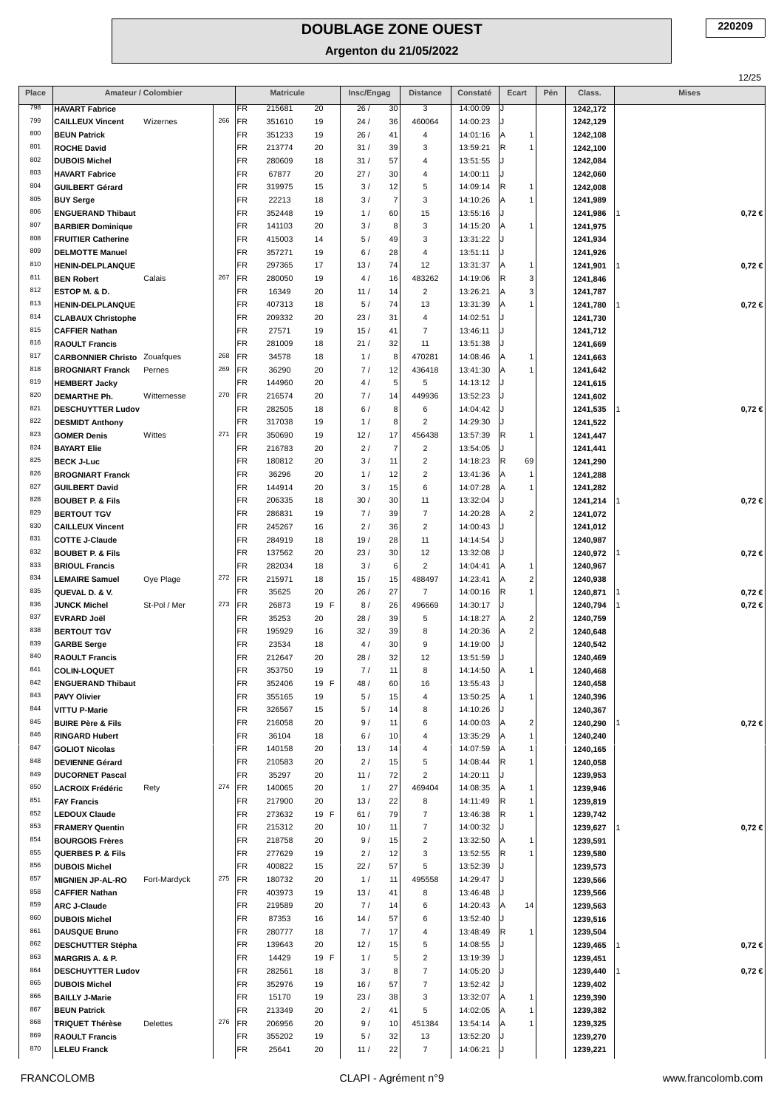**Argenton du 21/05/2022**

|            |                                                      |                     |     |                        |                  |          |            |                |                                  |                      |                                                |     |                      | 12/25        |
|------------|------------------------------------------------------|---------------------|-----|------------------------|------------------|----------|------------|----------------|----------------------------------|----------------------|------------------------------------------------|-----|----------------------|--------------|
| Place      |                                                      | Amateur / Colombier |     |                        | <b>Matricule</b> |          | Insc/Engag |                | <b>Distance</b>                  | Constaté             | Ecart                                          | Pén | Class.               | <b>Mises</b> |
| 798        | <b>HAVART Fabrice</b>                                |                     |     | FR.                    | 215681           | 20       | 26/        | 30             | 3                                | 14:00:09             |                                                |     | 1242,172             |              |
| 799        | <b>CAILLEUX Vincent</b>                              | Wizernes            | 266 | FR                     | 351610           | 19       | 24/        | 36             | 460064                           | 14:00:23             |                                                |     | 1242,129             |              |
| 800        | <b>BEUN Patrick</b>                                  |                     |     | FR                     | 351233           | 19       | 26/        | 41             | $\overline{4}$                   | 14:01:16             | A<br>1                                         |     | 1242,108             |              |
| 801<br>802 | <b>ROCHE David</b>                                   |                     |     | FR                     | 213774           | 20       | 31/        | 39             | 3                                | 13:59:21             | R<br>$\mathbf{1}$                              |     | 1242,100             |              |
| 803        | <b>DUBOIS Michel</b><br><b>HAVART Fabrice</b>        |                     |     | FR<br>FR               | 280609<br>67877  | 18<br>20 | 31/<br>27/ | 57<br>30       | $\overline{a}$<br>$\overline{4}$ | 13:51:55<br>14:00:11 | J<br>J                                         |     | 1242,084<br>1242,060 |              |
| 804        | <b>GUILBERT Gérard</b>                               |                     |     | FR                     | 319975           | 15       | 3/         | 12             | $\,$ 5 $\,$                      | 14:09:14             | R.<br>1                                        |     | 1242,008             |              |
| 805        | <b>BUY Serge</b>                                     |                     |     | FR                     | 22213            | 18       | 3/         | $\overline{7}$ | 3                                | 14:10:26             | A<br>1                                         |     | 1241,989             |              |
| 806        | <b>ENGUERAND Thibaut</b>                             |                     |     | FR                     | 352448           | 19       | 1/         | 60             | 15                               | 13:55:16             | J                                              |     | 1241,986             | $0,72 \in$   |
| 807        | <b>BARBIER Dominique</b>                             |                     |     | FR                     | 141103           | 20       | 3/         | 8              | $_{\rm 3}$                       | 14:15:20             | ΙA<br>1                                        |     | 1241,975             |              |
| 808        | <b>FRUITIER Catherine</b>                            |                     |     | FR                     | 415003           | 14       | 5/         | 49             | 3                                | 13:31:22             | J                                              |     | 1241,934             |              |
| 809        | <b>DELMOTTE Manuel</b>                               |                     |     | FR                     | 357271           | 19       | 6/         | 28             | $\overline{4}$                   | 13:51:11             | IJ                                             |     | 1241,926             |              |
| 810        | <b>HENIN-DELPLANQUE</b>                              |                     |     | FR                     | 297365           | 17       | 13/        | 74             | 12                               | 13:31:37             | A<br>1                                         |     | 1241,901             | $0,72 \in$   |
| 811        | <b>BEN Robert</b>                                    | Calais              | 267 | FR                     | 280050           | 19       | 4/         | 16             | 483262                           | 14:19:06             | 3<br>R                                         |     | 1241,846             |              |
| 812        | ESTOP M. & D.                                        |                     |     | FR                     | 16349            | 20       | 11/        | 14             | $\overline{2}$                   | 13:26:21             | 3<br>ΙA                                        |     | 1241,787             |              |
| 813<br>814 | <b>HENIN-DELPLANQUE</b>                              |                     |     | <b>FR</b>              | 407313           | 18       | 5/         | 74             | 13                               | 13:31:39             | 1<br>ΙA<br>J.                                  |     | 1241,780             | $0,72 \in$   |
| 815        | <b>CLABAUX Christophe</b><br><b>CAFFIER Nathan</b>   |                     |     | FR<br>FR               | 209332<br>27571  | 20       | 23/<br>15/ | 31<br>41       | $\overline{4}$<br>$\overline{7}$ | 14:02:51<br>13:46:11 | IJ                                             |     | 1241,730             |              |
| 816        | <b>RAOULT Francis</b>                                |                     |     | FR                     | 281009           | 19<br>18 | 21/        | 32             | 11                               | 13:51:38             |                                                |     | 1241,712<br>1241,669 |              |
| 817        | <b>CARBONNIER Christo</b> Zouafques                  |                     | 268 | FR                     | 34578            | 18       | 1/         | 8              | 470281                           | 14:08:46             | A<br>$\mathbf{1}$                              |     | 1241,663             |              |
| 818        | <b>BROGNIART Franck</b>                              | Pernes              | 269 | FR                     | 36290            | 20       | 7/         | 12             | 436418                           | 13:41:30             | $\mathbf{1}$<br>ΙA                             |     | 1241,642             |              |
| 819        | <b>HEMBERT Jacky</b>                                 |                     |     | FR                     | 144960           | 20       | 4/         | 5              | 5                                | 14:13:12             |                                                |     | 1241,615             |              |
| 820        | <b>DEMARTHE Ph.</b>                                  | Witternesse         | 270 | FR                     | 216574           | 20       | 7/         | 14             | 449936                           | 13:52:23             | J                                              |     | 1241,602             |              |
| 821        | <b>DESCHUYTTER Ludov</b>                             |                     |     | FR                     | 282505           | 18       | 6/         | 8              | 6                                | 14:04:42             |                                                |     | 1241,535             | $0,72 \in$   |
| 822        | <b>DESMIDT Anthony</b>                               |                     |     | FR                     | 317038           | 19       | 1/         | 8              | $\overline{2}$                   | 14:29:30             | J                                              |     | 1241,522             |              |
| 823        | <b>GOMER Denis</b>                                   | Wittes              | 271 | FR                     | 350690           | 19       | 12/        | 17             | 456438                           | 13:57:39             | R.<br>1                                        |     | 1241,447             |              |
| 824        | <b>BAYART Elie</b>                                   |                     |     | FR                     | 216783           | 20       | 2/         | $\overline{7}$ | $\overline{2}$                   | 13:54:05             | IJ                                             |     | 1241,441             |              |
| 825        | <b>BECK J-Luc</b>                                    |                     |     | FR                     | 180812           | 20       | 3/         | 11             | $\overline{2}$                   | 14:18:23             | R.<br>69                                       |     | 1241,290             |              |
| 826<br>827 | <b>BROGNIART Franck</b>                              |                     |     | FR<br>FR               | 36296            | 20       | 1/         | 12             | $\overline{2}$<br>6              | 13:41:36             | A<br>$\mathbf{1}$                              |     | 1241,288             |              |
| 828        | <b>GUILBERT David</b><br><b>BOUBET P. &amp; Fils</b> |                     |     | FR                     | 144914<br>206335 | 20<br>18 | 3/<br>30/  | 15<br>30       | 11                               | 14:07:28<br>13:32:04 | 1<br>ΙA<br>J                                   |     | 1241,282<br>1241,214 | 0,72€        |
| 829        | <b>BERTOUT TGV</b>                                   |                     |     | FR                     | 286831           | 19       | 7/         | 39             | $\overline{7}$                   | 14:20:28             | A<br>$\overline{2}$                            |     | 1241,072             |              |
| 830        | <b>CAILLEUX Vincent</b>                              |                     |     | FR                     | 245267           | 16       | 2/         | 36             | $\overline{2}$                   | 14:00:43             |                                                |     | 1241,012             |              |
| 831        | <b>COTTE J-Claude</b>                                |                     |     | FR                     | 284919           | 18       | 19/        | 28             | 11                               | 14:14:54             | IJ                                             |     | 1240,987             |              |
| 832        | <b>BOUBET P. &amp; Fils</b>                          |                     |     | FR                     | 137562           | 20       | 23/        | 30             | 12                               | 13:32:08             | J                                              |     | 1240,972             | $0,72 \in$   |
| 833        | <b>BRIOUL Francis</b>                                |                     |     | FR                     | 282034           | 18       | 3/         | 6              | $\overline{2}$                   | 14:04:41             | ΙA<br>$\mathbf{1}$                             |     | 1240,967             |              |
| 834        | <b>LEMAIRE Samuel</b>                                | Oye Plage           | 272 | FR                     | 215971           | 18       | 15/        | 15             | 488497                           | 14:23:41             | $\overline{c}$<br>A                            |     | 1240,938             |              |
| 835        | QUEVAL D. & V.                                       |                     |     | FR                     | 35625            | 20       | 26/        | 27             | $\overline{7}$                   | 14:00:16             | R<br>$\mathbf{1}$                              |     | 1240,871             | $0,72 \in$   |
| 836        | <b>JUNCK Michel</b>                                  | St-Pol / Mer        | 273 | FR                     | 26873            | 19 F     | 8/         | 26             | 496669                           | 14:30:17             | J                                              |     | 1240,794             | $0,72 \in$   |
| 837<br>838 | <b>EVRARD Joël</b>                                   |                     |     | <b>FR</b>              | 35253            | 20       | 28/        | 39             | 5                                | 14:18:27             | $\overline{\mathbf{c}}$<br>A<br>$\overline{2}$ |     | 1240,759             |              |
| 839        | <b>BERTOUT TGV</b>                                   |                     |     | <b>FR</b><br><b>FR</b> | 195929<br>23534  | 16<br>18 | 32/<br>4/  | 39<br>30       | 8<br>9                           | 14:20:36<br>14:19:00 | ΙA<br>J                                        |     | 1240,648<br>1240,542 |              |
| 840        | <b>GARBE Serge</b><br><b>RAOULT Francis</b>          |                     |     | <b>FR</b>              | 212647           | 20       | 28/        | 32             | 12                               | 13:51:59             |                                                |     | 1240.469             |              |
| 841        | <b>COLIN-LOQUET</b>                                  |                     |     | <b>FR</b>              | 353750           | 19       | 7/         | 11             | 8                                | 14:14:50             | ΙA<br>1                                        |     | 1240,468             |              |
| 842        | <b>ENGUERAND Thibaut</b>                             |                     |     | FR                     | 352406           | 19 F     | 48 /       | 60             | 16                               | 13:55:43             |                                                |     | 1240,458             |              |
| 843        | PAVY Olivier                                         |                     |     | FR                     | 355165           | 19       | 5/         | 15             | $\overline{4}$                   | 13:50:25             | A<br>1                                         |     | 1240,396             |              |
| 844        | <b>VITTU P-Marie</b>                                 |                     |     | FR                     | 326567           | 15       | 5/         | 14             | 8                                | 14:10:26             |                                                |     | 1240,367             |              |
| 845        | <b>BUIRE Père &amp; Fils</b>                         |                     |     | FR                     | 216058           | 20       | 9/         | 11             | 6                                | 14:00:03             | $\overline{\mathbf{c}}$<br>ΙA                  |     | 1240,290             | $0,72 \in$   |
| 846        | <b>RINGARD Hubert</b>                                |                     |     | FR.                    | 36104            | 18       | 6/         | 10             | $\overline{4}$                   | 13:35:29             | $\mathbf{1}$<br>lA                             |     | 1240,240             |              |
| 847        | <b>GOLIOT Nicolas</b>                                |                     |     | FR                     | 140158           | 20       | 13/        | 14             | 4                                | 14:07:59             | ΙA<br>1                                        |     | 1240,165             |              |
| 848<br>849 | <b>DEVIENNE Gérard</b>                               |                     |     | FR<br>FR               | 210583           | 20       | 2/         | 15             | $\,$ 5 $\,$<br>$\overline{c}$    | 14:08:44             | R<br>1<br>IJ                                   |     | 1240,058             |              |
| 850        | <b>DUCORNET Pascal</b><br><b>LACROIX Frédéric</b>    | Rety                | 274 | FR                     | 35297<br>140065  | 20<br>20 | 11/<br>1/  | 72<br>27       | 469404                           | 14:20:11<br>14:08:35 | $\mathbf{1}$                                   |     | 1239,953<br>1239,946 |              |
| 851        | <b>FAY Francis</b>                                   |                     |     | FR                     | 217900           | 20       | 13/        | 22             | 8                                | 14:11:49             | R<br>1                                         |     | 1239,819             |              |
| 852        | <b>LEDOUX Claude</b>                                 |                     |     | FR.                    | 273632           | 19 F     | 61/        | 79             | $\overline{7}$                   | 13:46:38             | R.<br>1                                        |     | 1239,742             |              |
| 853        | <b>FRAMERY Quentin</b>                               |                     |     | FR                     | 215312           | 20       | 10/        | 11             | $\overline{7}$                   | 14:00:32             |                                                |     | 1239,627             | $0,72 \in$   |
| 854        | <b>BOURGOIS Frères</b>                               |                     |     | FR                     | 218758           | 20       | 9/         | 15             | $\overline{2}$                   | 13:32:50             | lA<br>1                                        |     | 1239,591             |              |
| 855        | <b>QUERBES P. &amp; Fils</b>                         |                     |     | FR                     | 277629           | 19       | 2/         | 12             | 3                                | 13:52:55             | R.<br>1                                        |     | 1239,580             |              |
| 856        | <b>DUBOIS Michel</b>                                 |                     |     | FR                     | 400822           | 15       | 22/        | 57             | 5                                | 13:52:39             |                                                |     | 1239,573             |              |
| 857        | <b>MIGNIEN JP-AL-RO</b>                              | Fort-Mardyck        | 275 | FR                     | 180732           | 20       | 1/         | 11             | 495558                           | 14:29:47             | IJ                                             |     | 1239,566             |              |
| 858        | <b>CAFFIER Nathan</b>                                |                     |     | FR                     | 403973           | 19       | 13/        | 41             | 8                                | 13:46:48             |                                                |     | 1239,566             |              |
| 859<br>860 | <b>ARC J-Claude</b>                                  |                     |     | FR                     | 219589           | 20       | 7/         | 14             | 6                                | 14:20:43             | A<br>14                                        |     | 1239,563             |              |
| 861        | <b>DUBOIS Michel</b><br><b>DAUSQUE Bruno</b>         |                     |     | FR<br>FR               | 87353<br>280777  | 16<br>18 | 14/<br>7/  | 57<br>17       | 6<br>$\overline{4}$              | 13:52:40<br>13:48:49 | IJ<br>R<br>1                                   |     | 1239,516<br>1239,504 |              |
| 862        | <b>DESCHUTTER Stépha</b>                             |                     |     | FR                     | 139643           | 20       | 12/        | 15             | 5                                | 14:08:55             |                                                |     | 1239,465             | $0,72 \in$   |
| 863        | <b>MARGRIS A. &amp; P.</b>                           |                     |     | FR.                    | 14429            | 19 F     | 1/         | 5              | $\overline{2}$                   | 13:19:39             | J                                              |     | 1239,451             |              |
| 864        | <b>DESCHUYTTER Ludov</b>                             |                     |     | FR                     | 282561           | 18       | 3/         | 8              | $\overline{7}$                   | 14:05:20             |                                                |     | 1239,440             | $0,72 \in$   |
| 865        | <b>DUBOIS Michel</b>                                 |                     |     | <b>FR</b>              | 352976           | 19       | 16/        | 57             | $\overline{7}$                   | 13:52:42             |                                                |     | 1239,402             |              |
| 866        | <b>BAILLY J-Marie</b>                                |                     |     | FR.                    | 15170            | 19       | 23/        | 38             | 3                                | 13:32:07             | A<br>1                                         |     | 1239,390             |              |
| 867        | <b>BEUN Patrick</b>                                  |                     |     | FR                     | 213349           | 20       | 2/         | 41             | 5                                | 14:02:05             | $\mathbf{1}$<br>ΙA                             |     | 1239,382             |              |
| 868        | <b>TRIQUET Thérèse</b>                               | <b>Delettes</b>     | 276 | FR                     | 206956           | 20       | 9/         | 10             | 451384                           | 13:54:14             | A<br>1                                         |     | 1239,325             |              |
| 869        | <b>RAOULT Francis</b>                                |                     |     | FR                     | 355202           | 19       | 5/         | 32             | 13                               | 13:52:20             |                                                |     | 1239,270             |              |
| 870        | <b>LELEU Franck</b>                                  |                     |     | FR                     | 25641            | 20       | 11/        | 22             | $\overline{7}$                   | 14:06:21             |                                                |     | 1239,221             |              |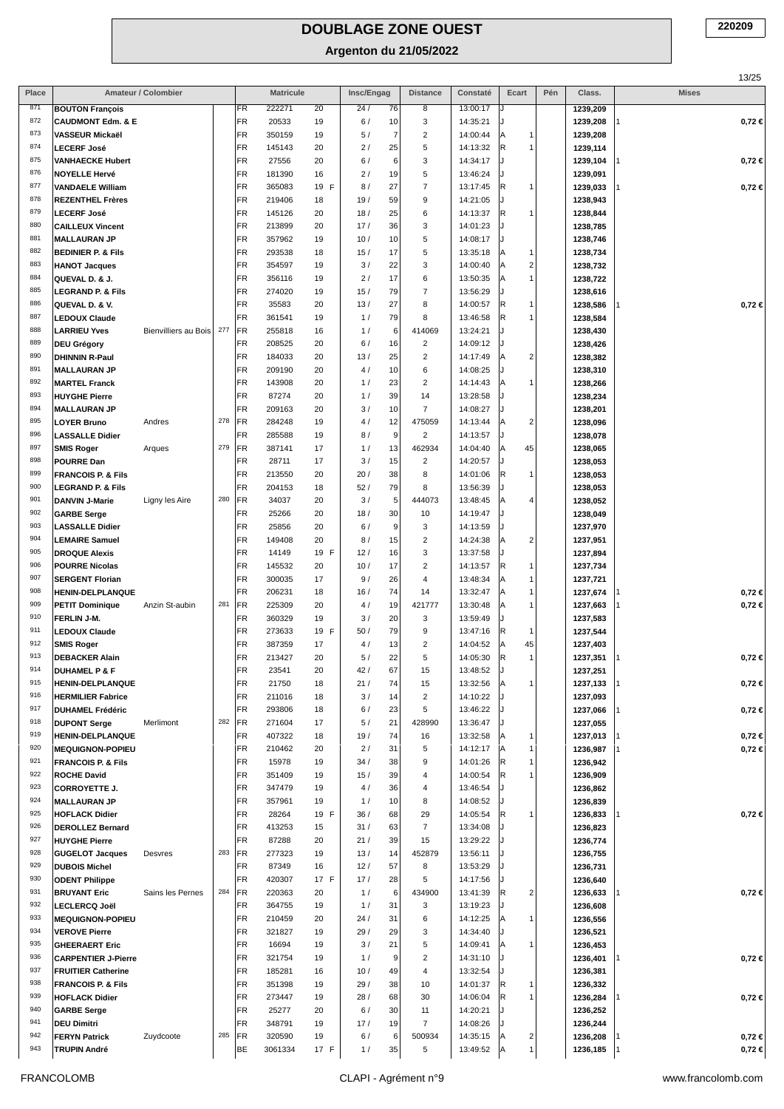|            |                                                               |                      |     |           |                  |            |            |          |                          |                      |                             |     |                      |              | 13/25      |
|------------|---------------------------------------------------------------|----------------------|-----|-----------|------------------|------------|------------|----------|--------------------------|----------------------|-----------------------------|-----|----------------------|--------------|------------|
| Place      |                                                               | Amateur / Colombier  |     |           | <b>Matricule</b> |            | Insc/Engag |          | <b>Distance</b>          | Constaté             | Ecart                       | Pén | Class.               | <b>Mises</b> |            |
| 871        | <b>BOUTON François</b>                                        |                      |     | FR        | 222271           | 20         | 24/        | 76       | 8                        | 13:00:17             |                             |     | 1239,209             |              |            |
| 872        | <b>CAUDMONT Edm. &amp; E</b>                                  |                      |     | FR        | 20533            | 19         | 6/         | 10       | 3                        | 14:35:21             |                             |     | 1239,208             |              | $0,72 \in$ |
| 873        | VASSEUR Mickaël                                               |                      |     | FR        | 350159           | 19         | 5/         | 7        | $\overline{2}$           | 14:00:44             | Α<br>1                      |     | 1239,208             |              |            |
| 874<br>875 | <b>LECERF José</b>                                            |                      |     | FR        | 145143           | 20         | 2/         | 25       | 5                        | 14:13:32             | R<br>$\mathbf{1}$           |     | 1239,114             |              |            |
| 876        | <b>VANHAECKE Hubert</b><br><b>NOYELLE Hervé</b>               |                      |     | FR<br>FR  | 27556<br>181390  | 20<br>16   | 6/<br>2/   | 6<br>19  | 3<br>5                   | 14:34:17<br>13:46:24 | J.                          |     | 1239,104<br>1239,091 |              | $0,72 \in$ |
| 877        | <b>VANDAELE William</b>                                       |                      |     | FR        | 365083           | 19 F       | 8/         | 27       | 7                        | 13:17:45             | R<br>$\mathbf{1}$           |     | 1239,033             |              | $0,72 \in$ |
| 878        | <b>REZENTHEL Frères</b>                                       |                      |     | FR        | 219406           | 18         | 19/        | 59       | 9                        | 14:21:05             | J.                          |     | 1238,943             |              |            |
| 879        | <b>LECERF José</b>                                            |                      |     | FR        | 145126           | 20         | 18/        | 25       | 6                        | 14:13:37             | R<br>1                      |     | 1238,844             |              |            |
| 880        | <b>CAILLEUX Vincent</b>                                       |                      |     | FR        | 213899           | 20         | 17/        | 36       | 3                        | 14:01:23             |                             |     | 1238,785             |              |            |
| 881        | <b>MALLAURAN JP</b>                                           |                      |     | FR        | 357962           | 19         | 10/        | 10       | 5                        | 14:08:17             | J.                          |     | 1238,746             |              |            |
| 882        | <b>BEDINIER P. &amp; Fils</b>                                 |                      |     | FR        | 293538           | 18         | 15/        | 17       | 5                        | 13:35:18             | Α<br>$\mathbf{1}$           |     | 1238,734             |              |            |
| 883        | <b>HANOT Jacques</b>                                          |                      |     | FR        | 354597           | 19         | 3/         | 22       | 3                        | 14:00:40             | $\mathbf{2}$<br>Α           |     | 1238,732             |              |            |
| 884        | QUEVAL D. & J.                                                |                      |     | FR        | 356116           | 19         | 2/         | 17       | 6                        | 13:50:35             | $\mathbf{1}$<br>Α           |     | 1238,722             |              |            |
| 885<br>886 | <b>LEGRAND P. &amp; Fils</b>                                  |                      |     | FR        | 274020           | 19         | 15/        | 79       | $\overline{7}$           | 13:56:29             | J.                          |     | 1238,616             |              |            |
| 887        | QUEVAL D. & V.                                                |                      |     | FR<br>FR  | 35583<br>361541  | 20         | 13/        | 27<br>79 | 8<br>8                   | 14:00:57<br>13:46:58 | R<br>1<br>R<br>$\mathbf{1}$ |     | 1238,586             |              | $0,72 \in$ |
| 888        | <b>LEDOUX Claude</b><br><b>LARRIEU Yves</b>                   | Bienvilliers au Bois | 277 | FR        | 255818           | 19<br>16   | 1/<br>1/   | 6        | 414069                   | 13:24:21             | J.                          |     | 1238,584<br>1238,430 |              |            |
| 889        | <b>DEU Grégory</b>                                            |                      |     | FR        | 208525           | 20         | 6/         | 16       | $\overline{\mathbf{c}}$  | 14:09:12             |                             |     | 1238,426             |              |            |
| 890        | <b>DHINNIN R-Paul</b>                                         |                      |     | FR        | 184033           | 20         | 13/        | 25       | $\overline{\mathbf{c}}$  | 14:17:49             | 2 <br>A                     |     | 1238,382             |              |            |
| 891        | <b>MALLAURAN JP</b>                                           |                      |     | FR        | 209190           | 20         | 4/         | 10       | 6                        | 14:08:25             |                             |     | 1238,310             |              |            |
| 892        | <b>MARTEL Franck</b>                                          |                      |     | FR        | 143908           | 20         | 1/         | 23       | $\overline{\mathbf{c}}$  | 14:14:43             | Α<br>$\mathbf{1}$           |     | 1238,266             |              |            |
| 893        | <b>HUYGHE Pierre</b>                                          |                      |     | FR        | 87274            | 20         | 1/         | 39       | 14                       | 13:28:58             | J                           |     | 1238,234             |              |            |
| 894        | <b>MALLAURAN JP</b>                                           |                      |     | FR        | 209163           | 20         | 3/         | 10       | $\overline{7}$           | 14:08:27             |                             |     | 1238,201             |              |            |
| 895        | <b>LOYER Bruno</b>                                            | Andres               | 278 | FR        | 284248           | 19         | 4/         | 12       | 475059                   | 14:13:44             | $\vert$ 2<br>A              |     | 1238,096             |              |            |
| 896        | <b>LASSALLE Didier</b>                                        |                      |     | <b>FR</b> | 285588           | 19         | 8/         | 9        | $\overline{c}$           | 14:13:57             | J                           |     | 1238,078             |              |            |
| 897        | <b>SMIS Roger</b>                                             | Arques               | 279 | FR        | 387141           | 17         | 1/         | 13       | 462934                   | 14:04:40             | 45<br>Α                     |     | 1238,065             |              |            |
| 898<br>899 | <b>POURRE Dan</b>                                             |                      |     | FR<br>FR  | 28711            | 17         | 3/         | 15       | $\overline{\mathbf{c}}$  | 14:20:57             | J.<br>1                     |     | 1238,053             |              |            |
| 900        | <b>FRANCOIS P. &amp; Fils</b><br><b>LEGRAND P. &amp; Fils</b> |                      |     | FR        | 213550<br>204153 | 20<br>18   | 20/<br>52/ | 38<br>79 | 8<br>8                   | 14:01:06<br>13:56:39 | R                           |     | 1238,053<br>1238,053 |              |            |
| 901        | <b>DANVIN J-Marie</b>                                         | Ligny les Aire       | 280 | FR        | 34037            | 20         | 3/         | 5        | 444073                   | 13:48:45             | 4 <sup>1</sup><br>Α         |     | 1238,052             |              |            |
| 902        | <b>GARBE Serge</b>                                            |                      |     | FR        | 25266            | 20         | 18/        | 30       | 10                       | 14:19:47             | J.                          |     | 1238,049             |              |            |
| 903        | <b>LASSALLE Didier</b>                                        |                      |     | FR        | 25856            | 20         | 6/         | 9        | 3                        | 14:13:59             |                             |     | 1237,970             |              |            |
| 904        | <b>LEMAIRE Samuel</b>                                         |                      |     | FR        | 149408           | 20         | 8/         | 15       | $\overline{\mathbf{c}}$  | 14:24:38             | $\mathbf{2}$<br>Α           |     | 1237,951             |              |            |
| 905        | <b>DROQUE Alexis</b>                                          |                      |     | FR        | 14149            | 19 F       | 12/        | 16       | 3                        | 13:37:58             | J.                          |     | 1237,894             |              |            |
| 906        | <b>POURRE Nicolas</b>                                         |                      |     | FR        | 145532           | 20         | 10/        | 17       | 2                        | 14:13:57             | R<br>1                      |     | 1237,734             |              |            |
| 907        | <b>SERGENT Florian</b>                                        |                      |     | FR        | 300035           | 17         | 9/         | 26       | 4                        | 13:48:34             | $\mathbf{1}$<br>Α           |     | 1237,721             |              |            |
| 908        | <b>HENIN-DELPLANQUE</b>                                       |                      |     | FR        | 206231           | 18         | 16/        | 74       | 14                       | 13:32:47             | A<br>$\mathbf{1}$           |     | 1237,674             |              | $0,72 \in$ |
| 909        | <b>PETIT Dominique</b>                                        | Anzin St-aubin       | 281 | FR        | 225309           | 20         | 4/         | 19       | 421777                   | 13:30:48             | $\mathbf{1}$<br>Α           |     | 1237,663             |              | $0,72 \in$ |
| 910<br>911 | FERLIN J-M.<br><b>LEDOUX Claude</b>                           |                      |     | FR<br>FR  | 360329<br>273633 | 19<br>19 F | 3/<br>50 / | 20<br>79 | 3<br>9                   | 13:59:49<br>13:47:16 | J<br>R<br>$\mathbf{1}$      |     | 1237,583             |              |            |
| 912        | <b>SMIS Roger</b>                                             |                      |     | FR        | 387359           | 17         | 4/         | 13       | $\overline{\mathbf{c}}$  | 14:04:52             | 45<br> A                    |     | 1237,544<br>1237,403 |              |            |
| 913        | <b>DEBACKER Alain</b>                                         |                      |     | <b>FR</b> | 213427           | 20         | 5/         | 22       | 5                        | 14:05:30             | R<br>1                      |     | 1237.351             |              | 0,72€      |
| 914        | <b>DUHAMEL P &amp; F</b>                                      |                      |     | FR        | 23541            | 20         | 42/        | 67       | 15                       | 13:48:52             |                             |     | 1237,251             |              |            |
| 915        | <b>HENIN-DELPLANQUE</b>                                       |                      |     | FR        | 21750            | 18         | 21/        | 74       | 15                       | 13:32:56             | Α<br>1                      |     | 1237,133             |              | $0,72 \in$ |
| 916        | <b>HERMILIER Fabrice</b>                                      |                      |     | FR        | 211016           | 18         | 3/         | 14       | $\overline{\mathbf{c}}$  | 14:10:22             |                             |     | 1237,093             |              |            |
| 917        | <b>DUHAMEL Frédéric</b>                                       |                      |     | FR        | 293806           | 18         | 6/         | 23       | 5                        | 13:46:22             |                             |     | 1237,066             |              | $0,72 \in$ |
| 918        | <b>DUPONT Serge</b>                                           | Merlimont            | 282 | FR        | 271604           | 17         | 5/         | 21       | 428990                   | 13:36:47             |                             |     | 1237,055             |              |            |
| 919        | HENIN-DELPLANQUE                                              |                      |     | FR        | 407322           | 18         | 19/        | 74       | 16                       | 13:32:58             | Α<br>1                      |     | 1237,013             |              | $0,72 \in$ |
| 920<br>921 | <b>MEQUIGNON-POPIEU</b><br><b>FRANCOIS P. &amp; Fils</b>      |                      |     | FR<br>FR  | 210462<br>15978  | 20<br>19   | 2/<br>34/  | 31<br>38 | 5<br>9                   | 14:12:17<br>14:01:26 | A<br>1<br>R<br>1            |     | 1236,987<br>1236,942 |              | $0,72 \in$ |
| 922        | <b>ROCHE David</b>                                            |                      |     | FR        | 351409           | 19         | 15/        | 39       | 4                        | 14:00:54             | R<br>1                      |     | 1236,909             |              |            |
| 923        | <b>CORROYETTE J.</b>                                          |                      |     | FR        | 347479           | 19         | 4/         | 36       | 4                        | 13:46:54             |                             |     | 1236,862             |              |            |
| 924        | <b>MALLAURAN JP</b>                                           |                      |     | FR        | 357961           | 19         | 1/         | 10       | 8                        | 14:08:52             |                             |     | 1236,839             |              |            |
| 925        | <b>HOFLACK Didier</b>                                         |                      |     | FR        | 28264            | 19 F       | 36/        | 68       | 29                       | 14:05:54             | R<br>1                      |     | 1236,833             |              | $0,72 \in$ |
| 926        | <b>DEROLLEZ Bernard</b>                                       |                      |     | FR        | 413253           | 15         | 31/        | 63       | $\overline{\mathcal{I}}$ | 13:34:08             |                             |     | 1236,823             |              |            |
| 927        | <b>HUYGHE Pierre</b>                                          |                      |     | FR        | 87288            | 20         | 21/        | 39       | 15                       | 13:29:22             |                             |     | 1236,774             |              |            |
| 928        | <b>GUGELOT Jacques</b>                                        | Desvres              | 283 | FR        | 277323           | 19         | 13/        | 14       | 452879                   | 13:56:11             | J.                          |     | 1236,755             |              |            |
| 929        | <b>DUBOIS Michel</b>                                          |                      |     | FR        | 87349            | 16         | 12/        | 57       | 8                        | 13:53:29             |                             |     | 1236,731             |              |            |
| 930<br>931 | <b>ODENT Philippe</b>                                         |                      | 284 | FR<br>FR  | 420307           | 17 F       | 17/        | 28<br>6  | 5<br>434900              | 14:17:56             | R                           |     | 1236,640             |              | $0,72 \in$ |
| 932        | <b>BRUYANT Eric</b><br><b>LECLERCQ Joël</b>                   | Sains les Pernes     |     | FR        | 220363<br>364755 | 20<br>19   | 1/<br>1/   | 31       | 3                        | 13:41:39<br>13:19:23 | 2                           |     | 1236,633<br>1236,608 |              |            |
| 933        | <b>MEQUIGNON-POPIEU</b>                                       |                      |     | FR        | 210459           | 20         | 24/        | 31       | 6                        | 14:12:25             | 1<br>Α                      |     | 1236,556             |              |            |
| 934        | <b>VEROVE Pierre</b>                                          |                      |     | FR        | 321827           | 19         | 29/        | 29       | 3                        | 14:34:40             |                             |     | 1236,521             |              |            |
| 935        | <b>GHEERAERT Eric</b>                                         |                      |     | FR        | 16694            | 19         | 3/         | 21       | 5                        | 14:09:41             | 1<br>ΙA                     |     | 1236,453             |              |            |
| 936        | <b>CARPENTIER J-Pierre</b>                                    |                      |     | FR        | 321754           | 19         | 1/         | 9        | $\overline{c}$           | 14:31:10             |                             |     | 1236,401             |              | 0,72 ∈     |
| 937        | <b>FRUITIER Catherine</b>                                     |                      |     | FR        | 185281           | 16         | 10/        | 49       | 4                        | 13:32:54             |                             |     | 1236,381             |              |            |
| 938        | <b>FRANCOIS P. &amp; Fils</b>                                 |                      |     | FR        | 351398           | 19         | 29/        | 38       | 10                       | 14:01:37             | R<br>1                      |     | 1236,332             |              |            |
| 939        | <b>HOFLACK Didier</b>                                         |                      |     | FR        | 273447           | 19         | 28/        | 68       | 30                       | 14:06:04             | R<br>1                      |     | 1236,284             |              | $0,72 \in$ |
| 940<br>941 | <b>GARBE Serge</b>                                            |                      |     | FR        | 25277            | 20         | 6/         | 30       | 11                       | 14:20:21             |                             |     | 1236,252             |              |            |
| 942        | <b>DEU Dimitri</b><br><b>FERYN Patrick</b>                    | Zuydcoote            | 285 | FR<br>FR  | 348791<br>320590 | 19<br>19   | 17/<br>6/  | 19<br>6  | $\overline{7}$<br>500934 | 14:08:26<br>14:35:15 | $\mathbf{2}$<br>Α           |     | 1236,244<br>1236,208 |              | 0,72 ∈     |
| 943        | <b>TRUPIN André</b>                                           |                      |     | BE        | 3061334          | 17 F       | 1/         | 35       | 5                        | 13:49:52             | $\mathbf{1}$<br>Α           |     | 1236,185             |              | $0,72 \in$ |
|            |                                                               |                      |     |           |                  |            |            |          |                          |                      |                             |     |                      |              |            |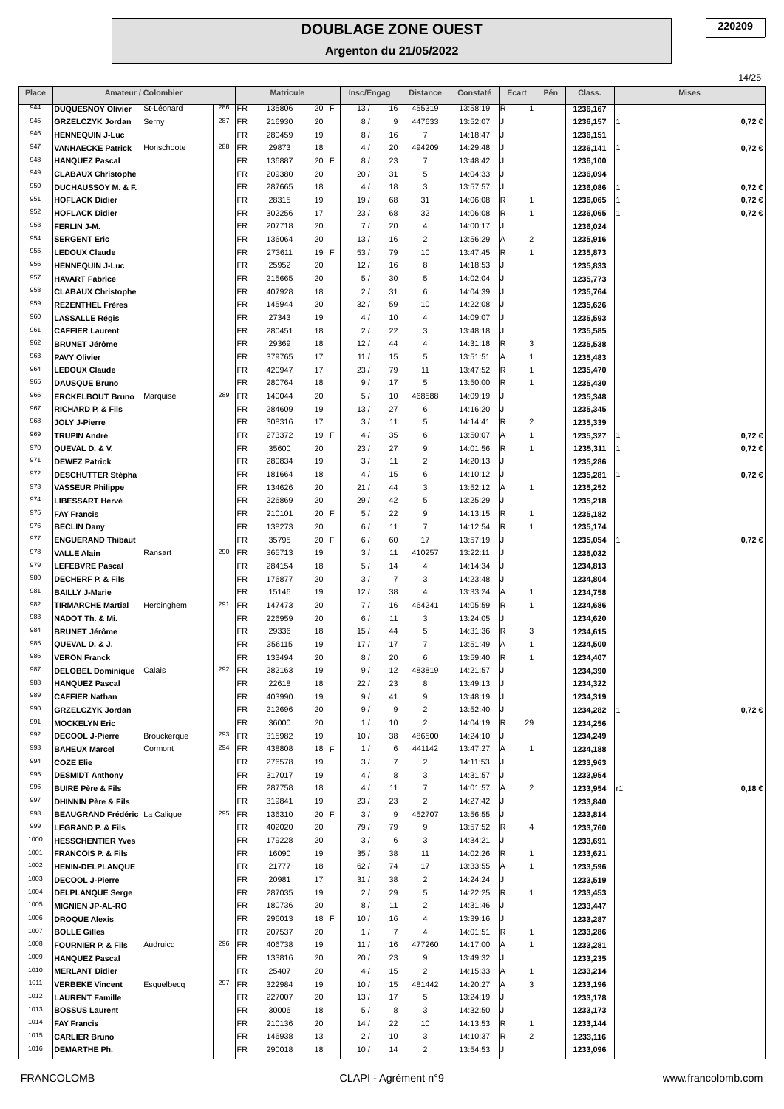|              |                                                                |                     |            |                        |                  |            |            |                |                              |                      |                                           |     |                      | 14/25        |
|--------------|----------------------------------------------------------------|---------------------|------------|------------------------|------------------|------------|------------|----------------|------------------------------|----------------------|-------------------------------------------|-----|----------------------|--------------|
| Place        |                                                                | Amateur / Colombier |            |                        | <b>Matricule</b> |            | Insc/Engag |                | <b>Distance</b>              | Constaté             | Ecart                                     | Pén | Class.               | <b>Mises</b> |
| 944<br>945   | <b>DUQUESNOY Olivier</b><br><b>GRZELCZYK Jordan</b>            | St-Léonard<br>Serny | 286<br>287 | <b>FR</b><br><b>FR</b> | 135806<br>216930 | 20 F<br>20 | 13/<br>8/  | 16<br>9        | 455319<br>447633             | 13:58:19<br>13:52:07 | R<br>1                                    |     | 1236,167<br>1236,157 | $0,72 \in$   |
| 946          | <b>HENNEQUIN J-Luc</b>                                         |                     |            | <b>FR</b>              | 280459           | 19         | 8/         | 16             | $\overline{7}$               | 14:18:47             |                                           |     | 1236,151             |              |
| 947          | <b>VANHAECKE Patrick</b>                                       | Honschoote          | 288        | FR                     | 29873            | 18         | 4/         | 20             | 494209                       | 14:29:48             |                                           |     | 1236,141             | $0,72 \in$   |
| 948          | <b>HANQUEZ Pascal</b>                                          |                     |            | <b>FR</b>              | 136887           | 20 F       | 8/         | 23             | $\overline{7}$               | 13:48:42             |                                           |     | 1236,100             |              |
| 949          | <b>CLABAUX Christophe</b>                                      |                     |            | FR                     | 209380           | 20         | 20/        | 31             | 5                            | 14:04:33             |                                           |     | 1236,094             |              |
| 950          | <b>DUCHAUSSOY M. &amp; F.</b>                                  |                     |            | FR                     | 287665           | 18         | 4/         | 18             | 3                            | 13:57:57             |                                           |     | 1236,086             | $0,72 \in$   |
| 951<br>952   | <b>HOFLACK Didier</b>                                          |                     |            | <b>FR</b><br>FR        | 28315            | 19         | 19/<br>23/ | 68<br>68       | 31<br>32                     | 14:06:08<br>14:06:08 | R<br>$\mathbf{1}$<br>R<br>$\mathbf{1}$    |     | 1236,065             | $0,72 \in$   |
| 953          | <b>HOFLACK Didier</b><br>FERLIN J-M.                           |                     |            | FR                     | 302256<br>207718 | 17<br>20   | 7/         | 20             | 4                            | 14:00:17             | J                                         |     | 1236,065<br>1236,024 | $0,72 \in$   |
| 954          | <b>SERGENT Eric</b>                                            |                     |            | FR                     | 136064           | 20         | 13/        | 16             | $\overline{\mathbf{c}}$      | 13:56:29             | $\overline{\mathbf{c}}$<br>Α              |     | 1235,916             |              |
| 955          | <b>LEDOUX Claude</b>                                           |                     |            | FR                     | 273611           | 19 F       | 53/        | 79             | 10                           | 13:47:45             | R<br>$\mathbf{1}$                         |     | 1235,873             |              |
| 956          | <b>HENNEQUIN J-Luc</b>                                         |                     |            | FR                     | 25952            | 20         | 12/        | 16             | 8                            | 14:18:53             |                                           |     | 1235,833             |              |
| 957          | <b>HAVART Fabrice</b>                                          |                     |            | FR                     | 215665           | 20         | 5/         | 30             | 5                            | 14:02:04             |                                           |     | 1235,773             |              |
| 958<br>959   | <b>CLABAUX Christophe</b>                                      |                     |            | FR                     | 407928           | 18         | 2/         | 31             | 6                            | 14:04:39             |                                           |     | 1235,764             |              |
| 960          | <b>REZENTHEL Frères</b><br><b>LASSALLE Régis</b>               |                     |            | FR<br>FR               | 145944<br>27343  | 20<br>19   | 32/<br>4/  | 59<br>10       | 10<br>4                      | 14:22:08<br>14:09:07 |                                           |     | 1235,626<br>1235,593 |              |
| 961          | <b>CAFFIER Laurent</b>                                         |                     |            | FR                     | 280451           | 18         | 2/         | 22             | 3                            | 13:48:18             |                                           |     | 1235,585             |              |
| 962          | <b>BRUNET Jérôme</b>                                           |                     |            | FR                     | 29369            | 18         | 12/        | 44             | 4                            | 14:31:18             | R<br>3                                    |     | 1235,538             |              |
| 963          | <b>PAVY Olivier</b>                                            |                     |            | FR                     | 379765           | 17         | 11/        | 15             | 5                            | 13:51:51             | $\mathbf{1}$<br>Α                         |     | 1235,483             |              |
| 964          | <b>LEDOUX Claude</b>                                           |                     |            | <b>FR</b>              | 420947           | 17         | 23/        | 79             | 11                           | 13:47:52             | R<br>$\mathbf{1}$                         |     | 1235,470             |              |
| 965          | <b>DAUSQUE Bruno</b>                                           |                     |            | <b>FR</b>              | 280764           | 18         | 9/         | 17             | 5                            | 13:50:00             | R<br>$\mathbf{1}$                         |     | 1235,430             |              |
| 966<br>967   | <b>ERCKELBOUT Bruno</b>                                        | Marquise            | 289        | FR                     | 140044           | 20         | 5/         | 10             | 468588                       | 14:09:19             | J                                         |     | 1235,348             |              |
| 968          | <b>RICHARD P. &amp; Fils</b><br>JOLY J-Pierre                  |                     |            | FR<br>FR               | 284609<br>308316 | 19<br>17   | 13/<br>3/  | 27<br>11       | 6<br>5                       | 14:16:20<br>14:14:41 | R<br>$\overline{\mathbf{c}}$              |     | 1235,345<br>1235,339 |              |
| 969          | <b>TRUPIN André</b>                                            |                     |            | FR                     | 273372           | 19<br>F    | 4/         | 35             | 6                            | 13:50:07             | $\mathbf{1}$<br>Α                         |     | 1235,327             | $0,72 \in$   |
| 970          | QUEVAL D. & V.                                                 |                     |            | FR                     | 35600            | 20         | 23/        | 27             | 9                            | 14:01:56             | R<br>$\mathbf{1}$                         |     | 1235,311             | 0,72€        |
| 971          | <b>DEWEZ Patrick</b>                                           |                     |            | <b>FR</b>              | 280834           | 19         | 3/         | 11             | $\overline{\mathbf{c}}$      | 14:20:13             | J                                         |     | 1235,286             |              |
| 972          | <b>DESCHUTTER Stépha</b>                                       |                     |            | FR                     | 181664           | 18         | 4/         | 15             | 6                            | 14:10:12             |                                           |     | 1235,281             | $0,72 \in$   |
| 973          | <b>VASSEUR Philippe</b>                                        |                     |            | FR                     | 134626           | 20         | 21/        | 44             | 3                            | 13:52:12             | Α<br>1                                    |     | 1235,252             |              |
| 974<br>975   | <b>LIBESSART Hervé</b>                                         |                     |            | <b>FR</b><br>FR        | 226869<br>210101 | 20<br>20 F | 29/<br>5/  | 42<br>22       | 5<br>9                       | 13:25:29<br>14:13:15 | $\cdot$<br>R<br>$\mathbf{1}$              |     | 1235,218             |              |
| 976          | <b>FAY Francis</b><br><b>BECLIN Dany</b>                       |                     |            | FR                     | 138273           | 20         | 6/         | 11             | $\overline{7}$               | 14:12:54             | R<br>1                                    |     | 1235,182<br>1235,174 |              |
| 977          | <b>ENGUERAND Thibaut</b>                                       |                     |            | <b>FR</b>              | 35795            | 20 F       | 6/         | 60             | 17                           | 13:57:19             |                                           |     | 1235,054             | 0,72€        |
| 978          | <b>VALLE Alain</b>                                             | Ransart             | 290        | FR                     | 365713           | 19         | 3/         | 11             | 410257                       | 13:22:11             |                                           |     | 1235,032             |              |
| 979          | <b>LEFEBVRE Pascal</b>                                         |                     |            | <b>FR</b>              | 284154           | 18         | 5/         | 14             | 4                            | 14:14:34             |                                           |     | 1234,813             |              |
| 980          | <b>DECHERF P. &amp; Fils</b>                                   |                     |            | <b>FR</b>              | 176877           | 20         | 3/         | $\overline{7}$ | 3                            | 14:23:48             |                                           |     | 1234,804             |              |
| 981<br>982   | <b>BAILLY J-Marie</b>                                          |                     |            | FR                     | 15146            | 19         | 12/        | 38             | 4                            | 13:33:24             | Α<br>$\mathbf{1}$                         |     | 1234,758             |              |
| 983          | <b>TIRMARCHE Martial</b><br>NADOT Th. & Mi.                    | Herbinghem          | 291        | <b>FR</b><br><b>FR</b> | 147473<br>226959 | 20<br>20   | 7/<br>6/   | 16<br>11       | 464241<br>3                  | 14:05:59<br>13:24:05 | $\mathsf R$<br>1<br>J.                    |     | 1234,686<br>1234,620 |              |
| 984          | <b>BRUNET Jérôme</b>                                           |                     |            | FR                     | 29336            | 18         | 15/        | 44             | 5                            | 14:31:36             | R<br>3                                    |     | 1234,615             |              |
| 985          | QUEVAL D. & J.                                                 |                     |            | <b>FR</b>              | 356115           | 19         | 17/        | 17             | 7                            | 13:51:49             | Α<br>1                                    |     | 1234,500             |              |
| 986          | <b>VERON Franck</b>                                            |                     |            | FR                     | 133494           | 20         | 8/         | 20             | 6                            | 13:59:40             | $\overline{\mathsf{R}}$<br>1 <sup>1</sup> |     | 1234,407             |              |
| 987          | DELOBEL Dominique Calais                                       |                     | 292        | FR                     | 282163           | 19         | 9/         | 12             | 483819                       | 14:21:57             |                                           |     | 1234,390             |              |
| 988          | <b>HANQUEZ Pascal</b>                                          |                     |            | FR                     | 22618            | 18         | 22/        | 23             | 8                            | 13:49:13             |                                           |     | 1234,322             |              |
| 989<br>990   | <b>CAFFIER Nathan</b>                                          |                     |            | FR<br>FR               | 403990<br>212696 | 19<br>20   | 9/<br>9/   | 41<br>9        | 9<br>$\overline{2}$          | 13:48:19<br>13:52:40 |                                           |     | 1234,319             |              |
| 991          | <b>GRZELCZYK Jordan</b><br><b>MOCKELYN Eric</b>                |                     |            | FR                     | 36000            | 20         | 1/         | 10             | $\overline{c}$               | 14:04:19             | 29<br>R                                   |     | 1234,282<br>1234,256 | $0,72 \in$   |
| 992          | DECOOL J-Pierre                                                | Brouckerque         | 293        | FR                     | 315982           | 19         | 10/        | 38             | 486500                       | 14:24:10             |                                           |     | 1234,249             |              |
| 993          | <b>BAHEUX Marcel</b>                                           | Cormont             | 294        | <b>FR</b>              | 438808           | 18 F       | 1/         | 6              | 441142                       | 13:47:27             | ΙA<br>1                                   |     | 1234,188             |              |
| 994          | <b>COZE Elie</b>                                               |                     |            | FR                     | 276578           | 19         | 3/         | 7              | $\overline{\mathbf{c}}$      | 14:11:53             |                                           |     | 1233,963             |              |
| 995          | <b>DESMIDT Anthony</b>                                         |                     |            | FR                     | 317017           | 19         | 4/         | 8              | 3                            | 14:31:57             |                                           |     | 1233,954             |              |
| 996<br>997   | <b>BUIRE Père &amp; Fils</b><br><b>DHINNIN Père &amp; Fils</b> |                     |            | FR<br>FR               | 287758<br>319841 | 18<br>19   | 4/<br>23/  | 11<br>23       | 7<br>$\overline{\mathbf{c}}$ | 14:01:57<br>14:27:42 | $\overline{\mathbf{c}}$<br>А              |     | 1233,954<br>1233,840 | 0,18€        |
| 998          | <b>BEAUGRAND Frédéric</b> La Calique                           |                     | 295        | FR                     | 136310           | 20 F       | 3/         | 9              | 452707                       | 13:56:55             |                                           |     | 1233,814             |              |
| 999          | <b>LEGRAND P. &amp; Fils</b>                                   |                     |            | FR                     | 402020           | 20         | 79 /       | 79             | 9                            | 13:57:52             | R<br>4                                    |     | 1233,760             |              |
| 1000         | <b>HESSCHENTIER Yves</b>                                       |                     |            | <b>FR</b>              | 179228           | 20         | 3/         | 6              | 3                            | 14:34:21             |                                           |     | 1233,691             |              |
| 1001         | <b>FRANCOIS P. &amp; Fils</b>                                  |                     |            | FR                     | 16090            | 19         | 35/        | 38             | 11                           | 14:02:26             | R<br>$\mathbf{1}$                         |     | 1233,621             |              |
| 1002         | <b>HENIN-DELPLANQUE</b>                                        |                     |            | FR                     | 21777            | 18         | 62/        | 74             | 17                           | 13:33:55             | Α<br>$\mathbf{1}$                         |     | 1233,596             |              |
| 1003<br>1004 | <b>DECOOL J-Pierre</b>                                         |                     |            | FR                     | 20981            | 17         | 31/        | 38             | $\overline{\mathbf{c}}$      | 14:24:24             |                                           |     | 1233,519             |              |
| 1005         | <b>DELPLANQUE Serge</b><br><b>MIGNIEN JP-AL-RO</b>             |                     |            | FR<br>FR               | 287035<br>180736 | 19<br>20   | 2/<br>8/   | 29<br>11       | 5<br>$\overline{2}$          | 14:22:25<br>14:31:46 | R<br>$\mathbf{1}$                         |     | 1233,453<br>1233,447 |              |
| 1006         | <b>DROQUE Alexis</b>                                           |                     |            | <b>FR</b>              | 296013           | 18 F       | 10/        | 16             | 4                            | 13:39:16             |                                           |     | 1233,287             |              |
| 1007         | <b>BOLLE Gilles</b>                                            |                     |            | FR                     | 207537           | 20         | 1/         | $\overline{7}$ | 4                            | 14:01:51             | R<br>1                                    |     | 1233,286             |              |
| 1008         | <b>FOURNIER P. &amp; Fils</b>                                  | Audruicq            | 296        | <b>FR</b>              | 406738           | 19         | 11/        | 16             | 477260                       | 14:17:00             | Α<br>1                                    |     | 1233,281             |              |
| 1009         | <b>HANQUEZ Pascal</b>                                          |                     |            | FR                     | 133816           | 20         | 20/        | 23             | 9                            | 13:49:32             | J                                         |     | 1233,235             |              |
| 1010         | <b>MERLANT Didier</b>                                          |                     |            | FR                     | 25407            | 20         | 4/         | 15             | $\sqrt{2}$                   | 14:15:33             | ΙA<br>1                                   |     | 1233,214             |              |
| 1011<br>1012 | <b>VERBEKE Vincent</b>                                         | Esquelbecq          | 297        | <b>FR</b><br>FR        | 322984           | 19         | 10/        | 15<br>17       | 481442<br>5                  | 14:20:27             | 3<br>A<br>J.                              |     | 1233,196             |              |
| 1013         | <b>LAURENT Famille</b><br><b>BOSSUS Laurent</b>                |                     |            | FR                     | 227007<br>30006  | 20<br>18   | 13/<br>5/  | 8              | 3                            | 13:24:19<br>14:32:50 |                                           |     | 1233,178<br>1233,173 |              |
| 1014         | <b>FAY Francis</b>                                             |                     |            | FR                     | 210136           | 20         | 14/        | 22             | 10                           | 14:13:53             | R<br>1                                    |     | 1233,144             |              |
| 1015         | <b>CARLIER Bruno</b>                                           |                     |            | FR                     | 146938           | 13         | 2/         | 10             | 3                            | 14:10:37             | R<br>$\overline{2}$                       |     | 1233,116             |              |
| 1016         | DEMARTHE Ph.                                                   |                     |            | FR                     | 290018           | 18         | 10/        | 14             | $\overline{\mathbf{c}}$      | 13:54:53             |                                           |     | 1233,096             |              |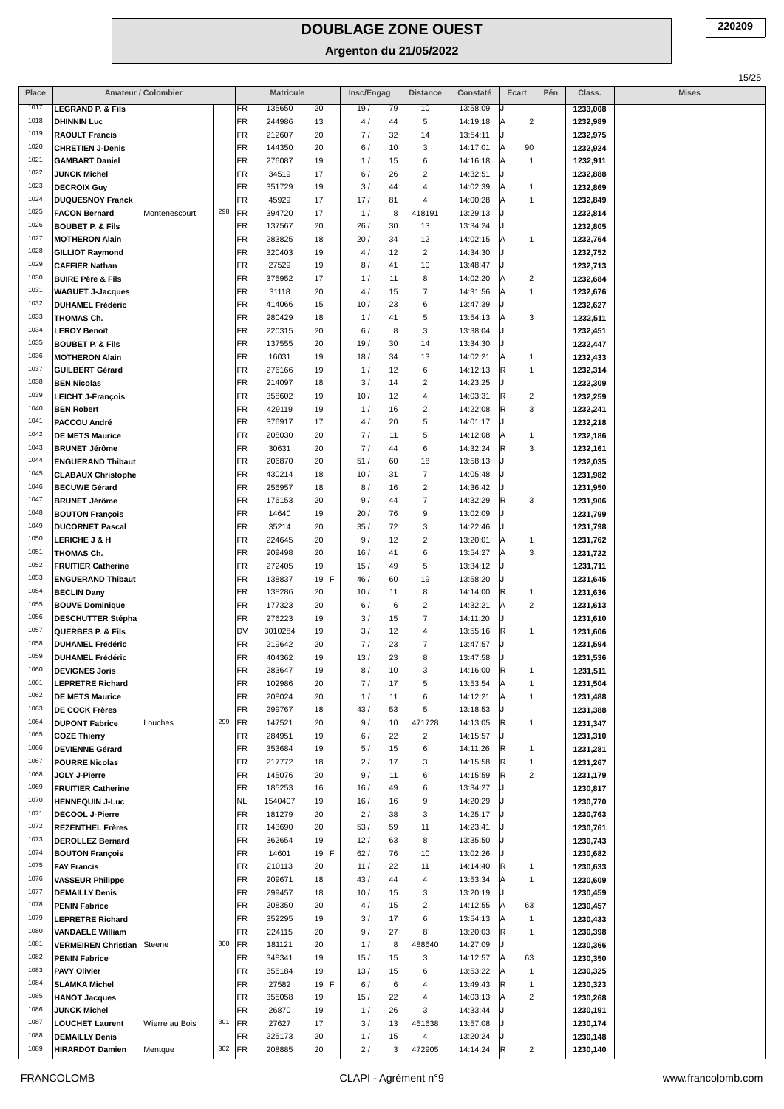|              |                                                         |                     |     |          |                  |            |             |          |                     |                      |                                |     |                      | 15/25        |
|--------------|---------------------------------------------------------|---------------------|-----|----------|------------------|------------|-------------|----------|---------------------|----------------------|--------------------------------|-----|----------------------|--------------|
| Place        |                                                         | Amateur / Colombier |     |          | <b>Matricule</b> |            | Insc/Engag  |          | <b>Distance</b>     | Constaté             | Ecart                          | Pén | Class.               | <b>Mises</b> |
| 1017         | <b>LEGRAND P. &amp; Fils</b>                            |                     |     | FR       | 135650           | 20         | 19/         | 79       | 10                  | 13:58:09             |                                |     | 1233,008             |              |
| 1018         | <b>DHINNIN Luc</b>                                      |                     |     | FR       | 244986           | 13         | 4/          | 44       | 5                   | 14:19:18             | $\overline{a}$<br>ΙA           |     | 1232,989             |              |
| 1019<br>1020 | <b>RAOULT Francis</b>                                   |                     |     | FR<br>FR | 212607<br>144350 | 20         | 7/<br>6/    | 32<br>10 | 14<br>3             | 13:54:11<br>14:17:01 | A                              |     | 1232,975             |              |
| 1021         | <b>CHRETIEN J-Denis</b><br><b>GAMBART Daniel</b>        |                     |     | FR       | 276087           | 20<br>19   | 1/          | 15       | 6                   | 14:16:18             | 90<br>$\overline{1}$<br>ΙA     |     | 1232,924<br>1232,911 |              |
| 1022         | <b>JUNCK Michel</b>                                     |                     |     | FR       | 34519            | 17         | 6/          | 26       | $\overline{c}$      | 14:32:51             |                                |     | 1232,888             |              |
| 1023         | <b>DECROIX Guy</b>                                      |                     |     | FR       | 351729           | 19         | 3/          | 44       | 4                   | 14:02:39             | $\mathbf{1}$<br>ΙA             |     | 1232,869             |              |
| 1024         | <b>DUQUESNOY Franck</b>                                 |                     |     | FR       | 45929            | 17         | 17/         | 81       | $\overline{4}$      | 14:00:28             | 1<br>l A                       |     | 1232,849             |              |
| 1025         | <b>FACON Bernard</b>                                    | Montenescourt       | 298 | FR       | 394720           | 17         | 1/          | 8        | 418191              | 13:29:13             |                                |     | 1232,814             |              |
| 1026         | <b>BOUBET P. &amp; Fils</b>                             |                     |     | FR       | 137567           | 20         | 26/         | 30       | 13                  | 13:34:24             |                                |     | 1232,805             |              |
| 1027         | <b>MOTHERON Alain</b>                                   |                     |     | FR       | 283825           | 18         | 20/         | 34       | 12                  | 14:02:15             | $\mathbf{1}$<br>ΙA             |     | 1232,764             |              |
| 1028         | <b>GILLIOT Raymond</b>                                  |                     |     | FR       | 320403           | 19         | 4 /         | 12       | $\overline{2}$      | 14:34:30             |                                |     | 1232,752             |              |
| 1029<br>1030 | <b>CAFFIER Nathan</b>                                   |                     |     | FR<br>FR | 27529<br>375952  | 19<br>17   | 8/<br>1/    | 41<br>11 | 10<br>8             | 13:48:47<br>14:02:20 | $\overline{a}$                 |     | 1232,713             |              |
| 1031         | <b>BUIRE Père &amp; Fils</b><br><b>WAGUET J-Jacques</b> |                     |     | FR       | 31118            | 20         | 4 /         | 15       | $\overline{7}$      | 14:31:56             | ۱A<br>$\overline{1}$<br>ΙA     |     | 1232,684<br>1232,676 |              |
| 1032         | <b>DUHAMEL Frédéric</b>                                 |                     |     | FR       | 414066           | 15         | 10/         | 23       | 6                   | 13:47:39             |                                |     | 1232,627             |              |
| 1033         | THOMAS Ch.                                              |                     |     | FR       | 280429           | 18         | 1/          | 41       | $\sqrt{5}$          | 13:54:13             | 3<br>ΙA                        |     | 1232,511             |              |
| 1034         | <b>LEROY Benoît</b>                                     |                     |     | FR       | 220315           | 20         | 6/          | 8        | 3                   | 13:38:04             |                                |     | 1232,451             |              |
| 1035         | <b>BOUBET P. &amp; Fils</b>                             |                     |     | FR       | 137555           | 20         | 19/         | 30       | 14                  | 13:34:30             |                                |     | 1232,447             |              |
| 1036         | <b>MOTHERON Alain</b>                                   |                     |     | FR       | 16031            | 19         | 18/         | 34       | 13                  | 14:02:21             | $\mathbf{1}$<br>ΙA             |     | 1232,433             |              |
| 1037         | <b>GUILBERT Gérard</b>                                  |                     |     | FR       | 276166           | 19         | 1/          | 12       | 6                   | 14:12:13             | R.<br>$\overline{1}$           |     | 1232,314             |              |
| 1038         | <b>BEN Nicolas</b>                                      |                     |     | FR       | 214097           | 18         | 3/          | 14       | $\overline{2}$      | 14:23:25             |                                |     | 1232,309             |              |
| 1039         | <b>LEICHT J-François</b>                                |                     |     | FR       | 358602           | 19         | 10/         | 12       | 4                   | 14:03:31             | $\overline{\mathbf{c}}$<br>IR. |     | 1232,259             |              |
| 1040<br>1041 | <b>BEN Robert</b>                                       |                     |     | FR       | 429119           | 19         | 1/          | 16       | $\overline{c}$      | 14:22:08             | 3<br>IR.                       |     | 1232,241             |              |
| 1042         | PACCOU André                                            |                     |     | FR<br>FR | 376917<br>208030 | 17<br>20   | 4/<br>7/    | 20<br>11 | 5<br>5              | 14:01:17<br>14:12:08 | $\mathbf{1}$                   |     | 1232,218             |              |
| 1043         | <b>DE METS Maurice</b><br><b>BRUNET Jérôme</b>          |                     |     | FR       | 30631            | 20         | 7/          | 44       | 6                   | 14:32:24             | ΙA<br>3<br>IR.                 |     | 1232,186<br>1232,161 |              |
| 1044         | <b>ENGUERAND Thibaut</b>                                |                     |     | FR       | 206870           | 20         | 51/         | 60       | 18                  | 13:58:13             |                                |     | 1232,035             |              |
| 1045         | <b>CLABAUX Christophe</b>                               |                     |     | FR       | 430214           | 18         | 10/         | 31       | $\overline{7}$      | 14:05:48             |                                |     | 1231,982             |              |
| 1046         | <b>BECUWE Gérard</b>                                    |                     |     | FR       | 256957           | 18         | 8/          | 16       | $\overline{2}$      | 14:36:42             |                                |     | 1231,950             |              |
| 1047         | <b>BRUNET Jérôme</b>                                    |                     |     | FR       | 176153           | 20         | 9/          | 44       | $\overline{7}$      | 14:32:29             | R.<br>3                        |     | 1231,906             |              |
| 1048         | <b>BOUTON François</b>                                  |                     |     | FR       | 14640            | 19         | 20/         | 76       | 9                   | 13:02:09             |                                |     | 1231,799             |              |
| 1049         | <b>DUCORNET Pascal</b>                                  |                     |     | FR       | 35214            | 20         | 35/         | 72       | 3                   | 14:22:46             |                                |     | 1231,798             |              |
| 1050         | <b>LERICHE J &amp; H</b>                                |                     |     | FR       | 224645           | 20         | 9/          | 12       | $\overline{2}$      | 13:20:01             | $\mathbf{1}$<br>ΙA             |     | 1231,762             |              |
| 1051         | THOMAS Ch.                                              |                     |     | FR       | 209498           | 20         | 16/         | 41       | 6                   | 13:54:27             | 3<br>ΙA                        |     | 1231,722             |              |
| 1052<br>1053 | <b>FRUITIER Catherine</b>                               |                     |     | FR<br>FR | 272405<br>138837 | 19<br>19 F | 15/<br>46 / | 49<br>60 | $\sqrt{5}$<br>19    | 13:34:12<br>13:58:20 |                                |     | 1231,711             |              |
| 1054         | <b>ENGUERAND Thibaut</b><br><b>BECLIN Dany</b>          |                     |     | FR       | 138286           | 20         | 10/         | 11       | 8                   | 14:14:00             | R<br>1                         |     | 1231,645<br>1231,636 |              |
| 1055         | <b>BOUVE Dominique</b>                                  |                     |     | FR       | 177323           | 20         | 6/          | 6        | $\overline{c}$      | 14:32:21             | $\boldsymbol{2}$<br>ΙA         |     | 1231,613             |              |
| 1056         | <b>DESCHUTTER Stépha</b>                                |                     |     | FR       | 276223           | 19         | 3/          | 15       | $\overline{7}$      | 14:11:20             |                                |     | 1231,610             |              |
| 1057         | QUERBES P. & Fils                                       |                     |     | DV       | 3010284          | 19         | 3/          | 12       | 4                   | 13:55:16             | R<br>1                         |     | 1231,606             |              |
| 1058         | <b>DUHAMEL Frédéric</b>                                 |                     |     | FR       | 219642           | 20         | 7/          | 23       | 7                   | 13:47:57             |                                |     | 1231,594             |              |
| 1059         | <b>DUHAMEL Frédéric</b>                                 |                     |     | FR       | 404362           | 19         | 13/         | 23       | 8                   | 13:47:58             |                                |     | 1231,536             |              |
| 1060         | <b>DEVIGNES Joris</b>                                   |                     |     | FR       | 283647           | 19         | 8/          | 10       | 3                   | 14:16:00             | R<br>-1                        |     | 1231,511             |              |
| 1061         | <b>LEPRETRE Richard</b>                                 |                     |     | FR       | 102986           | 20         | 7/          | 17       | 5                   | 13:53:54             | $\mathbf{1}$<br>ΙA             |     | 1231,504             |              |
| 1062<br>1063 | <b>DE METS Maurice</b>                                  |                     |     | FR<br>FR | 208024<br>299767 | 20<br>18   | 1/<br>43/   | 11<br>53 | 6<br>5              | 14:12:21<br>13:18:53 | $\mathbf{1}$<br>ΙA             |     | 1231,488             |              |
| 1064         | <b>DE COCK Frères</b><br><b>DUPONT Fabrice</b>          | Louches             | 299 | FR       | 147521           | 20         | 9/          | 10       | 471728              | 14:13:05             | 1<br>IR.                       |     | 1231,388<br>1231,347 |              |
| 1065         | <b>COZE Thierry</b>                                     |                     |     | FR       | 284951           | 19         | 6/          | 22       | $\overline{2}$      | 14:15:57             |                                |     | 1231,310             |              |
| 1066         | <b>DEVIENNE Gérard</b>                                  |                     |     | FR       | 353684           | 19         | 5/          | 15       | $\,6\,$             | 14:11:26             | IR.<br>$\mathbf{1}$            |     | 1231,281             |              |
| 1067         | <b>POURRE Nicolas</b>                                   |                     |     | FR       | 217772           | 18         | 2/          | 17       | 3                   | 14:15:58             | 1<br>IR.                       |     | 1231,267             |              |
| 1068         | JOLY J-Pierre                                           |                     |     | FR       | 145076           | 20         | 9/          | 11       | 6                   | 14:15:59             | $\overline{c}$<br>IR.          |     | 1231,179             |              |
| 1069         | <b>FRUITIER Catherine</b>                               |                     |     | FR       | 185253           | 16         | 16/         | 49       | 6                   | 13:34:27             |                                |     | 1230,817             |              |
| 1070         | <b>HENNEQUIN J-Luc</b>                                  |                     |     | NL       | 1540407          | 19         | 16/         | 16       | 9                   | 14:20:29             |                                |     | 1230,770             |              |
| 1071<br>1072 | DECOOL J-Pierre                                         |                     |     | FR       | 181279           | 20         | 2/          | 38       | 3                   | 14:25:17             |                                |     | 1230,763             |              |
| 1073         | <b>REZENTHEL Frères</b><br><b>DEROLLEZ Bernard</b>      |                     |     | FR<br>FR | 143690<br>362654 | 20<br>19   | 53/<br>12/  | 59<br>63 | 11<br>8             | 14:23:41<br>13:35:50 |                                |     | 1230,761<br>1230,743 |              |
| 1074         | <b>BOUTON François</b>                                  |                     |     | FR       | 14601            | 19 F       | 62/         | 76       | 10                  | 13:02:26             |                                |     | 1230,682             |              |
| 1075         | <b>FAY Francis</b>                                      |                     |     | FR       | 210113           | 20         | 11/         | 22       | 11                  | 14:14:40             | R<br>1                         |     | 1230,633             |              |
| 1076         | <b>VASSEUR Philippe</b>                                 |                     |     | FR       | 209671           | 18         | 43/         | 44       | $\overline{4}$      | 13:53:34             | 1<br> A                        |     | 1230,609             |              |
| 1077         | <b>DEMAILLY Denis</b>                                   |                     |     | FR       | 299457           | 18         | 10/         | 15       | 3                   | 13:20:19             |                                |     | 1230,459             |              |
| 1078         | <b>PENIN Fabrice</b>                                    |                     |     | FR       | 208350           | 20         | 4/          | 15       | $\overline{2}$      | 14:12:55             | 63<br> A                       |     | 1230,457             |              |
| 1079         | <b>LEPRETRE Richard</b>                                 |                     |     | FR       | 352295           | 19         | 3/          | 17       | 6                   | 13:54:13             | 1<br>ΙA                        |     | 1230,433             |              |
| 1080         | <b>VANDAELE William</b>                                 |                     |     | FR       | 224115           | 20         | 9/          | 27       | 8                   | 13:20:03             | R<br>$\mathbf{1}$              |     | 1230,398             |              |
| 1081         | <b>VERMEIREN Christian</b> Steene                       |                     | 300 | FR       | 181121           | 20         | 1/          | 8        | 488640              | 14:27:09             |                                |     | 1230,366             |              |
| 1082<br>1083 | <b>PENIN Fabrice</b>                                    |                     |     | FR       | 348341           | 19         | 15/         | 15       | 3                   | 14:12:57             | 63<br> A<br>$\overline{1}$     |     | 1230,350             |              |
| 1084         | <b>PAVY Olivier</b><br><b>SLAMKA Michel</b>             |                     |     | FR<br>FR | 355184<br>27582  | 19<br>19 F | 13/<br>6/   | 15<br>6  | 6<br>$\overline{4}$ | 13:53:22<br>13:49:43 | ΙA<br>$\overline{1}$<br>IR.    |     | 1230,325<br>1230,323 |              |
| 1085         | <b>HANOT Jacques</b>                                    |                     |     | FR       | 355058           | 19         | 15/         | 22       | $\overline{4}$      | 14:03:13             | $\overline{2}$<br>ΙA           |     | 1230,268             |              |
| 1086         | <b>JUNCK Michel</b>                                     |                     |     | FR       | 26870            | 19         | 1/          | 26       | 3                   | 14:33:44             |                                |     | 1230,191             |              |
| 1087         | <b>LOUCHET Laurent</b>                                  | Wierre au Bois      | 301 | FR       | 27627            | 17         | 3/          | 13       | 451638              | 13:57:08             |                                |     | 1230,174             |              |
| 1088         | <b>DEMAILLY Denis</b>                                   |                     |     | FR       | 225173           | 20         | 1/          | 15       | $\overline{4}$      | 13:20:24             |                                |     | 1230,148             |              |
| 1089         | <b>HIRARDOT Damien</b>                                  | Mentque             | 302 | FR       | 208885           | 20         | 2/          | 3        | 472905              | 14:14:24             | $\mathbf 2$<br> R              |     | 1230,140             |              |
|              |                                                         |                     |     |          |                  |            |             |          |                     |                      |                                |     |                      |              |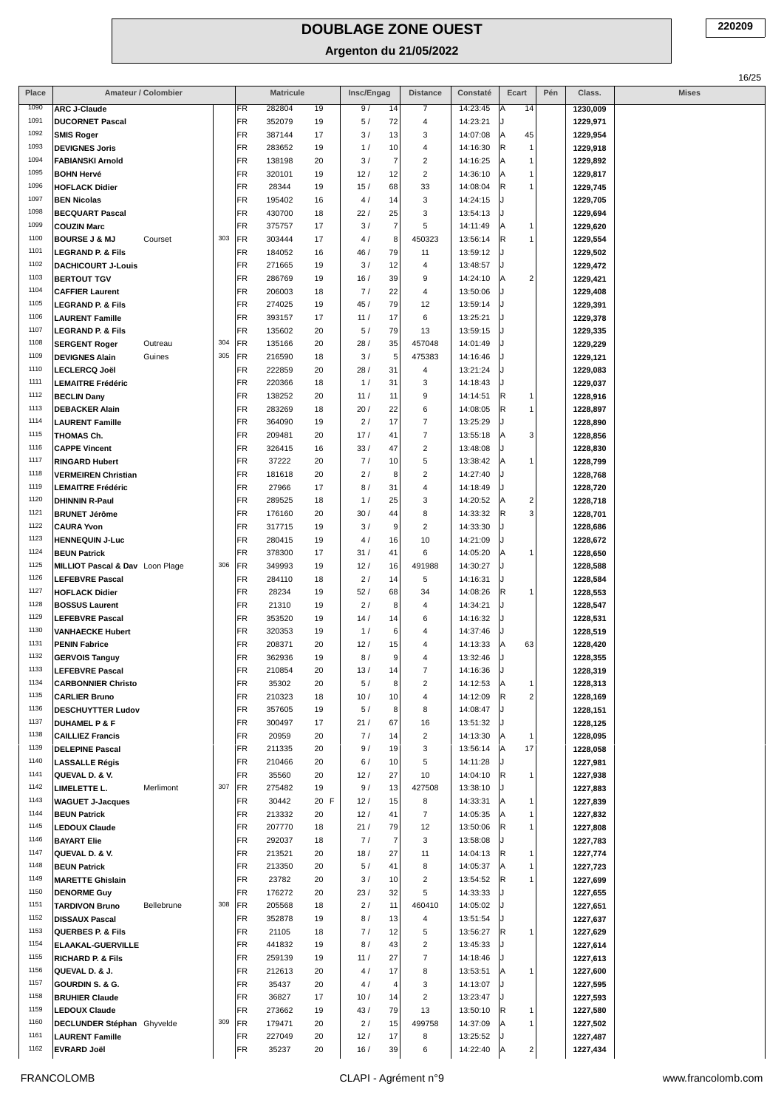| Place        |                                                   | Amateur / Colombier |     |                 | <b>Matricule</b> |          | Insc/Engag             | <b>Distance</b>                           | Constaté             | Ecart                                              | Pén | Class.               | <b>Mises</b> |
|--------------|---------------------------------------------------|---------------------|-----|-----------------|------------------|----------|------------------------|-------------------------------------------|----------------------|----------------------------------------------------|-----|----------------------|--------------|
| 1090         | <b>ARC J-Claude</b>                               |                     |     | FR              | 282804           | 19       | 9/<br>14               | 7                                         | 14:23:45             | 14<br>ΙA                                           |     | 1230,009             |              |
| 1091         | <b>DUCORNET Pascal</b>                            |                     |     | FR              | 352079           | 19       | 5/<br>72               | 4                                         | 14:23:21             | J                                                  |     | 1229,971             |              |
| 1092         | <b>SMIS Roger</b>                                 |                     |     | FR              | 387144           | 17       | 3/<br>13               | 3                                         | 14:07:08             | A<br>45                                            |     | 1229,954             |              |
| 1093         | <b>DEVIGNES Joris</b>                             |                     |     | FR              | 283652           | 19       | 1/<br>10               | 4                                         | 14:16:30             | R <br>$\mathbf{1}$                                 |     | 1229,918             |              |
| 1094         | <b>FABIANSKI Arnold</b>                           |                     |     | FR              | 138198           | 20       | 3/<br>7                | $\overline{\mathbf{c}}$                   | 14:16:25             | A<br>$\mathbf{1}$                                  |     | 1229,892             |              |
| 1095<br>1096 | <b>BOHN Hervé</b>                                 |                     |     | FR              | 320101           | 19       | 12/<br>12              | $\sqrt{2}$                                | 14:36:10             | ۱A<br>1                                            |     | 1229,817             |              |
| 1097         | <b>HOFLACK Didier</b>                             |                     |     | FR<br><b>FR</b> | 28344            | 19       | 15/<br>68<br>14        | 33                                        | 14:08:04             | R<br>1                                             |     | 1229,745             |              |
| 1098         | <b>BEN Nicolas</b><br><b>BECQUART Pascal</b>      |                     |     | FR              | 195402<br>430700 | 16<br>18 | 4/<br>22/<br>25        | 3<br>3                                    | 14:24:15<br>13:54:13 |                                                    |     | 1229,705<br>1229,694 |              |
| 1099         | <b>COUZIN Marc</b>                                |                     |     | FR              | 375757           | 17       | $\overline{7}$<br>3/   | 5                                         | 14:11:49             | A<br>$\mathbf{1}$                                  |     | 1229,620             |              |
| 1100         | <b>BOURSE J &amp; MJ</b>                          | Courset             | 303 | <b>FR</b>       | 303444           | 17       | 4/<br>8                | 450323                                    | 13:56:14             | R<br>$\mathbf{1}$                                  |     | 1229,554             |              |
| 1101         | <b>LEGRAND P. &amp; Fils</b>                      |                     |     | FR              | 184052           | 16       | 79<br>46 /             | 11                                        | 13:59:12             |                                                    |     | 1229,502             |              |
| 1102         | <b>DACHICOURT J-Louis</b>                         |                     |     | FR              | 271665           | 19       | 3/<br>12               | 4                                         | 13:48:57             |                                                    |     | 1229,472             |              |
| 1103         | <b>BERTOUT TGV</b>                                |                     |     | FR              | 286769           | 19       | 16/<br>39              | 9                                         | 14:24:10             | $\overline{\mathbf{c}}$<br>A                       |     | 1229,421             |              |
| 1104         | <b>CAFFIER Laurent</b>                            |                     |     | FR              | 206003           | 18       | 7/<br>22               | 4                                         | 13:50:06             |                                                    |     | 1229,408             |              |
| 1105         | <b>LEGRAND P. &amp; Fils</b>                      |                     |     | FR              | 274025           | 19       | 45/<br>79              | 12                                        | 13:59:14             |                                                    |     | 1229,391             |              |
| 1106         | <b>LAURENT Famille</b>                            |                     |     | FR              | 393157           | 17       | 11/<br>17              | 6                                         | 13:25:21             |                                                    |     | 1229,378             |              |
| 1107         | <b>LEGRAND P. &amp; Fils</b>                      |                     |     | FR              | 135602           | 20       | 79<br>5/               | 13                                        | 13:59:15             |                                                    |     | 1229,335             |              |
| 1108         | <b>SERGENT Roger</b>                              | Outreau             | 304 | FR              | 135166           | 20       | 28/<br>35              | 457048                                    | 14:01:49             |                                                    |     | 1229,229             |              |
| 1109<br>1110 | <b>DEVIGNES Alain</b>                             | Guines              | 305 | FR              | 216590           | 18       | 3/<br>5                | 475383                                    | 14:16:46             |                                                    |     | 1229,121             |              |
| 1111         | <b>LECLERCQ Joël</b>                              |                     |     | FR<br>FR        | 222859<br>220366 | 20<br>18 | 28/<br>31<br>1/<br>31  | 4<br>3                                    | 13:21:24<br>14:18:43 |                                                    |     | 1229,083             |              |
| 1112         | <b>LEMAITRE Frédéric</b><br><b>BECLIN Dany</b>    |                     |     | FR              | 138252           | 20       | 11<br>11/              | 9                                         | 14:14:51             | R.<br>1                                            |     | 1229,037<br>1228,916 |              |
| 1113         | <b>DEBACKER Alain</b>                             |                     |     | FR              | 283269           | 18       | 20/<br>22              | 6                                         | 14:08:05             | R<br>$\mathbf{1}$                                  |     | 1228,897             |              |
| 1114         | <b>LAURENT Famille</b>                            |                     |     | FR              | 364090           | 19       | 2/<br>17               | 7                                         | 13:25:29             |                                                    |     | 1228,890             |              |
| 1115         | THOMAS Ch.                                        |                     |     | FR              | 209481           | 20       | 17/<br>41              | $\overline{7}$                            | 13:55:18             | 3<br> A                                            |     | 1228,856             |              |
| 1116         | <b>CAPPE Vincent</b>                              |                     |     | FR              | 326415           | 16       | 33/<br>47              | $\overline{\mathbf{c}}$                   | 13:48:08             |                                                    |     | 1228,830             |              |
| 1117         | <b>RINGARD Hubert</b>                             |                     |     | FR              | 37222            | 20       | 7/<br>10               | 5                                         | 13:38:42             | A<br>1                                             |     | 1228,799             |              |
| 1118         | <b>VERMEIREN Christian</b>                        |                     |     | FR              | 181618           | 20       | 2/<br>8                | $\overline{\mathbf{c}}$                   | 14:27:40             |                                                    |     | 1228,768             |              |
| 1119         | <b>LEMAITRE Frédéric</b>                          |                     |     | FR              | 27966            | 17       | 8/<br>31               | 4                                         | 14:18:49             |                                                    |     | 1228,720             |              |
| 1120         | <b>DHINNIN R-Paul</b>                             |                     |     | FR              | 289525           | 18       | 1/<br>25               | 3                                         | 14:20:52             | $\overline{\mathbf{c}}$<br> A                      |     | 1228,718             |              |
| 1121         | <b>BRUNET Jérôme</b>                              |                     |     | FR              | 176160           | 20       | 30/<br>44              | 8                                         | 14:33:32             | R<br>3                                             |     | 1228,701             |              |
| 1122<br>1123 | <b>CAURA Yvon</b>                                 |                     |     | FR<br>FR        | 317715<br>280415 | 19<br>19 | 3/<br>9<br>4/<br>16    | $\overline{\mathbf{c}}$<br>10             | 14:33:30             |                                                    |     | 1228,686             |              |
| 1124         | <b>HENNEQUIN J-Luc</b><br><b>BEUN Patrick</b>     |                     |     | FR              | 378300           | 17       | 31/<br>41              | 6                                         | 14:21:09<br>14:05:20 | A<br>$\mathbf{1}$                                  |     | 1228,672<br>1228,650 |              |
| 1125         | MILLIOT Pascal & Dav Loon Plage                   |                     | 306 | FR              | 349993           | 19       | 12/<br>16              | 491988                                    | 14:30:27             |                                                    |     | 1228,588             |              |
| 1126         | <b>LEFEBVRE Pascal</b>                            |                     |     | FR              | 284110           | 18       | 2/<br>14               | 5                                         | 14:16:31             | IJ                                                 |     | 1228,584             |              |
| 1127         | <b>HOFLACK Didier</b>                             |                     |     | FR              | 28234            | 19       | 52/<br>68              | 34                                        | 14:08:26             | R<br>$\mathbf{1}$                                  |     | 1228,553             |              |
| 1128         | <b>BOSSUS Laurent</b>                             |                     |     | FR              | 21310            | 19       | 2/<br>8                | 4                                         | 14:34:21             | IJ                                                 |     | 1228,547             |              |
| 1129         | <b>LEFEBVRE Pascal</b>                            |                     |     | FR              | 353520           | 19       | 14/<br>14              | 6                                         | 14:16:32             | J                                                  |     | 1228,531             |              |
| 1130         | <b>VANHAECKE Hubert</b>                           |                     |     | FR              | 320353           | 19       | 1/<br>6                | 4                                         | 14:37:46             |                                                    |     | 1228,519             |              |
| 1131         | <b>PENIN Fabrice</b>                              |                     |     | FR              | 208371           | 20       | 12/<br>15              | 4                                         | 14:13:33             | 63<br>ΙA                                           |     | 1228,420             |              |
| 1132         | <b>GERVOIS Tanguy</b>                             |                     |     | FR              | 362936           | 19       | 8/<br>9                | 4                                         | 13:32:46             |                                                    |     | 1228,355             |              |
| 1133<br>1134 | <b>LEFEBVRE Pascal</b>                            |                     |     | FR<br>FR        | 210854           | 20       | 13/<br>14              | $\overline{7}$<br>$\overline{\mathbf{c}}$ | 14:16:36             | IJ                                                 |     | 1228,319             |              |
| 1135         | <b>CARBONNIER Christo</b><br><b>CARLIER Bruno</b> |                     |     | FR              | 35302<br>210323  | 20<br>18 | 5/<br>8<br>10/<br>10   | 4                                         | 14:12:53<br>14:12:09 | A<br>$\mathbf{1}$<br> R<br>$\overline{\mathbf{c}}$ |     | 1228,313<br>1228,169 |              |
| 1136         | <b>DESCHUYTTER Ludov</b>                          |                     |     | FR              | 357605           | 19       | 5/<br>8                | 8                                         | 14:08:47             |                                                    |     | 1228,151             |              |
| 1137         | <b>DUHAMEL P &amp; F</b>                          |                     |     | FR              | 300497           | 17       | 21/<br>67              | 16                                        | 13:51:32             | IJ                                                 |     | 1228,125             |              |
| 1138         | <b>CAILLIEZ Francis</b>                           |                     |     | FR              | 20959            | 20       | 7/<br>14               | $\boldsymbol{2}$                          | 14:13:30             | A<br>1                                             |     | 1228,095             |              |
| 1139         | <b>DELEPINE Pascal</b>                            |                     |     | <b>FR</b>       | 211335           | 20       | 9/<br>19               | 3                                         | 13:56:14             | 17<br>ΙA                                           |     | 1228,058             |              |
| 1140         | <b>LASSALLE Régis</b>                             |                     |     | FR              | 210466           | 20       | 6/<br>10               | 5                                         | 14:11:28             | J                                                  |     | 1227,981             |              |
| 1141         | QUEVAL D. & V.                                    |                     |     | <b>FR</b>       | 35560            | 20       | 12/<br>27              | 10                                        | 14:04:10             | ∣R<br>1                                            |     | 1227,938             |              |
| 1142         | <b>LIMELETTE L.</b>                               | Merlimont           | 307 | <b>FR</b>       | 275482           | 19       | 9/<br>13               | 427508                                    | 13:38:10             |                                                    |     | 1227,883             |              |
| 1143         | <b>WAGUET J-Jacques</b>                           |                     |     | FR              | 30442            | 20 F     | 12/<br>15              | 8                                         | 14:33:31             | A<br>$\mathbf{1}$                                  |     | 1227,839             |              |
| 1144<br>1145 | <b>BEUN Patrick</b>                               |                     |     | FR<br>FR        | 213332<br>207770 | 20       | 12/<br>41<br>21/<br>79 | $\overline{7}$<br>12                      | 14:05:35             | A<br>1<br> R<br>1                                  |     | 1227,832             |              |
| 1146         | <b>LEDOUX Claude</b><br><b>BAYART Elie</b>        |                     |     | FR              | 292037           | 18<br>18 | 7/<br>$\overline{7}$   | 3                                         | 13:50:06<br>13:58:08 |                                                    |     | 1227,808<br>1227,783 |              |
| 1147         | QUEVAL D. & V.                                    |                     |     | FR              | 213521           | 20       | 18/<br>27              | 11                                        | 14:04:13             | R<br>1                                             |     | 1227,774             |              |
| 1148         | <b>BEUN Patrick</b>                               |                     |     | FR              | 213350           | 20       | 5/<br>41               | 8                                         | 14:05:37             | A<br>1                                             |     | 1227,723             |              |
| 1149         | <b>MARETTE Ghislain</b>                           |                     |     | <b>FR</b>       | 23782            | 20       | 3/<br>10               | $\overline{\mathbf{c}}$                   | 13:54:52             | R.<br>1                                            |     | 1227,699             |              |
| 1150         | <b>DENORME Guy</b>                                |                     |     | FR              | 176272           | 20       | 23/<br>32              | 5                                         | 14:33:33             |                                                    |     | 1227,655             |              |
| 1151         | <b>TARDIVON Bruno</b>                             | Bellebrune          | 308 | <b>FR</b>       | 205568           | 18       | $2/$<br>11             | 460410                                    | 14:05:02             | IJ                                                 |     | 1227,651             |              |
| 1152         | <b>DISSAUX Pascal</b>                             |                     |     | FR              | 352878           | 19       | 8/<br>13               | $\overline{4}$                            | 13:51:54             |                                                    |     | 1227,637             |              |
| 1153         | <b>QUERBES P. &amp; Fils</b>                      |                     |     | FR              | 21105            | 18       | 7/<br>12               | 5                                         | 13:56:27             | R<br>1                                             |     | 1227,629             |              |
| 1154         | ELAAKAL-GUERVILLE                                 |                     |     | <b>FR</b>       | 441832           | 19       | 8/<br>43               | $\boldsymbol{2}$                          | 13:45:33             |                                                    |     | 1227,614             |              |
| 1155         | <b>RICHARD P. &amp; Fils</b>                      |                     |     | FR              | 259139           | 19       | 11/<br>27              | 7                                         | 14:18:46             | J                                                  |     | 1227,613             |              |
| 1156<br>1157 | QUEVAL D. & J.                                    |                     |     | FR              | 212613           | 20       | 4/<br>17               | 8                                         | 13:53:51             | ΙA<br>1                                            |     | 1227,600             |              |
| 1158         | GOURDIN S. & G.                                   |                     |     | FR              | 35437            | 20       | 4/<br>4                | 3                                         | 14:13:07             | J<br>J                                             |     | 1227,595             |              |
| 1159         | <b>BRUHIER Claude</b><br><b>LEDOUX Claude</b>     |                     |     | FR<br>FR        | 36827<br>273662  | 17<br>19 | 10/<br>14<br>79<br>43/ | $\overline{\mathbf{c}}$<br>13             | 13:23:47<br>13:50:10 | R<br>1                                             |     | 1227,593<br>1227,580 |              |
| 1160         | DECLUNDER Stéphan Ghyvelde                        |                     | 309 | <b>FR</b>       | 179471           | 20       | 2/<br>15               | 499758                                    | 14:37:09             | A<br>$\mathbf{1}$                                  |     | 1227,502             |              |
| 1161         | <b>LAURENT Famille</b>                            |                     |     | FR              | 227049           | 20       | 12/<br>17              | 8                                         | 13:25:52             |                                                    |     | 1227,487             |              |
| 1162         | <b>EVRARD Joël</b>                                |                     |     | FR              | 35237            | 20       | 39<br>16/              | 6                                         | 14:22:40             | $\overline{\mathbf{c}}$<br> A                      |     | 1227,434             |              |
|              |                                                   |                     |     |                 |                  |          |                        |                                           |                      |                                                    |     |                      |              |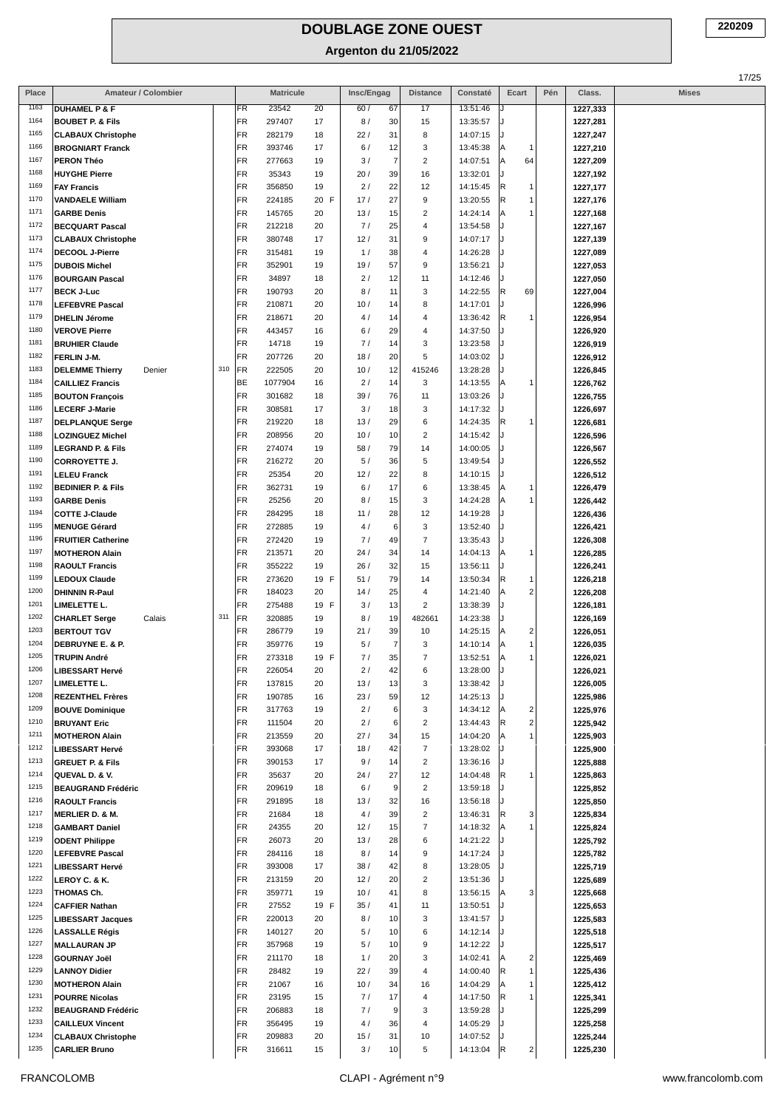| Place | Amateur / Colombier                                 |     |           | <b>Matricule</b> |          | Insc/Engag           | <b>Distance</b>         | Constaté | Ecart                        | Pén | Class.   | <b>Mises</b> |
|-------|-----------------------------------------------------|-----|-----------|------------------|----------|----------------------|-------------------------|----------|------------------------------|-----|----------|--------------|
| 1163  | <b>DUHAMEL P &amp; F</b>                            |     | FR        | 23542            | 20       | 60/<br>67            | 17                      | 13:51:46 |                              |     | 1227,333 |              |
| 1164  | <b>BOUBET P. &amp; Fils</b>                         |     | FR        | 297407           | 17       | 8/<br>30             | 15                      | 13:35:57 |                              |     | 1227,281 |              |
| 1165  | <b>CLABAUX Christophe</b>                           |     | FR        | 282179           | 18       | 22/<br>31            | 8                       | 14:07:15 |                              |     | 1227,247 |              |
| 1166  | <b>BROGNIART Franck</b>                             |     | <b>FR</b> | 393746           | 17       | 6/<br>12             | 3                       | 13:45:38 | А<br>$\mathbf{1}$            |     | 1227,210 |              |
| 1167  | <b>PERON Théo</b>                                   |     | FR        | 277663           | 19       | 3/<br>$\overline{7}$ | $\overline{c}$          | 14:07:51 | 64<br>А                      |     | 1227,209 |              |
| 1168  | <b>HUYGHE Pierre</b>                                |     | <b>FR</b> | 35343            | 19       | 20 /<br>39           | 16                      | 13:32:01 |                              |     | 1227,192 |              |
| 1169  | <b>FAY Francis</b>                                  |     | <b>FR</b> | 356850           | 19       | 2/<br>22             | 12                      | 14:15:45 | R<br>1                       |     | 1227,177 |              |
| 1170  | <b>VANDAELE William</b>                             |     | FR        | 224185           | 20 F     | 17/<br>27            | 9                       | 13:20:55 | R<br>$\mathbf{1}$            |     | 1227,176 |              |
| 1171  | <b>GARBE Denis</b>                                  |     | <b>FR</b> | 145765           | 20       | 13/<br>15            | $\overline{\mathbf{c}}$ | 14:24:14 | А<br>$\mathbf{1}$            |     | 1227,168 |              |
| 1172  | <b>BECQUART Pascal</b>                              |     | FR        | 212218           | 20       | 7/<br>25             | 4                       | 13:54:58 |                              |     | 1227,167 |              |
| 1173  | <b>CLABAUX Christophe</b>                           |     | <b>FR</b> | 380748           | 17       | 12/<br>31            | 9                       | 14:07:17 |                              |     | 1227,139 |              |
| 1174  | <b>DECOOL J-Pierre</b>                              |     | <b>FR</b> | 315481           | 19       | 1/<br>38             | 4                       | 14:26:28 |                              |     | 1227,089 |              |
| 1175  | <b>DUBOIS Michel</b>                                |     | FR        | 352901           | 19       | 57<br>19/            | 9                       | 13:56:21 |                              |     | 1227,053 |              |
| 1176  | <b>BOURGAIN Pascal</b>                              |     | FR        | 34897            | 18       | 2/<br>12             | 11                      | 14:12:46 |                              |     | 1227,050 |              |
| 1177  | <b>BECK J-Luc</b>                                   |     | <b>FR</b> | 190793           | 20       | 8/<br>11             | 3                       | 14:22:55 | R<br>69                      |     | 1227,004 |              |
| 1178  | <b>LEFEBVRE Pascal</b>                              |     | FR        | 210871           | 20       | 10/<br>14            | 8                       | 14:17:01 |                              |     | 1226,996 |              |
| 1179  | <b>DHELIN Jérome</b>                                |     | FR        | 218671           | 20       | 4/<br>14             | 4                       | 13:36:42 | R<br>1                       |     | 1226,954 |              |
| 1180  | <b>VEROVE Pierre</b>                                |     | <b>FR</b> | 443457           | 16       | 29<br>6/             | 4                       | 14:37:50 |                              |     | 1226,920 |              |
| 1181  | <b>BRUHIER Claude</b>                               |     | FR        | 14718            | 19       | 7/<br>14             | 3                       | 13:23:58 |                              |     | 1226,919 |              |
| 1182  | FERLIN J-M.                                         |     | <b>FR</b> | 207726           | 20       | 18/<br>20            | 5                       | 14:03:02 |                              |     | 1226,912 |              |
| 1183  | <b>DELEMME Thierry</b><br>Denier                    | 310 | <b>FR</b> | 222505           | 20       | 12<br>10/            | 415246                  | 13:28:28 |                              |     | 1226,845 |              |
| 1184  | <b>CAILLIEZ Francis</b>                             |     | BE        | 1077904          | 16       | 2/<br>14             | 3                       | 14:13:55 | А<br>1                       |     | 1226,762 |              |
| 1185  | <b>BOUTON François</b>                              |     | FR        | 301682           | 18       | 39/<br>76            | 11                      | 13:03:26 |                              |     | 1226,755 |              |
| 1186  | <b>LECERF J-Marie</b>                               |     | FR        | 308581           | 17       | 3/<br>18             | 3                       | 14:17:32 |                              |     | 1226,697 |              |
| 1187  | <b>DELPLANQUE Serge</b>                             |     | <b>FR</b> | 219220           | 18       | 13/<br>29            | 6                       | 14:24:35 | R<br>1                       |     | 1226,681 |              |
| 1188  | <b>LOZINGUEZ Michel</b>                             |     | <b>FR</b> | 208956           | 20       | 10/<br>10            | $\overline{\mathbf{c}}$ | 14:15:42 |                              |     | 1226,596 |              |
| 1189  | <b>LEGRAND P. &amp; Fils</b>                        |     | FR        | 274074           | 19       | 58/<br>79            | 14                      | 14:00:05 |                              |     | 1226,567 |              |
| 1190  |                                                     |     | FR        | 216272           | 20       | 36<br>5/             | 5                       | 13:49:54 |                              |     |          |              |
| 1191  | <b>CORROYETTE J.</b>                                |     | FR        |                  |          | 22                   |                         |          |                              |     | 1226,552 |              |
| 1192  | <b>LELEU Franck</b>                                 |     | <b>FR</b> | 25354            | 20<br>19 | 12/<br>17            | 8<br>6                  | 14:10:15 | А<br>1                       |     | 1226,512 |              |
| 1193  | <b>BEDINIER P. &amp; Fils</b><br><b>GARBE Denis</b> |     |           | 362731<br>25256  | 20       | 6/                   | 3                       | 13:38:45 |                              |     | 1226,479 |              |
| 1194  |                                                     |     | FR<br>FR  |                  |          | 8/<br>15             |                         | 14:24:28 | Α<br>1                       |     | 1226,442 |              |
| 1195  | <b>COTTE J-Claude</b>                               |     | <b>FR</b> | 284295           | 18       | 11/<br>28            | 12                      | 14:19:28 |                              |     | 1226,436 |              |
| 1196  | <b>MENUGE Gérard</b>                                |     |           | 272885           | 19       | 4/<br>6              | 3                       | 13:52:40 |                              |     | 1226,421 |              |
| 1197  | <b>FRUITIER Catherine</b>                           |     | <b>FR</b> | 272420           | 19       | 7/<br>49             | 7                       | 13:35:43 |                              |     | 1226,308 |              |
|       | <b>MOTHERON Alain</b>                               |     | <b>FR</b> | 213571           | 20       | 24 /<br>34           | 14                      | 14:04:13 | А<br>1                       |     | 1226,285 |              |
| 1198  | <b>RAOULT Francis</b>                               |     | FR        | 355222           | 19       | 26/<br>32            | 15                      | 13:56:11 |                              |     | 1226,241 |              |
| 1199  | <b>LEDOUX Claude</b>                                |     | <b>FR</b> | 273620           | 19 F     | 79<br>51/            | 14                      | 13:50:34 | R<br>$\mathbf{1}$            |     | 1226,218 |              |
| 1200  | <b>DHINNIN R-Paul</b>                               |     | <b>FR</b> | 184023           | 20       | 14/<br>25            | 4                       | 14:21:40 | $\overline{2}$<br>А          |     | 1226,208 |              |
| 1201  | LIMELETTE L.                                        |     | FR        | 275488           | 19 F     | 13<br>3/             | $\overline{c}$          | 13:38:39 |                              |     | 1226,181 |              |
| 1202  | <b>CHARLET Serge</b><br>Calais                      | 311 | <b>FR</b> | 320885           | 19       | 8/<br>19             | 482661                  | 14:23:38 |                              |     | 1226,169 |              |
| 1203  | <b>BERTOUT TGV</b>                                  |     | FR        | 286779           | 19       | 39<br>21/            | 10                      | 14:25:15 | $\overline{c}$<br>Α          |     | 1226,051 |              |
| 1204  | DEBRUYNE E. & P.                                    |     | FR        | 359776           | 19       | 5/<br>7              | 3                       | 14:10:14 | А<br>$\mathbf{1}$            |     | 1226,035 |              |
| 1205  | TRUPIN André                                        |     | FR        | 273318           | 19 F     | 7/<br>35             | $\overline{7}$          | 13:52:51 | А                            |     | 1226,021 |              |
| 1206  | <b>LIBESSART Hervé</b>                              |     | <b>FR</b> | 226054           | 20       | 2/<br>42             | 6                       | 13:28:00 |                              |     | 1226,021 |              |
| 1207  | LIMELETTE L.                                        |     | FR        | 137815           | 20       | 13/<br>13            | 3                       | 13:38:42 |                              |     | 1226,005 |              |
| 1208  | <b>REZENTHEL Frères</b>                             |     | <b>FR</b> | 190785           | 16       | 23/<br>59            | 12                      | 14:25:13 |                              |     | 1225,986 |              |
| 1209  | <b>BOUVE Dominique</b>                              |     | FR        | 317763           | 19       | 2/<br>6              | 3                       | 14:34:12 | $\overline{\mathbf{c}}$<br>Α |     | 1225,976 |              |
| 1210  | <b>BRUYANT Eric</b>                                 |     | <b>FR</b> | 111504           | 20       | 2/<br>6              | $\overline{\mathbf{c}}$ | 13:44:43 | R<br>2                       |     | 1225,942 |              |
| 1211  | <b>MOTHERON Alain</b>                               |     | <b>FR</b> | 213559           | 20       | 27/<br>34            | 15                      | 14:04:20 | Α<br>$\mathbf{1}$            |     | 1225,903 |              |
| 1212  | <b>LIBESSART Hervé</b>                              |     | <b>FR</b> | 393068           | 17       | 18/<br>42            | 7                       | 13:28:02 |                              |     | 1225,900 |              |
| 1213  | <b>GREUET P. &amp; Fils</b>                         |     | <b>FR</b> | 390153           | 17       | 9/<br>14             | $\overline{c}$          | 13:36:16 |                              |     | 1225,888 |              |
| 1214  | QUEVAL D. & V.                                      |     | <b>FR</b> | 35637            | 20       | 24/<br>27            | 12                      | 14:04:48 | R<br>$\mathbf{1}$            |     | 1225,863 |              |
| 1215  | <b>BEAUGRAND Frédéric</b>                           |     | <b>FR</b> | 209619           | 18       | 9<br>6/              | $\sqrt{2}$              | 13:59:18 |                              |     | 1225,852 |              |
| 1216  | <b>RAOULT Francis</b>                               |     | <b>FR</b> | 291895           | 18       | 13/<br>32            | 16                      | 13:56:18 |                              |     | 1225,850 |              |
| 1217  | <b>MERLIER D. &amp; M.</b>                          |     | <b>FR</b> | 21684            | 18       | 4/<br>39             | $\overline{c}$          | 13:46:31 | R<br>3                       |     | 1225,834 |              |
| 1218  | <b>GAMBART Daniel</b>                               |     | <b>FR</b> | 24355            | 20       | 12/<br>15            | $\overline{7}$          | 14:18:32 | $\mathbf{1}$<br>Α            |     | 1225,824 |              |
| 1219  | <b>ODENT Philippe</b>                               |     | <b>FR</b> | 26073            | 20       | 13/<br>28            | 6                       | 14:21:22 |                              |     | 1225,792 |              |
| 1220  | <b>LEFEBVRE Pascal</b>                              |     | <b>FR</b> | 284116           | 18       | 8/<br>14             | 9                       | 14:17:24 |                              |     | 1225,782 |              |
| 1221  | <b>LIBESSART Hervé</b>                              |     | <b>FR</b> | 393008           | 17       | 38/<br>42            | 8                       | 13:28:05 |                              |     | 1225,719 |              |
| 1222  | LEROY C. & K.                                       |     | FR        | 213159           | 20       | 12/<br>20            | $\overline{\mathbf{c}}$ | 13:51:36 |                              |     | 1225,689 |              |
| 1223  | THOMAS Ch.                                          |     | <b>FR</b> | 359771           | 19       | 41<br>10/            | 8                       | 13:56:15 | 3<br>А                       |     | 1225,668 |              |
| 1224  | <b>CAFFIER Nathan</b>                               |     | FR        | 27552            | 19 F     | 35/<br>41            | 11                      | 13:50:51 |                              |     | 1225,653 |              |
| 1225  | <b>LIBESSART Jacques</b>                            |     | <b>FR</b> | 220013           | 20       | 8/<br>10             | 3                       | 13:41:57 |                              |     | 1225,583 |              |
| 1226  | <b>LASSALLE Régis</b>                               |     | <b>FR</b> | 140127           | 20       | 5/<br>10             | 6                       | 14:12:14 |                              |     | 1225,518 |              |
| 1227  | <b>MALLAURAN JP</b>                                 |     | <b>FR</b> | 357968           | 19       | 5/<br>10             | 9                       | 14:12:22 |                              |     | 1225,517 |              |
| 1228  | <b>GOURNAY Joël</b>                                 |     | <b>FR</b> | 211170           | 18       | 1/<br>20             | 3                       | 14:02:41 | $\overline{\mathbf{c}}$<br>A |     | 1225,469 |              |
| 1229  | <b>LANNOY Didier</b>                                |     | <b>FR</b> | 28482            | 19       | 22/<br>39            | $\overline{4}$          | 14:00:40 | R<br>$\mathbf{1}$            |     | 1225,436 |              |
| 1230  | <b>MOTHERON Alain</b>                               |     | FR        | 21067            | 16       | 10/<br>34            | 16                      | 14:04:29 | Α<br>$\mathbf{1}$            |     | 1225,412 |              |
| 1231  | <b>POURRE Nicolas</b>                               |     | <b>FR</b> | 23195            | 15       | 7/<br>17             | 4                       | 14:17:50 | R                            |     | 1225,341 |              |
| 1232  | <b>BEAUGRAND Frédéric</b>                           |     | <b>FR</b> | 206883           | 18       | 7/<br>9              | 3                       | 13:59:28 |                              |     | 1225,299 |              |
| 1233  | <b>CAILLEUX Vincent</b>                             |     | FR        | 356495           | 19       | 4/<br>36             | 4                       | 14:05:29 |                              |     | 1225,258 |              |
| 1234  | <b>CLABAUX Christophe</b>                           |     | FR        | 209883           | 20       | 15/<br>31            | 10                      | 14:07:52 |                              |     | 1225,244 |              |
| 1235  | <b>CARLIER Bruno</b>                                |     | <b>FR</b> | 316611           | 15       | 3/<br>10             | 5                       | 14:13:04 | R<br>2                       |     | 1225,230 |              |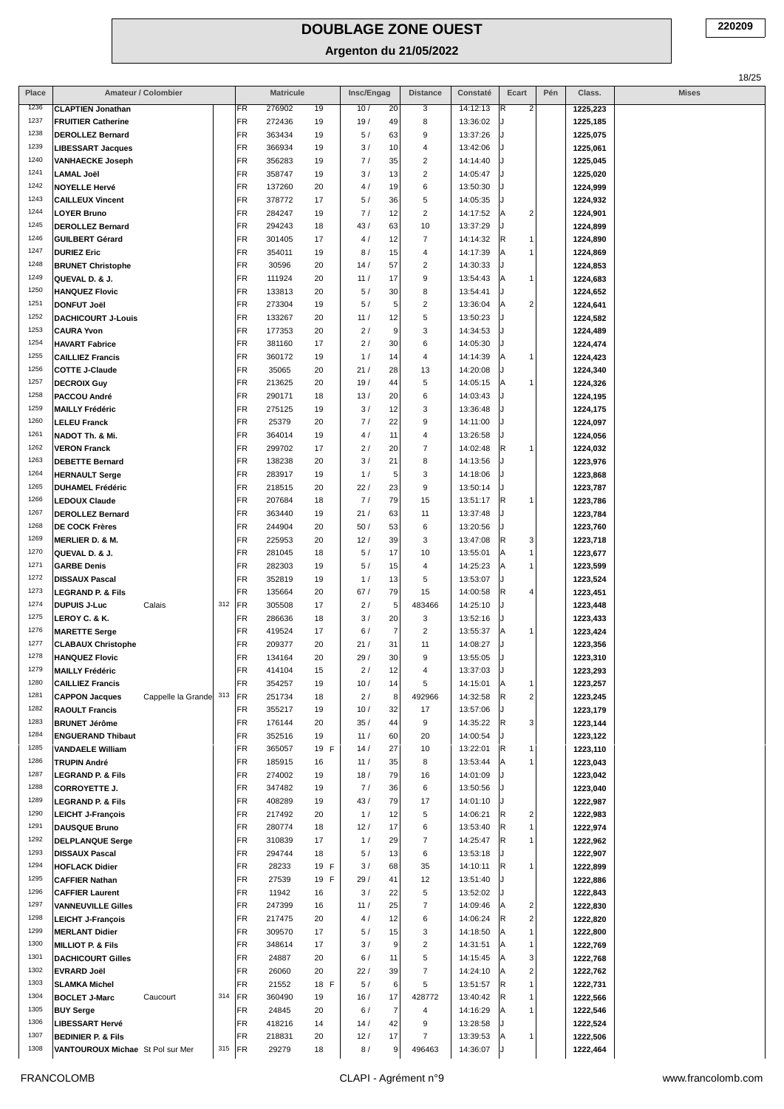| Place        | Amateur / Colombier                               |     |                 | <b>Matricule</b> |            | Insc/Engag |                  | <b>Distance</b>          | Constaté             | Ecart                        | Pén | Class.               | <b>Mises</b> |
|--------------|---------------------------------------------------|-----|-----------------|------------------|------------|------------|------------------|--------------------------|----------------------|------------------------------|-----|----------------------|--------------|
| 1236         | <b>CLAPTIEN Jonathan</b>                          |     | FR              | 276902           | 19         | 10/        | 20               | 3                        | 14:12:13             | $\overline{2}$<br>R          |     | 1225,223             |              |
| 1237         | <b>FRUITIER Catherine</b>                         |     | FR              | 272436           | 19         | 19/        | 49               | 8                        | 13:36:02             |                              |     | 1225,185             |              |
| 1238         | <b>DEROLLEZ Bernard</b>                           |     | FR              | 363434           | 19         | 5/         | 63               | 9                        | 13:37:26             |                              |     | 1225,075             |              |
| 1239         | <b>LIBESSART Jacques</b>                          |     | FR              | 366934           | 19         | 3/         | 10               | $\sqrt{4}$               | 13:42:06             |                              |     | 1225,061             |              |
| 1240         | <b>VANHAECKE Joseph</b>                           |     | FR              | 356283           | 19         | 7/         | 35               | 2                        | 14:14:40             |                              |     | 1225,045             |              |
| 1241         | <b>LAMAL Joël</b>                                 |     | <b>FR</b>       | 358747           | 19         | 3/         | 13               | $\overline{2}$           | 14:05:47             |                              |     | 1225,020             |              |
| 1242         | <b>NOYELLE Hervé</b>                              |     | FR              | 137260           | 20         | 4/         | 19               | 6                        | 13:50:30             |                              |     | 1224,999             |              |
| 1243<br>1244 | <b>CAILLEUX Vincent</b>                           |     | FR              | 378772           | 17         | 5/         | 36               | 5                        | 14:05:35             |                              |     | 1224,932             |              |
| 1245         | <b>LOYER Bruno</b>                                |     | FR<br>FR        | 284247<br>294243 | 19         | 7/<br>43/  | 12               | $\overline{2}$<br>10     | 14:17:52<br>13:37:29 | $\overline{2}$               |     | 1224,901             |              |
| 1246         | <b>DEROLLEZ Bernard</b><br><b>GUILBERT Gérard</b> |     | <b>FR</b>       | 301405           | 18<br>17   | 4/         | 63<br>12         | 7                        | 14:14:32             | R<br>1                       |     | 1224,899<br>1224,890 |              |
| 1247         | <b>DURIEZ Eric</b>                                |     | FR              | 354011           | 19         | 8/         | 15               | $\sqrt{4}$               | 14:17:39             | 1                            |     | 1224,869             |              |
| 1248         | <b>BRUNET Christophe</b>                          |     | FR              | 30596            | 20         | 14/        | 57               | $\overline{\mathbf{c}}$  | 14:30:33             |                              |     | 1224,853             |              |
| 1249         | QUEVAL D. & J.                                    |     | <b>FR</b>       | 111924           | 20         | 11/        | 17               | 9                        | 13:54:43             | 1                            |     | 1224,683             |              |
| 1250         | <b>HANQUEZ Flovic</b>                             |     | FR              | 133813           | 20         | 5/         | 30               | 8                        | 13:54:41             |                              |     | 1224,652             |              |
| 1251         | <b>DONFUT Joël</b>                                |     | FR              | 273304           | 19         | 5/         | $\sqrt{5}$       | $\overline{\mathbf{c}}$  | 13:36:04             | $\overline{2}$               |     | 1224,641             |              |
| 1252         | <b>DACHICOURT J-Louis</b>                         |     | FR              | 133267           | 20         | 11/        | 12               | 5                        | 13:50:23             |                              |     | 1224,582             |              |
| 1253         | <b>CAURA Yvon</b>                                 |     | FR              | 177353           | 20         | 2/         | $\boldsymbol{9}$ | 3                        | 14:34:53             |                              |     | 1224,489             |              |
| 1254         | <b>HAVART Fabrice</b>                             |     | FR              | 381160           | 17         | 2/         | 30               | 6                        | 14:05:30             |                              |     | 1224,474             |              |
| 1255         | <b>CAILLIEZ Francis</b>                           |     | FR              | 360172           | 19         | 1/         | 14               | $\sqrt{4}$               | 14:14:39             | 1                            |     | 1224,423             |              |
| 1256         | <b>COTTE J-Claude</b>                             |     | FR              | 35065            | 20         | 21/        | 28               | 13                       | 14:20:08             |                              |     | 1224,340             |              |
| 1257         | <b>DECROIX Guy</b>                                |     | FR              | 213625           | 20         | 19/        | 44               | 5                        | 14:05:15             | 1                            |     | 1224,326             |              |
| 1258         | PACCOU André                                      |     | FR              | 290171           | 18         | 13/        | 20               | 6                        | 14:03:43             |                              |     | 1224,195             |              |
| 1259         | <b>MAILLY Frédéric</b>                            |     | <b>FR</b>       | 275125           | 19         | 3/         | 12               | 3                        | 13:36:48             |                              |     | 1224,175             |              |
| 1260         | <b>LELEU Franck</b>                               |     | FR              | 25379            | 20         | 7/         | 22               | 9                        | 14:11:00             |                              |     | 1224,097             |              |
| 1261<br>1262 | NADOT Th. & Mi.                                   |     | FR              | 364014           | 19         | 4/         | 11               | 4                        | 13:26:58             |                              |     | 1224,056             |              |
| 1263         | <b>VERON Franck</b>                               |     | FR              | 299702           | 17         | 2/         | 20               | $\overline{7}$           | 14:02:48             | R<br>1                       |     | 1224,032             |              |
| 1264         | <b>DEBETTE Bernard</b>                            |     | FR<br><b>FR</b> | 138238<br>283917 | 20<br>19   | 3/<br>1/   | 21<br>5          | 8<br>3                   | 14:13:56<br>14:18:06 |                              |     | 1223,976             |              |
| 1265         | <b>HERNAULT Serge</b><br><b>DUHAMEL Frédéric</b>  |     | FR              | 218515           | 20         | 22/        | 23               | 9                        | 13:50:14             |                              |     | 1223,868<br>1223,787 |              |
| 1266         | <b>LEDOUX Claude</b>                              |     | FR              | 207684           | 18         | 7/         | 79               | 15                       | 13:51:17             | R<br>1                       |     | 1223,786             |              |
| 1267         | <b>DEROLLEZ Bernard</b>                           |     | FR              | 363440           | 19         | 21/        | 63               | 11                       | 13:37:48             |                              |     | 1223,784             |              |
| 1268         | <b>DE COCK Frères</b>                             |     | FR              | 244904           | 20         | 50/        | 53               | 6                        | 13:20:56             |                              |     | 1223,760             |              |
| 1269         | <b>MERLIER D. &amp; M.</b>                        |     | FR              | 225953           | 20         | 12/        | 39               | 3                        | 13:47:08             | 3<br>R                       |     | 1223,718             |              |
| 1270         | QUEVAL D. & J.                                    |     | FR              | 281045           | 18         | 5/         | 17               | 10                       | 13:55:01             | 1<br>А                       |     | 1223,677             |              |
| 1271         | <b>GARBE Denis</b>                                |     | FR              | 282303           | 19         | 5/         | 15               | 4                        | 14:25:23             | 1                            |     | 1223,599             |              |
| 1272         | <b>DISSAUX Pascal</b>                             |     | FR              | 352819           | 19         | 1/         | 13               | 5                        | 13:53:07             |                              |     | 1223,524             |              |
| 1273         | <b>LEGRAND P. &amp; Fils</b>                      |     | FR              | 135664           | 20         | 67/        | 79               | 15                       | 14:00:58             | R<br>$\overline{4}$          |     | 1223,451             |              |
| 1274         | <b>DUPUIS J-Luc</b><br>Calais                     | 312 | <b>FR</b>       | 305508           | 17         | 2/         | $\sqrt{5}$       | 483466                   | 14:25:10             |                              |     | 1223,448             |              |
| 1275         | LEROY C. & K.                                     |     | FR              | 286636           | 18         | 3/         | 20               | 3                        | 13:52:16             |                              |     | 1223,433             |              |
| 1276         | <b>MARETTE Serge</b>                              |     | FR              | 419524           | 17         | 6/         | $\overline{7}$   | $\overline{\mathbf{c}}$  | 13:55:37             | Α<br>1                       |     | 1223,424             |              |
| 1277<br>1278 | <b>CLABAUX Christophe</b>                         |     | FR              | 209377           | 20         | 21/        | 31               | 11                       | 14:08:27             |                              |     | 1223,356             |              |
| 1279         | <b>HANQUEZ Flovic</b>                             |     | FR              | 134164           | 20         | 29/<br>2/  | 30<br>12         | 9<br>$\overline{4}$      | 13:55:05             |                              |     | 1223,310             |              |
| 1280         | <b>MAILLY Frédéric</b><br><b>CAILLIEZ Francis</b> |     | FR<br>FR        | 414104<br>354257 | 15<br>19   | 10/        | 14               | 5                        | 13:37:03<br>14:15:01 | $\mathbf{1}$<br>ΙA           |     | 1223,293<br>1223,257 |              |
| 1281         | <b>CAPPON Jacques</b><br>Cappelle la Grande       | 313 | <b>FR</b>       | 251734           | 18         | 2/         | 8                | 492966                   | 14:32:58             | $\overline{2}$<br>R          |     | 1223,245             |              |
| 1282         | <b>RAOULT Francis</b>                             |     | FR              | 355217           | 19         | 10/        | 32               | 17                       | 13:57:06             |                              |     | 1223,179             |              |
| 1283         | <b>BRUNET Jérôme</b>                              |     | FR              | 176144           | 20         | 35/        | 44               | 9                        | 14:35:22             | 3<br>R                       |     | 1223,144             |              |
| 1284         | <b>ENGUERAND Thibaut</b>                          |     | FR              | 352516           | 19         | 11/        | 60               | 20                       | 14:00:54             |                              |     | 1223,122             |              |
| 1285         | <b>VANDAELE William</b>                           |     | FR              | 365057           | 19 F       | 14/        | 27               | 10                       | 13:22:01             | R<br>1                       |     | 1223,110             |              |
| 1286         | <b>TRUPIN André</b>                               |     | FR              | 185915           | 16         | 11/        | 35               | 8                        | 13:53:44             | 1                            |     | 1223,043             |              |
| 1287         | <b>LEGRAND P. &amp; Fils</b>                      |     | FR              | 274002           | 19         | 18/        | 79               | 16                       | 14:01:09             |                              |     | 1223,042             |              |
| 1288         | <b>CORROYETTE J.</b>                              |     | FR              | 347482           | 19         | 7/         | 36               | 6                        | 13:50:56             |                              |     | 1223,040             |              |
| 1289         | <b>LEGRAND P. &amp; Fils</b>                      |     | FR              | 408289           | 19         | 43/        | 79               | 17                       | 14:01:10             |                              |     | 1222,987             |              |
| 1290         | <b>LEICHT J-François</b>                          |     | FR              | 217492           | 20         | 1/         | 12               | 5                        | 14:06:21             | 2<br>R                       |     | 1222,983             |              |
| 1291         | <b>DAUSQUE Bruno</b>                              |     | FR              | 280774           | 18         | 12/        | 17               | 6                        | 13:53:40             | R                            |     | 1222,974             |              |
| 1292         | <b>DELPLANQUE Serge</b>                           |     | FR              | 310839           | 17         | 1/         | 29               | 7                        | 14:25:47             | R<br>1                       |     | 1222,962             |              |
| 1293         | <b>DISSAUX Pascal</b>                             |     | <b>FR</b>       | 294744           | 18         | 5/         | 13               | 6                        | 13:53:18             |                              |     | 1222,907             |              |
| 1294<br>1295 | <b>HOFLACK Didier</b>                             |     | FR              | 28233            | 19 F       | 3/         | 68               | 35                       | 14:10:11             | R.<br>1                      |     | 1222,899             |              |
| 1296         | <b>CAFFIER Nathan</b><br><b>CAFFIER Laurent</b>   |     | FR<br>FR        | 27539<br>11942   | 19 F<br>16 | 29/<br>3/  | 41<br>22         | 12<br>5                  | 13:51:40<br>13:52:02 |                              |     | 1222,886<br>1222,843 |              |
| 1297         | <b>VANNEUVILLE Gilles</b>                         |     | FR              | 247399           | 16         | 11/        | 25               | $\overline{\mathcal{I}}$ | 14:09:46             | $\overline{\mathbf{c}}$      |     | 1222,830             |              |
| 1298         | <b>LEICHT J-François</b>                          |     | FR              | 217475           | 20         | 4/         | 12               | 6                        | 14:06:24             | $\overline{2}$<br>R          |     | 1222,820             |              |
| 1299         | <b>MERLANT Didier</b>                             |     | FR              | 309570           | 17         | 5/         | 15               | 3                        | 14:18:50             | 1                            |     | 1222,800             |              |
| 1300         | <b>MILLIOT P. &amp; Fils</b>                      |     | FR              | 348614           | 17         | 3/         | 9                | $\overline{\mathbf{c}}$  | 14:31:51             | 1                            |     | 1222,769             |              |
| 1301         | <b>DACHICOURT Gilles</b>                          |     | FR              | 24887            | 20         | 6/         | 11               | 5                        | 14:15:45             | 3                            |     | 1222,768             |              |
| 1302         | <b>EVRARD Joël</b>                                |     | FR              | 26060            | 20         | 22/        | 39               | $\overline{\mathcal{I}}$ | 14:24:10             | $\overline{\mathbf{c}}$<br>Α |     | 1222,762             |              |
| 1303         | <b>SLAMKA Michel</b>                              |     | FR              | 21552            | 18 F       | 5/         | $\,6\,$          | 5                        | 13:51:57             | R<br>1                       |     | 1222,731             |              |
| 1304         | <b>BOCLET J-Marc</b><br>Caucourt                  | 314 | <b>FR</b>       | 360490           | 19         | 16/        | 17               | 428772                   | 13:40:42             | R                            |     | 1222,566             |              |
| 1305         | <b>BUY Serge</b>                                  |     | FR              | 24845            | 20         | 6/         | $\overline{7}$   | 4                        | 14:16:29             | А<br>1                       |     | 1222,546             |              |
| 1306         | <b>LIBESSART Hervé</b>                            |     | FR              | 418216           | 14         | 14/        | 42               | 9                        | 13:28:58             |                              |     | 1222,524             |              |
| 1307         | <b>BEDINIER P. &amp; Fils</b>                     |     | FR              | 218831           | 20         | 12/        | 17               | $\overline{7}$           | 13:39:53             | A                            |     | 1222,506             |              |
| 1308         | VANTOUROUX Michae St Pol sur Mer                  | 315 | FR              | 29279            | 18         | 8/         | 9                | 496463                   | 14:36:07             |                              |     | 1222,464             |              |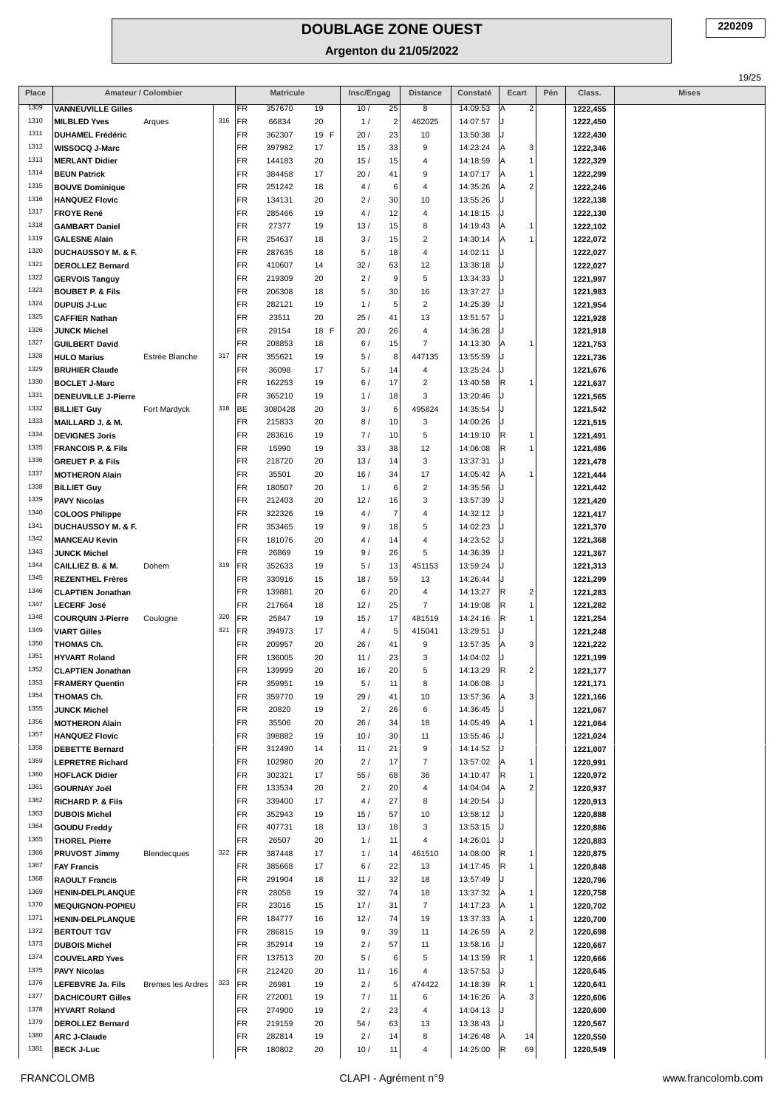| Place        |                                                  | Amateur / Colombier |     |           | <b>Matricule</b> |            | Insc/Engag |                | <b>Distance</b>         | Constaté             | Ecart                             | Pén | Class.               | <b>Mises</b> |
|--------------|--------------------------------------------------|---------------------|-----|-----------|------------------|------------|------------|----------------|-------------------------|----------------------|-----------------------------------|-----|----------------------|--------------|
| 1309         | <b>VANNEUVILLE Gilles</b>                        |                     |     | FR        | 357670           | 19         | 10/        | 25             | 8                       | 14:09:53             | Α<br>2                            |     | 1222,455             |              |
| 1310         | <b>MILBLED Yves</b>                              | Arques              | 316 | FR        | 66834            | 20         | 1/         | $\overline{2}$ | 462025                  | 14:07:57             |                                   |     | 1222,450             |              |
| 1311         | <b>DUHAMEL Frédéric</b>                          |                     |     | FR        | 362307           | 19 F       | 20/        | 23             | 10                      | 13:50:38             |                                   |     | 1222,430             |              |
| 1312         | WISSOCQ J-Marc                                   |                     |     | FR        | 397982           | 17         | 15/        | 33             | 9                       | 14:23:24             | 3<br>Α                            |     | 1222,346             |              |
| 1313         | <b>MERLANT Didier</b>                            |                     |     | FR        | 144183           | 20         | 15/        | 15             | 4                       | 14:18:59             | 1<br>Α                            |     | 1222,329             |              |
| 1314<br>1315 | <b>BEUN Patrick</b><br><b>BOUVE Dominique</b>    |                     |     | FR<br>FR  | 384458<br>251242 | 17<br>18   | 20/<br>4 / | 41<br>6        | 9<br>4                  | 14:07:17<br>14:35:26 | Α<br>1<br>$\overline{\mathbf{c}}$ |     | 1222,299<br>1222,246 |              |
| 1316         | <b>HANQUEZ Flovic</b>                            |                     |     | FR        | 134131           | 20         | 2/         | 30             | 10                      | 13:55:26             | Α                                 |     | 1222,138             |              |
| 1317         | <b>FROYE René</b>                                |                     |     | FR        | 285466           | 19         | 4 /        | 12             | 4                       | 14:18:15             |                                   |     | 1222,130             |              |
| 1318         | <b>GAMBART Daniel</b>                            |                     |     | FR        | 27377            | 19         | 13/        | 15             | 8                       | 14:19:43             | Α<br>1                            |     | 1222,102             |              |
| 1319         | <b>GALESNE Alain</b>                             |                     |     | FR        | 254637           | 18         | 3/         | 15             | $\overline{\mathbf{c}}$ | 14:30:14             | 1<br>Α                            |     | 1222,072             |              |
| 1320         | <b>DUCHAUSSOY M. &amp; F.</b>                    |                     |     | FR        | 287635           | 18         | 5/         | 18             | 4                       | 14:02:11             |                                   |     | 1222,027             |              |
| 1321         | <b>DEROLLEZ Bernard</b>                          |                     |     | FR        | 410607           | 14         | 32/        | 63             | 12                      | 13:38:18             |                                   |     | 1222,027             |              |
| 1322         | <b>GERVOIS Tanguy</b>                            |                     |     | FR        | 219309           | 20         | 2/         | 9              | 5                       | 13:34:33             |                                   |     | 1221,997             |              |
| 1323         | <b>BOUBET P. &amp; Fils</b>                      |                     |     | FR        | 206308           | 18         | 5/         | 30             | 16                      | 13:37:27             |                                   |     | 1221,983             |              |
| 1324<br>1325 | <b>DUPUIS J-Luc</b>                              |                     |     | FR        | 282121           | 19         | 1/         | 5              | $\overline{2}$          | 14:25:39             |                                   |     | 1221,954             |              |
| 1326         | <b>CAFFIER Nathan</b><br>JUNCK Michel            |                     |     | FR<br>FR  | 23511<br>29154   | 20<br>18 F | 25/<br>20/ | 41<br>26       | 13<br>4                 | 13:51:57<br>14:36:28 |                                   |     | 1221,928             |              |
| 1327         | <b>GUILBERT David</b>                            |                     |     | FR        | 208853           | 18         | 6/         | 15             | $\overline{7}$          | 14:13:30             | 1<br>Α                            |     | 1221,918<br>1221,753 |              |
| 1328         | <b>HULO Marius</b>                               | Estrée Blanche      | 317 | FR        | 355621           | 19         | 5/         | 8              | 447135                  | 13:55:59             |                                   |     | 1221,736             |              |
| 1329         | <b>BRUHIER Claude</b>                            |                     |     | FR        | 36098            | 17         | 5/         | 14             | 4                       | 13:25:24             |                                   |     | 1221,676             |              |
| 1330         | <b>BOCLET J-Marc</b>                             |                     |     | FR        | 162253           | 19         | 6/         | 17             | $\sqrt{2}$              | 13:40:58             | R<br>1                            |     | 1221,637             |              |
| 1331         | DENEUVILLE J-Pierre                              |                     |     | <b>FR</b> | 365210           | 19         | 1/         | 18             | 3                       | 13:20:46             |                                   |     | 1221,565             |              |
| 1332         | <b>BILLIET Guy</b>                               | Fort Mardyck        | 318 | BE        | 3080428          | 20         | 3/         | 6              | 495824                  | 14:35:54             |                                   |     | 1221,542             |              |
| 1333         | MAILLARD J. & M.                                 |                     |     | FR        | 215833           | 20         | 8/         | 10             | 3                       | 14:00:26             |                                   |     | 1221,515             |              |
| 1334         | <b>DEVIGNES Joris</b>                            |                     |     | FR        | 283616           | 19         | 7/         | 10             | 5                       | 14:19:10             | R<br>1                            |     | 1221,491             |              |
| 1335         | <b>FRANCOIS P. &amp; Fils</b>                    |                     |     | FR        | 15990            | 19         | 33/        | 38             | 12                      | 14:06:08             | R<br>1                            |     | 1221,486             |              |
| 1336<br>1337 | <b>GREUET P. &amp; Fils</b>                      |                     |     | FR        | 218720           | 20         | 13/        | 14             | 3                       | 13:37:31             |                                   |     | 1221,478             |              |
| 1338         | <b>MOTHERON Alain</b><br><b>BILLIET Guy</b>      |                     |     | FR<br>FR  | 35501<br>180507  | 20<br>20   | 16/<br>1/  | 34<br>6        | 17<br>$\sqrt{2}$        | 14:05:42<br>14:35:56 | Α<br>1                            |     | 1221,444<br>1221,442 |              |
| 1339         | <b>PAVY Nicolas</b>                              |                     |     | FR        | 212403           | 20         | 12/        | 16             | 3                       | 13:57:39             |                                   |     | 1221,420             |              |
| 1340         | <b>COLOOS Philippe</b>                           |                     |     | FR        | 322326           | 19         | 4/         | $\overline{7}$ | $\overline{4}$          | 14:32:12             |                                   |     | 1221,417             |              |
| 1341         | <b>DUCHAUSSOY M. &amp; F.</b>                    |                     |     | FR        | 353465           | 19         | 9/         | 18             | 5                       | 14:02:23             |                                   |     | 1221,370             |              |
| 1342         | <b>MANCEAU Kevin</b>                             |                     |     | FR        | 181076           | 20         | 4/         | 14             | $\overline{4}$          | 14:23:52             |                                   |     | 1221,368             |              |
| 1343         | JUNCK Michel                                     |                     |     | FR        | 26869            | 19         | 9/         | 26             | 5                       | 14:36:39             |                                   |     | 1221,367             |              |
| 1344         | CAILLIEZ B. & M.                                 | Dohem               | 319 | FR        | 352633           | 19         | 5/         | 13             | 451153                  | 13:59:24             |                                   |     | 1221,313             |              |
| 1345         | <b>REZENTHEL Frères</b>                          |                     |     | FR        | 330916           | 15         | 18/        | 59             | 13                      | 14:26:44             |                                   |     | 1221,299             |              |
| 1346         | <b>CLAPTIEN Jonathan</b>                         |                     |     | FR        | 139881           | 20         | 6/         | 20             | 4                       | 14:13:27             | R<br>2                            |     | 1221,283             |              |
| 1347<br>1348 | <b>LECERF José</b>                               |                     | 320 | <b>FR</b> | 217664           | 18         | 12/        | 25             | $\overline{7}$          | 14:19:08             | R<br>1                            |     | 1221,282             |              |
| 1349         | <b>COURQUIN J-Pierre</b><br><b>VIART Gilles</b>  | Coulogne            | 321 | FR<br>FR  | 25847<br>394973  | 19<br>17   | 15/<br>4 / | 17<br>5        | 481519<br>415041        | 14:24:16<br>13:29:51 | R<br>1                            |     | 1221,254             |              |
| 1350         | THOMAS Ch.                                       |                     |     | FR        | 209957           | 20         | 26/        | 41             | 9                       | 13:57:35             | 3<br>Α                            |     | 1221,248<br>1221,222 |              |
| 1351         | <b>HYVART Roland</b>                             |                     |     | <b>FR</b> | 136005           | 20         | 11/        | 23             | 3                       | 14:04:02             |                                   |     | 1221,199             |              |
| 1352         | <b>CLAPTIEN Jonathan</b>                         |                     |     | FR        | 139999           | 20         | 16/        | 20             | 5                       | 14:13:29             | $\overline{2}$<br>R               |     | 1221,177             |              |
| 1353         | <b>FRAMERY Quentin</b>                           |                     |     | FR        | 359951           | 19         | 5/         | 11             | 8                       | 14:06:08             |                                   |     | 1221,171             |              |
| 1354         | THOMAS Ch.                                       |                     |     | FR        | 359770           | 19         | 29/        | 41             | 10                      | 13:57:36             | 3<br>Α                            |     | 1221,166             |              |
| 1355         | <b>JUNCK Michel</b>                              |                     |     | FR        | 20820            | 19         | 2/         | 26             | 6                       | 14:36:45             |                                   |     | 1221,067             |              |
| 1356         | <b>MOTHERON Alain</b>                            |                     |     | FR        | 35506            | 20         | 26/        | 34             | 18                      | 14:05:49             | Α<br>1                            |     | 1221,064             |              |
| 1357         | <b>HANQUEZ Flovic</b>                            |                     |     | FR        | 398882           | 19         | 10/        | 30             | 11                      | 13:55:46             |                                   |     | 1221,024             |              |
| 1358         | <b>DEBETTE Bernard</b>                           |                     |     | FR        | 312490           | 14         | 11/        | 21             | 9                       | 14:14:52             |                                   |     | 1221,007             |              |
| 1359<br>1360 | <b>LEPRETRE Richard</b><br><b>HOFLACK Didier</b> |                     |     | FR<br>FR  | 102980<br>302321 | 20<br>17   | 2/<br>55/  | 17<br>68       | $\overline{7}$<br>36    | 13:57:02<br>14:10:47 | Α<br>1<br> R<br>1                 |     | 1220,991<br>1220,972 |              |
| 1361         | <b>GOURNAY Joël</b>                              |                     |     | FR        | 133534           | 20         | 2/         | 20             | $\overline{4}$          | 14:04:04             | 2<br>Α                            |     | 1220,937             |              |
| 1362         | <b>RICHARD P. &amp; Fils</b>                     |                     |     | FR        | 339400           | 17         | 4 /        | 27             | 8                       | 14:20:54             |                                   |     | 1220,913             |              |
| 1363         | <b>DUBOIS Michel</b>                             |                     |     | FR        | 352943           | 19         | 15/        | 57             | 10                      | 13:58:12             |                                   |     | 1220,888             |              |
| 1364         | <b>GOUDU Freddy</b>                              |                     |     | FR        | 407731           | 18         | 13/        | 18             | 3                       | 13:53:15             |                                   |     | 1220,886             |              |
| 1365         | <b>THOREL Pierre</b>                             |                     |     | FR        | 26507            | 20         | 1/         | 11             | 4                       | 14:26:01             |                                   |     | 1220,883             |              |
| 1366         | PRUVOST Jimmy                                    | Blendecques         | 322 | FR        | 387448           | 17         | 1/         | 14             | 461510                  | 14:08:00             | R<br>1                            |     | 1220,875             |              |
| 1367         | <b>FAY Francis</b>                               |                     |     | FR        | 385668           | 17         | 6/         | 22             | 13                      | 14:17:45             | R<br>1                            |     | 1220,848             |              |
| 1368         | <b>RAOULT Francis</b>                            |                     |     | FR        | 291904           | 18         | 11/        | 32             | 18                      | 13:57:49             |                                   |     | 1220,796             |              |
| 1369         | <b>HENIN-DELPLANQUE</b>                          |                     |     | FR        | 28058            | 19         | 32/        | 74             | 18                      | 13:37:32             | Α<br>1                            |     | 1220,758             |              |
| 1370<br>1371 | <b>MEQUIGNON-POPIEU</b>                          |                     |     | FR<br>FR  | 23016            | 15         | 17/        | 31             | $\overline{7}$          | 14:17:23             | Α<br>1<br>1                       |     | 1220,702             |              |
| 1372         | <b>HENIN-DELPLANQUE</b><br><b>BERTOUT TGV</b>    |                     |     | FR        | 184777<br>286815 | 16<br>19   | 12/<br>9/  | 74<br>39       | 19<br>11                | 13:37:33<br>14:26:59 | Α<br>2<br>Α                       |     | 1220,700<br>1220,698 |              |
| 1373         | <b>DUBOIS Michel</b>                             |                     |     | FR        | 352914           | 19         | 2/         | 57             | 11                      | 13:58:16             |                                   |     | 1220,667             |              |
| 1374         | <b>COUVELARD Yves</b>                            |                     |     | FR        | 137513           | 20         | 5/         | 6              | 5                       | 14:13:59             | R<br>1                            |     | 1220,666             |              |
| 1375         | <b>PAVY Nicolas</b>                              |                     |     | FR        | 212420           | 20         | 11/        | 16             | 4                       | 13:57:53             |                                   |     | 1220,645             |              |
| 1376         | LEFEBVRE Ja. Fils                                | Bremes les Ardres   | 323 | FR        | 26981            | 19         | 2/         | 5              | 474422                  | 14:18:39             | R<br>1                            |     | 1220,641             |              |
| 1377         | <b>DACHICOURT Gilles</b>                         |                     |     | FR        | 272001           | 19         | 7/         | 11             | 6                       | 14:16:26             | 3<br>Α                            |     | 1220,606             |              |
| 1378         | <b>HYVART Roland</b>                             |                     |     | FR        | 274900           | 19         | 2/         | 23             | 4                       | 14:04:13             |                                   |     | 1220,600             |              |
| 1379         | <b>DEROLLEZ Bernard</b>                          |                     |     | FR        | 219159           | 20         | 54/        | 63             | 13                      | 13:38:43             |                                   |     | 1220,567             |              |
| 1380         | <b>ARC J-Claude</b>                              |                     |     | FR        | 282814           | 19         | 2/         | 14             | 8                       | 14:26:48             | 14<br>Α                           |     | 1220,550             |              |
| 1381         | <b>BECK J-Luc</b>                                |                     |     | FR        | 180802           | 20         | 10/        | 11             | 4                       | 14:25:00             | R<br>69                           |     | 1220,549             |              |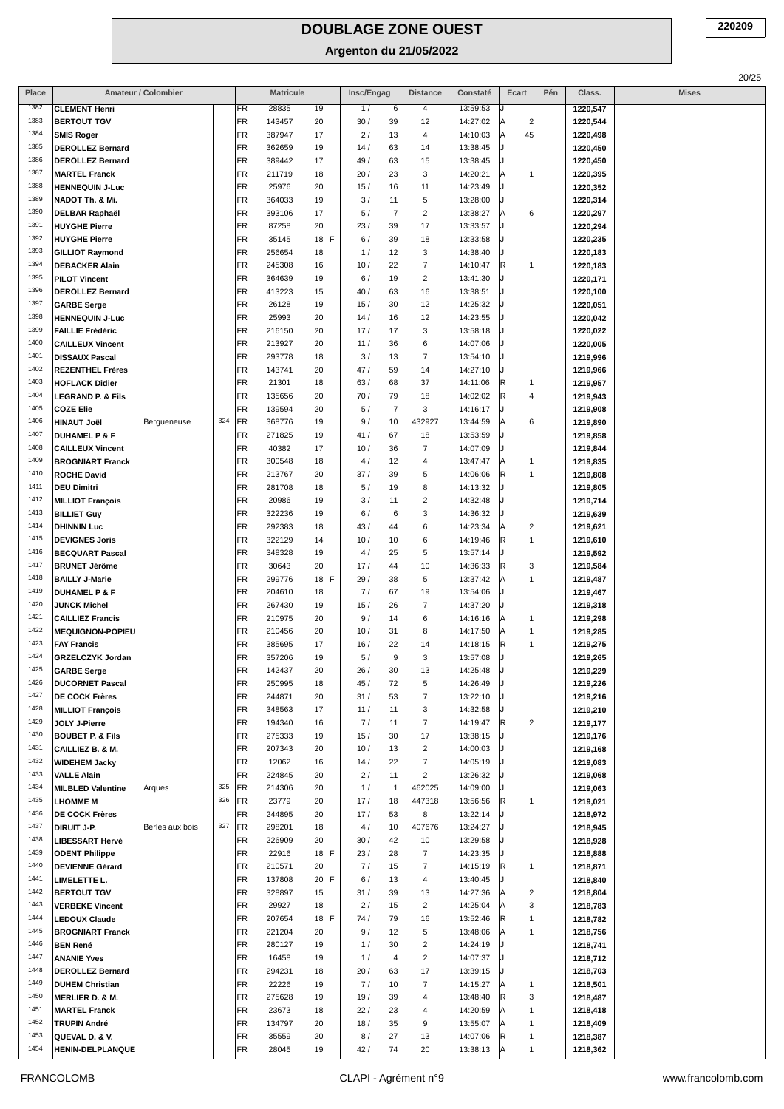| Place        |                                                   | Amateur / Colombier |     |           | <b>Matricule</b> |            | Insc/Engag |                | <b>Distance</b>                  | Constaté             | Ecart                          | Pén | Class.               | <b>Mises</b> |
|--------------|---------------------------------------------------|---------------------|-----|-----------|------------------|------------|------------|----------------|----------------------------------|----------------------|--------------------------------|-----|----------------------|--------------|
| 1382         | <b>CLEMENT Henri</b>                              |                     |     | FR        | 28835            | 19         | 1/         | 6              | 4                                | 13:59:53             |                                |     | 1220,547             |              |
| 1383         | <b>BERTOUT TGV</b>                                |                     |     | FR        | 143457           | 20         | 30/        | 39             | 12                               | 14:27:02             | $\overline{2}$                 |     | 1220,544             |              |
| 1384         | <b>SMIS Roger</b>                                 |                     |     | FR        | 387947           | 17         | 2/         | 13             | $\overline{4}$                   | 14:10:03             | 45<br> A                       |     | 1220,498             |              |
| 1385         | <b>DEROLLEZ Bernard</b>                           |                     |     | FR        | 362659           | 19         | 14/        | 63             | 14                               | 13:38:45             |                                |     | 1220,450             |              |
| 1386         | <b>DEROLLEZ Bernard</b>                           |                     |     | FR        | 389442           | 17         | 49 /       | 63             | 15                               | 13:38:45             |                                |     | 1220,450             |              |
| 1387<br>1388 | <b>MARTEL Franck</b><br><b>HENNEQUIN J-Luc</b>    |                     |     | FR<br>FR  | 211719<br>25976  | 18<br>20   | 20/<br>15/ | 23<br>16       | 3<br>11                          | 14:20:21<br>14:23:49 | ΙA<br>$\mathbf 1$              |     | 1220,395<br>1220,352 |              |
| 1389         | NADOT Th. & Mi.                                   |                     |     | FR        | 364033           | 19         | 3/         | 11             | 5                                | 13:28:00             |                                |     | 1220,314             |              |
| 1390         | DELBAR Raphaël                                    |                     |     | FR        | 393106           | 17         | 5/         | $\overline{7}$ | $\overline{c}$                   | 13:38:27             | 6<br>ΙA                        |     | 1220,297             |              |
| 1391         | <b>HUYGHE Pierre</b>                              |                     |     | FR        | 87258            | 20         | 23/        | 39             | 17                               | 13:33:57             |                                |     | 1220,294             |              |
| 1392         | <b>HUYGHE Pierre</b>                              |                     |     | FR        | 35145            | 18 F       | 6/         | 39             | 18                               | 13:33:58             |                                |     | 1220,235             |              |
| 1393         | <b>GILLIOT Raymond</b>                            |                     |     | FR        | 256654           | 18         | 1/         | 12             | 3                                | 14:38:40             |                                |     | 1220,183             |              |
| 1394         | <b>DEBACKER Alain</b>                             |                     |     | FR        | 245308           | 16         | 10/        | 22             | $\overline{7}$                   | 14:10:47             | IR.<br>$\mathbf{1}$            |     | 1220,183             |              |
| 1395         | <b>PILOT Vincent</b>                              |                     |     | FR        | 364639           | 19         | 6/         | 19             | $\overline{2}$                   | 13:41:30             |                                |     | 1220,171             |              |
| 1396         | <b>DEROLLEZ Bernard</b>                           |                     |     | FR        | 413223           | 15         | 40/        | 63             | 16                               | 13:38:51             |                                |     | 1220,100             |              |
| 1397<br>1398 | <b>GARBE Serge</b>                                |                     |     | FR<br>FR  | 26128<br>25993   | 19         | 15/<br>14/ | 30<br>16       | 12<br>12                         | 14:25:32<br>14:23:55 |                                |     | 1220,051             |              |
| 1399         | <b>HENNEQUIN J-Luc</b><br><b>FAILLIE Frédéric</b> |                     |     | FR        | 216150           | 20<br>20   | 17/        | 17             | $\ensuremath{\mathsf{3}}$        | 13:58:18             |                                |     | 1220,042<br>1220,022 |              |
| 1400         | <b>CAILLEUX Vincent</b>                           |                     |     | FR        | 213927           | 20         | 11/        | 36             | $\,6\,$                          | 14:07:06             |                                |     | 1220,005             |              |
| 1401         | <b>DISSAUX Pascal</b>                             |                     |     | FR        | 293778           | 18         | 3/         | 13             | $\overline{7}$                   | 13:54:10             |                                |     | 1219,996             |              |
| 1402         | <b>REZENTHEL Frères</b>                           |                     |     | FR        | 143741           | 20         | 47/        | 59             | 14                               | 14:27:10             |                                |     | 1219,966             |              |
| 1403         | <b>HOFLACK Didier</b>                             |                     |     | FR        | 21301            | 18         | 63/        | 68             | 37                               | 14:11:06             | IR.<br>$\mathbf{1}$            |     | 1219,957             |              |
| 1404         | <b>LEGRAND P. &amp; Fils</b>                      |                     |     | FR        | 135656           | 20         | 70/        | 79             | 18                               | 14:02:02             | IR.<br>$\overline{4}$          |     | 1219,943             |              |
| 1405         | <b>COZE Elie</b>                                  |                     |     | FR        | 139594           | 20         | 5/         | $\overline{7}$ | 3                                | 14:16:17             |                                |     | 1219,908             |              |
| 1406         | <b>HINAUT Joël</b>                                | Bergueneuse         | 324 | FR        | 368776           | 19         | 9/         | 10             | 432927                           | 13:44:59             | 6<br>ΙA                        |     | 1219,890             |              |
| 1407         | <b>DUHAMEL P &amp; F</b>                          |                     |     | FR        | 271825           | 19         | 41/        | 67             | 18                               | 13:53:59             |                                |     | 1219,858             |              |
| 1408<br>1409 | <b>CAILLEUX Vincent</b>                           |                     |     | FR<br>FR  | 40382<br>300548  | 17         | 10/        | 36             | $\overline{7}$                   | 14:07:09             |                                |     | 1219,844             |              |
| 1410         | <b>BROGNIART Franck</b><br><b>ROCHE David</b>     |                     |     | FR        | 213767           | 18<br>20   | 4/<br>37/  | 12<br>39       | $\overline{4}$<br>5              | 13:47:47<br>14:06:06 | ΙA<br>1<br>R.<br>1             |     | 1219,835<br>1219,808 |              |
| 1411         | <b>DEU Dimitri</b>                                |                     |     | FR        | 281708           | 18         | 5/         | 19             | 8                                | 14:13:32             |                                |     | 1219,805             |              |
| 1412         | <b>MILLIOT François</b>                           |                     |     | FR        | 20986            | 19         | 3/         | 11             | $\overline{2}$                   | 14:32:48             |                                |     | 1219,714             |              |
| 1413         | <b>BILLIET Guy</b>                                |                     |     | FR        | 322236           | 19         | 6/         | 6              | 3                                | 14:36:32             |                                |     | 1219,639             |              |
| 1414         | <b>DHINNIN Luc</b>                                |                     |     | FR        | 292383           | 18         | 43/        | 44             | 6                                | 14:23:34             | $\overline{c}$<br>ΙA           |     | 1219,621             |              |
| 1415         | <b>DEVIGNES Joris</b>                             |                     |     | FR        | 322129           | 14         | 10/        | 10             | 6                                | 14:19:46             | $\overline{1}$<br>R.           |     | 1219,610             |              |
| 1416         | <b>BECQUART Pascal</b>                            |                     |     | FR        | 348328           | 19         | 4/         | 25             | $\sqrt{5}$                       | 13:57:14             |                                |     | 1219,592             |              |
| 1417         | <b>BRUNET Jérôme</b>                              |                     |     | FR        | 30643            | 20         | 17/        | 44             | 10                               | 14:36:33             | 3<br>IR.                       |     | 1219,584             |              |
| 1418         | <b>BAILLY J-Marie</b>                             |                     |     | FR        | 299776           | 18 F       | 29/        | 38             | 5                                | 13:37:42             | $\overline{1}$<br>ΙA           |     | 1219,487             |              |
| 1419<br>1420 | <b>DUHAMEL P &amp; F</b>                          |                     |     | FR        | 204610           | 18         | 7/         | 67             | 19                               | 13:54:06             |                                |     | 1219,467             |              |
| 1421         | <b>JUNCK Michel</b><br><b>CAILLIEZ Francis</b>    |                     |     | FR<br>FR  | 267430<br>210975 | 19<br>20   | 15/<br>9/  | 26<br>14       | $\overline{7}$<br>6              | 14:37:20<br>14:16:16 | A<br>$\mathbf{1}$              |     | 1219,318<br>1219,298 |              |
| 1422         | <b>MEQUIGNON-POPIEU</b>                           |                     |     | FR        | 210456           | 20         | 10/        | 31             | 8                                | 14:17:50             | $\mathbf{1}$<br>ΙA             |     | 1219,285             |              |
| 1423         | <b>FAY Francis</b>                                |                     |     | FR        | 385695           | 17         | 16/        | 22             | 14                               | 14:18:15             | IR.<br>$\mathbf{1}$            |     | 1219,275             |              |
| 1424         | <b>GRZELCZYK Jordan</b>                           |                     |     | FR        | 357206           | 19         | 5/         | 9              | 3                                | 13:57:08             |                                |     | 1219,265             |              |
| 1425         | <b>GARBE Serge</b>                                |                     |     | FR        | 142437           | 20         | 26/        | 30             | 13                               | 14:25:48             |                                |     | 1219,229             |              |
| 1426         | <b>DUCORNET Pascal</b>                            |                     |     | FR        | 250995           | 18         | 45/        | 72             | 5                                | 14:26:49             |                                |     | 1219,226             |              |
| 1427         | <b>DE COCK Frères</b>                             |                     |     | FR        | 244871           | 20         | 31/        | 53             | $\overline{7}$                   | 13:22:10             |                                |     | 1219,216             |              |
| 1428         | <b>MILLIOT François</b>                           |                     |     | FR        | 348563           | 17         | 11/        | 11             | 3                                | 14:32:58             |                                |     | 1219,210             |              |
| 1429         | JOLY J-Pierre                                     |                     |     | FR        | 194340           | 16         | 7/         | 11             | $\overline{7}$                   | 14:19:47             | $\overline{\mathbf{c}}$<br>IR. |     | 1219,177             |              |
| 1430         | <b>BOUBET P. &amp; Fils</b>                       |                     |     | FR        | 275333           | 19         | 15/        | 30             | 17                               | 13:38:15             |                                |     | 1219,176             |              |
| 1431<br>1432 | CAILLIEZ B. & M.                                  |                     |     | FR<br>FR  | 207343<br>12062  | 20<br>16   | 10/<br>14/ | 13<br>22       | $\overline{2}$<br>$\overline{7}$ | 14:00:03<br>14:05:19 |                                |     | 1219,168             |              |
| 1433         | <b>WIDEHEM Jacky</b><br><b>VALLE Alain</b>        |                     |     | FR        | 224845           | 20         | 2/         | 11             | $\overline{2}$                   | 13:26:32             |                                |     | 1219,083<br>1219,068 |              |
| 1434         | <b>MILBLED Valentine</b>                          | Arques              | 325 | FR        | 214306           | 20         | 1/         | $\overline{1}$ | 462025                           | 14:09:00             |                                |     | 1219,063             |              |
| 1435         | <b>LHOMME M</b>                                   |                     | 326 | FR        | 23779            | 20         | 17/        | 18             | 447318                           | 13:56:56             | IR.<br>1                       |     | 1219,021             |              |
| 1436         | <b>DE COCK Frères</b>                             |                     |     | FR        | 244895           | 20         | 17/        | 53             | 8                                | 13:22:14             |                                |     | 1218,972             |              |
| 1437         | <b>DIRUIT J-P.</b>                                | Berles aux bois     | 327 | FR        | 298201           | 18         | 4/         | 10             | 407676                           | 13:24:27             |                                |     | 1218,945             |              |
| 1438         | <b>LIBESSART Hervé</b>                            |                     |     | <b>FR</b> | 226909           | 20         | 30/        | 42             | 10                               | 13:29:58             |                                |     | 1218,928             |              |
| 1439         | <b>ODENT Philippe</b>                             |                     |     | FR        | 22916            | 18 F       | 23/        | 28             | $\overline{7}$                   | 14:23:35             |                                |     | 1218,888             |              |
| 1440         | <b>DEVIENNE Gérard</b>                            |                     |     | FR        | 210571           | 20         | 7/         | 15             | $\overline{7}$                   | 14:15:19             | R<br>1                         |     | 1218,871             |              |
| 1441         | LIMELETTE L.                                      |                     |     | FR        | 137808           | 20 F       | 6/         | 13             | 4                                | 13:40:45             |                                |     | 1218,840             |              |
| 1442<br>1443 | <b>BERTOUT TGV</b>                                |                     |     | FR<br>FR  | 328897<br>29927  | 15         | 31/        | 39<br>15       | 13<br>$\overline{c}$             | 14:27:36             | $\overline{2}$<br>3            |     | 1218,804             |              |
| 1444         | <b>VERBEKE Vincent</b><br><b>LEDOUX Claude</b>    |                     |     | FR        | 207654           | 18<br>18 F | 2/<br>74/  | 79             | 16                               | 14:25:04<br>13:52:46 | IR.<br>$\mathbf{1}$            |     | 1218,783<br>1218,782 |              |
| 1445         | <b>BROGNIART Franck</b>                           |                     |     | FR        | 221204           | 20         | 9/         | 12             | 5                                | 13:48:06             |                                |     | 1218,756             |              |
| 1446         | <b>BEN René</b>                                   |                     |     | FR        | 280127           | 19         | 1/         | 30             | $\overline{c}$                   | 14:24:19             |                                |     | 1218,741             |              |
| 1447         | <b>ANANIE Yves</b>                                |                     |     | FR        | 16458            | 19         | 1/         | $\overline{4}$ | $\overline{2}$                   | 14:07:37             |                                |     | 1218,712             |              |
| 1448         | <b>DEROLLEZ Bernard</b>                           |                     |     | FR        | 294231           | 18         | 20/        | 63             | 17                               | 13:39:15             |                                |     | 1218,703             |              |
| 1449         | <b>DUHEM Christian</b>                            |                     |     | FR        | 22226            | 19         | 7/         | 10             | $\overline{7}$                   | 14:15:27             | $\mathbf{1}$                   |     | 1218,501             |              |
| 1450         | <b>MERLIER D. &amp; M.</b>                        |                     |     | FR        | 275628           | 19         | 19/        | 39             | $\overline{4}$                   | 13:48:40             | 3<br>IR.                       |     | 1218,487             |              |
| 1451         | <b>MARTEL Franck</b>                              |                     |     | FR        | 23673            | 18         | 22/        | 23             | 4                                | 14:20:59             | 1                              |     | 1218,418             |              |
| 1452         | <b>TRUPIN André</b>                               |                     |     | FR        | 134797           | 20         | 18/        | 35             | 9                                | 13:55:07             | $\mathbf{1}$                   |     | 1218,409             |              |
| 1453         | QUEVAL D. & V.                                    |                     |     | FR        | 35559            | 20         | 8/         | 27             | 13                               | 14:07:06             | IR.<br>1                       |     | 1218,387             |              |
| 1454         | <b>HENIN-DELPLANQUE</b>                           |                     |     | FR        | 28045            | 19         | 42/        | 74             | 20                               | 13:38:13             | $\mathbf{1}$<br>ΙA             |     | 1218,362             |              |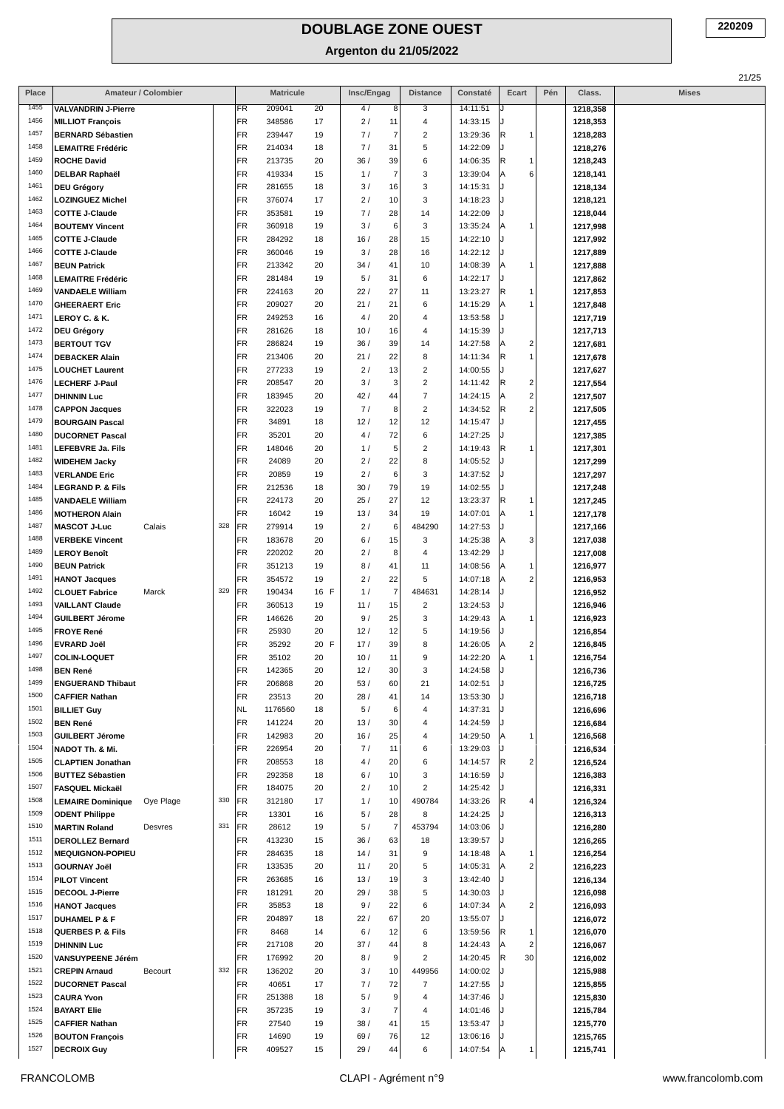| Place        | Amateur / Colombier                             |     |                        | <b>Matricule</b> |          | Insc/Engag                     | <b>Distance</b>         | Constaté             | Ecart                            | Pén | Class.               | <b>Mises</b> |
|--------------|-------------------------------------------------|-----|------------------------|------------------|----------|--------------------------------|-------------------------|----------------------|----------------------------------|-----|----------------------|--------------|
| 1455         | <b>VALVANDRIN J-Pierre</b>                      |     | FR                     | 209041           | 20       | 4/<br>8                        | 3                       | 14:11:51             |                                  |     | 1218,358             |              |
| 1456         | <b>MILLIOT François</b>                         |     | FR                     | 348586           | 17       | 2/<br>11                       | 4                       | 14:33:15             |                                  |     | 1218,353             |              |
| 1457         | <b>BERNARD Sébastien</b>                        |     | FR                     | 239447           | 19       | 7/<br>7                        | 2                       | 13:29:36             | R<br>$\mathbf{1}$                |     | 1218,283             |              |
| 1458         | <b>LEMAITRE Frédéric</b>                        |     | FR                     | 214034           | 18       | 7/<br>31                       | 5                       | 14:22:09             |                                  |     | 1218,276             |              |
| 1459         | <b>ROCHE David</b>                              |     | FR                     | 213735           | 20       | 36/<br>39                      | 6                       | 14:06:35             | R<br>$\mathbf{1}$                |     | 1218,243             |              |
| 1460         | <b>DELBAR Raphaël</b>                           |     | FR                     | 419334           | 15       | 7<br>1/                        | 3                       | 13:39:04             | 6<br>ΙA                          |     | 1218,141             |              |
| 1461<br>1462 | <b>DEU Grégory</b>                              |     | FR                     | 281655           | 18       | 3/<br>16                       | 3                       | 14:15:31             |                                  |     | 1218,134             |              |
| 1463         | <b>LOZINGUEZ Michel</b>                         |     | FR<br><b>FR</b>        | 376074<br>353581 | 17<br>19 | 2/<br>10<br>7/<br>28           | 3<br>14                 | 14:18:23             |                                  |     | 1218,121             |              |
| 1464         | <b>COTTE J-Claude</b><br><b>BOUTEMY Vincent</b> |     | FR                     | 360918           | 19       | 3/<br>6                        | 3                       | 14:22:09<br>13:35:24 | $\mathbf{1}$<br>ΙA               |     | 1218,044<br>1217,998 |              |
| 1465         | <b>COTTE J-Claude</b>                           |     | FR                     | 284292           | 18       | 28<br>16/                      | 15                      | 14:22:10             |                                  |     | 1217,992             |              |
| 1466         | <b>COTTE J-Claude</b>                           |     | <b>FR</b>              | 360046           | 19       | 3/<br>28                       | 16                      | 14:22:12             |                                  |     | 1217,889             |              |
| 1467         | <b>BEUN Patrick</b>                             |     | FR                     | 213342           | 20       | 34/<br>41                      | 10                      | 14:08:39             | $\mathbf{1}$<br>ΙA               |     | 1217,888             |              |
| 1468         | <b>LEMAITRE Frédéric</b>                        |     | FR                     | 281484           | 19       | 5/<br>31                       | 6                       | 14:22:17             |                                  |     | 1217,862             |              |
| 1469         | <b>VANDAELE William</b>                         |     | FR                     | 224163           | 20       | 22/<br>27                      | 11                      | 13:23:27             | R<br>-1                          |     | 1217,853             |              |
| 1470         | <b>GHEERAERT Eric</b>                           |     | FR                     | 209027           | 20       | 21/<br>21                      | 6                       | 14:15:29             | $\mathbf{1}$<br>ΙA               |     | 1217,848             |              |
| 1471         | LEROY C. & K.                                   |     | FR                     | 249253           | 16       | 4/<br>20                       | 4                       | 13:53:58             |                                  |     | 1217,719             |              |
| 1472         | <b>DEU Grégory</b>                              |     | FR                     | 281626           | 18       | 10/<br>16                      | 4                       | 14:15:39             |                                  |     | 1217,713             |              |
| 1473         | <b>BERTOUT TGV</b>                              |     | FR                     | 286824           | 19       | 36/<br>39                      | 14                      | 14:27:58             | $\overline{\mathbf{c}}$<br>ΙA    |     | 1217,681             |              |
| 1474         | <b>DEBACKER Alain</b>                           |     | <b>FR</b>              | 213406           | 20       | 22<br>21/                      | 8                       | 14:11:34             | $\overline{1}$<br> R             |     | 1217,678             |              |
| 1475         | <b>LOUCHET Laurent</b>                          |     | FR                     | 277233           | 19       | 2/<br>13                       | 2                       | 14:00:55             |                                  |     | 1217,627             |              |
| 1476         | <b>LECHERF J-Paul</b>                           |     | FR                     | 208547           | 20       | 3/<br>3                        | 2                       | 14:11:42             | R<br>$\overline{\mathbf{c}}$     |     | 1217,554             |              |
| 1477         | <b>DHINNIN Luc</b>                              |     | FR                     | 183945           | 20       | 42/<br>44                      | 7                       | 14:24:15             | $\overline{c}$<br>ΙA             |     | 1217,507             |              |
| 1478         | <b>CAPPON Jacques</b>                           |     | FR                     | 322023           | 19       | 7/<br>8                        | $\overline{\mathbf{c}}$ | 14:34:52             | $\overline{c}$<br> R             |     | 1217,505             |              |
| 1479         | <b>BOURGAIN Pascal</b>                          |     | FR                     | 34891            | 18       | 12/<br>12                      | 12                      | 14:15:47             |                                  |     | 1217,455             |              |
| 1480<br>1481 | <b>DUCORNET Pascal</b>                          |     | FR                     | 35201            | 20       | 4/<br>72                       | 6                       | 14:27:25             |                                  |     | 1217,385             |              |
| 1482         | <b>LEFEBVRE Ja. Fils</b>                        |     | FR<br>FR               | 148046<br>24089  | 20<br>20 | 5<br>1/<br>2/<br>22            | 2<br>8                  | 14:19:43<br>14:05:52 | R<br>$\mathbf{1}$                |     | 1217,301             |              |
| 1483         | <b>WIDEHEM Jacky</b><br><b>VERLANDE Eric</b>    |     | FR                     | 20859            | 19       | 2/<br>6                        | 3                       | 14:37:52             |                                  |     | 1217,299<br>1217,297 |              |
| 1484         | <b>LEGRAND P. &amp; Fils</b>                    |     | FR                     | 212536           | 18       | 79<br>30/                      | 19                      | 14:02:55             |                                  |     | 1217,248             |              |
| 1485         | <b>VANDAELE William</b>                         |     | FR                     | 224173           | 20       | 25/<br>27                      | 12                      | 13:23:37             | R<br>-1                          |     | 1217,245             |              |
| 1486         | <b>MOTHERON Alain</b>                           |     | FR                     | 16042            | 19       | 13/<br>34                      | 19                      | 14:07:01             | ΙA<br>$\mathbf{1}$               |     | 1217,178             |              |
| 1487         | <b>MASCOT J-Luc</b><br>Calais                   | 328 | <b>FR</b>              | 279914           | 19       | 2/<br>6                        | 484290                  | 14:27:53             |                                  |     | 1217,166             |              |
| 1488         | <b>VERBEKE Vincent</b>                          |     | FR                     | 183678           | 20       | 6/<br>15                       | 3                       | 14:25:38             | 3<br>ΙA                          |     | 1217,038             |              |
| 1489         | <b>LEROY Benoît</b>                             |     | FR                     | 220202           | 20       | 2/<br>8                        | 4                       | 13:42:29             |                                  |     | 1217,008             |              |
| 1490         | <b>BEUN Patrick</b>                             |     | FR                     | 351213           | 19       | 8/<br>41                       | 11                      | 14:08:56             | -1<br>ΙA                         |     | 1216,977             |              |
| 1491         | <b>HANOT Jacques</b>                            |     | FR                     | 354572           | 19       | 22<br>2/                       | 5                       | 14:07:18             | $\overline{c}$<br>ΙA             |     | 1216,953             |              |
| 1492         | <b>CLOUET Fabrice</b><br>Marck                  | 329 | FR                     | 190434           | 16 F     | 7<br>1/                        | 484631                  | 14:28:14             |                                  |     | 1216,952             |              |
| 1493         | <b>VAILLANT Claude</b>                          |     | FR                     | 360513           | 19       | 11/<br>15                      | 2                       | 13:24:53             |                                  |     | 1216,946             |              |
| 1494         | <b>GUILBERT Jérome</b>                          |     | FR                     | 146626           | 20       | 9/<br>25                       | 3                       | 14:29:43             | $\mathbf{1}$<br>ΙA               |     | 1216,923             |              |
| 1495         | <b>FROYE René</b>                               |     | FR                     | 25930            | 20       | 12/<br>12                      | 5                       | 14:19:56             |                                  |     | 1216,854             |              |
| 1496<br>1497 | <b>EVRARD Joël</b>                              |     | FR                     | 35292            | 20 F     | 17/<br>39                      | 8                       | 14:26:05             | $\overline{2}$<br>ΙA             |     | 1216,845             |              |
| 1498         | <b>COLIN-LOQUET</b>                             |     | <b>FR</b><br><b>FR</b> | 35102            | 20<br>20 | 10/<br>11                      | 9<br>3                  | 14:22:20             | $\mathbf{1}$<br>A                |     | 1216,754             |              |
| 1499         | <b>BEN René</b><br><b>ENGUERAND Thibaut</b>     |     | FR                     | 142365<br>206868 | 20       | 12/<br>30<br>53/<br>60         | 21                      | 14:24:58<br>14:02:51 |                                  |     | 1216,736<br>1216,725 |              |
| 1500         | <b>CAFFIER Nathan</b>                           |     | <b>FR</b>              | 23513            | 20       | 28/<br>41                      | 14                      | 13:53:30             |                                  |     | 1216,718             |              |
| 1501         | <b>BILLIET Guy</b>                              |     | <b>NL</b>              | 1176560          | 18       | 5/<br>6                        | 4                       | 14:37:31             |                                  |     | 1216,696             |              |
| 1502         | <b>BEN René</b>                                 |     | FR                     | 141224           | 20       | 13/<br>30                      | 4                       | 14:24:59             |                                  |     | 1216,684             |              |
| 1503         | <b>GUILBERT Jérome</b>                          |     | FR                     | 142983           | 20       | 16/<br>25                      | 4                       | 14:29:50             | $\mathbf{1}$<br>ΙA               |     | 1216,568             |              |
| 1504         | NADOT Th. & Mi.                                 |     | FR                     | 226954           | 20       | 7/<br>11                       | 6                       | 13:29:03             |                                  |     | 1216,534             |              |
| 1505         | <b>CLAPTIEN Jonathan</b>                        |     | FR                     | 208553           | 18       | 4/<br>20                       | 6                       | 14:14:57             | R<br>$\overline{\mathbf{c}}$     |     | 1216,524             |              |
| 1506         | <b>BUTTEZ Sébastien</b>                         |     | FR                     | 292358           | 18       | 10<br>6/                       | 3                       | 14:16:59             |                                  |     | 1216,383             |              |
| 1507         | <b>FASQUEL Mickaël</b>                          |     | FR                     | 184075           | 20       | 2/<br>10                       | $\overline{\mathbf{c}}$ | 14:25:42             |                                  |     | 1216,331             |              |
| 1508         | <b>LEMAIRE Dominique</b><br>Ove Plage           | 330 | <b>FR</b>              | 312180           | 17       | 1/<br>10                       | 490784                  | 14:33:26             | R<br>$\overline{4}$              |     | 1216,324             |              |
| 1509         | <b>ODENT Philippe</b>                           |     | FR                     | 13301            | 16       | 5/<br>28                       | 8                       | 14:24:25             |                                  |     | 1216,313             |              |
| 1510         | <b>MARTIN Roland</b><br>Desvres                 | 331 | FR                     | 28612            | 19       | $\overline{\phantom{a}}$<br>5/ | 453794                  | 14:03:06             |                                  |     | 1216,280             |              |
| 1511<br>1512 | <b>DEROLLEZ Bernard</b>                         |     | FR                     | 413230           | 15       | 36/<br>63                      | 18                      | 13:39:57             |                                  |     | 1216,265             |              |
| 1513         | <b>MEQUIGNON-POPIEU</b><br><b>GOURNAY Joël</b>  |     | FR<br>FR               | 284635<br>133535 | 18<br>20 | 14/<br>31<br>11/<br>20         | 9<br>5                  | 14:18:48<br>14:05:31 | ΙA<br>-1<br>$\overline{c}$<br>ΙA |     | 1216,254<br>1216,223 |              |
| 1514         | <b>PILOT Vincent</b>                            |     | FR                     | 263685           | 16       | 13/<br>19                      | 3                       | 13:42:40             |                                  |     | 1216,134             |              |
| 1515         | DECOOL J-Pierre                                 |     | FR                     | 181291           | 20       | 29/<br>38                      | 5                       | 14:30:03             |                                  |     | 1216,098             |              |
| 1516         | <b>HANOT Jacques</b>                            |     | FR                     | 35853            | 18       | 22<br>9/                       | 6                       | 14:07:34             | $\overline{2}$<br>ΙA             |     | 1216,093             |              |
| 1517         | <b>DUHAMEL P &amp; F</b>                        |     | FR                     | 204897           | 18       | 22/<br>67                      | 20                      | 13:55:07             |                                  |     | 1216,072             |              |
| 1518         | <b>QUERBES P. &amp; Fils</b>                    |     | <b>FR</b>              | 8468             | 14       | 6/<br>12                       | 6                       | 13:59:56             | R<br>1                           |     | 1216,070             |              |
| 1519         | <b>DHINNIN Luc</b>                              |     | FR                     | 217108           | 20       | 37/<br>44                      | 8                       | 14:24:43             | $\overline{2}$<br>ΙA             |     | 1216,067             |              |
| 1520         | VANSUYPEENE Jérém                               |     | FR                     | 176992           | 20       | 8/<br>9                        | 2                       | 14:20:45             | 30<br> R                         |     | 1216,002             |              |
| 1521         | <b>CREPIN Arnaud</b><br>Becourt                 | 332 | FR                     | 136202           | 20       | 3/<br>10                       | 449956                  | 14:00:02             |                                  |     | 1215,988             |              |
| 1522         | <b>DUCORNET Pascal</b>                          |     | FR                     | 40651            | 17       | 7/<br>72                       | $\overline{7}$          | 14:27:55             |                                  |     | 1215,855             |              |
| 1523         | <b>CAURA Yvon</b>                               |     | FR                     | 251388           | 18       | 5/<br>9                        | 4                       | 14:37:46             |                                  |     | 1215,830             |              |
| 1524         | <b>BAYART Elie</b>                              |     | FR                     | 357235           | 19       | $\overline{7}$<br>3/           | 4                       | 14:01:46             |                                  |     | 1215,784             |              |
| 1525         | <b>CAFFIER Nathan</b>                           |     | FR                     | 27540            | 19       | 38/<br>41                      | 15                      | 13:53:47             |                                  |     | 1215,770             |              |
| 1526         | <b>BOUTON François</b>                          |     | FR                     | 14690            | 19       | 69/<br>76                      | 12                      | 13:06:16             |                                  |     | 1215,765             |              |
| 1527         | <b>DECROIX Guy</b>                              |     | FR                     | 409527           | 15       | 29/<br>44                      | 6                       | 14:07:54             | $\mathbf{1}$<br> A               |     | 1215,741             |              |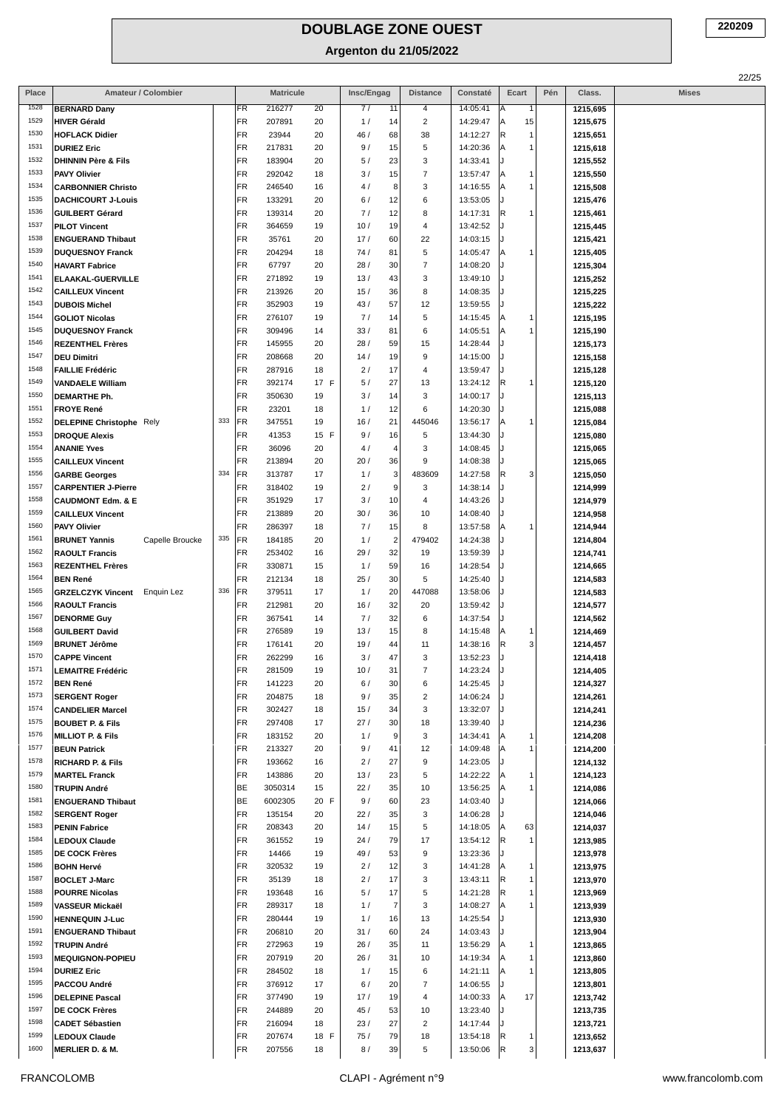| Place        | Amateur / Colombier                              |     |          | <b>Matricule</b> |          | Insc/Engag                    | <b>Distance</b>         | Constaté             | Ecart                | Pén | Class.               | <b>Mises</b> |
|--------------|--------------------------------------------------|-----|----------|------------------|----------|-------------------------------|-------------------------|----------------------|----------------------|-----|----------------------|--------------|
| 1528         | <b>BERNARD Dany</b>                              |     | FR       | 216277           | 20       | 7/<br>11                      | 4                       | 14:05:41             | Α<br>-1              |     | 1215,695             |              |
| 1529         | <b>HIVER Gérald</b>                              |     | FR       | 207891           | 20       | 1/<br>14                      | $\overline{\mathbf{c}}$ | 14:29:47             | 15<br>Α              |     | 1215,675             |              |
| 1530         | <b>HOFLACK Didier</b>                            |     | FR       | 23944            | 20       | 46 /<br>68                    | 38                      | 14:12:27             | R<br>$\overline{1}$  |     | 1215,651             |              |
| 1531         | <b>DURIEZ Eric</b>                               |     | FR       | 217831           | 20       | 9/<br>15                      | 5                       | 14:20:36             | $\overline{1}$<br>Α  |     | 1215,618             |              |
| 1532         | <b>DHINNIN Père &amp; Fils</b>                   |     | FR       | 183904           | 20       | 5/<br>23                      | 3                       | 14:33:41             |                      |     | 1215,552             |              |
| 1533         | <b>PAVY Olivier</b>                              |     | FR       | 292042           | 18       | 15<br>3/                      | $\overline{7}$          | 13:57:47             | -1<br>Α              |     | 1215,550             |              |
| 1534         | <b>CARBONNIER Christo</b>                        |     | FR       | 246540           | 16       | 8<br>4/                       | 3                       | 14:16:55             | $\overline{1}$<br>Α  |     | 1215,508             |              |
| 1535<br>1536 | <b>DACHICOURT J-Louis</b>                        |     | FR       | 133291           | 20       | 6/<br>12                      | 6                       | 13:53:05             |                      |     | 1215,476             |              |
| 1537         | <b>GUILBERT Gérard</b>                           |     | FR<br>FR | 139314           | 20       | 7/<br>12<br>10/<br>19         | 8<br>4                  | 14:17:31<br>13:42:52 | R<br>-1              |     | 1215,461             |              |
| 1538         | <b>PILOT Vincent</b><br><b>ENGUERAND Thibaut</b> |     | FR       | 364659<br>35761  | 19<br>20 | 17/<br>60                     | 22                      | 14:03:15             |                      |     | 1215,445<br>1215,421 |              |
| 1539         | <b>DUQUESNOY Franck</b>                          |     | FR       | 204294           | 18       | 74/<br>81                     | 5                       | 14:05:47             | -1<br>Α              |     | 1215,405             |              |
| 1540         | <b>HAVART Fabrice</b>                            |     | FR       | 67797            | 20       | 28/<br>30                     | $\overline{7}$          | 14:08:20             |                      |     | 1215,304             |              |
| 1541         | <b>ELAAKAL-GUERVILLE</b>                         |     | FR       | 271892           | 19       | 13/<br>43                     | 3                       | 13:49:10             |                      |     | 1215,252             |              |
| 1542         | <b>CAILLEUX Vincent</b>                          |     | FR       | 213926           | 20       | 15/<br>36                     | 8                       | 14:08:35             |                      |     | 1215,225             |              |
| 1543         | <b>DUBOIS Michel</b>                             |     | FR       | 352903           | 19       | 43/<br>57                     | 12                      | 13:59:55             |                      |     | 1215,222             |              |
| 1544         | <b>GOLIOT Nicolas</b>                            |     | FR       | 276107           | 19       | 7/<br>14                      | 5                       | 14:15:45             | -1                   |     | 1215,195             |              |
| 1545         | <b>DUQUESNOY Franck</b>                          |     | FR       | 309496           | 14       | 33/<br>81                     | 6                       | 14:05:51             | -1<br>Α              |     | 1215,190             |              |
| 1546         | <b>REZENTHEL Frères</b>                          |     | FR       | 145955           | 20       | 28/<br>59                     | 15                      | 14:28:44             |                      |     | 1215,173             |              |
| 1547         | <b>DEU Dimitri</b>                               |     | FR       | 208668           | 20       | 14/<br>19                     | 9                       | 14:15:00             |                      |     | 1215,158             |              |
| 1548         | <b>FAILLIE Frédéric</b>                          |     | FR       | 287916           | 18       | 2/<br>17                      | 4                       | 13:59:47             |                      |     | 1215,128             |              |
| 1549         | <b>VANDAELE William</b>                          |     | FR       | 392174           | 17 F     | 5/<br>27                      | 13                      | 13:24:12             | R<br>-1              |     | 1215,120             |              |
| 1550         | DEMARTHE Ph.                                     |     | FR       | 350630           | 19       | 3/<br>14                      | 3                       | 14:00:17             |                      |     | 1215,113             |              |
| 1551         | <b>FROYE René</b>                                |     | FR       | 23201            | 18       | 12<br>1/                      | 6                       | 14:20:30             |                      |     | 1215,088             |              |
| 1552<br>1553 | <b>DELEPINE Christophe Rely</b>                  | 333 | FR       | 347551           | 19       | 16/<br>21                     | 445046                  | 13:56:17             | -1<br>Α              |     | 1215,084             |              |
| 1554         | <b>DROQUE Alexis</b><br><b>ANANIE Yves</b>       |     | FR<br>FR | 41353            | 15 F     | 9/<br>16<br>$\overline{4}$    | 5<br>3                  | 13:44:30             |                      |     | 1215,080             |              |
| 1555         | <b>CAILLEUX Vincent</b>                          |     | FR       | 36096<br>213894  | 20<br>20 | 4/<br>20/<br>36               | 9                       | 14:08:45<br>14:08:38 |                      |     | 1215,065<br>1215,065 |              |
| 1556         | <b>GARBE Georges</b>                             | 334 | FR       | 313787           | 17       | 3<br>1/                       | 483609                  | 14:27:58             | R<br>3               |     | 1215,050             |              |
| 1557         | <b>CARPENTIER J-Pierre</b>                       |     | FR       | 318402           | 19       | 9<br>2/                       | 3                       | 14:38:14             |                      |     | 1214,999             |              |
| 1558         | <b>CAUDMONT Edm. &amp; E</b>                     |     | FR       | 351929           | 17       | 3/<br>10                      | 4                       | 14:43:26             |                      |     | 1214,979             |              |
| 1559         | <b>CAILLEUX Vincent</b>                          |     | FR       | 213889           | 20       | 30/<br>36                     | 10                      | 14:08:40             |                      |     | 1214,958             |              |
| 1560         | <b>PAVY Olivier</b>                              |     | FR       | 286397           | 18       | 7/<br>15                      | 8                       | 13:57:58             | -1<br>A              |     | 1214,944             |              |
| 1561         | <b>BRUNET Yannis</b><br>Capelle Broucke          | 335 | FR       | 184185           | 20       | $\overline{2}$<br>1/          | 479402                  | 14:24:38             |                      |     | 1214,804             |              |
| 1562         | <b>RAOULT Francis</b>                            |     | FR       | 253402           | 16       | 32<br>29/                     | 19                      | 13:59:39             |                      |     | 1214,741             |              |
| 1563         | <b>REZENTHEL Frères</b>                          |     | FR       | 330871           | 15       | 1/<br>59                      | 16                      | 14:28:54             |                      |     | 1214,665             |              |
| 1564         | <b>BEN René</b>                                  |     | FR       | 212134           | 18       | 25/<br>30                     | 5                       | 14:25:40             |                      |     | 1214,583             |              |
| 1565         | <b>GRZELCZYK Vincent</b><br>Enquin Lez           | 336 | FR       | 379511           | 17       | 1/<br>20                      | 447088                  | 13:58:06             |                      |     | 1214,583             |              |
| 1566         | <b>RAOULT Francis</b>                            |     | FR       | 212981           | 20       | 16/<br>32                     | 20                      | 13:59:42             |                      |     | 1214,577             |              |
| 1567         | <b>DENORME Guy</b>                               |     | FR       | 367541           | 14       | 32<br>7/                      | 6                       | 14:37:54             |                      |     | 1214,562             |              |
| 1568         | <b>GUILBERT David</b>                            |     | FR       | 276589           | 19       | 13/<br>15                     | 8                       | 14:15:48             | -1                   |     | 1214,469             |              |
| 1569<br>1570 | <b>BRUNET Jérôme</b>                             |     | FR<br>FR | 176141           | 20       | 19/<br>44<br>47               | 11<br>3                 | 14:38:16             | R<br>3               |     | 1214,457             |              |
| 1571         | <b>CAPPE Vincent</b><br><b>LEMAITRE Frédéric</b> |     | FR       | 262299<br>281509 | 16<br>19 | 3/<br>10/<br>31               | $\overline{7}$          | 13:52:23<br>14:23:24 |                      |     | 1214,418<br>1214,405 |              |
| 1572         | <b>BEN René</b>                                  |     | FR       | 141223           | 20       | 6/<br>30                      | 6                       | 14:25:45             |                      |     | 1214,327             |              |
| 1573         | <b>SERGENT Roger</b>                             |     | FR       | 204875           | 18       | 9/<br>35                      | $\overline{2}$          | 14:06:24             |                      |     | 1214,261             |              |
| 1574         | <b>CANDELIER Marcel</b>                          |     | FR       | 302427           | 18       | 15/<br>34                     | 3                       | 13:32:07             |                      |     | 1214,241             |              |
| 1575         | <b>BOUBET P. &amp; Fils</b>                      |     | FR       | 297408           | 17       | 27/<br>30                     | 18                      | 13:39:40             |                      |     | 1214,236             |              |
| 1576         | <b>MILLIOT P. &amp; Fils</b>                     |     | FR       | 183152           | 20       | 1/<br>9                       | 3                       | 14:34:41             | -1<br>Α              |     | 1214,208             |              |
| 1577         | <b>BEUN Patrick</b>                              |     | FR       | 213327           | 20       | 9/<br>41                      | 12                      | 14:09:48             | -1<br>Α              |     | 1214,200             |              |
| 1578         | <b>RICHARD P. &amp; Fils</b>                     |     | FR       | 193662           | 16       | 2/<br>27                      | 9                       | 14:23:05             |                      |     | 1214,132             |              |
| 1579         | <b>MARTEL Franck</b>                             |     | FR       | 143886           | 20       | 13/<br>23                     | 5                       | 14:22:22             | -1<br>А              |     | 1214,123             |              |
| 1580         | <b>TRUPIN André</b>                              |     | BE       | 3050314          | 15       | 35<br>22/                     | 10                      | 13:56:25             | $\overline{1}$<br>Α  |     | 1214,086             |              |
| 1581         | <b>ENGUERAND Thibaut</b>                         |     | BE       | 6002305          | 20 F     | 9/<br>60                      | 23                      | 14:03:40             |                      |     | 1214,066             |              |
| 1582         | <b>SERGENT Roger</b>                             |     | FR       | 135154           | 20       | 22/<br>35                     | 3                       | 14:06:28             |                      |     | 1214,046             |              |
| 1583<br>1584 | <b>PENIN Fabrice</b>                             |     | FR       | 208343           | 20       | 14/<br>15                     | 5                       | 14:18:05             | 63<br>Α              |     | 1214,037             |              |
| 1585         | <b>LEDOUX Claude</b><br><b>DE COCK Frères</b>    |     | FR<br>FR | 361552<br>14466  | 19<br>19 | 24/<br>79<br>49 /<br>53       | 17<br>9                 | 13:54:12<br>13:23:36 | R<br>-1              |     | 1213,985             |              |
| 1586         | <b>BOHN Hervé</b>                                |     | FR       | 320532           | 19       | 2/<br>12                      | 3                       | 14:41:28             | -1<br>Α              |     | 1213,978<br>1213,975 |              |
| 1587         | <b>BOCLET J-Marc</b>                             |     | FR       | 35139            | 18       | 2/<br>17                      | 3                       | 13:43:11             | R<br>$\overline{1}$  |     | 1213,970             |              |
| 1588         | <b>POURRE Nicolas</b>                            |     | FR       | 193648           | 16       | 5/<br>17                      | 5                       | 14:21:28             | R<br>-1              |     | 1213,969             |              |
| 1589         | VASSEUR Mickaël                                  |     | FR       | 289317           | 18       | $\overline{\mathbf{7}}$<br>1/ | 3                       | 14:08:27             | $\overline{1}$<br>Α  |     | 1213,939             |              |
| 1590         | <b>HENNEQUIN J-Luc</b>                           |     | FR       | 280444           | 19       | 1/<br>16                      | 13                      | 14:25:54             |                      |     | 1213,930             |              |
| 1591         | <b>ENGUERAND Thibaut</b>                         |     | FR       | 206810           | 20       | 31/<br>60                     | 24                      | 14:03:43             |                      |     | 1213,904             |              |
| 1592         | <b>TRUPIN André</b>                              |     | FR       | 272963           | 19       | 26/<br>35                     | 11                      | 13:56:29             | -1                   |     | 1213,865             |              |
| 1593         | <b>MEQUIGNON-POPIEU</b>                          |     | FR       | 207919           | 20       | 26/<br>31                     | 10                      | 14:19:34             | $\overline{1}$<br>Α  |     | 1213,860             |              |
| 1594         | <b>DURIEZ Eric</b>                               |     | FR       | 284502           | 18       | 1/<br>15                      | 6                       | 14:21:11             | $\overline{1}$<br> A |     | 1213,805             |              |
| 1595         | PACCOU André                                     |     | FR       | 376912           | 17       | 6/<br>20                      | 7                       | 14:06:55             |                      |     | 1213,801             |              |
| 1596         | <b>DELEPINE Pascal</b>                           |     | FR       | 377490           | 19       | 17/<br>19                     | 4                       | 14:00:33             | 17<br>Α              |     | 1213,742             |              |
| 1597         | <b>DE COCK Frères</b>                            |     | FR       | 244889           | 20       | 45/<br>53                     | 10                      | 13:23:40             |                      |     | 1213,735             |              |
| 1598         | <b>CADET Sébastien</b>                           |     | FR       | 216094           | 18       | 23/<br>27                     | $\overline{c}$          | 14:17:44             |                      |     | 1213,721             |              |
| 1599<br>1600 | <b>LEDOUX Claude</b>                             |     | FR       | 207674           | 18 F     | 75/<br>79                     | 18                      | 13:54:18             | R<br>-1              |     | 1213,652             |              |
|              | <b>MERLIER D. &amp; M.</b>                       |     | FR       | 207556           | 18       | 39<br>8/                      | 5                       | 13:50:06             | R<br>3               |     | 1213,637             |              |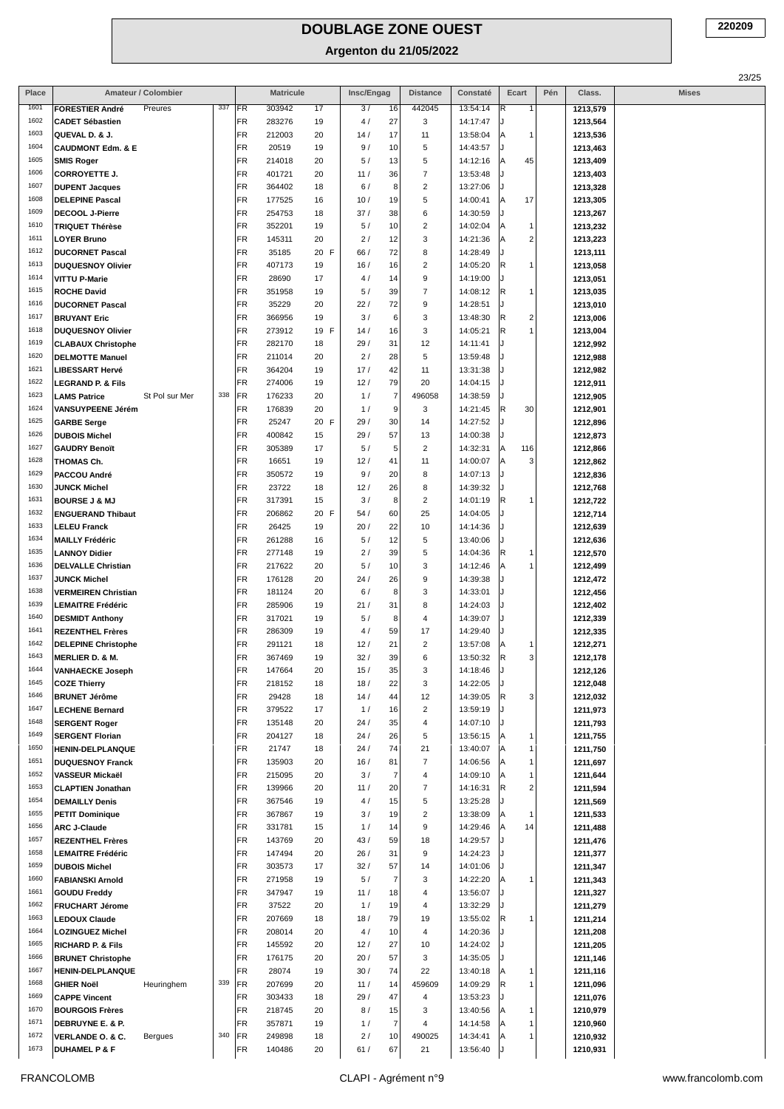| Place        | Amateur / Colombier                                                   |     |           | <b>Matricule</b> |            | Insc/Engag |                      | <b>Distance</b>              | Constaté             | Ecart                        | Pén | Class.               | <b>Mises</b> |
|--------------|-----------------------------------------------------------------------|-----|-----------|------------------|------------|------------|----------------------|------------------------------|----------------------|------------------------------|-----|----------------------|--------------|
| 1601         | <b>FORESTIER André</b><br>Preures                                     | 337 | FR        | 303942           | 17         | 3/         | 16                   | 442045                       | 13:54:14             | R<br>1                       |     | 1213,579             |              |
| 1602         | <b>CADET Sébastien</b>                                                |     | FR        | 283276           | 19         | 4/         | 27                   | 3                            | 14:17:47             |                              |     | 1213,564             |              |
| 1603         | QUEVAL D. & J.                                                        |     | FR        | 212003           | 20         | 14/        | 17                   | 11                           | 13:58:04             | Α<br>1                       |     | 1213,536             |              |
| 1604<br>1605 | <b>CAUDMONT Edm. &amp; E</b><br><b>SMIS Roger</b>                     |     | FR<br>FR  | 20519<br>214018  | 19<br>20   | 9/<br>5/   | 10<br>13             | 5<br>5                       | 14:43:57<br>14:12:16 | Α<br>45                      |     | 1213,463<br>1213,409 |              |
| 1606         | <b>CORROYETTE J.</b>                                                  |     | <b>FR</b> | 401721           | 20         | 11/        | 36                   | $\overline{7}$               | 13:53:48             |                              |     | 1213,403             |              |
| 1607         | <b>DUPENT Jacques</b>                                                 |     | FR        | 364402           | 18         | 6/         | 8                    | $\overline{c}$               | 13:27:06             |                              |     | 1213,328             |              |
| 1608         | <b>DELEPINE Pascal</b>                                                |     | FR        | 177525           | 16         | 10/        | 19                   | 5                            | 14:00:41             | 17<br>Α                      |     | 1213,305             |              |
| 1609         | <b>DECOOL J-Pierre</b>                                                |     | FR        | 254753           | 18         | 37/        | 38                   | 6                            | 14:30:59             |                              |     | 1213,267             |              |
| 1610         | <b>TRIQUET Thérèse</b>                                                |     | FR        | 352201           | 19         | 5/         | 10                   | $\overline{2}$               | 14:02:04             | Α<br>1                       |     | 1213,232             |              |
| 1611         | <b>LOYER Bruno</b>                                                    |     | FR        | 145311           | 20         | 2/         | 12                   | 3                            | 14:21:36             | $\overline{\mathbf{c}}$<br>A |     | 1213,223             |              |
| 1612         | <b>DUCORNET Pascal</b>                                                |     | <b>FR</b> | 35185            | 20 F       | 66/        | 72                   | 8                            | 14:28:49             |                              |     | 1213,111             |              |
| 1613<br>1614 | <b>DUQUESNOY Olivier</b><br><b>VITTU P-Marie</b>                      |     | FR<br>FR  | 407173<br>28690  | 19<br>17   | 16/        | 16<br>14             | $\overline{2}$<br>9          | 14:05:20<br>14:19:00 | R<br>1                       |     | 1213,058             |              |
| 1615         | <b>ROCHE David</b>                                                    |     | FR        | 351958           | 19         | 4/<br>5/   | 39                   | $\overline{7}$               | 14:08:12             | R<br>1                       |     | 1213,051<br>1213,035 |              |
| 1616         | <b>DUCORNET Pascal</b>                                                |     | FR        | 35229            | 20         | 22/        | 72                   | 9                            | 14:28:51             |                              |     | 1213,010             |              |
| 1617         | <b>BRUYANT Eric</b>                                                   |     | <b>FR</b> | 366956           | 19         | 3/         | 6                    | 3                            | 13:48:30             | R<br>$\overline{\mathbf{c}}$ |     | 1213,006             |              |
| 1618         | <b>DUQUESNOY Olivier</b>                                              |     | FR        | 273912           | 19 F       | 14/        | 16                   | 3                            | 14:05:21             | R<br>1                       |     | 1213,004             |              |
| 1619         | <b>CLABAUX Christophe</b>                                             |     | FR        | 282170           | 18         | 29 /       | 31                   | 12                           | 14:11:41             |                              |     | 1212,992             |              |
| 1620         | <b>DELMOTTE Manuel</b>                                                |     | <b>FR</b> | 211014           | 20         | 2/         | 28                   | 5                            | 13:59:48             |                              |     | 1212,988             |              |
| 1621<br>1622 | <b>LIBESSART Hervé</b>                                                |     | FR        | 364204           | 19         | 17/        | 42                   | 11                           | 13:31:38             |                              |     | 1212,982             |              |
| 1623         | <b>LEGRAND P. &amp; Fils</b><br>St Pol sur Mer<br><b>LAMS Patrice</b> | 338 | FR<br>FR  | 274006<br>176233 | 19<br>20   | 12/<br>1/  | 79<br>$\overline{7}$ | 20<br>496058                 | 14:04:15<br>14:38:59 | J                            |     | 1212,911<br>1212,905 |              |
| 1624         | VANSUYPEENE Jérém                                                     |     | FR        | 176839           | 20         | 1/         | 9                    | 3                            | 14:21:45             | R<br>30                      |     | 1212,901             |              |
| 1625         | <b>GARBE Serge</b>                                                    |     | <b>FR</b> | 25247            | 20 F       | 29/        | 30                   | 14                           | 14:27:52             |                              |     | 1212,896             |              |
| 1626         | <b>DUBOIS Michel</b>                                                  |     | FR        | 400842           | 15         | 29/        | 57                   | 13                           | 14:00:38             |                              |     | 1212,873             |              |
| 1627         | <b>GAUDRY Benoït</b>                                                  |     | FR        | 305389           | 17         | 5/         | 5                    | $\sqrt{2}$                   | 14:32:31             | A<br>116                     |     | 1212,866             |              |
| 1628         | THOMAS Ch.                                                            |     | FR        | 16651            | 19         | 12/        | 41                   | 11                           | 14:00:07             | 3<br>Α                       |     | 1212,862             |              |
| 1629         | PACCOU André                                                          |     | FR        | 350572           | 19         | 9/         | 20                   | 8                            | 14:07:13             | J.                           |     | 1212,836             |              |
| 1630<br>1631 | JUNCK Michel                                                          |     | FR<br>FR  | 23722<br>317391  | 18         | 12/<br>3/  | 26<br>8              | 8<br>$\overline{2}$          | 14:39:32<br>14:01:19 | R<br>1                       |     | 1212,768<br>1212,722 |              |
| 1632         | <b>BOURSE J &amp; MJ</b><br><b>ENGUERAND Thibaut</b>                  |     | FR        | 206862           | 15<br>20 F | 54 /       | 60                   | 25                           | 14:04:05             |                              |     | 1212,714             |              |
| 1633         | <b>LELEU Franck</b>                                                   |     | FR        | 26425            | 19         | 20/        | 22                   | 10                           | 14:14:36             |                              |     | 1212,639             |              |
| 1634         | <b>MAILLY Frédéric</b>                                                |     | FR        | 261288           | 16         | 5/         | 12                   | 5                            | 13:40:06             | J.                           |     | 1212,636             |              |
| 1635         | <b>LANNOY Didier</b>                                                  |     | <b>FR</b> | 277148           | 19         | 2/         | 39                   | 5                            | 14:04:36             | R<br>1                       |     | 1212,570             |              |
| 1636         | <b>DELVALLE Christian</b>                                             |     | FR        | 217622           | 20         | 5/         | 10                   | 3                            | 14:12:46             | Α<br>1                       |     | 1212,499             |              |
| 1637         | <b>JUNCK Michel</b>                                                   |     | FR        | 176128           | 20         | 24 /       | 26                   | 9                            | 14:39:38             |                              |     | 1212,472             |              |
| 1638         | <b>VERMEIREN Christian</b>                                            |     | <b>FR</b> | 181124           | 20         | 6/         | 8                    | 3                            | 14:33:01             |                              |     | 1212,456             |              |
| 1639<br>1640 | <b>LEMAITRE Frédéric</b><br><b>DESMIDT Anthony</b>                    |     | FR<br>FR  | 285906<br>317021 | 19<br>19   | 21/<br>5/  | 31<br>8              | 8<br>4                       | 14:24:03<br>14:39:07 | J.                           |     | 1212,402<br>1212,339 |              |
| 1641         | <b>REZENTHEL Frères</b>                                               |     | FR        | 286309           | 19         | 4/         | 59                   | 17                           | 14:29:40             |                              |     | 1212,335             |              |
| 1642         | <b>DELEPINE Christophe</b>                                            |     | FR        | 291121           | 18         | 12/        | 21                   | $\overline{2}$               | 13:57:08             | Α<br>1                       |     | 1212,271             |              |
| 1643         | <b>MERLIER D. &amp; M.</b>                                            |     | FR        | 367469           | 19         | 32/        | 39                   | 6                            | 13:50:32             | R<br>3                       |     | 1212,178             |              |
| 1644         | <b>VANHAECKE Joseph</b>                                               |     | <b>FR</b> | 147664           | 20         | 15/        | 35                   | 3                            | 14:18:46             | J.                           |     | 1212,126             |              |
| 1645         | <b>COZE Thierry</b>                                                   |     | <b>FR</b> | 218152           | 18         | 18/        | 22                   | 3                            | 14:22:05             | IJ                           |     | 1212,048             |              |
| 1646         | <b>BRUNET Jérôme</b>                                                  |     | <b>FR</b> | 29428            | 18         | 14/        | 44                   | 12                           | 14:39:05             | R<br>3                       |     | 1212,032             |              |
| 1647         | <b>LECHENE Bernard</b>                                                |     | FR        | 379522           | 17         | 1/         | 16                   | $\overline{c}$               | 13:59:19             |                              |     | 1211,973             |              |
| 1648<br>1649 | <b>SERGENT Roger</b><br><b>SERGENT Florian</b>                        |     | FR<br>FR  | 135148<br>204127 | 20<br>18   | 24/<br>24/ | 35<br>26             | $\overline{\mathbf{4}}$<br>5 | 14:07:10<br>13:56:15 | Α<br>1                       |     | 1211,793<br>1211,755 |              |
| 1650         | HENIN-DELPLANQUE                                                      |     | FR        | 21747            | 18         | 24/        | 74                   | 21                           | 13:40:07             | Α<br>1                       |     | 1211,750             |              |
| 1651         | <b>DUQUESNOY Franck</b>                                               |     | <b>FR</b> | 135903           | 20         | 16/        | 81                   | $\overline{7}$               | 14:06:56             | Α<br>1                       |     | 1211,697             |              |
| 1652         | VASSEUR Mickaël                                                       |     | FR        | 215095           | 20         | 3/         | $\overline{7}$       | $\overline{\mathbf{4}}$      | 14:09:10             | A<br>1                       |     | 1211,644             |              |
| 1653         | <b>CLAPTIEN Jonathan</b>                                              |     | FR        | 139966           | 20         | 11/        | 20                   | $\overline{7}$               | 14:16:31             | R<br>2                       |     | 1211,594             |              |
| 1654         | <b>DEMAILLY Denis</b>                                                 |     | <b>FR</b> | 367546           | 19         | 4/         | 15                   | 5                            | 13:25:28             |                              |     | 1211,569             |              |
| 1655<br>1656 | <b>PETIT Dominique</b>                                                |     | FR<br>FR  | 367867<br>331781 | 19<br>15   | 3/<br>1/   | 19<br>14             | $\overline{c}$<br>9          | 13:38:09<br>14:29:46 | Α<br>1<br>14<br>A            |     | 1211,533<br>1211,488 |              |
| 1657         | <b>ARC J-Claude</b><br><b>REZENTHEL Frères</b>                        |     | FR        | 143769           | 20         | 43/        | 59                   | 18                           | 14:29:57             | J.                           |     | 1211,476             |              |
| 1658         | <b>LEMAITRE Frédéric</b>                                              |     | FR        | 147494           | 20         | 26/        | 31                   | 9                            | 14:24:23             |                              |     | 1211,377             |              |
| 1659         | <b>DUBOIS Michel</b>                                                  |     | FR        | 303573           | 17         | 32/        | 57                   | 14                           | 14:01:06             |                              |     | 1211,347             |              |
| 1660         | <b>FABIANSKI Arnold</b>                                               |     | FR        | 271958           | 19         | 5/         | $\overline{7}$       | 3                            | 14:22:20             | Α<br>1                       |     | 1211,343             |              |
| 1661         | <b>GOUDU Freddy</b>                                                   |     | FR        | 347947           | 19         | 11/        | 18                   | 4                            | 13:56:07             |                              |     | 1211,327             |              |
| 1662         | <b>FRUCHART Jérome</b>                                                |     | FR        | 37522            | 20         | 1/         | 19                   | $\overline{\mathbf{4}}$      | 13:32:29             |                              |     | 1211,279             |              |
| 1663         | <b>LEDOUX Claude</b>                                                  |     | FR        | 207669           | 18         | 18/        | 79                   | 19                           | 13:55:02             | R<br>1                       |     | 1211,214             |              |
| 1664<br>1665 | <b>LOZINGUEZ Michel</b>                                               |     | <b>FR</b> | 208014           | 20         | 4 /        | 10                   | $\overline{\mathbf{4}}$      | 14:20:36             |                              |     | 1211,208             |              |
| 1666         | <b>RICHARD P. &amp; Fils</b><br><b>BRUNET Christophe</b>              |     | FR<br>FR  | 145592<br>176175 | 20<br>20   | 12/<br>20/ | 27<br>57             | 10<br>3                      | 14:24:02<br>14:35:05 |                              |     | 1211,205<br>1211,146 |              |
| 1667         | <b>HENIN-DELPLANQUE</b>                                               |     | <b>FR</b> | 28074            | 19         | 30/        | 74                   | 22                           | 13:40:18             | Α<br>1                       |     | 1211,116             |              |
| 1668         | <b>GHIER Noël</b><br>Heuringhem                                       | 339 | <b>FR</b> | 207699           | 20         | 11/        | 14                   | 459609                       | 14:09:29             | R<br>1                       |     | 1211,096             |              |
| 1669         | <b>CAPPE Vincent</b>                                                  |     | FR        | 303433           | 18         | 29/        | 47                   | 4                            | 13:53:23             |                              |     | 1211,076             |              |
| 1670         | <b>BOURGOIS Frères</b>                                                |     | FR        | 218745           | 20         | 8/         | 15                   | 3                            | 13:40:56             | Α<br>1                       |     | 1210,979             |              |
| 1671         | DEBRUYNE E. & P.                                                      |     | FR        | 357871           | 19         | 1/         | $\overline{7}$       | 4                            | 14:14:58             | Α<br>1                       |     | 1210,960             |              |
| 1672         | <b>VERLANDE O. &amp; C.</b><br>Bergues                                | 340 | <b>FR</b> | 249898           | 18         | 2/         | 10                   | 490025                       | 14:34:41             | A<br>1                       |     | 1210,932             |              |
| 1673         | <b>DUHAMEL P &amp; F</b>                                              |     | FR        | 140486           | 20         | 61/        | 67                   | 21                           | 13:56:40             |                              |     | 1210,931             |              |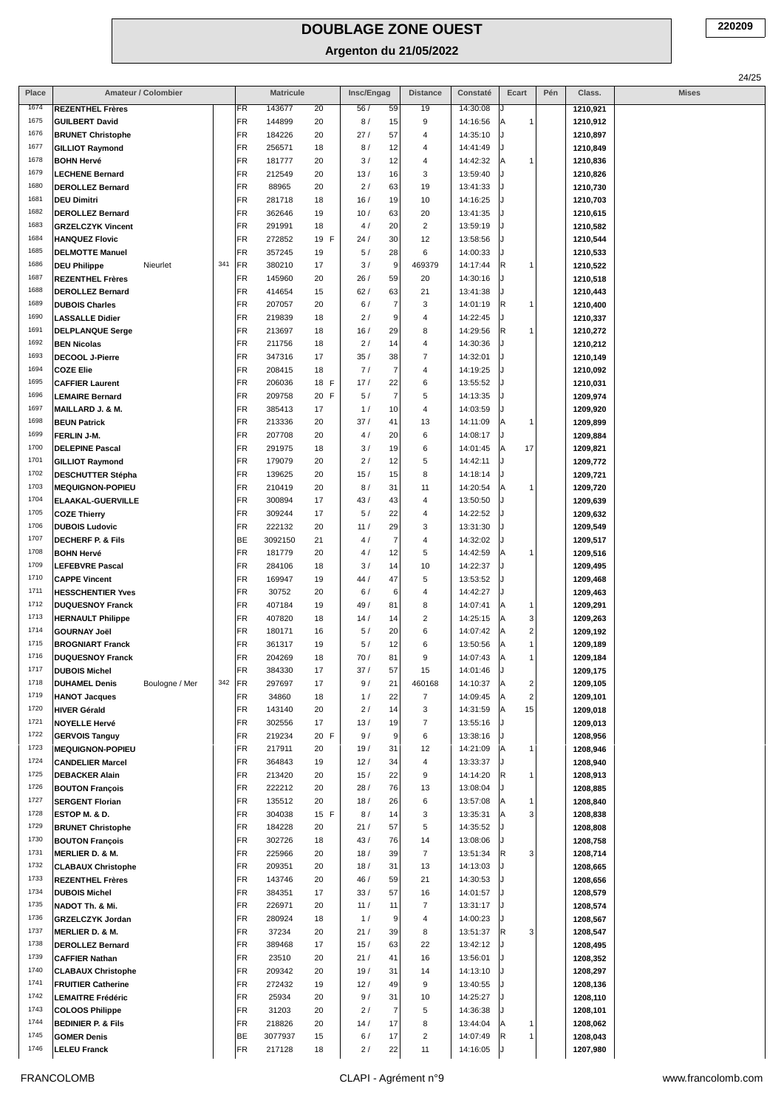| Place        | Amateur / Colombier                                   |     |          | <b>Matricule</b>  |            | Insc/Engag              | <b>Distance</b>                       | Constaté             | Ecart                             | Pén | Class.               | Mises |
|--------------|-------------------------------------------------------|-----|----------|-------------------|------------|-------------------------|---------------------------------------|----------------------|-----------------------------------|-----|----------------------|-------|
| 1674         | <b>REZENTHEL Frères</b>                               |     | FR       | 143677            | 20         | 56/<br>59               | 19                                    | 14:30:08             |                                   |     | 1210,921             |       |
| 1675         | <b>GUILBERT David</b>                                 |     | FR       | 144899            | 20         | 8/<br>15                | 9                                     | 14:16:56             | Α<br>1                            |     | 1210,912             |       |
| 1676         | <b>BRUNET Christophe</b>                              |     | FR       | 184226            | 20         | 27/<br>57               | 4                                     | 14:35:10             |                                   |     | 1210,897             |       |
| 1677         | <b>GILLIOT Raymond</b>                                |     | FR       | 256571            | 18         | 8/<br>12                | 4                                     | 14:41:49             |                                   |     | 1210,849             |       |
| 1678         | <b>BOHN Hervé</b>                                     |     | FR       | 181777            | 20         | 3/<br>12                | 4                                     | 14:42:32             | Α<br>1                            |     | 1210,836             |       |
| 1679         | <b>LECHENE Bernard</b>                                |     | FR       | 212549            | 20         | 13/<br>16               | 3                                     | 13:59:40             |                                   |     | 1210,826             |       |
| 1680<br>1681 | <b>DEROLLEZ Bernard</b>                               |     | FR<br>FR | 88965             | 20         | 2/<br>63                | 19                                    | 13:41:33             |                                   |     | 1210,730             |       |
| 1682         | <b>DEU Dimitri</b><br><b>DEROLLEZ Bernard</b>         |     | FR       | 281718<br>362646  | 18<br>19   | 16/<br>19<br>10/<br>63  | 10<br>20                              | 14:16:25<br>13:41:35 |                                   |     | 1210,703<br>1210,615 |       |
| 1683         | <b>GRZELCZYK Vincent</b>                              |     | FR       | 291991            | 18         | 20<br>4/                | $\overline{c}$                        | 13:59:19             |                                   |     | 1210,582             |       |
| 1684         | <b>HANQUEZ Flovic</b>                                 |     | FR       | 272852            | 19 F       | 24/<br>30               | 12                                    | 13:58:56             |                                   |     | 1210,544             |       |
| 1685         | <b>DELMOTTE Manuel</b>                                |     | FR       | 357245            | 19         | 5/<br>28                | 6                                     | 14:00:33             |                                   |     | 1210,533             |       |
| 1686         | Nieurlet<br><b>DEU Philippe</b>                       | 341 | FR       | 380210            | 17         | 3/                      | 9<br>469379                           | 14:17:44             | R<br>1                            |     | 1210,522             |       |
| 1687         | <b>REZENTHEL Frères</b>                               |     | FR       | 145960            | 20         | 26/<br>59               | 20                                    | 14:30:16             |                                   |     | 1210,518             |       |
| 1688         | <b>DEROLLEZ Bernard</b>                               |     | FR       | 414654            | 15         | 63<br>62/               | 21                                    | 13:41:38             |                                   |     | 1210,443             |       |
| 1689         | <b>DUBOIS Charles</b>                                 |     | FR       | 207057            | 20         | 6/                      | 3<br>$\overline{7}$                   | 14:01:19             | R<br>1                            |     | 1210,400             |       |
| 1690         | <b>LASSALLE Didier</b>                                |     | FR       | 219839            | 18         | 2/                      | 9<br>$\overline{4}$                   | 14:22:45             |                                   |     | 1210,337             |       |
| 1691         | <b>DELPLANQUE Serge</b>                               |     | FR       | 213697            | 18         | 16/<br>29               | 8                                     | 14:29:56             | R<br>1                            |     | 1210,272             |       |
| 1692         | <b>BEN Nicolas</b>                                    |     | FR       | 211756            | 18         | 2/<br>14                | $\overline{4}$                        | 14:30:36             |                                   |     | 1210,212             |       |
| 1693<br>1694 | DECOOL J-Pierre                                       |     | FR<br>FR | 347316            | 17         | 35/<br>38<br>7/         | $\overline{7}$<br>$\overline{7}$<br>4 | 14:32:01             |                                   |     | 1210,149             |       |
| 1695         | <b>COZE Elie</b><br><b>CAFFIER Laurent</b>            |     | FR       | 208415<br>206036  | 18<br>18 F | 17/<br>22               | 6                                     | 14:19:25<br>13:55:52 |                                   |     | 1210,092<br>1210,031 |       |
| 1696         | <b>LEMAIRE Bernard</b>                                |     | FR       | 209758            | 20 F       | 5/                      | $\overline{7}$<br>5                   | 14:13:35             |                                   |     | 1209,974             |       |
| 1697         | MAILLARD J. & M.                                      |     | FR       | 385413            | 17         | 1/<br>10                | $\overline{4}$                        | 14:03:59             |                                   |     | 1209,920             |       |
| 1698         | <b>BEUN Patrick</b>                                   |     | FR       | 213336            | 20         | 37/<br>41               | 13                                    | 14:11:09             | Α<br>1                            |     | 1209,899             |       |
| 1699         | FERLIN J-M.                                           |     | FR       | 207708            | 20         | 20<br>4 /               | 6                                     | 14:08:17             |                                   |     | 1209,884             |       |
| 1700         | <b>DELEPINE Pascal</b>                                |     | FR       | 291975            | 18         | 3/<br>19                | 6                                     | 14:01:45             | 17<br>Α                           |     | 1209,821             |       |
| 1701         | <b>GILLIOT Raymond</b>                                |     | FR       | 179079            | 20         | 2/<br>12                | 5                                     | 14:42:11             | J.                                |     | 1209,772             |       |
| 1702         | <b>DESCHUTTER Stépha</b>                              |     | FR       | 139625            | 20         | 15/<br>15               | 8                                     | 14:18:14             |                                   |     | 1209,721             |       |
| 1703         | <b>MEQUIGNON-POPIEU</b>                               |     | FR       | 210419            | 20         | 8/<br>31                | 11                                    | 14:20:54             | Α<br>1                            |     | 1209,720             |       |
| 1704         | ELAAKAL-GUERVILLE                                     |     | FR       | 300894            | 17         | 43/<br>43               | 4                                     | 13:50:50             |                                   |     | 1209,639             |       |
| 1705<br>1706 | <b>COZE Thierry</b>                                   |     | FR       | 309244            | 17         | 22<br>5/                | $\overline{4}$                        | 14:22:52             |                                   |     | 1209,632             |       |
| 1707         | <b>DUBOIS Ludovic</b><br><b>DECHERF P. &amp; Fils</b> |     | FR<br>BE | 222132<br>3092150 | 20<br>21   | 29<br>11/<br>4 /        | 3<br>$\overline{7}$<br>4              | 13:31:30<br>14:32:02 |                                   |     | 1209,549<br>1209,517 |       |
| 1708         | <b>BOHN Hervé</b>                                     |     | FR       | 181779            | 20         | 12<br>4 /               | 5                                     | 14:42:59             | Α<br>1                            |     | 1209,516             |       |
| 1709         | <b>LEFEBVRE Pascal</b>                                |     | FR       | 284106            | 18         | 3/<br>14                | 10                                    | 14:22:37             |                                   |     | 1209,495             |       |
| 1710         | <b>CAPPE Vincent</b>                                  |     | FR       | 169947            | 19         | 44/<br>47               | 5                                     | 13:53:52             |                                   |     | 1209,468             |       |
| 1711         | <b>HESSCHENTIER Yves</b>                              |     | FR       | 30752             | 20         | 6/                      | 6<br>$\overline{4}$                   | 14:42:27             |                                   |     | 1209,463             |       |
| 1712         | <b>DUQUESNOY Franck</b>                               |     | FR       | 407184            | 19         | 49 /<br>81              | 8                                     | 14:07:41             | Α<br>1                            |     | 1209,291             |       |
| 1713         | <b>HERNAULT Philippe</b>                              |     | FR       | 407820            | 18         | 14/<br>14               | $\overline{\mathbf{c}}$               | 14:25:15             | Α<br>3                            |     | 1209,263             |       |
| 1714<br>1715 | <b>GOURNAY Joël</b>                                   |     | FR<br>FR | 180171            | 16         | 20<br>5/<br>5/          | 6<br>6                                | 14:07:42<br>13:50:56 | $\overline{\mathbf{c}}$<br>A<br>1 |     | 1209,192             |       |
| 1716         | <b>BROGNIART Franck</b><br><b>DUQUESNOY Franck</b>    |     | FR       | 361317<br>204269  | 19<br>18   | 12<br>70/<br>81         | 9                                     | 14:07:43             | Α<br>Α<br>1                       |     | 1209,189<br>1209,184 |       |
| 1717         | <b>DUBOIS Michel</b>                                  |     | FR       | 384330            | 17         | 37/<br>57               | 15                                    | 14:01:46             |                                   |     | 1209,175             |       |
| 1718         | <b>DUHAMEL Denis</b><br>Boulogne / Mer                | 342 | FR       | 297697            | 17         | 9/<br>21                | 460168                                | 14:10:37             | $\overline{\mathbf{c}}$<br> A     |     | 1209,105             |       |
| 1719         | <b>HANOT Jacques</b>                                  |     | FR       | 34860             | 18         | 1/<br>22                | $\overline{7}$                        | 14:09:45             | $\overline{\mathbf{c}}$<br>A      |     | 1209,101             |       |
| 1720         | <b>HIVER Gérald</b>                                   |     | FR       | 143140            | 20         | 2/<br>14                | 3                                     | 14:31:59             | 15<br>A                           |     | 1209,018             |       |
| 1721         | <b>NOYELLE Hervé</b>                                  |     | FR       | 302556            | 17         | 13/<br>19               | $\overline{7}$                        | 13:55:16             | J.                                |     | 1209,013             |       |
| 1722<br>1723 | <b>GERVOIS Tanguy</b>                                 |     | FR       | 219234            | 20 F       | 9/                      | $\,6\,$<br>9                          | 13:38:16             |                                   |     | 1208,956             |       |
| 1724         | <b>MEQUIGNON-POPIEU</b><br><b>CANDELIER Marcel</b>    |     | FR<br>FR | 217911<br>364843  | 20<br>19   | 19/<br>31<br>12/<br>34  | 12<br>$\overline{4}$                  | 14:21:09<br>13:33:37 | 1<br>Α<br>J.                      |     | 1208,946<br>1208,940 |       |
| 1725         | <b>DEBACKER Alain</b>                                 |     | FR       | 213420            | 20         | 22<br>15/               | $\boldsymbol{9}$                      | 14:14:20             | R<br>1                            |     | 1208,913             |       |
| 1726         | <b>BOUTON François</b>                                |     | FR       | 222212            | 20         | 28/<br>76               | 13                                    | 13:08:04             |                                   |     | 1208,885             |       |
| 1727         | <b>SERGENT Florian</b>                                |     | FR       | 135512            | 20         | 18/<br>26               | 6                                     | 13:57:08             | Α<br>1                            |     | 1208,840             |       |
| 1728         | ESTOP M. & D.                                         |     | FR       | 304038            | 15 F       | 8/<br>14                | 3                                     | 13:35:31             | 3<br>Α                            |     | 1208,838             |       |
| 1729         | <b>BRUNET Christophe</b>                              |     | FR       | 184228            | 20         | 21/<br>57               | $\sqrt{5}$                            | 14:35:52             |                                   |     | 1208,808             |       |
| 1730         | <b>BOUTON François</b>                                |     | FR       | 302726            | 18         | 43/<br>76               | 14                                    | 13:08:06             |                                   |     | 1208,758             |       |
| 1731         | MERLIER D. & M.                                       |     | FR       | 225966            | 20         | 18/<br>39               | $\overline{7}$                        | 13:51:34             | R<br>3                            |     | 1208,714             |       |
| 1732<br>1733 | <b>CLABAUX Christophe</b>                             |     | FR<br>FR | 209351<br>143746  | 20         | 18/<br>31<br>46 /<br>59 | 13<br>21                              | 14:13:03<br>14:30:53 |                                   |     | 1208,665             |       |
| 1734         | <b>REZENTHEL Frères</b><br><b>DUBOIS Michel</b>       |     | FR       | 384351            | 20<br>17   | 33/<br>57               | 16                                    | 14:01:57             |                                   |     | 1208,656<br>1208,579 |       |
| 1735         | NADOT Th. & Mi.                                       |     | FR       | 226971            | 20         | 11/<br>11               | $\overline{7}$                        | 13:31:17             |                                   |     | 1208,574             |       |
| 1736         | <b>GRZELCZYK Jordan</b>                               |     | FR       | 280924            | 18         | 1/                      | 9<br>4                                | 14:00:23             |                                   |     | 1208,567             |       |
| 1737         | <b>MERLIER D. &amp; M.</b>                            |     | FR       | 37234             | 20         | 21/<br>39               | 8                                     | 13:51:37             | R<br>3                            |     | 1208,547             |       |
| 1738         | <b>DEROLLEZ Bernard</b>                               |     | FR       | 389468            | 17         | 15/<br>63               | 22                                    | 13:42:12             |                                   |     | 1208,495             |       |
| 1739         | <b>CAFFIER Nathan</b>                                 |     | FR       | 23510             | 20         | 21/<br>41               | 16                                    | 13:56:01             | J.                                |     | 1208,352             |       |
| 1740         | <b>CLABAUX Christophe</b>                             |     | FR       | 209342            | 20         | 19/<br>31               | 14                                    | 14:13:10             |                                   |     | 1208,297             |       |
| 1741<br>1742 | <b>FRUITIER Catherine</b>                             |     | FR       | 272432            | 19         | 12/<br>49               | 9                                     | 13:40:55             |                                   |     | 1208,136             |       |
| 1743         | <b>LEMAITRE Frédéric</b><br><b>COLOOS Philippe</b>    |     | FR<br>FR | 25934<br>31203    | 20<br>20   | 9/<br>31<br>2/          | 10<br>$\overline{7}$<br>5             | 14:25:27<br>14:36:38 |                                   |     | 1208,110<br>1208,101 |       |
| 1744         | <b>BEDINIER P. &amp; Fils</b>                         |     | FR       | 218826            | 20         | 14/<br>17               | 8                                     | 13:44:04             | Α<br>1                            |     | 1208,062             |       |
| 1745         | <b>GOMER Denis</b>                                    |     | BE       | 3077937           | 15         | 6/<br>17                | $\overline{\mathbf{c}}$               | 14:07:49             | R<br>1                            |     | 1208,043             |       |
| 1746         | <b>LELEU Franck</b>                                   |     | FR       | 217128            | 18         | 22<br>2/                | 11                                    | 14:16:05             |                                   |     | 1207,980             |       |
|              |                                                       |     |          |                   |            |                         |                                       |                      |                                   |     |                      |       |